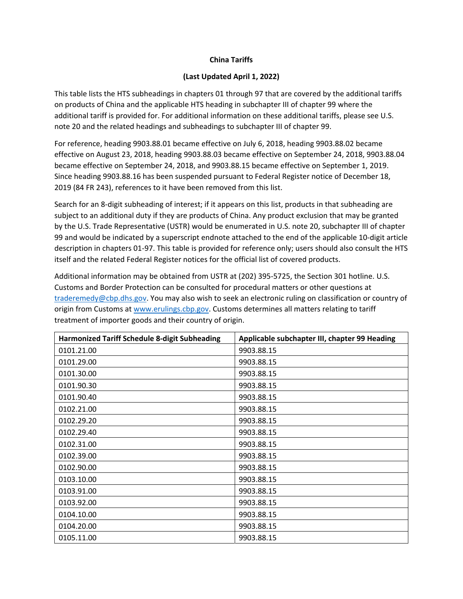## **China Tariffs**

## **(Last Updated April 1, 2022)**

This table lists the HTS subheadings in chapters 01 through 97 that are covered by the additional tariffs on products of China and the applicable HTS heading in subchapter III of chapter 99 where the additional tariff is provided for. For additional information on these additional tariffs, please see U.S. note 20 and the related headings and subheadings to subchapter III of chapter 99.

For reference, heading 9903.88.01 became effective on July 6, 2018, heading 9903.88.02 became effective on August 23, 2018, heading 9903.88.03 became effective on September 24, 2018, 9903.88.04 became effective on September 24, 2018, and 9903.88.15 became effective on September 1, 2019. Since heading 9903.88.16 has been suspended pursuant to Federal Register notice of December 18, 2019 (84 FR 243), references to it have been removed from this list.

Search for an 8‐digit subheading of interest; if it appears on this list, products in that subheading are subject to an additional duty if they are products of China. Any product exclusion that may be granted by the U.S. Trade Representative (USTR) would be enumerated in U.S. note 20, subchapter III of chapter 99 and would be indicated by a superscript endnote attached to the end of the applicable 10-digit article description in chapters 01‐97. This table is provided for reference only; users should also consult the HTS itself and the related Federal Register notices for the official list of covered products.

Additional information may be obtained from USTR at (202) 395‐5725, the Section 301 hotline. U.S. Customs and Border Protection can be consulted for procedural matters or other questions at traderemedy@cbp.dhs.gov. You may also wish to seek an electronic ruling on classification or country of origin from Customs at www.erulings.cbp.gov. Customs determines all matters relating to tariff treatment of importer goods and their country of origin.

| <b>Harmonized Tariff Schedule 8-digit Subheading</b> | Applicable subchapter III, chapter 99 Heading |
|------------------------------------------------------|-----------------------------------------------|
| 0101.21.00                                           | 9903.88.15                                    |
| 0101.29.00                                           | 9903.88.15                                    |
| 0101.30.00                                           | 9903.88.15                                    |
| 0101.90.30                                           | 9903.88.15                                    |
| 0101.90.40                                           | 9903.88.15                                    |
| 0102.21.00                                           | 9903.88.15                                    |
| 0102.29.20                                           | 9903.88.15                                    |
| 0102.29.40                                           | 9903.88.15                                    |
| 0102.31.00                                           | 9903.88.15                                    |
| 0102.39.00                                           | 9903.88.15                                    |
| 0102.90.00                                           | 9903.88.15                                    |
| 0103.10.00                                           | 9903.88.15                                    |
| 0103.91.00                                           | 9903.88.15                                    |
| 0103.92.00                                           | 9903.88.15                                    |
| 0104.10.00                                           | 9903.88.15                                    |
| 0104.20.00                                           | 9903.88.15                                    |
| 0105.11.00                                           | 9903.88.15                                    |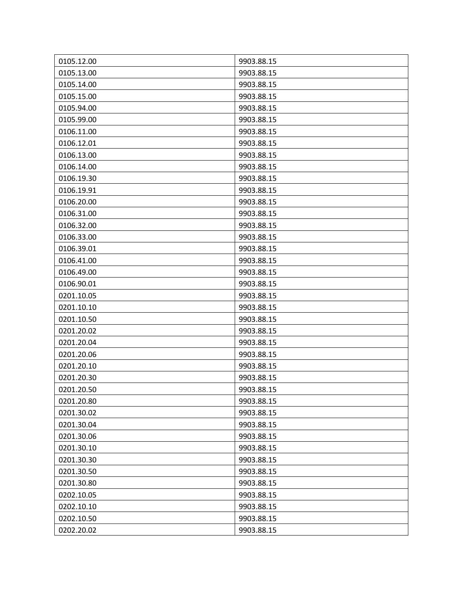| 0105.12.00 | 9903.88.15 |
|------------|------------|
| 0105.13.00 | 9903.88.15 |
| 0105.14.00 | 9903.88.15 |
| 0105.15.00 | 9903.88.15 |
| 0105.94.00 | 9903.88.15 |
| 0105.99.00 | 9903.88.15 |
| 0106.11.00 | 9903.88.15 |
| 0106.12.01 | 9903.88.15 |
| 0106.13.00 | 9903.88.15 |
| 0106.14.00 | 9903.88.15 |
| 0106.19.30 | 9903.88.15 |
| 0106.19.91 | 9903.88.15 |
| 0106.20.00 | 9903.88.15 |
| 0106.31.00 | 9903.88.15 |
| 0106.32.00 | 9903.88.15 |
| 0106.33.00 | 9903.88.15 |
| 0106.39.01 | 9903.88.15 |
| 0106.41.00 | 9903.88.15 |
| 0106.49.00 | 9903.88.15 |
| 0106.90.01 | 9903.88.15 |
| 0201.10.05 | 9903.88.15 |
| 0201.10.10 | 9903.88.15 |
| 0201.10.50 | 9903.88.15 |
| 0201.20.02 | 9903.88.15 |
| 0201.20.04 | 9903.88.15 |
| 0201.20.06 | 9903.88.15 |
| 0201.20.10 | 9903.88.15 |
| 0201.20.30 | 9903.88.15 |
| 0201.20.50 | 9903.88.15 |
| 0201.20.80 | 9903.88.15 |
| 0201.30.02 | 9903.88.15 |
| 0201.30.04 | 9903.88.15 |
| 0201.30.06 | 9903.88.15 |
| 0201.30.10 | 9903.88.15 |
| 0201.30.30 | 9903.88.15 |
| 0201.30.50 | 9903.88.15 |
| 0201.30.80 | 9903.88.15 |
| 0202.10.05 | 9903.88.15 |
| 0202.10.10 | 9903.88.15 |
| 0202.10.50 | 9903.88.15 |
| 0202.20.02 | 9903.88.15 |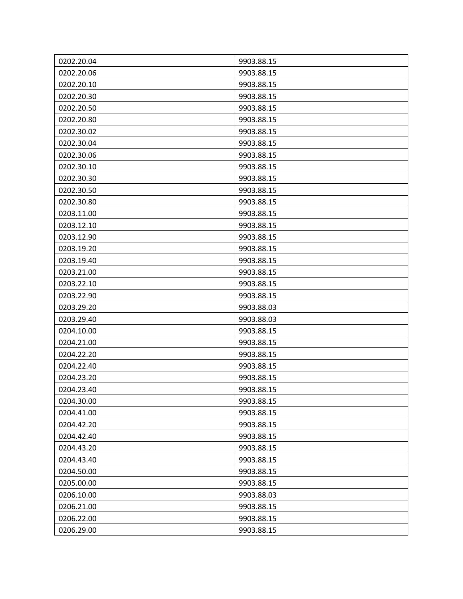| 0202.20.04 | 9903.88.15 |
|------------|------------|
| 0202.20.06 | 9903.88.15 |
| 0202.20.10 | 9903.88.15 |
| 0202.20.30 | 9903.88.15 |
| 0202.20.50 | 9903.88.15 |
| 0202.20.80 | 9903.88.15 |
| 0202.30.02 | 9903.88.15 |
| 0202.30.04 | 9903.88.15 |
| 0202.30.06 | 9903.88.15 |
| 0202.30.10 | 9903.88.15 |
| 0202.30.30 | 9903.88.15 |
| 0202.30.50 | 9903.88.15 |
| 0202.30.80 | 9903.88.15 |
| 0203.11.00 | 9903.88.15 |
| 0203.12.10 | 9903.88.15 |
| 0203.12.90 | 9903.88.15 |
| 0203.19.20 | 9903.88.15 |
| 0203.19.40 | 9903.88.15 |
| 0203.21.00 | 9903.88.15 |
| 0203.22.10 | 9903.88.15 |
| 0203.22.90 | 9903.88.15 |
| 0203.29.20 | 9903.88.03 |
| 0203.29.40 | 9903.88.03 |
| 0204.10.00 | 9903.88.15 |
| 0204.21.00 | 9903.88.15 |
| 0204.22.20 | 9903.88.15 |
| 0204.22.40 | 9903.88.15 |
| 0204.23.20 | 9903.88.15 |
| 0204.23.40 | 9903.88.15 |
| 0204.30.00 | 9903.88.15 |
| 0204.41.00 | 9903.88.15 |
| 0204.42.20 | 9903.88.15 |
| 0204.42.40 | 9903.88.15 |
| 0204.43.20 | 9903.88.15 |
| 0204.43.40 | 9903.88.15 |
| 0204.50.00 | 9903.88.15 |
| 0205.00.00 | 9903.88.15 |
| 0206.10.00 | 9903.88.03 |
| 0206.21.00 | 9903.88.15 |
| 0206.22.00 | 9903.88.15 |
| 0206.29.00 | 9903.88.15 |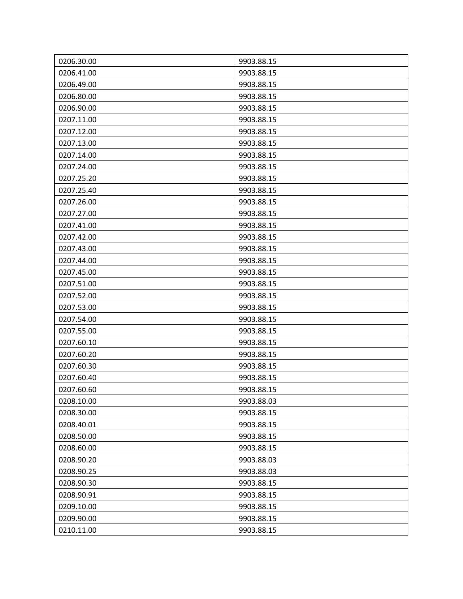| 0206.30.00 | 9903.88.15 |
|------------|------------|
| 0206.41.00 | 9903.88.15 |
| 0206.49.00 | 9903.88.15 |
| 0206.80.00 | 9903.88.15 |
| 0206.90.00 | 9903.88.15 |
| 0207.11.00 | 9903.88.15 |
| 0207.12.00 | 9903.88.15 |
| 0207.13.00 | 9903.88.15 |
| 0207.14.00 | 9903.88.15 |
| 0207.24.00 | 9903.88.15 |
| 0207.25.20 | 9903.88.15 |
| 0207.25.40 | 9903.88.15 |
| 0207.26.00 | 9903.88.15 |
| 0207.27.00 | 9903.88.15 |
| 0207.41.00 | 9903.88.15 |
| 0207.42.00 | 9903.88.15 |
| 0207.43.00 | 9903.88.15 |
| 0207.44.00 | 9903.88.15 |
| 0207.45.00 | 9903.88.15 |
| 0207.51.00 | 9903.88.15 |
| 0207.52.00 | 9903.88.15 |
| 0207.53.00 | 9903.88.15 |
| 0207.54.00 | 9903.88.15 |
| 0207.55.00 | 9903.88.15 |
| 0207.60.10 | 9903.88.15 |
| 0207.60.20 | 9903.88.15 |
| 0207.60.30 | 9903.88.15 |
| 0207.60.40 | 9903.88.15 |
| 0207.60.60 | 9903.88.15 |
| 0208.10.00 | 9903.88.03 |
| 0208.30.00 | 9903.88.15 |
| 0208.40.01 | 9903.88.15 |
| 0208.50.00 | 9903.88.15 |
| 0208.60.00 | 9903.88.15 |
| 0208.90.20 | 9903.88.03 |
| 0208.90.25 | 9903.88.03 |
| 0208.90.30 | 9903.88.15 |
| 0208.90.91 | 9903.88.15 |
| 0209.10.00 | 9903.88.15 |
| 0209.90.00 | 9903.88.15 |
| 0210.11.00 | 9903.88.15 |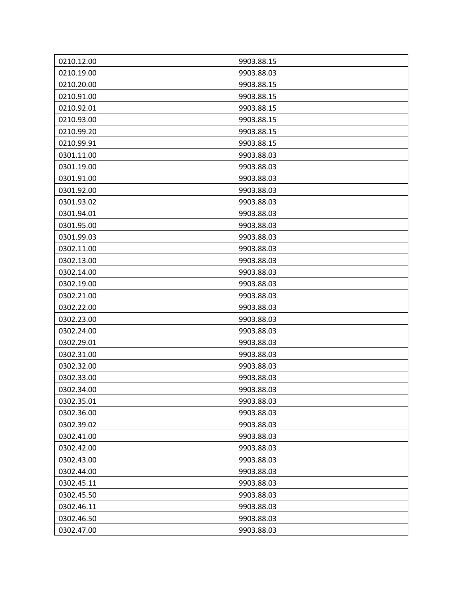| 0210.12.00 | 9903.88.15 |
|------------|------------|
| 0210.19.00 | 9903.88.03 |
| 0210.20.00 | 9903.88.15 |
| 0210.91.00 | 9903.88.15 |
| 0210.92.01 | 9903.88.15 |
| 0210.93.00 | 9903.88.15 |
| 0210.99.20 | 9903.88.15 |
| 0210.99.91 | 9903.88.15 |
| 0301.11.00 | 9903.88.03 |
| 0301.19.00 | 9903.88.03 |
| 0301.91.00 | 9903.88.03 |
| 0301.92.00 | 9903.88.03 |
| 0301.93.02 | 9903.88.03 |
| 0301.94.01 | 9903.88.03 |
| 0301.95.00 | 9903.88.03 |
| 0301.99.03 | 9903.88.03 |
| 0302.11.00 | 9903.88.03 |
| 0302.13.00 | 9903.88.03 |
| 0302.14.00 | 9903.88.03 |
| 0302.19.00 | 9903.88.03 |
| 0302.21.00 | 9903.88.03 |
| 0302.22.00 | 9903.88.03 |
| 0302.23.00 | 9903.88.03 |
| 0302.24.00 | 9903.88.03 |
| 0302.29.01 | 9903.88.03 |
| 0302.31.00 | 9903.88.03 |
| 0302.32.00 | 9903.88.03 |
| 0302.33.00 | 9903.88.03 |
| 0302.34.00 | 9903.88.03 |
| 0302.35.01 | 9903.88.03 |
| 0302.36.00 | 9903.88.03 |
| 0302.39.02 | 9903.88.03 |
| 0302.41.00 | 9903.88.03 |
| 0302.42.00 | 9903.88.03 |
| 0302.43.00 | 9903.88.03 |
| 0302.44.00 | 9903.88.03 |
| 0302.45.11 | 9903.88.03 |
| 0302.45.50 | 9903.88.03 |
| 0302.46.11 | 9903.88.03 |
| 0302.46.50 | 9903.88.03 |
| 0302.47.00 | 9903.88.03 |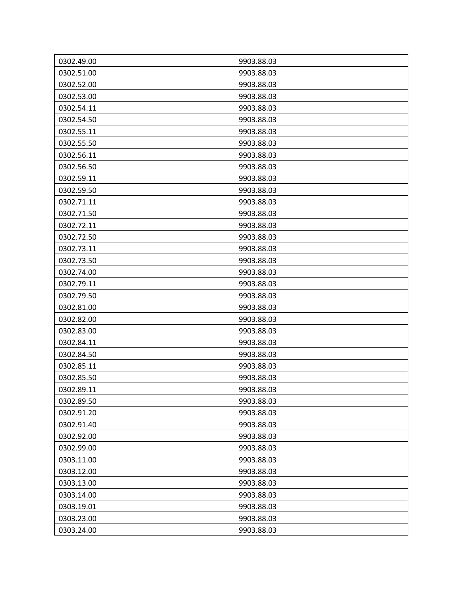| 0302.49.00 | 9903.88.03 |
|------------|------------|
| 0302.51.00 | 9903.88.03 |
| 0302.52.00 | 9903.88.03 |
| 0302.53.00 | 9903.88.03 |
| 0302.54.11 | 9903.88.03 |
| 0302.54.50 | 9903.88.03 |
| 0302.55.11 | 9903.88.03 |
| 0302.55.50 | 9903.88.03 |
| 0302.56.11 | 9903.88.03 |
| 0302.56.50 | 9903.88.03 |
| 0302.59.11 | 9903.88.03 |
| 0302.59.50 | 9903.88.03 |
| 0302.71.11 | 9903.88.03 |
| 0302.71.50 | 9903.88.03 |
| 0302.72.11 | 9903.88.03 |
| 0302.72.50 | 9903.88.03 |
| 0302.73.11 | 9903.88.03 |
| 0302.73.50 | 9903.88.03 |
| 0302.74.00 | 9903.88.03 |
| 0302.79.11 | 9903.88.03 |
| 0302.79.50 | 9903.88.03 |
| 0302.81.00 | 9903.88.03 |
| 0302.82.00 | 9903.88.03 |
| 0302.83.00 | 9903.88.03 |
| 0302.84.11 | 9903.88.03 |
| 0302.84.50 | 9903.88.03 |
| 0302.85.11 | 9903.88.03 |
| 0302.85.50 | 9903.88.03 |
| 0302.89.11 | 9903.88.03 |
| 0302.89.50 | 9903.88.03 |
| 0302.91.20 | 9903.88.03 |
| 0302.91.40 | 9903.88.03 |
| 0302.92.00 | 9903.88.03 |
| 0302.99.00 | 9903.88.03 |
| 0303.11.00 | 9903.88.03 |
| 0303.12.00 | 9903.88.03 |
| 0303.13.00 | 9903.88.03 |
| 0303.14.00 | 9903.88.03 |
| 0303.19.01 | 9903.88.03 |
| 0303.23.00 | 9903.88.03 |
| 0303.24.00 | 9903.88.03 |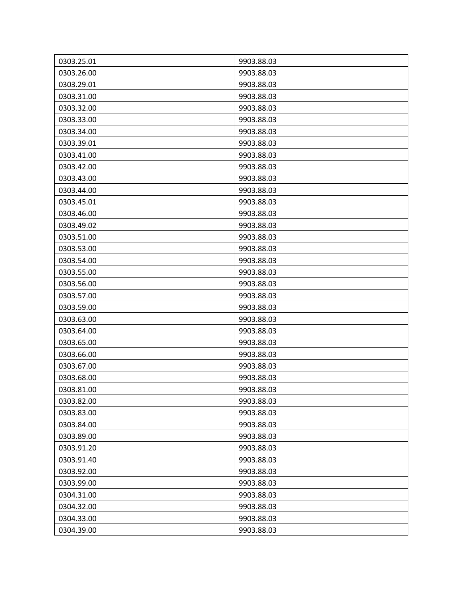| 0303.25.01 | 9903.88.03 |
|------------|------------|
| 0303.26.00 | 9903.88.03 |
| 0303.29.01 | 9903.88.03 |
| 0303.31.00 | 9903.88.03 |
| 0303.32.00 | 9903.88.03 |
| 0303.33.00 | 9903.88.03 |
| 0303.34.00 | 9903.88.03 |
| 0303.39.01 | 9903.88.03 |
| 0303.41.00 | 9903.88.03 |
| 0303.42.00 | 9903.88.03 |
| 0303.43.00 | 9903.88.03 |
| 0303.44.00 | 9903.88.03 |
| 0303.45.01 | 9903.88.03 |
| 0303.46.00 | 9903.88.03 |
| 0303.49.02 | 9903.88.03 |
| 0303.51.00 | 9903.88.03 |
| 0303.53.00 | 9903.88.03 |
| 0303.54.00 | 9903.88.03 |
| 0303.55.00 | 9903.88.03 |
| 0303.56.00 | 9903.88.03 |
| 0303.57.00 | 9903.88.03 |
| 0303.59.00 | 9903.88.03 |
| 0303.63.00 | 9903.88.03 |
| 0303.64.00 | 9903.88.03 |
| 0303.65.00 | 9903.88.03 |
| 0303.66.00 | 9903.88.03 |
| 0303.67.00 | 9903.88.03 |
| 0303.68.00 | 9903.88.03 |
| 0303.81.00 | 9903.88.03 |
| 0303.82.00 | 9903.88.03 |
| 0303.83.00 | 9903.88.03 |
| 0303.84.00 | 9903.88.03 |
| 0303.89.00 | 9903.88.03 |
| 0303.91.20 | 9903.88.03 |
| 0303.91.40 | 9903.88.03 |
| 0303.92.00 | 9903.88.03 |
| 0303.99.00 | 9903.88.03 |
| 0304.31.00 | 9903.88.03 |
| 0304.32.00 | 9903.88.03 |
| 0304.33.00 | 9903.88.03 |
| 0304.39.00 | 9903.88.03 |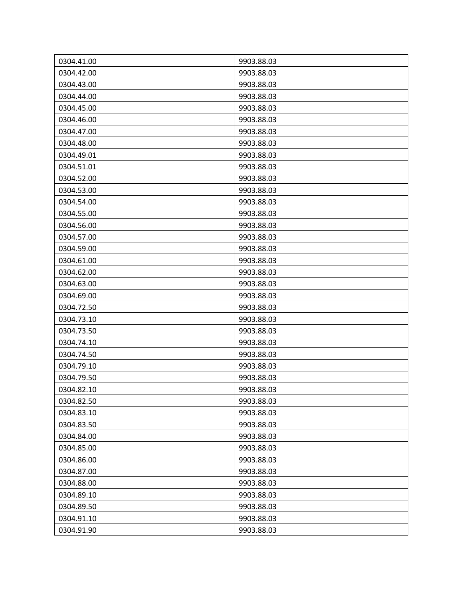| 0304.41.00 | 9903.88.03 |
|------------|------------|
| 0304.42.00 | 9903.88.03 |
| 0304.43.00 | 9903.88.03 |
| 0304.44.00 | 9903.88.03 |
| 0304.45.00 | 9903.88.03 |
| 0304.46.00 | 9903.88.03 |
| 0304.47.00 | 9903.88.03 |
| 0304.48.00 | 9903.88.03 |
| 0304.49.01 | 9903.88.03 |
| 0304.51.01 | 9903.88.03 |
| 0304.52.00 | 9903.88.03 |
| 0304.53.00 | 9903.88.03 |
| 0304.54.00 | 9903.88.03 |
| 0304.55.00 | 9903.88.03 |
| 0304.56.00 | 9903.88.03 |
| 0304.57.00 | 9903.88.03 |
| 0304.59.00 | 9903.88.03 |
| 0304.61.00 | 9903.88.03 |
| 0304.62.00 | 9903.88.03 |
| 0304.63.00 | 9903.88.03 |
| 0304.69.00 | 9903.88.03 |
| 0304.72.50 | 9903.88.03 |
| 0304.73.10 | 9903.88.03 |
| 0304.73.50 | 9903.88.03 |
| 0304.74.10 | 9903.88.03 |
| 0304.74.50 | 9903.88.03 |
| 0304.79.10 | 9903.88.03 |
| 0304.79.50 | 9903.88.03 |
| 0304.82.10 | 9903.88.03 |
| 0304.82.50 | 9903.88.03 |
| 0304.83.10 | 9903.88.03 |
| 0304.83.50 | 9903.88.03 |
| 0304.84.00 | 9903.88.03 |
| 0304.85.00 | 9903.88.03 |
| 0304.86.00 | 9903.88.03 |
| 0304.87.00 | 9903.88.03 |
| 0304.88.00 | 9903.88.03 |
| 0304.89.10 | 9903.88.03 |
| 0304.89.50 | 9903.88.03 |
| 0304.91.10 | 9903.88.03 |
| 0304.91.90 | 9903.88.03 |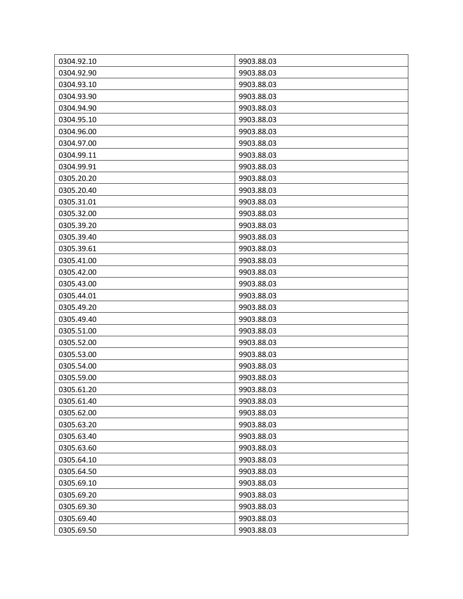| 0304.92.10 | 9903.88.03 |
|------------|------------|
| 0304.92.90 | 9903.88.03 |
| 0304.93.10 | 9903.88.03 |
| 0304.93.90 | 9903.88.03 |
| 0304.94.90 | 9903.88.03 |
| 0304.95.10 | 9903.88.03 |
| 0304.96.00 | 9903.88.03 |
| 0304.97.00 | 9903.88.03 |
| 0304.99.11 | 9903.88.03 |
| 0304.99.91 | 9903.88.03 |
| 0305.20.20 | 9903.88.03 |
| 0305.20.40 | 9903.88.03 |
| 0305.31.01 | 9903.88.03 |
| 0305.32.00 | 9903.88.03 |
| 0305.39.20 | 9903.88.03 |
| 0305.39.40 | 9903.88.03 |
| 0305.39.61 | 9903.88.03 |
| 0305.41.00 | 9903.88.03 |
| 0305.42.00 | 9903.88.03 |
| 0305.43.00 | 9903.88.03 |
| 0305.44.01 | 9903.88.03 |
| 0305.49.20 | 9903.88.03 |
| 0305.49.40 | 9903.88.03 |
| 0305.51.00 | 9903.88.03 |
| 0305.52.00 | 9903.88.03 |
| 0305.53.00 | 9903.88.03 |
| 0305.54.00 | 9903.88.03 |
| 0305.59.00 | 9903.88.03 |
| 0305.61.20 | 9903.88.03 |
| 0305.61.40 | 9903.88.03 |
| 0305.62.00 | 9903.88.03 |
| 0305.63.20 | 9903.88.03 |
| 0305.63.40 | 9903.88.03 |
| 0305.63.60 | 9903.88.03 |
| 0305.64.10 | 9903.88.03 |
| 0305.64.50 | 9903.88.03 |
| 0305.69.10 | 9903.88.03 |
| 0305.69.20 | 9903.88.03 |
| 0305.69.30 | 9903.88.03 |
| 0305.69.40 | 9903.88.03 |
| 0305.69.50 | 9903.88.03 |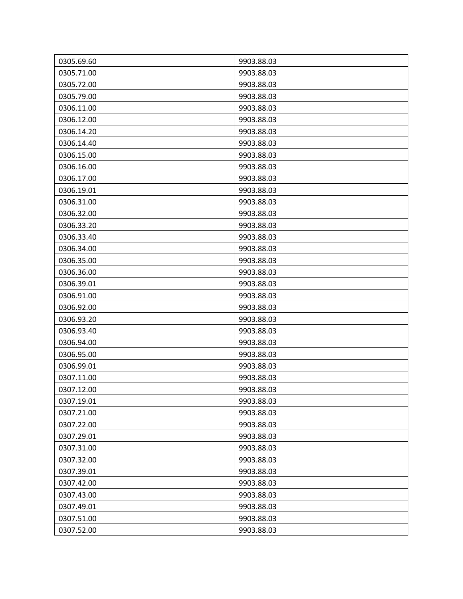| 0305.69.60 | 9903.88.03 |
|------------|------------|
| 0305.71.00 | 9903.88.03 |
| 0305.72.00 | 9903.88.03 |
| 0305.79.00 | 9903.88.03 |
| 0306.11.00 | 9903.88.03 |
| 0306.12.00 | 9903.88.03 |
| 0306.14.20 | 9903.88.03 |
| 0306.14.40 | 9903.88.03 |
| 0306.15.00 | 9903.88.03 |
| 0306.16.00 | 9903.88.03 |
| 0306.17.00 | 9903.88.03 |
| 0306.19.01 | 9903.88.03 |
| 0306.31.00 | 9903.88.03 |
| 0306.32.00 | 9903.88.03 |
| 0306.33.20 | 9903.88.03 |
| 0306.33.40 | 9903.88.03 |
| 0306.34.00 | 9903.88.03 |
| 0306.35.00 | 9903.88.03 |
| 0306.36.00 | 9903.88.03 |
| 0306.39.01 | 9903.88.03 |
| 0306.91.00 | 9903.88.03 |
| 0306.92.00 | 9903.88.03 |
| 0306.93.20 | 9903.88.03 |
| 0306.93.40 | 9903.88.03 |
| 0306.94.00 | 9903.88.03 |
| 0306.95.00 | 9903.88.03 |
| 0306.99.01 | 9903.88.03 |
| 0307.11.00 | 9903.88.03 |
| 0307.12.00 | 9903.88.03 |
| 0307.19.01 | 9903.88.03 |
| 0307.21.00 | 9903.88.03 |
| 0307.22.00 | 9903.88.03 |
| 0307.29.01 | 9903.88.03 |
| 0307.31.00 | 9903.88.03 |
| 0307.32.00 | 9903.88.03 |
| 0307.39.01 | 9903.88.03 |
| 0307.42.00 | 9903.88.03 |
| 0307.43.00 | 9903.88.03 |
| 0307.49.01 | 9903.88.03 |
| 0307.51.00 | 9903.88.03 |
| 0307.52.00 | 9903.88.03 |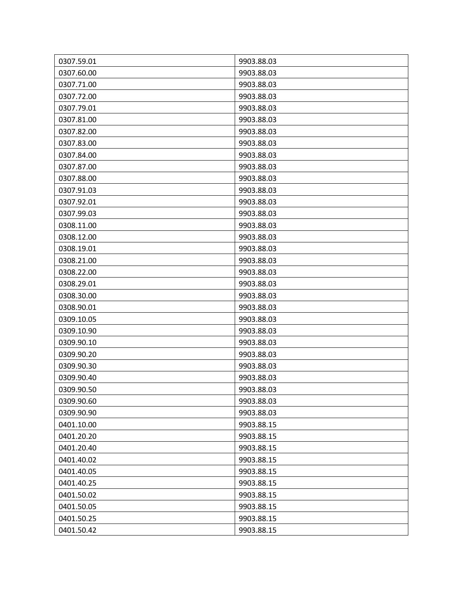| 0307.59.01 | 9903.88.03 |
|------------|------------|
| 0307.60.00 | 9903.88.03 |
| 0307.71.00 | 9903.88.03 |
| 0307.72.00 | 9903.88.03 |
| 0307.79.01 | 9903.88.03 |
| 0307.81.00 | 9903.88.03 |
| 0307.82.00 | 9903.88.03 |
| 0307.83.00 | 9903.88.03 |
| 0307.84.00 | 9903.88.03 |
| 0307.87.00 | 9903.88.03 |
| 0307.88.00 | 9903.88.03 |
| 0307.91.03 | 9903.88.03 |
| 0307.92.01 | 9903.88.03 |
| 0307.99.03 | 9903.88.03 |
| 0308.11.00 | 9903.88.03 |
| 0308.12.00 | 9903.88.03 |
| 0308.19.01 | 9903.88.03 |
| 0308.21.00 | 9903.88.03 |
| 0308.22.00 | 9903.88.03 |
| 0308.29.01 | 9903.88.03 |
| 0308.30.00 | 9903.88.03 |
| 0308.90.01 | 9903.88.03 |
| 0309.10.05 | 9903.88.03 |
| 0309.10.90 | 9903.88.03 |
| 0309.90.10 | 9903.88.03 |
| 0309.90.20 | 9903.88.03 |
| 0309.90.30 | 9903.88.03 |
| 0309.90.40 | 9903.88.03 |
| 0309.90.50 | 9903.88.03 |
| 0309.90.60 | 9903.88.03 |
| 0309.90.90 | 9903.88.03 |
| 0401.10.00 | 9903.88.15 |
| 0401.20.20 | 9903.88.15 |
| 0401.20.40 | 9903.88.15 |
| 0401.40.02 | 9903.88.15 |
| 0401.40.05 | 9903.88.15 |
| 0401.40.25 | 9903.88.15 |
| 0401.50.02 | 9903.88.15 |
| 0401.50.05 | 9903.88.15 |
| 0401.50.25 | 9903.88.15 |
| 0401.50.42 | 9903.88.15 |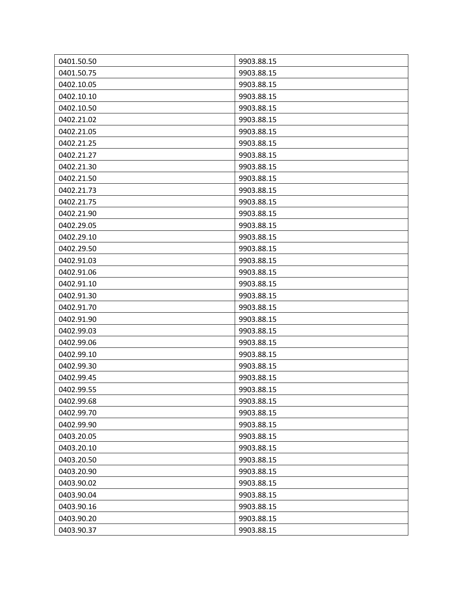| 0401.50.50 | 9903.88.15 |
|------------|------------|
| 0401.50.75 | 9903.88.15 |
| 0402.10.05 | 9903.88.15 |
| 0402.10.10 | 9903.88.15 |
| 0402.10.50 | 9903.88.15 |
| 0402.21.02 | 9903.88.15 |
| 0402.21.05 | 9903.88.15 |
| 0402.21.25 | 9903.88.15 |
| 0402.21.27 | 9903.88.15 |
| 0402.21.30 | 9903.88.15 |
| 0402.21.50 | 9903.88.15 |
| 0402.21.73 | 9903.88.15 |
| 0402.21.75 | 9903.88.15 |
| 0402.21.90 | 9903.88.15 |
| 0402.29.05 | 9903.88.15 |
| 0402.29.10 | 9903.88.15 |
| 0402.29.50 | 9903.88.15 |
| 0402.91.03 | 9903.88.15 |
| 0402.91.06 | 9903.88.15 |
| 0402.91.10 | 9903.88.15 |
| 0402.91.30 | 9903.88.15 |
| 0402.91.70 | 9903.88.15 |
| 0402.91.90 | 9903.88.15 |
| 0402.99.03 | 9903.88.15 |
| 0402.99.06 | 9903.88.15 |
| 0402.99.10 | 9903.88.15 |
| 0402.99.30 | 9903.88.15 |
| 0402.99.45 | 9903.88.15 |
| 0402.99.55 | 9903.88.15 |
| 0402.99.68 | 9903.88.15 |
| 0402.99.70 | 9903.88.15 |
| 0402.99.90 | 9903.88.15 |
| 0403.20.05 | 9903.88.15 |
| 0403.20.10 | 9903.88.15 |
| 0403.20.50 | 9903.88.15 |
| 0403.20.90 | 9903.88.15 |
| 0403.90.02 | 9903.88.15 |
| 0403.90.04 | 9903.88.15 |
| 0403.90.16 | 9903.88.15 |
| 0403.90.20 | 9903.88.15 |
| 0403.90.37 | 9903.88.15 |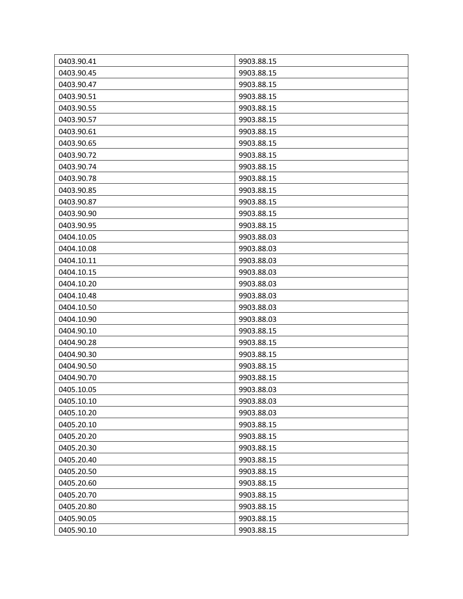| 0403.90.41 | 9903.88.15 |
|------------|------------|
| 0403.90.45 | 9903.88.15 |
| 0403.90.47 | 9903.88.15 |
| 0403.90.51 | 9903.88.15 |
| 0403.90.55 | 9903.88.15 |
| 0403.90.57 | 9903.88.15 |
| 0403.90.61 | 9903.88.15 |
| 0403.90.65 | 9903.88.15 |
| 0403.90.72 | 9903.88.15 |
| 0403.90.74 | 9903.88.15 |
| 0403.90.78 | 9903.88.15 |
| 0403.90.85 | 9903.88.15 |
| 0403.90.87 | 9903.88.15 |
| 0403.90.90 | 9903.88.15 |
| 0403.90.95 | 9903.88.15 |
| 0404.10.05 | 9903.88.03 |
| 0404.10.08 | 9903.88.03 |
| 0404.10.11 | 9903.88.03 |
| 0404.10.15 | 9903.88.03 |
| 0404.10.20 | 9903.88.03 |
| 0404.10.48 | 9903.88.03 |
| 0404.10.50 | 9903.88.03 |
| 0404.10.90 | 9903.88.03 |
| 0404.90.10 | 9903.88.15 |
| 0404.90.28 | 9903.88.15 |
| 0404.90.30 | 9903.88.15 |
| 0404.90.50 | 9903.88.15 |
| 0404.90.70 | 9903.88.15 |
| 0405.10.05 | 9903.88.03 |
| 0405.10.10 | 9903.88.03 |
| 0405.10.20 | 9903.88.03 |
| 0405.20.10 | 9903.88.15 |
| 0405.20.20 | 9903.88.15 |
| 0405.20.30 | 9903.88.15 |
| 0405.20.40 | 9903.88.15 |
| 0405.20.50 | 9903.88.15 |
| 0405.20.60 | 9903.88.15 |
| 0405.20.70 | 9903.88.15 |
| 0405.20.80 | 9903.88.15 |
| 0405.90.05 | 9903.88.15 |
| 0405.90.10 | 9903.88.15 |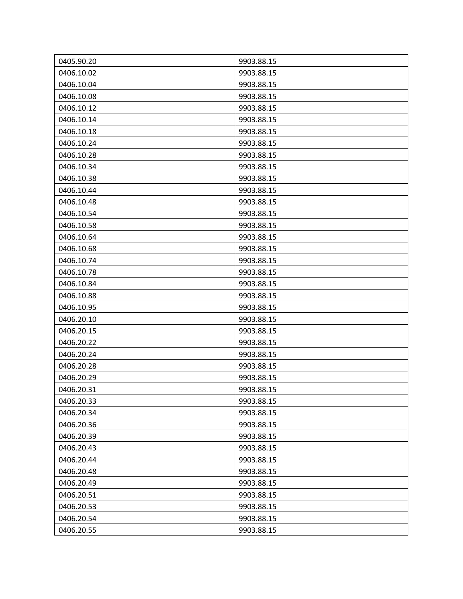| 0405.90.20 | 9903.88.15 |
|------------|------------|
| 0406.10.02 | 9903.88.15 |
| 0406.10.04 | 9903.88.15 |
| 0406.10.08 | 9903.88.15 |
| 0406.10.12 | 9903.88.15 |
| 0406.10.14 | 9903.88.15 |
| 0406.10.18 | 9903.88.15 |
| 0406.10.24 | 9903.88.15 |
| 0406.10.28 | 9903.88.15 |
| 0406.10.34 | 9903.88.15 |
| 0406.10.38 | 9903.88.15 |
| 0406.10.44 | 9903.88.15 |
| 0406.10.48 | 9903.88.15 |
| 0406.10.54 | 9903.88.15 |
| 0406.10.58 | 9903.88.15 |
| 0406.10.64 | 9903.88.15 |
| 0406.10.68 | 9903.88.15 |
| 0406.10.74 | 9903.88.15 |
| 0406.10.78 | 9903.88.15 |
| 0406.10.84 | 9903.88.15 |
| 0406.10.88 | 9903.88.15 |
| 0406.10.95 | 9903.88.15 |
| 0406.20.10 | 9903.88.15 |
| 0406.20.15 | 9903.88.15 |
| 0406.20.22 | 9903.88.15 |
| 0406.20.24 | 9903.88.15 |
| 0406.20.28 | 9903.88.15 |
| 0406.20.29 | 9903.88.15 |
| 0406.20.31 | 9903.88.15 |
| 0406.20.33 | 9903.88.15 |
| 0406.20.34 | 9903.88.15 |
| 0406.20.36 | 9903.88.15 |
| 0406.20.39 | 9903.88.15 |
| 0406.20.43 | 9903.88.15 |
| 0406.20.44 | 9903.88.15 |
| 0406.20.48 | 9903.88.15 |
| 0406.20.49 | 9903.88.15 |
| 0406.20.51 | 9903.88.15 |
| 0406.20.53 | 9903.88.15 |
| 0406.20.54 | 9903.88.15 |
| 0406.20.55 | 9903.88.15 |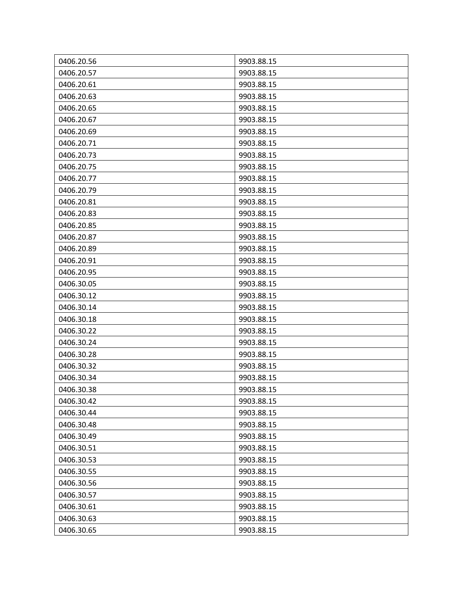| 0406.20.56 | 9903.88.15 |
|------------|------------|
| 0406.20.57 | 9903.88.15 |
| 0406.20.61 | 9903.88.15 |
| 0406.20.63 | 9903.88.15 |
| 0406.20.65 | 9903.88.15 |
| 0406.20.67 | 9903.88.15 |
| 0406.20.69 | 9903.88.15 |
| 0406.20.71 | 9903.88.15 |
| 0406.20.73 | 9903.88.15 |
| 0406.20.75 | 9903.88.15 |
| 0406.20.77 | 9903.88.15 |
| 0406.20.79 | 9903.88.15 |
| 0406.20.81 | 9903.88.15 |
| 0406.20.83 | 9903.88.15 |
| 0406.20.85 | 9903.88.15 |
| 0406.20.87 | 9903.88.15 |
| 0406.20.89 | 9903.88.15 |
| 0406.20.91 | 9903.88.15 |
| 0406.20.95 | 9903.88.15 |
| 0406.30.05 | 9903.88.15 |
| 0406.30.12 | 9903.88.15 |
| 0406.30.14 | 9903.88.15 |
| 0406.30.18 | 9903.88.15 |
| 0406.30.22 | 9903.88.15 |
| 0406.30.24 | 9903.88.15 |
| 0406.30.28 | 9903.88.15 |
| 0406.30.32 | 9903.88.15 |
| 0406.30.34 | 9903.88.15 |
| 0406.30.38 | 9903.88.15 |
| 0406.30.42 | 9903.88.15 |
| 0406.30.44 | 9903.88.15 |
| 0406.30.48 | 9903.88.15 |
| 0406.30.49 | 9903.88.15 |
| 0406.30.51 | 9903.88.15 |
| 0406.30.53 | 9903.88.15 |
| 0406.30.55 | 9903.88.15 |
| 0406.30.56 | 9903.88.15 |
| 0406.30.57 | 9903.88.15 |
| 0406.30.61 | 9903.88.15 |
| 0406.30.63 | 9903.88.15 |
| 0406.30.65 | 9903.88.15 |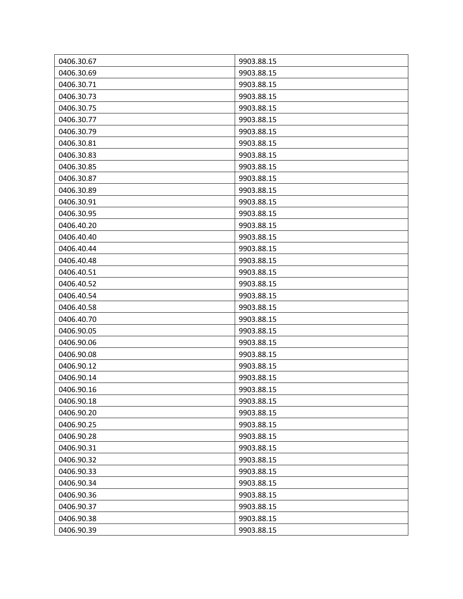| 0406.30.67 | 9903.88.15 |
|------------|------------|
| 0406.30.69 | 9903.88.15 |
| 0406.30.71 | 9903.88.15 |
| 0406.30.73 | 9903.88.15 |
| 0406.30.75 | 9903.88.15 |
| 0406.30.77 | 9903.88.15 |
| 0406.30.79 | 9903.88.15 |
| 0406.30.81 | 9903.88.15 |
| 0406.30.83 | 9903.88.15 |
| 0406.30.85 | 9903.88.15 |
| 0406.30.87 | 9903.88.15 |
| 0406.30.89 | 9903.88.15 |
| 0406.30.91 | 9903.88.15 |
| 0406.30.95 | 9903.88.15 |
| 0406.40.20 | 9903.88.15 |
| 0406.40.40 | 9903.88.15 |
| 0406.40.44 | 9903.88.15 |
| 0406.40.48 | 9903.88.15 |
| 0406.40.51 | 9903.88.15 |
| 0406.40.52 | 9903.88.15 |
| 0406.40.54 | 9903.88.15 |
| 0406.40.58 | 9903.88.15 |
| 0406.40.70 | 9903.88.15 |
| 0406.90.05 | 9903.88.15 |
| 0406.90.06 | 9903.88.15 |
| 0406.90.08 | 9903.88.15 |
| 0406.90.12 | 9903.88.15 |
| 0406.90.14 | 9903.88.15 |
| 0406.90.16 | 9903.88.15 |
| 0406.90.18 | 9903.88.15 |
| 0406.90.20 | 9903.88.15 |
| 0406.90.25 | 9903.88.15 |
| 0406.90.28 | 9903.88.15 |
| 0406.90.31 | 9903.88.15 |
| 0406.90.32 | 9903.88.15 |
| 0406.90.33 | 9903.88.15 |
| 0406.90.34 | 9903.88.15 |
| 0406.90.36 | 9903.88.15 |
| 0406.90.37 | 9903.88.15 |
| 0406.90.38 | 9903.88.15 |
| 0406.90.39 | 9903.88.15 |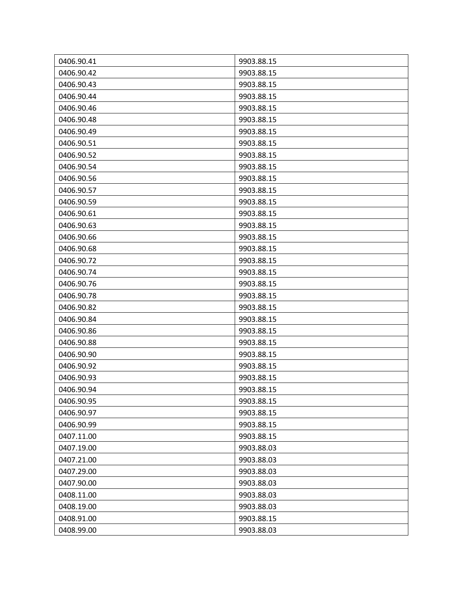| 0406.90.41 | 9903.88.15 |
|------------|------------|
| 0406.90.42 | 9903.88.15 |
| 0406.90.43 | 9903.88.15 |
| 0406.90.44 | 9903.88.15 |
| 0406.90.46 | 9903.88.15 |
| 0406.90.48 | 9903.88.15 |
| 0406.90.49 | 9903.88.15 |
| 0406.90.51 | 9903.88.15 |
| 0406.90.52 | 9903.88.15 |
| 0406.90.54 | 9903.88.15 |
| 0406.90.56 | 9903.88.15 |
| 0406.90.57 | 9903.88.15 |
| 0406.90.59 | 9903.88.15 |
| 0406.90.61 | 9903.88.15 |
| 0406.90.63 | 9903.88.15 |
| 0406.90.66 | 9903.88.15 |
| 0406.90.68 | 9903.88.15 |
| 0406.90.72 | 9903.88.15 |
| 0406.90.74 | 9903.88.15 |
| 0406.90.76 | 9903.88.15 |
| 0406.90.78 | 9903.88.15 |
| 0406.90.82 | 9903.88.15 |
| 0406.90.84 | 9903.88.15 |
| 0406.90.86 | 9903.88.15 |
| 0406.90.88 | 9903.88.15 |
| 0406.90.90 | 9903.88.15 |
| 0406.90.92 | 9903.88.15 |
| 0406.90.93 | 9903.88.15 |
| 0406.90.94 | 9903.88.15 |
| 0406.90.95 | 9903.88.15 |
| 0406.90.97 | 9903.88.15 |
| 0406.90.99 | 9903.88.15 |
| 0407.11.00 | 9903.88.15 |
| 0407.19.00 | 9903.88.03 |
| 0407.21.00 | 9903.88.03 |
| 0407.29.00 | 9903.88.03 |
| 0407.90.00 | 9903.88.03 |
| 0408.11.00 | 9903.88.03 |
| 0408.19.00 | 9903.88.03 |
| 0408.91.00 | 9903.88.15 |
| 0408.99.00 | 9903.88.03 |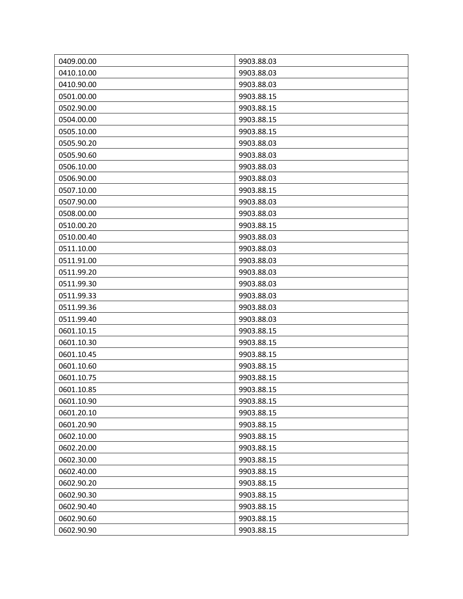| 0409.00.00 | 9903.88.03 |
|------------|------------|
| 0410.10.00 | 9903.88.03 |
| 0410.90.00 | 9903.88.03 |
| 0501.00.00 | 9903.88.15 |
| 0502.90.00 | 9903.88.15 |
| 0504.00.00 | 9903.88.15 |
| 0505.10.00 | 9903.88.15 |
| 0505.90.20 | 9903.88.03 |
| 0505.90.60 | 9903.88.03 |
| 0506.10.00 | 9903.88.03 |
| 0506.90.00 | 9903.88.03 |
| 0507.10.00 | 9903.88.15 |
| 0507.90.00 | 9903.88.03 |
| 0508.00.00 | 9903.88.03 |
| 0510.00.20 | 9903.88.15 |
| 0510.00.40 | 9903.88.03 |
| 0511.10.00 | 9903.88.03 |
| 0511.91.00 | 9903.88.03 |
| 0511.99.20 | 9903.88.03 |
| 0511.99.30 | 9903.88.03 |
| 0511.99.33 | 9903.88.03 |
| 0511.99.36 | 9903.88.03 |
| 0511.99.40 | 9903.88.03 |
| 0601.10.15 | 9903.88.15 |
| 0601.10.30 | 9903.88.15 |
| 0601.10.45 | 9903.88.15 |
| 0601.10.60 | 9903.88.15 |
| 0601.10.75 | 9903.88.15 |
| 0601.10.85 | 9903.88.15 |
| 0601.10.90 | 9903.88.15 |
| 0601.20.10 | 9903.88.15 |
| 0601.20.90 | 9903.88.15 |
| 0602.10.00 | 9903.88.15 |
| 0602.20.00 | 9903.88.15 |
| 0602.30.00 | 9903.88.15 |
| 0602.40.00 | 9903.88.15 |
| 0602.90.20 | 9903.88.15 |
| 0602.90.30 | 9903.88.15 |
| 0602.90.40 | 9903.88.15 |
| 0602.90.60 | 9903.88.15 |
| 0602.90.90 | 9903.88.15 |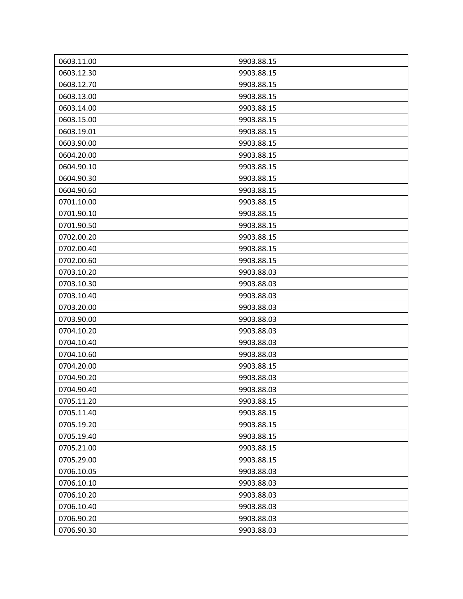| 0603.11.00 | 9903.88.15 |
|------------|------------|
| 0603.12.30 | 9903.88.15 |
| 0603.12.70 | 9903.88.15 |
| 0603.13.00 | 9903.88.15 |
| 0603.14.00 | 9903.88.15 |
| 0603.15.00 | 9903.88.15 |
| 0603.19.01 | 9903.88.15 |
| 0603.90.00 | 9903.88.15 |
| 0604.20.00 | 9903.88.15 |
| 0604.90.10 | 9903.88.15 |
| 0604.90.30 | 9903.88.15 |
| 0604.90.60 | 9903.88.15 |
| 0701.10.00 | 9903.88.15 |
| 0701.90.10 | 9903.88.15 |
| 0701.90.50 | 9903.88.15 |
| 0702.00.20 | 9903.88.15 |
| 0702.00.40 | 9903.88.15 |
| 0702.00.60 | 9903.88.15 |
| 0703.10.20 | 9903.88.03 |
| 0703.10.30 | 9903.88.03 |
| 0703.10.40 | 9903.88.03 |
| 0703.20.00 | 9903.88.03 |
| 0703.90.00 | 9903.88.03 |
| 0704.10.20 | 9903.88.03 |
| 0704.10.40 | 9903.88.03 |
| 0704.10.60 | 9903.88.03 |
| 0704.20.00 | 9903.88.15 |
| 0704.90.20 | 9903.88.03 |
| 0704.90.40 | 9903.88.03 |
| 0705.11.20 | 9903.88.15 |
| 0705.11.40 | 9903.88.15 |
| 0705.19.20 | 9903.88.15 |
| 0705.19.40 | 9903.88.15 |
| 0705.21.00 | 9903.88.15 |
| 0705.29.00 | 9903.88.15 |
| 0706.10.05 | 9903.88.03 |
| 0706.10.10 | 9903.88.03 |
| 0706.10.20 | 9903.88.03 |
| 0706.10.40 | 9903.88.03 |
| 0706.90.20 | 9903.88.03 |
| 0706.90.30 | 9903.88.03 |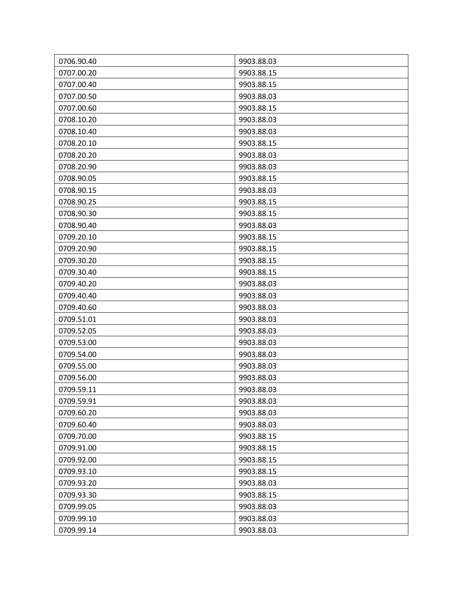| 0706.90.40 | 9903.88.03 |
|------------|------------|
| 0707.00.20 | 9903.88.15 |
| 0707.00.40 | 9903.88.15 |
| 0707.00.50 | 9903.88.03 |
| 0707.00.60 | 9903.88.15 |
| 0708.10.20 | 9903.88.03 |
| 0708.10.40 | 9903.88.03 |
| 0708.20.10 | 9903.88.15 |
| 0708.20.20 | 9903.88.03 |
| 0708.20.90 | 9903.88.03 |
| 0708.90.05 | 9903.88.15 |
| 0708.90.15 | 9903.88.03 |
| 0708.90.25 | 9903.88.15 |
| 0708.90.30 | 9903.88.15 |
| 0708.90.40 | 9903.88.03 |
| 0709.20.10 | 9903.88.15 |
| 0709.20.90 | 9903.88.15 |
| 0709.30.20 | 9903.88.15 |
| 0709.30.40 | 9903.88.15 |
| 0709.40.20 | 9903.88.03 |
| 0709.40.40 | 9903.88.03 |
| 0709.40.60 | 9903.88.03 |
| 0709.51.01 | 9903.88.03 |
| 0709.52.05 | 9903.88.03 |
| 0709.53.00 | 9903.88.03 |
| 0709.54.00 | 9903.88.03 |
| 0709.55.00 | 9903.88.03 |
| 0709.56.00 | 9903.88.03 |
| 0709.59.11 | 9903.88.03 |
| 0709.59.91 | 9903.88.03 |
| 0709.60.20 | 9903.88.03 |
| 0709.60.40 | 9903.88.03 |
| 0709.70.00 | 9903.88.15 |
| 0709.91.00 | 9903.88.15 |
| 0709.92.00 | 9903.88.15 |
| 0709.93.10 | 9903.88.15 |
| 0709.93.20 | 9903.88.03 |
| 0709.93.30 | 9903.88.15 |
| 0709.99.05 | 9903.88.03 |
| 0709.99.10 | 9903.88.03 |
| 0709.99.14 | 9903.88.03 |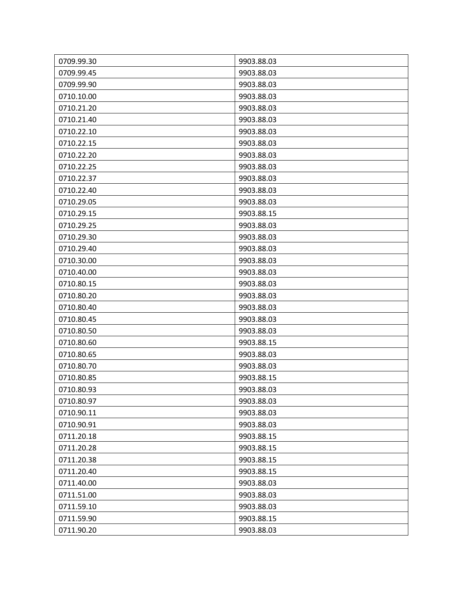| 0709.99.30 | 9903.88.03 |
|------------|------------|
| 0709.99.45 | 9903.88.03 |
| 0709.99.90 | 9903.88.03 |
| 0710.10.00 | 9903.88.03 |
| 0710.21.20 | 9903.88.03 |
| 0710.21.40 | 9903.88.03 |
| 0710.22.10 | 9903.88.03 |
| 0710.22.15 | 9903.88.03 |
| 0710.22.20 | 9903.88.03 |
| 0710.22.25 | 9903.88.03 |
| 0710.22.37 | 9903.88.03 |
| 0710.22.40 | 9903.88.03 |
| 0710.29.05 | 9903.88.03 |
| 0710.29.15 | 9903.88.15 |
| 0710.29.25 | 9903.88.03 |
| 0710.29.30 | 9903.88.03 |
| 0710.29.40 | 9903.88.03 |
| 0710.30.00 | 9903.88.03 |
| 0710.40.00 | 9903.88.03 |
| 0710.80.15 | 9903.88.03 |
| 0710.80.20 | 9903.88.03 |
| 0710.80.40 | 9903.88.03 |
| 0710.80.45 | 9903.88.03 |
| 0710.80.50 | 9903.88.03 |
| 0710.80.60 | 9903.88.15 |
| 0710.80.65 | 9903.88.03 |
| 0710.80.70 | 9903.88.03 |
| 0710.80.85 | 9903.88.15 |
| 0710.80.93 | 9903.88.03 |
| 0710.80.97 | 9903.88.03 |
| 0710.90.11 | 9903.88.03 |
| 0710.90.91 | 9903.88.03 |
| 0711.20.18 | 9903.88.15 |
| 0711.20.28 | 9903.88.15 |
| 0711.20.38 | 9903.88.15 |
| 0711.20.40 | 9903.88.15 |
| 0711.40.00 | 9903.88.03 |
| 0711.51.00 | 9903.88.03 |
| 0711.59.10 | 9903.88.03 |
| 0711.59.90 | 9903.88.15 |
| 0711.90.20 | 9903.88.03 |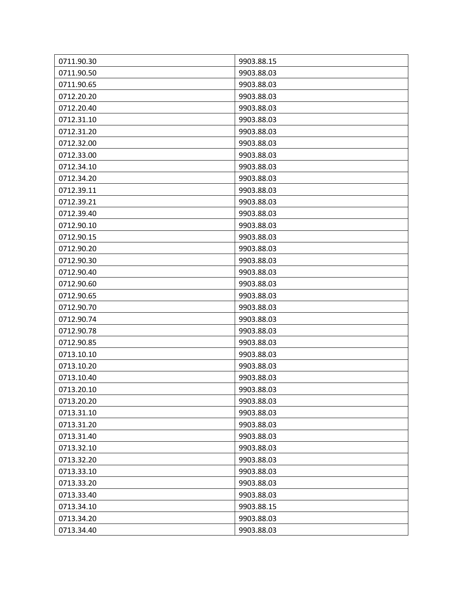| 0711.90.30 | 9903.88.15 |
|------------|------------|
| 0711.90.50 | 9903.88.03 |
| 0711.90.65 | 9903.88.03 |
| 0712.20.20 | 9903.88.03 |
| 0712.20.40 | 9903.88.03 |
| 0712.31.10 | 9903.88.03 |
| 0712.31.20 | 9903.88.03 |
| 0712.32.00 | 9903.88.03 |
| 0712.33.00 | 9903.88.03 |
| 0712.34.10 | 9903.88.03 |
| 0712.34.20 | 9903.88.03 |
| 0712.39.11 | 9903.88.03 |
| 0712.39.21 | 9903.88.03 |
| 0712.39.40 | 9903.88.03 |
| 0712.90.10 | 9903.88.03 |
| 0712.90.15 | 9903.88.03 |
| 0712.90.20 | 9903.88.03 |
| 0712.90.30 | 9903.88.03 |
| 0712.90.40 | 9903.88.03 |
| 0712.90.60 | 9903.88.03 |
| 0712.90.65 | 9903.88.03 |
| 0712.90.70 | 9903.88.03 |
| 0712.90.74 | 9903.88.03 |
| 0712.90.78 | 9903.88.03 |
| 0712.90.85 | 9903.88.03 |
| 0713.10.10 | 9903.88.03 |
| 0713.10.20 | 9903.88.03 |
| 0713.10.40 | 9903.88.03 |
| 0713.20.10 | 9903.88.03 |
| 0713.20.20 | 9903.88.03 |
| 0713.31.10 | 9903.88.03 |
| 0713.31.20 | 9903.88.03 |
| 0713.31.40 | 9903.88.03 |
| 0713.32.10 | 9903.88.03 |
| 0713.32.20 | 9903.88.03 |
| 0713.33.10 | 9903.88.03 |
| 0713.33.20 | 9903.88.03 |
| 0713.33.40 | 9903.88.03 |
| 0713.34.10 | 9903.88.15 |
| 0713.34.20 | 9903.88.03 |
| 0713.34.40 | 9903.88.03 |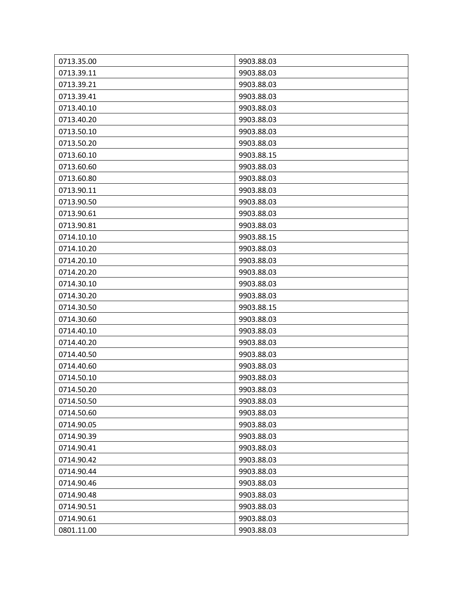| 0713.35.00 | 9903.88.03 |
|------------|------------|
| 0713.39.11 | 9903.88.03 |
| 0713.39.21 | 9903.88.03 |
| 0713.39.41 | 9903.88.03 |
| 0713.40.10 | 9903.88.03 |
| 0713.40.20 | 9903.88.03 |
| 0713.50.10 | 9903.88.03 |
| 0713.50.20 | 9903.88.03 |
| 0713.60.10 | 9903.88.15 |
| 0713.60.60 | 9903.88.03 |
| 0713.60.80 | 9903.88.03 |
| 0713.90.11 | 9903.88.03 |
| 0713.90.50 | 9903.88.03 |
| 0713.90.61 | 9903.88.03 |
| 0713.90.81 | 9903.88.03 |
| 0714.10.10 | 9903.88.15 |
| 0714.10.20 | 9903.88.03 |
| 0714.20.10 | 9903.88.03 |
| 0714.20.20 | 9903.88.03 |
| 0714.30.10 | 9903.88.03 |
| 0714.30.20 | 9903.88.03 |
| 0714.30.50 | 9903.88.15 |
| 0714.30.60 | 9903.88.03 |
| 0714.40.10 | 9903.88.03 |
| 0714.40.20 | 9903.88.03 |
| 0714.40.50 | 9903.88.03 |
| 0714.40.60 | 9903.88.03 |
| 0714.50.10 | 9903.88.03 |
| 0714.50.20 | 9903.88.03 |
| 0714.50.50 | 9903.88.03 |
| 0714.50.60 | 9903.88.03 |
| 0714.90.05 | 9903.88.03 |
| 0714.90.39 | 9903.88.03 |
| 0714.90.41 | 9903.88.03 |
| 0714.90.42 | 9903.88.03 |
| 0714.90.44 | 9903.88.03 |
| 0714.90.46 | 9903.88.03 |
| 0714.90.48 | 9903.88.03 |
| 0714.90.51 | 9903.88.03 |
| 0714.90.61 | 9903.88.03 |
| 0801.11.00 | 9903.88.03 |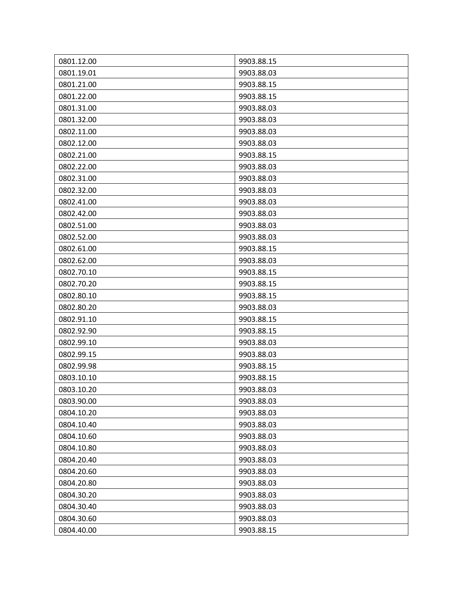| 0801.12.00 | 9903.88.15 |
|------------|------------|
| 0801.19.01 | 9903.88.03 |
| 0801.21.00 | 9903.88.15 |
| 0801.22.00 | 9903.88.15 |
| 0801.31.00 | 9903.88.03 |
| 0801.32.00 | 9903.88.03 |
| 0802.11.00 | 9903.88.03 |
| 0802.12.00 | 9903.88.03 |
| 0802.21.00 | 9903.88.15 |
| 0802.22.00 | 9903.88.03 |
| 0802.31.00 | 9903.88.03 |
| 0802.32.00 | 9903.88.03 |
| 0802.41.00 | 9903.88.03 |
| 0802.42.00 | 9903.88.03 |
| 0802.51.00 | 9903.88.03 |
| 0802.52.00 | 9903.88.03 |
| 0802.61.00 | 9903.88.15 |
| 0802.62.00 | 9903.88.03 |
| 0802.70.10 | 9903.88.15 |
| 0802.70.20 | 9903.88.15 |
| 0802.80.10 | 9903.88.15 |
| 0802.80.20 | 9903.88.03 |
| 0802.91.10 | 9903.88.15 |
| 0802.92.90 | 9903.88.15 |
| 0802.99.10 | 9903.88.03 |
| 0802.99.15 | 9903.88.03 |
| 0802.99.98 | 9903.88.15 |
| 0803.10.10 | 9903.88.15 |
| 0803.10.20 | 9903.88.03 |
| 0803.90.00 | 9903.88.03 |
| 0804.10.20 | 9903.88.03 |
| 0804.10.40 | 9903.88.03 |
| 0804.10.60 | 9903.88.03 |
| 0804.10.80 | 9903.88.03 |
| 0804.20.40 | 9903.88.03 |
| 0804.20.60 | 9903.88.03 |
| 0804.20.80 | 9903.88.03 |
| 0804.30.20 | 9903.88.03 |
| 0804.30.40 | 9903.88.03 |
| 0804.30.60 | 9903.88.03 |
| 0804.40.00 | 9903.88.15 |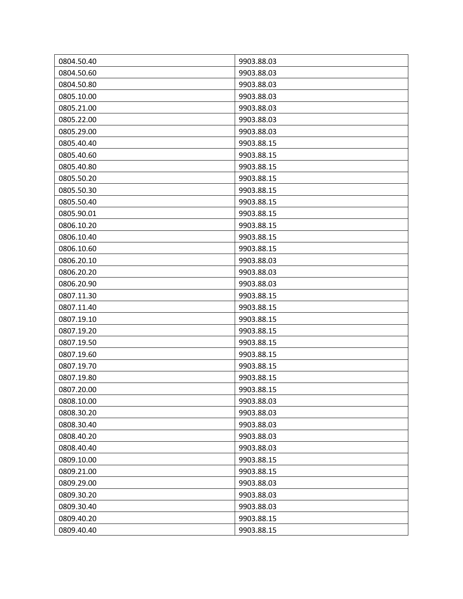| 0804.50.40 | 9903.88.03 |
|------------|------------|
| 0804.50.60 | 9903.88.03 |
| 0804.50.80 | 9903.88.03 |
| 0805.10.00 | 9903.88.03 |
| 0805.21.00 | 9903.88.03 |
| 0805.22.00 | 9903.88.03 |
| 0805.29.00 | 9903.88.03 |
| 0805.40.40 | 9903.88.15 |
| 0805.40.60 | 9903.88.15 |
| 0805.40.80 | 9903.88.15 |
| 0805.50.20 | 9903.88.15 |
| 0805.50.30 | 9903.88.15 |
| 0805.50.40 | 9903.88.15 |
| 0805.90.01 | 9903.88.15 |
| 0806.10.20 | 9903.88.15 |
| 0806.10.40 | 9903.88.15 |
| 0806.10.60 | 9903.88.15 |
| 0806.20.10 | 9903.88.03 |
| 0806.20.20 | 9903.88.03 |
| 0806.20.90 | 9903.88.03 |
| 0807.11.30 | 9903.88.15 |
| 0807.11.40 | 9903.88.15 |
| 0807.19.10 | 9903.88.15 |
| 0807.19.20 | 9903.88.15 |
| 0807.19.50 | 9903.88.15 |
| 0807.19.60 | 9903.88.15 |
| 0807.19.70 | 9903.88.15 |
| 0807.19.80 | 9903.88.15 |
| 0807.20.00 | 9903.88.15 |
| 0808.10.00 | 9903.88.03 |
| 0808.30.20 | 9903.88.03 |
| 0808.30.40 | 9903.88.03 |
| 0808.40.20 | 9903.88.03 |
| 0808.40.40 | 9903.88.03 |
| 0809.10.00 | 9903.88.15 |
| 0809.21.00 | 9903.88.15 |
| 0809.29.00 | 9903.88.03 |
| 0809.30.20 | 9903.88.03 |
| 0809.30.40 | 9903.88.03 |
| 0809.40.20 | 9903.88.15 |
| 0809.40.40 | 9903.88.15 |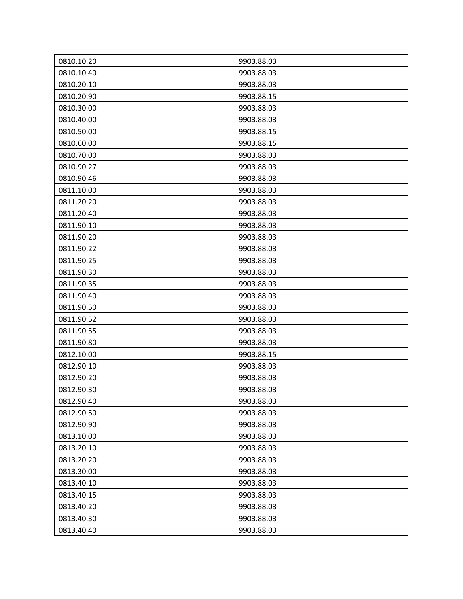| 0810.10.20 | 9903.88.03 |
|------------|------------|
| 0810.10.40 | 9903.88.03 |
| 0810.20.10 | 9903.88.03 |
| 0810.20.90 | 9903.88.15 |
| 0810.30.00 | 9903.88.03 |
| 0810.40.00 | 9903.88.03 |
| 0810.50.00 | 9903.88.15 |
| 0810.60.00 | 9903.88.15 |
| 0810.70.00 | 9903.88.03 |
| 0810.90.27 | 9903.88.03 |
| 0810.90.46 | 9903.88.03 |
| 0811.10.00 | 9903.88.03 |
| 0811.20.20 | 9903.88.03 |
| 0811.20.40 | 9903.88.03 |
| 0811.90.10 | 9903.88.03 |
| 0811.90.20 | 9903.88.03 |
| 0811.90.22 | 9903.88.03 |
| 0811.90.25 | 9903.88.03 |
| 0811.90.30 | 9903.88.03 |
| 0811.90.35 | 9903.88.03 |
| 0811.90.40 | 9903.88.03 |
| 0811.90.50 | 9903.88.03 |
| 0811.90.52 | 9903.88.03 |
| 0811.90.55 | 9903.88.03 |
| 0811.90.80 | 9903.88.03 |
| 0812.10.00 | 9903.88.15 |
| 0812.90.10 | 9903.88.03 |
| 0812.90.20 | 9903.88.03 |
| 0812.90.30 | 9903.88.03 |
| 0812.90.40 | 9903.88.03 |
| 0812.90.50 | 9903.88.03 |
| 0812.90.90 | 9903.88.03 |
| 0813.10.00 | 9903.88.03 |
| 0813.20.10 | 9903.88.03 |
| 0813.20.20 | 9903.88.03 |
| 0813.30.00 | 9903.88.03 |
| 0813.40.10 | 9903.88.03 |
| 0813.40.15 | 9903.88.03 |
| 0813.40.20 | 9903.88.03 |
| 0813.40.30 | 9903.88.03 |
| 0813.40.40 | 9903.88.03 |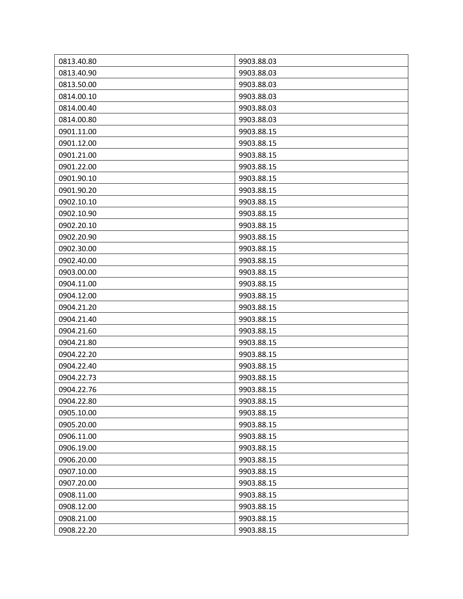| 0813.40.80 | 9903.88.03 |
|------------|------------|
| 0813.40.90 | 9903.88.03 |
| 0813.50.00 | 9903.88.03 |
| 0814.00.10 | 9903.88.03 |
| 0814.00.40 | 9903.88.03 |
| 0814.00.80 | 9903.88.03 |
| 0901.11.00 | 9903.88.15 |
| 0901.12.00 | 9903.88.15 |
| 0901.21.00 | 9903.88.15 |
| 0901.22.00 | 9903.88.15 |
| 0901.90.10 | 9903.88.15 |
| 0901.90.20 | 9903.88.15 |
| 0902.10.10 | 9903.88.15 |
| 0902.10.90 | 9903.88.15 |
| 0902.20.10 | 9903.88.15 |
| 0902.20.90 | 9903.88.15 |
| 0902.30.00 | 9903.88.15 |
| 0902.40.00 | 9903.88.15 |
| 0903.00.00 | 9903.88.15 |
| 0904.11.00 | 9903.88.15 |
| 0904.12.00 | 9903.88.15 |
| 0904.21.20 | 9903.88.15 |
| 0904.21.40 | 9903.88.15 |
| 0904.21.60 | 9903.88.15 |
| 0904.21.80 | 9903.88.15 |
| 0904.22.20 | 9903.88.15 |
| 0904.22.40 | 9903.88.15 |
| 0904.22.73 | 9903.88.15 |
| 0904.22.76 | 9903.88.15 |
| 0904.22.80 | 9903.88.15 |
| 0905.10.00 | 9903.88.15 |
| 0905.20.00 | 9903.88.15 |
| 0906.11.00 | 9903.88.15 |
| 0906.19.00 | 9903.88.15 |
| 0906.20.00 | 9903.88.15 |
| 0907.10.00 | 9903.88.15 |
| 0907.20.00 | 9903.88.15 |
| 0908.11.00 | 9903.88.15 |
| 0908.12.00 | 9903.88.15 |
| 0908.21.00 | 9903.88.15 |
| 0908.22.20 | 9903.88.15 |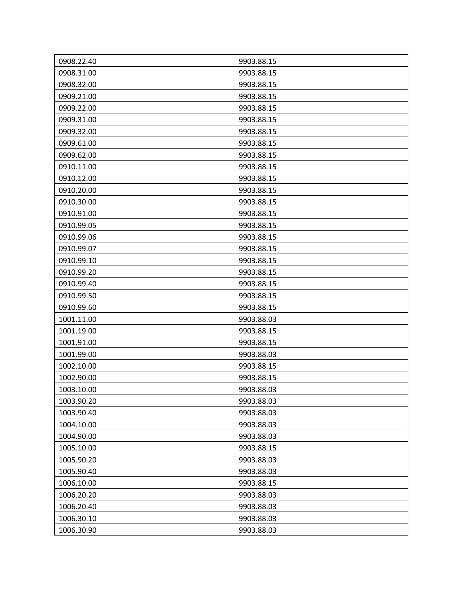| 0908.22.40 | 9903.88.15 |
|------------|------------|
| 0908.31.00 | 9903.88.15 |
| 0908.32.00 | 9903.88.15 |
| 0909.21.00 | 9903.88.15 |
| 0909.22.00 | 9903.88.15 |
| 0909.31.00 | 9903.88.15 |
| 0909.32.00 | 9903.88.15 |
| 0909.61.00 | 9903.88.15 |
| 0909.62.00 | 9903.88.15 |
| 0910.11.00 | 9903.88.15 |
| 0910.12.00 | 9903.88.15 |
| 0910.20.00 | 9903.88.15 |
| 0910.30.00 | 9903.88.15 |
| 0910.91.00 | 9903.88.15 |
| 0910.99.05 | 9903.88.15 |
| 0910.99.06 | 9903.88.15 |
| 0910.99.07 | 9903.88.15 |
| 0910.99.10 | 9903.88.15 |
| 0910.99.20 | 9903.88.15 |
| 0910.99.40 | 9903.88.15 |
| 0910.99.50 | 9903.88.15 |
| 0910.99.60 | 9903.88.15 |
| 1001.11.00 | 9903.88.03 |
| 1001.19.00 | 9903.88.15 |
| 1001.91.00 | 9903.88.15 |
| 1001.99.00 | 9903.88.03 |
| 1002.10.00 | 9903.88.15 |
| 1002.90.00 | 9903.88.15 |
| 1003.10.00 | 9903.88.03 |
| 1003.90.20 | 9903.88.03 |
| 1003.90.40 | 9903.88.03 |
| 1004.10.00 | 9903.88.03 |
| 1004.90.00 | 9903.88.03 |
| 1005.10.00 | 9903.88.15 |
| 1005.90.20 | 9903.88.03 |
| 1005.90.40 | 9903.88.03 |
| 1006.10.00 | 9903.88.15 |
| 1006.20.20 | 9903.88.03 |
| 1006.20.40 | 9903.88.03 |
| 1006.30.10 | 9903.88.03 |
| 1006.30.90 | 9903.88.03 |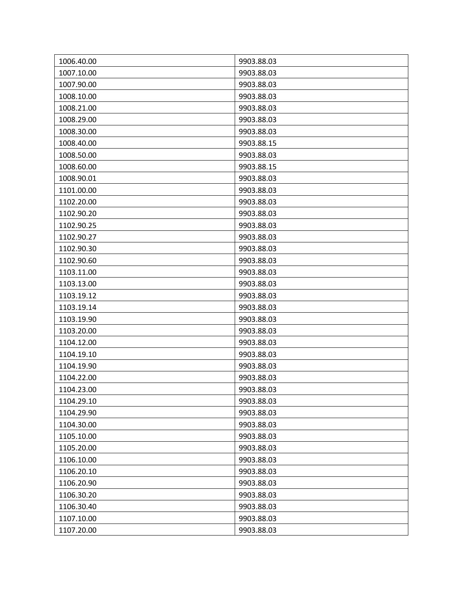| 1006.40.00 | 9903.88.03 |
|------------|------------|
| 1007.10.00 | 9903.88.03 |
| 1007.90.00 | 9903.88.03 |
| 1008.10.00 | 9903.88.03 |
| 1008.21.00 | 9903.88.03 |
| 1008.29.00 | 9903.88.03 |
| 1008.30.00 | 9903.88.03 |
| 1008.40.00 | 9903.88.15 |
| 1008.50.00 | 9903.88.03 |
| 1008.60.00 | 9903.88.15 |
| 1008.90.01 | 9903.88.03 |
| 1101.00.00 | 9903.88.03 |
| 1102.20.00 | 9903.88.03 |
| 1102.90.20 | 9903.88.03 |
| 1102.90.25 | 9903.88.03 |
| 1102.90.27 | 9903.88.03 |
| 1102.90.30 | 9903.88.03 |
| 1102.90.60 | 9903.88.03 |
| 1103.11.00 | 9903.88.03 |
| 1103.13.00 | 9903.88.03 |
| 1103.19.12 | 9903.88.03 |
| 1103.19.14 | 9903.88.03 |
| 1103.19.90 | 9903.88.03 |
| 1103.20.00 | 9903.88.03 |
| 1104.12.00 | 9903.88.03 |
| 1104.19.10 | 9903.88.03 |
| 1104.19.90 | 9903.88.03 |
| 1104.22.00 | 9903.88.03 |
| 1104.23.00 | 9903.88.03 |
| 1104.29.10 | 9903.88.03 |
| 1104.29.90 | 9903.88.03 |
| 1104.30.00 | 9903.88.03 |
| 1105.10.00 | 9903.88.03 |
| 1105.20.00 | 9903.88.03 |
| 1106.10.00 | 9903.88.03 |
| 1106.20.10 | 9903.88.03 |
| 1106.20.90 | 9903.88.03 |
| 1106.30.20 | 9903.88.03 |
| 1106.30.40 | 9903.88.03 |
| 1107.10.00 | 9903.88.03 |
| 1107.20.00 | 9903.88.03 |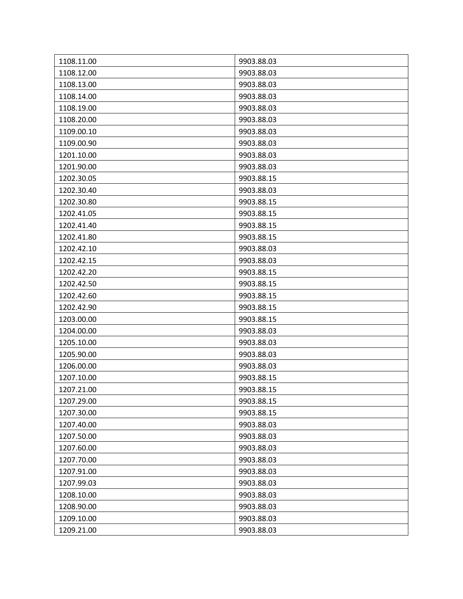| 1108.11.00 | 9903.88.03 |
|------------|------------|
| 1108.12.00 | 9903.88.03 |
| 1108.13.00 | 9903.88.03 |
| 1108.14.00 | 9903.88.03 |
| 1108.19.00 | 9903.88.03 |
| 1108.20.00 | 9903.88.03 |
| 1109.00.10 | 9903.88.03 |
| 1109.00.90 | 9903.88.03 |
| 1201.10.00 | 9903.88.03 |
| 1201.90.00 | 9903.88.03 |
| 1202.30.05 | 9903.88.15 |
| 1202.30.40 | 9903.88.03 |
| 1202.30.80 | 9903.88.15 |
| 1202.41.05 | 9903.88.15 |
| 1202.41.40 | 9903.88.15 |
| 1202.41.80 | 9903.88.15 |
| 1202.42.10 | 9903.88.03 |
| 1202.42.15 | 9903.88.03 |
| 1202.42.20 | 9903.88.15 |
| 1202.42.50 | 9903.88.15 |
| 1202.42.60 | 9903.88.15 |
| 1202.42.90 | 9903.88.15 |
| 1203.00.00 | 9903.88.15 |
| 1204.00.00 | 9903.88.03 |
| 1205.10.00 | 9903.88.03 |
| 1205.90.00 | 9903.88.03 |
| 1206.00.00 | 9903.88.03 |
| 1207.10.00 | 9903.88.15 |
| 1207.21.00 | 9903.88.15 |
| 1207.29.00 | 9903.88.15 |
| 1207.30.00 | 9903.88.15 |
| 1207.40.00 | 9903.88.03 |
| 1207.50.00 | 9903.88.03 |
| 1207.60.00 | 9903.88.03 |
| 1207.70.00 | 9903.88.03 |
| 1207.91.00 | 9903.88.03 |
| 1207.99.03 | 9903.88.03 |
| 1208.10.00 | 9903.88.03 |
| 1208.90.00 | 9903.88.03 |
| 1209.10.00 | 9903.88.03 |
| 1209.21.00 | 9903.88.03 |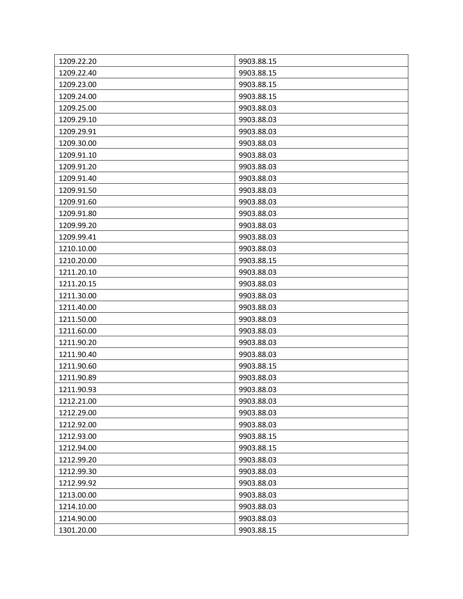| 1209.22.20 | 9903.88.15 |
|------------|------------|
| 1209.22.40 | 9903.88.15 |
| 1209.23.00 | 9903.88.15 |
| 1209.24.00 | 9903.88.15 |
| 1209.25.00 | 9903.88.03 |
| 1209.29.10 | 9903.88.03 |
| 1209.29.91 | 9903.88.03 |
| 1209.30.00 | 9903.88.03 |
| 1209.91.10 | 9903.88.03 |
| 1209.91.20 | 9903.88.03 |
| 1209.91.40 | 9903.88.03 |
| 1209.91.50 | 9903.88.03 |
| 1209.91.60 | 9903.88.03 |
| 1209.91.80 | 9903.88.03 |
| 1209.99.20 | 9903.88.03 |
| 1209.99.41 | 9903.88.03 |
| 1210.10.00 | 9903.88.03 |
| 1210.20.00 | 9903.88.15 |
| 1211.20.10 | 9903.88.03 |
| 1211.20.15 | 9903.88.03 |
| 1211.30.00 | 9903.88.03 |
| 1211.40.00 | 9903.88.03 |
| 1211.50.00 | 9903.88.03 |
| 1211.60.00 | 9903.88.03 |
| 1211.90.20 | 9903.88.03 |
| 1211.90.40 | 9903.88.03 |
| 1211.90.60 | 9903.88.15 |
| 1211.90.89 | 9903.88.03 |
| 1211.90.93 | 9903.88.03 |
| 1212.21.00 | 9903.88.03 |
| 1212.29.00 | 9903.88.03 |
| 1212.92.00 | 9903.88.03 |
| 1212.93.00 | 9903.88.15 |
| 1212.94.00 | 9903.88.15 |
| 1212.99.20 | 9903.88.03 |
| 1212.99.30 | 9903.88.03 |
| 1212.99.92 | 9903.88.03 |
| 1213.00.00 | 9903.88.03 |
| 1214.10.00 | 9903.88.03 |
| 1214.90.00 | 9903.88.03 |
| 1301.20.00 | 9903.88.15 |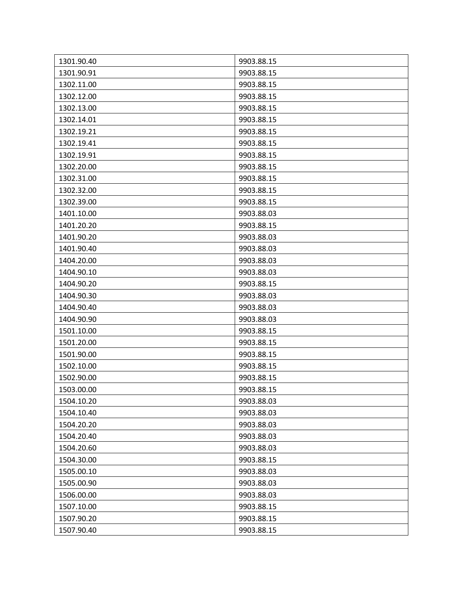| 1301.90.40 | 9903.88.15 |
|------------|------------|
| 1301.90.91 | 9903.88.15 |
| 1302.11.00 | 9903.88.15 |
| 1302.12.00 | 9903.88.15 |
| 1302.13.00 | 9903.88.15 |
| 1302.14.01 | 9903.88.15 |
| 1302.19.21 | 9903.88.15 |
| 1302.19.41 | 9903.88.15 |
| 1302.19.91 | 9903.88.15 |
| 1302.20.00 | 9903.88.15 |
| 1302.31.00 | 9903.88.15 |
| 1302.32.00 | 9903.88.15 |
| 1302.39.00 | 9903.88.15 |
| 1401.10.00 | 9903.88.03 |
| 1401.20.20 | 9903.88.15 |
| 1401.90.20 | 9903.88.03 |
| 1401.90.40 | 9903.88.03 |
| 1404.20.00 | 9903.88.03 |
| 1404.90.10 | 9903.88.03 |
| 1404.90.20 | 9903.88.15 |
| 1404.90.30 | 9903.88.03 |
| 1404.90.40 | 9903.88.03 |
| 1404.90.90 | 9903.88.03 |
| 1501.10.00 | 9903.88.15 |
| 1501.20.00 | 9903.88.15 |
| 1501.90.00 | 9903.88.15 |
| 1502.10.00 | 9903.88.15 |
| 1502.90.00 | 9903.88.15 |
| 1503.00.00 | 9903.88.15 |
| 1504.10.20 | 9903.88.03 |
| 1504.10.40 | 9903.88.03 |
| 1504.20.20 | 9903.88.03 |
| 1504.20.40 | 9903.88.03 |
| 1504.20.60 | 9903.88.03 |
| 1504.30.00 | 9903.88.15 |
| 1505.00.10 | 9903.88.03 |
| 1505.00.90 | 9903.88.03 |
| 1506.00.00 | 9903.88.03 |
| 1507.10.00 | 9903.88.15 |
| 1507.90.20 | 9903.88.15 |
| 1507.90.40 | 9903.88.15 |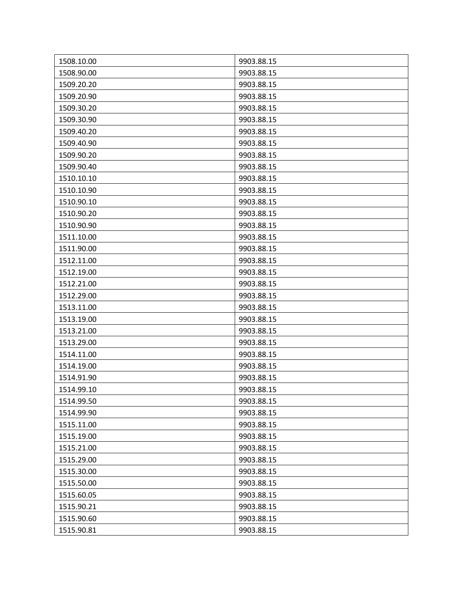| 1508.10.00 | 9903.88.15 |
|------------|------------|
| 1508.90.00 | 9903.88.15 |
| 1509.20.20 | 9903.88.15 |
| 1509.20.90 | 9903.88.15 |
| 1509.30.20 | 9903.88.15 |
| 1509.30.90 | 9903.88.15 |
| 1509.40.20 | 9903.88.15 |
| 1509.40.90 | 9903.88.15 |
| 1509.90.20 | 9903.88.15 |
| 1509.90.40 | 9903.88.15 |
| 1510.10.10 | 9903.88.15 |
| 1510.10.90 | 9903.88.15 |
| 1510.90.10 | 9903.88.15 |
| 1510.90.20 | 9903.88.15 |
| 1510.90.90 | 9903.88.15 |
| 1511.10.00 | 9903.88.15 |
| 1511.90.00 | 9903.88.15 |
| 1512.11.00 | 9903.88.15 |
| 1512.19.00 | 9903.88.15 |
| 1512.21.00 | 9903.88.15 |
| 1512.29.00 | 9903.88.15 |
| 1513.11.00 | 9903.88.15 |
| 1513.19.00 | 9903.88.15 |
| 1513.21.00 | 9903.88.15 |
| 1513.29.00 | 9903.88.15 |
| 1514.11.00 | 9903.88.15 |
| 1514.19.00 | 9903.88.15 |
| 1514.91.90 | 9903.88.15 |
| 1514.99.10 | 9903.88.15 |
| 1514.99.50 | 9903.88.15 |
| 1514.99.90 | 9903.88.15 |
| 1515.11.00 | 9903.88.15 |
| 1515.19.00 | 9903.88.15 |
| 1515.21.00 | 9903.88.15 |
| 1515.29.00 | 9903.88.15 |
| 1515.30.00 | 9903.88.15 |
| 1515.50.00 | 9903.88.15 |
| 1515.60.05 | 9903.88.15 |
| 1515.90.21 | 9903.88.15 |
| 1515.90.60 | 9903.88.15 |
| 1515.90.81 | 9903.88.15 |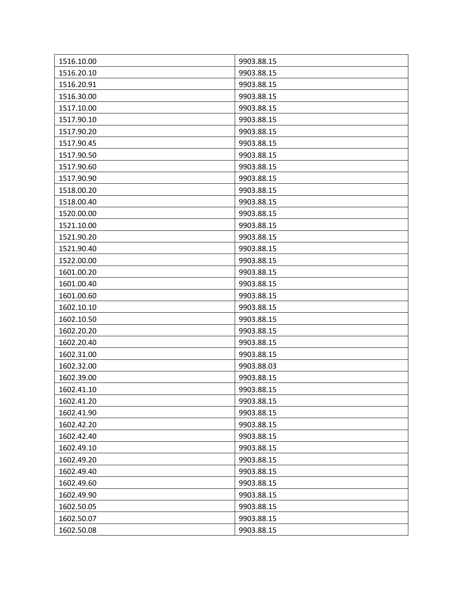| 1516.10.00 | 9903.88.15 |
|------------|------------|
| 1516.20.10 | 9903.88.15 |
| 1516.20.91 | 9903.88.15 |
| 1516.30.00 | 9903.88.15 |
| 1517.10.00 | 9903.88.15 |
| 1517.90.10 | 9903.88.15 |
| 1517.90.20 | 9903.88.15 |
| 1517.90.45 | 9903.88.15 |
| 1517.90.50 | 9903.88.15 |
| 1517.90.60 | 9903.88.15 |
| 1517.90.90 | 9903.88.15 |
| 1518.00.20 | 9903.88.15 |
| 1518.00.40 | 9903.88.15 |
| 1520.00.00 | 9903.88.15 |
| 1521.10.00 | 9903.88.15 |
| 1521.90.20 | 9903.88.15 |
| 1521.90.40 | 9903.88.15 |
| 1522.00.00 | 9903.88.15 |
| 1601.00.20 | 9903.88.15 |
| 1601.00.40 | 9903.88.15 |
| 1601.00.60 | 9903.88.15 |
| 1602.10.10 | 9903.88.15 |
| 1602.10.50 | 9903.88.15 |
| 1602.20.20 | 9903.88.15 |
| 1602.20.40 | 9903.88.15 |
| 1602.31.00 | 9903.88.15 |
| 1602.32.00 | 9903.88.03 |
| 1602.39.00 | 9903.88.15 |
| 1602.41.10 | 9903.88.15 |
| 1602.41.20 | 9903.88.15 |
| 1602.41.90 | 9903.88.15 |
| 1602.42.20 | 9903.88.15 |
| 1602.42.40 | 9903.88.15 |
| 1602.49.10 | 9903.88.15 |
| 1602.49.20 | 9903.88.15 |
| 1602.49.40 | 9903.88.15 |
| 1602.49.60 | 9903.88.15 |
| 1602.49.90 | 9903.88.15 |
| 1602.50.05 | 9903.88.15 |
| 1602.50.07 | 9903.88.15 |
| 1602.50.08 | 9903.88.15 |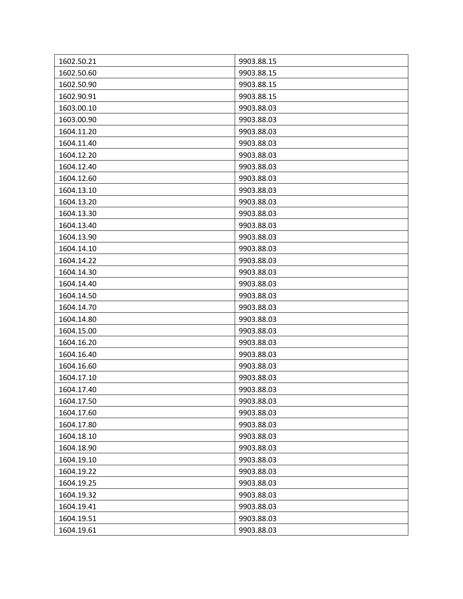| 1602.50.21 | 9903.88.15 |
|------------|------------|
| 1602.50.60 | 9903.88.15 |
| 1602.50.90 | 9903.88.15 |
| 1602.90.91 | 9903.88.15 |
| 1603.00.10 | 9903.88.03 |
| 1603.00.90 | 9903.88.03 |
| 1604.11.20 | 9903.88.03 |
| 1604.11.40 | 9903.88.03 |
| 1604.12.20 | 9903.88.03 |
| 1604.12.40 | 9903.88.03 |
| 1604.12.60 | 9903.88.03 |
| 1604.13.10 | 9903.88.03 |
| 1604.13.20 | 9903.88.03 |
| 1604.13.30 | 9903.88.03 |
| 1604.13.40 | 9903.88.03 |
| 1604.13.90 | 9903.88.03 |
| 1604.14.10 | 9903.88.03 |
| 1604.14.22 | 9903.88.03 |
| 1604.14.30 | 9903.88.03 |
| 1604.14.40 | 9903.88.03 |
| 1604.14.50 | 9903.88.03 |
| 1604.14.70 | 9903.88.03 |
| 1604.14.80 | 9903.88.03 |
| 1604.15.00 | 9903.88.03 |
| 1604.16.20 | 9903.88.03 |
| 1604.16.40 | 9903.88.03 |
| 1604.16.60 | 9903.88.03 |
| 1604.17.10 | 9903.88.03 |
| 1604.17.40 | 9903.88.03 |
| 1604.17.50 | 9903.88.03 |
| 1604.17.60 | 9903.88.03 |
| 1604.17.80 | 9903.88.03 |
| 1604.18.10 | 9903.88.03 |
| 1604.18.90 | 9903.88.03 |
| 1604.19.10 | 9903.88.03 |
| 1604.19.22 | 9903.88.03 |
| 1604.19.25 | 9903.88.03 |
| 1604.19.32 | 9903.88.03 |
| 1604.19.41 | 9903.88.03 |
| 1604.19.51 | 9903.88.03 |
| 1604.19.61 | 9903.88.03 |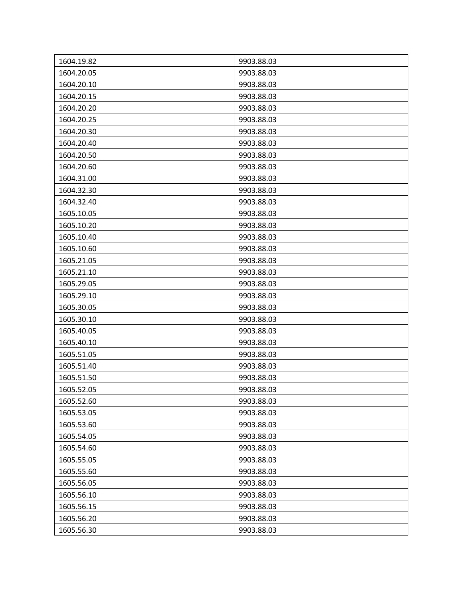| 1604.19.82 | 9903.88.03 |
|------------|------------|
| 1604.20.05 | 9903.88.03 |
| 1604.20.10 | 9903.88.03 |
| 1604.20.15 | 9903.88.03 |
| 1604.20.20 | 9903.88.03 |
| 1604.20.25 | 9903.88.03 |
| 1604.20.30 | 9903.88.03 |
| 1604.20.40 | 9903.88.03 |
| 1604.20.50 | 9903.88.03 |
| 1604.20.60 | 9903.88.03 |
| 1604.31.00 | 9903.88.03 |
| 1604.32.30 | 9903.88.03 |
| 1604.32.40 | 9903.88.03 |
| 1605.10.05 | 9903.88.03 |
| 1605.10.20 | 9903.88.03 |
| 1605.10.40 | 9903.88.03 |
| 1605.10.60 | 9903.88.03 |
| 1605.21.05 | 9903.88.03 |
| 1605.21.10 | 9903.88.03 |
| 1605.29.05 | 9903.88.03 |
| 1605.29.10 | 9903.88.03 |
| 1605.30.05 | 9903.88.03 |
| 1605.30.10 | 9903.88.03 |
| 1605.40.05 | 9903.88.03 |
| 1605.40.10 | 9903.88.03 |
| 1605.51.05 | 9903.88.03 |
| 1605.51.40 | 9903.88.03 |
| 1605.51.50 | 9903.88.03 |
| 1605.52.05 | 9903.88.03 |
| 1605.52.60 | 9903.88.03 |
| 1605.53.05 | 9903.88.03 |
| 1605.53.60 | 9903.88.03 |
| 1605.54.05 | 9903.88.03 |
| 1605.54.60 | 9903.88.03 |
| 1605.55.05 | 9903.88.03 |
| 1605.55.60 | 9903.88.03 |
| 1605.56.05 | 9903.88.03 |
| 1605.56.10 | 9903.88.03 |
| 1605.56.15 | 9903.88.03 |
| 1605.56.20 | 9903.88.03 |
| 1605.56.30 | 9903.88.03 |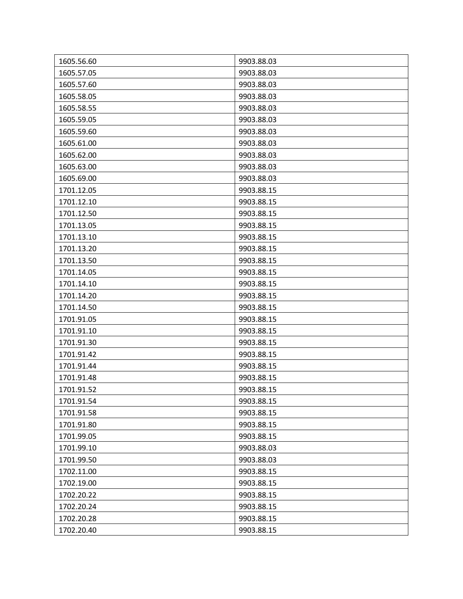| 1605.56.60 | 9903.88.03 |
|------------|------------|
| 1605.57.05 | 9903.88.03 |
| 1605.57.60 | 9903.88.03 |
| 1605.58.05 | 9903.88.03 |
| 1605.58.55 | 9903.88.03 |
| 1605.59.05 | 9903.88.03 |
| 1605.59.60 | 9903.88.03 |
| 1605.61.00 | 9903.88.03 |
| 1605.62.00 | 9903.88.03 |
| 1605.63.00 | 9903.88.03 |
| 1605.69.00 | 9903.88.03 |
| 1701.12.05 | 9903.88.15 |
| 1701.12.10 | 9903.88.15 |
| 1701.12.50 | 9903.88.15 |
| 1701.13.05 | 9903.88.15 |
| 1701.13.10 | 9903.88.15 |
| 1701.13.20 | 9903.88.15 |
| 1701.13.50 | 9903.88.15 |
| 1701.14.05 | 9903.88.15 |
| 1701.14.10 | 9903.88.15 |
| 1701.14.20 | 9903.88.15 |
| 1701.14.50 | 9903.88.15 |
| 1701.91.05 | 9903.88.15 |
| 1701.91.10 | 9903.88.15 |
| 1701.91.30 | 9903.88.15 |
| 1701.91.42 | 9903.88.15 |
| 1701.91.44 | 9903.88.15 |
| 1701.91.48 | 9903.88.15 |
| 1701.91.52 | 9903.88.15 |
| 1701.91.54 | 9903.88.15 |
| 1701.91.58 | 9903.88.15 |
| 1701.91.80 | 9903.88.15 |
| 1701.99.05 | 9903.88.15 |
| 1701.99.10 | 9903.88.03 |
| 1701.99.50 | 9903.88.03 |
| 1702.11.00 | 9903.88.15 |
| 1702.19.00 | 9903.88.15 |
| 1702.20.22 | 9903.88.15 |
| 1702.20.24 | 9903.88.15 |
| 1702.20.28 | 9903.88.15 |
| 1702.20.40 | 9903.88.15 |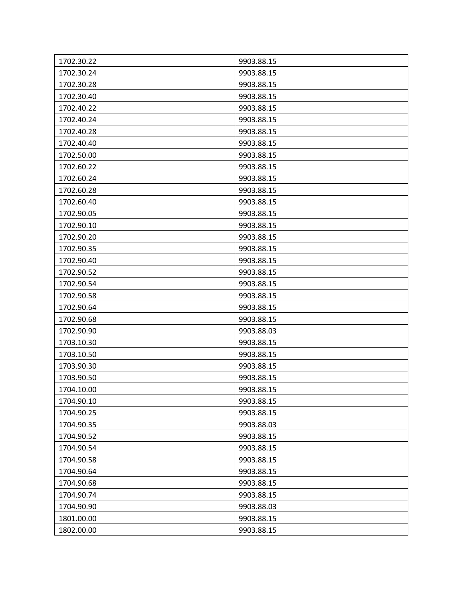| 1702.30.22 | 9903.88.15 |
|------------|------------|
| 1702.30.24 | 9903.88.15 |
| 1702.30.28 | 9903.88.15 |
| 1702.30.40 | 9903.88.15 |
| 1702.40.22 | 9903.88.15 |
| 1702.40.24 | 9903.88.15 |
| 1702.40.28 | 9903.88.15 |
| 1702.40.40 | 9903.88.15 |
| 1702.50.00 | 9903.88.15 |
| 1702.60.22 | 9903.88.15 |
| 1702.60.24 | 9903.88.15 |
| 1702.60.28 | 9903.88.15 |
| 1702.60.40 | 9903.88.15 |
| 1702.90.05 | 9903.88.15 |
| 1702.90.10 | 9903.88.15 |
| 1702.90.20 | 9903.88.15 |
| 1702.90.35 | 9903.88.15 |
| 1702.90.40 | 9903.88.15 |
| 1702.90.52 | 9903.88.15 |
| 1702.90.54 | 9903.88.15 |
| 1702.90.58 | 9903.88.15 |
| 1702.90.64 | 9903.88.15 |
| 1702.90.68 | 9903.88.15 |
| 1702.90.90 | 9903.88.03 |
| 1703.10.30 | 9903.88.15 |
| 1703.10.50 | 9903.88.15 |
| 1703.90.30 | 9903.88.15 |
| 1703.90.50 | 9903.88.15 |
| 1704.10.00 | 9903.88.15 |
| 1704.90.10 | 9903.88.15 |
| 1704.90.25 | 9903.88.15 |
| 1704.90.35 | 9903.88.03 |
| 1704.90.52 | 9903.88.15 |
| 1704.90.54 | 9903.88.15 |
| 1704.90.58 | 9903.88.15 |
| 1704.90.64 | 9903.88.15 |
| 1704.90.68 | 9903.88.15 |
| 1704.90.74 | 9903.88.15 |
| 1704.90.90 | 9903.88.03 |
| 1801.00.00 | 9903.88.15 |
| 1802.00.00 | 9903.88.15 |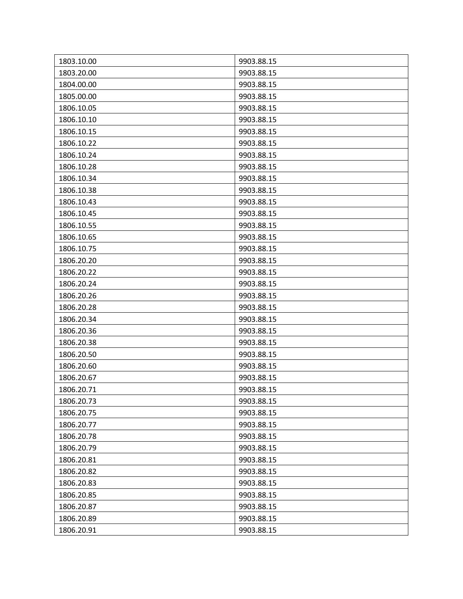| 1803.10.00 | 9903.88.15 |
|------------|------------|
| 1803.20.00 | 9903.88.15 |
| 1804.00.00 | 9903.88.15 |
| 1805.00.00 | 9903.88.15 |
| 1806.10.05 | 9903.88.15 |
| 1806.10.10 | 9903.88.15 |
| 1806.10.15 | 9903.88.15 |
| 1806.10.22 | 9903.88.15 |
| 1806.10.24 | 9903.88.15 |
| 1806.10.28 | 9903.88.15 |
| 1806.10.34 | 9903.88.15 |
| 1806.10.38 | 9903.88.15 |
| 1806.10.43 | 9903.88.15 |
| 1806.10.45 | 9903.88.15 |
| 1806.10.55 | 9903.88.15 |
| 1806.10.65 | 9903.88.15 |
| 1806.10.75 | 9903.88.15 |
| 1806.20.20 | 9903.88.15 |
| 1806.20.22 | 9903.88.15 |
| 1806.20.24 | 9903.88.15 |
| 1806.20.26 | 9903.88.15 |
| 1806.20.28 | 9903.88.15 |
| 1806.20.34 | 9903.88.15 |
| 1806.20.36 | 9903.88.15 |
| 1806.20.38 | 9903.88.15 |
| 1806.20.50 | 9903.88.15 |
| 1806.20.60 | 9903.88.15 |
| 1806.20.67 | 9903.88.15 |
| 1806.20.71 | 9903.88.15 |
| 1806.20.73 | 9903.88.15 |
| 1806.20.75 | 9903.88.15 |
| 1806.20.77 | 9903.88.15 |
| 1806.20.78 | 9903.88.15 |
| 1806.20.79 | 9903.88.15 |
| 1806.20.81 | 9903.88.15 |
| 1806.20.82 | 9903.88.15 |
| 1806.20.83 | 9903.88.15 |
| 1806.20.85 | 9903.88.15 |
| 1806.20.87 | 9903.88.15 |
| 1806.20.89 | 9903.88.15 |
| 1806.20.91 | 9903.88.15 |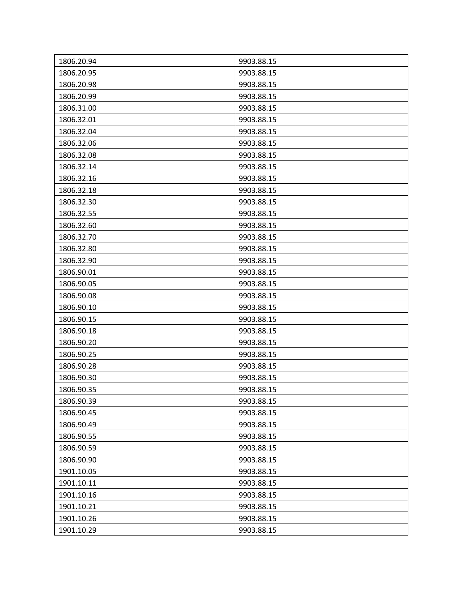| 1806.20.94 | 9903.88.15 |
|------------|------------|
| 1806.20.95 | 9903.88.15 |
| 1806.20.98 | 9903.88.15 |
| 1806.20.99 | 9903.88.15 |
| 1806.31.00 | 9903.88.15 |
| 1806.32.01 | 9903.88.15 |
| 1806.32.04 | 9903.88.15 |
| 1806.32.06 | 9903.88.15 |
| 1806.32.08 | 9903.88.15 |
| 1806.32.14 | 9903.88.15 |
| 1806.32.16 | 9903.88.15 |
| 1806.32.18 | 9903.88.15 |
| 1806.32.30 | 9903.88.15 |
| 1806.32.55 | 9903.88.15 |
| 1806.32.60 | 9903.88.15 |
| 1806.32.70 | 9903.88.15 |
| 1806.32.80 | 9903.88.15 |
| 1806.32.90 | 9903.88.15 |
| 1806.90.01 | 9903.88.15 |
| 1806.90.05 | 9903.88.15 |
| 1806.90.08 | 9903.88.15 |
| 1806.90.10 | 9903.88.15 |
| 1806.90.15 | 9903.88.15 |
| 1806.90.18 | 9903.88.15 |
| 1806.90.20 | 9903.88.15 |
| 1806.90.25 | 9903.88.15 |
| 1806.90.28 | 9903.88.15 |
| 1806.90.30 | 9903.88.15 |
| 1806.90.35 | 9903.88.15 |
| 1806.90.39 | 9903.88.15 |
| 1806.90.45 | 9903.88.15 |
| 1806.90.49 | 9903.88.15 |
| 1806.90.55 | 9903.88.15 |
| 1806.90.59 | 9903.88.15 |
| 1806.90.90 | 9903.88.15 |
| 1901.10.05 | 9903.88.15 |
| 1901.10.11 | 9903.88.15 |
| 1901.10.16 | 9903.88.15 |
| 1901.10.21 | 9903.88.15 |
| 1901.10.26 | 9903.88.15 |
| 1901.10.29 | 9903.88.15 |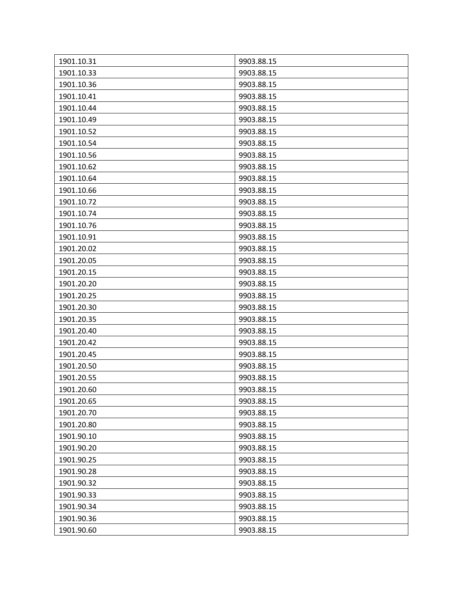| 1901.10.31 | 9903.88.15 |
|------------|------------|
| 1901.10.33 | 9903.88.15 |
| 1901.10.36 | 9903.88.15 |
| 1901.10.41 | 9903.88.15 |
| 1901.10.44 | 9903.88.15 |
| 1901.10.49 | 9903.88.15 |
| 1901.10.52 | 9903.88.15 |
| 1901.10.54 | 9903.88.15 |
| 1901.10.56 | 9903.88.15 |
| 1901.10.62 | 9903.88.15 |
| 1901.10.64 | 9903.88.15 |
| 1901.10.66 | 9903.88.15 |
| 1901.10.72 | 9903.88.15 |
| 1901.10.74 | 9903.88.15 |
| 1901.10.76 | 9903.88.15 |
| 1901.10.91 | 9903.88.15 |
| 1901.20.02 | 9903.88.15 |
| 1901.20.05 | 9903.88.15 |
| 1901.20.15 | 9903.88.15 |
| 1901.20.20 | 9903.88.15 |
| 1901.20.25 | 9903.88.15 |
| 1901.20.30 | 9903.88.15 |
| 1901.20.35 | 9903.88.15 |
| 1901.20.40 | 9903.88.15 |
| 1901.20.42 | 9903.88.15 |
| 1901.20.45 | 9903.88.15 |
| 1901.20.50 | 9903.88.15 |
| 1901.20.55 | 9903.88.15 |
| 1901.20.60 | 9903.88.15 |
| 1901.20.65 | 9903.88.15 |
| 1901.20.70 | 9903.88.15 |
| 1901.20.80 | 9903.88.15 |
| 1901.90.10 | 9903.88.15 |
| 1901.90.20 | 9903.88.15 |
| 1901.90.25 | 9903.88.15 |
| 1901.90.28 | 9903.88.15 |
| 1901.90.32 | 9903.88.15 |
| 1901.90.33 | 9903.88.15 |
| 1901.90.34 | 9903.88.15 |
| 1901.90.36 | 9903.88.15 |
| 1901.90.60 | 9903.88.15 |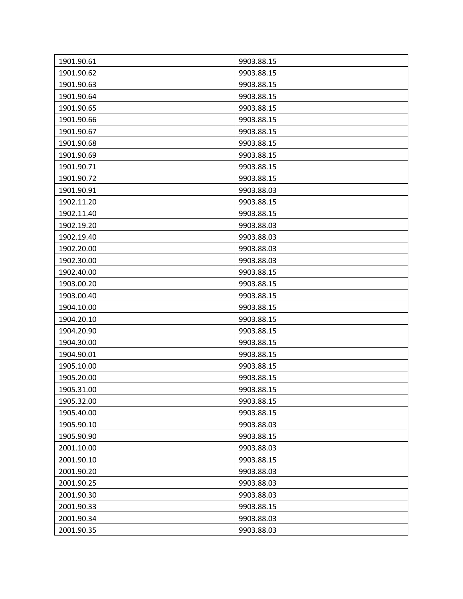| 1901.90.61 | 9903.88.15 |
|------------|------------|
| 1901.90.62 | 9903.88.15 |
| 1901.90.63 | 9903.88.15 |
| 1901.90.64 | 9903.88.15 |
| 1901.90.65 | 9903.88.15 |
| 1901.90.66 | 9903.88.15 |
| 1901.90.67 | 9903.88.15 |
| 1901.90.68 | 9903.88.15 |
| 1901.90.69 | 9903.88.15 |
| 1901.90.71 | 9903.88.15 |
| 1901.90.72 | 9903.88.15 |
| 1901.90.91 | 9903.88.03 |
| 1902.11.20 | 9903.88.15 |
| 1902.11.40 | 9903.88.15 |
| 1902.19.20 | 9903.88.03 |
| 1902.19.40 | 9903.88.03 |
| 1902.20.00 | 9903.88.03 |
| 1902.30.00 | 9903.88.03 |
| 1902.40.00 | 9903.88.15 |
| 1903.00.20 | 9903.88.15 |
| 1903.00.40 | 9903.88.15 |
| 1904.10.00 | 9903.88.15 |
| 1904.20.10 | 9903.88.15 |
| 1904.20.90 | 9903.88.15 |
| 1904.30.00 | 9903.88.15 |
| 1904.90.01 | 9903.88.15 |
| 1905.10.00 | 9903.88.15 |
| 1905.20.00 | 9903.88.15 |
| 1905.31.00 | 9903.88.15 |
| 1905.32.00 | 9903.88.15 |
| 1905.40.00 | 9903.88.15 |
| 1905.90.10 | 9903.88.03 |
| 1905.90.90 | 9903.88.15 |
| 2001.10.00 | 9903.88.03 |
| 2001.90.10 | 9903.88.15 |
| 2001.90.20 | 9903.88.03 |
| 2001.90.25 | 9903.88.03 |
| 2001.90.30 | 9903.88.03 |
| 2001.90.33 | 9903.88.15 |
| 2001.90.34 | 9903.88.03 |
| 2001.90.35 | 9903.88.03 |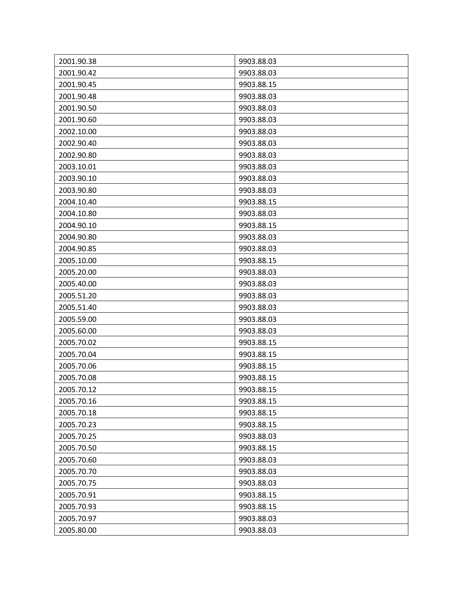| 2001.90.38 | 9903.88.03 |
|------------|------------|
| 2001.90.42 | 9903.88.03 |
| 2001.90.45 | 9903.88.15 |
| 2001.90.48 | 9903.88.03 |
| 2001.90.50 | 9903.88.03 |
| 2001.90.60 | 9903.88.03 |
| 2002.10.00 | 9903.88.03 |
| 2002.90.40 | 9903.88.03 |
| 2002.90.80 | 9903.88.03 |
| 2003.10.01 | 9903.88.03 |
| 2003.90.10 | 9903.88.03 |
| 2003.90.80 | 9903.88.03 |
| 2004.10.40 | 9903.88.15 |
| 2004.10.80 | 9903.88.03 |
| 2004.90.10 | 9903.88.15 |
| 2004.90.80 | 9903.88.03 |
| 2004.90.85 | 9903.88.03 |
| 2005.10.00 | 9903.88.15 |
| 2005.20.00 | 9903.88.03 |
| 2005.40.00 | 9903.88.03 |
| 2005.51.20 | 9903.88.03 |
| 2005.51.40 | 9903.88.03 |
| 2005.59.00 | 9903.88.03 |
| 2005.60.00 | 9903.88.03 |
| 2005.70.02 | 9903.88.15 |
| 2005.70.04 | 9903.88.15 |
| 2005.70.06 | 9903.88.15 |
| 2005.70.08 | 9903.88.15 |
| 2005.70.12 | 9903.88.15 |
| 2005.70.16 | 9903.88.15 |
| 2005.70.18 | 9903.88.15 |
| 2005.70.23 | 9903.88.15 |
| 2005.70.25 | 9903.88.03 |
| 2005.70.50 | 9903.88.15 |
| 2005.70.60 | 9903.88.03 |
| 2005.70.70 | 9903.88.03 |
| 2005.70.75 | 9903.88.03 |
| 2005.70.91 | 9903.88.15 |
| 2005.70.93 | 9903.88.15 |
| 2005.70.97 | 9903.88.03 |
| 2005.80.00 | 9903.88.03 |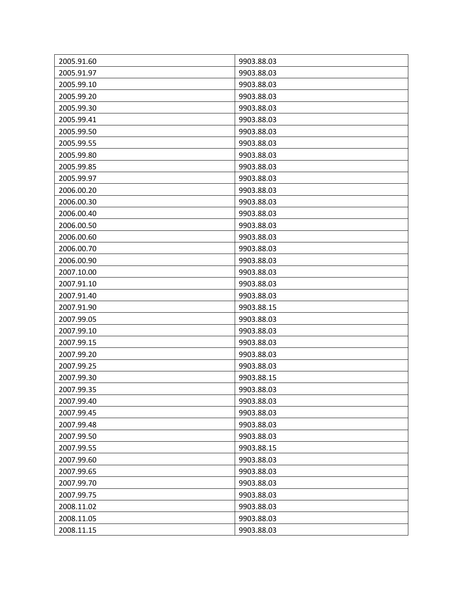| 2005.91.60 | 9903.88.03 |
|------------|------------|
| 2005.91.97 | 9903.88.03 |
| 2005.99.10 | 9903.88.03 |
| 2005.99.20 | 9903.88.03 |
| 2005.99.30 | 9903.88.03 |
| 2005.99.41 | 9903.88.03 |
| 2005.99.50 | 9903.88.03 |
| 2005.99.55 | 9903.88.03 |
| 2005.99.80 | 9903.88.03 |
| 2005.99.85 | 9903.88.03 |
| 2005.99.97 | 9903.88.03 |
| 2006.00.20 | 9903.88.03 |
| 2006.00.30 | 9903.88.03 |
| 2006.00.40 | 9903.88.03 |
| 2006.00.50 | 9903.88.03 |
| 2006.00.60 | 9903.88.03 |
| 2006.00.70 | 9903.88.03 |
| 2006.00.90 | 9903.88.03 |
| 2007.10.00 | 9903.88.03 |
| 2007.91.10 | 9903.88.03 |
| 2007.91.40 | 9903.88.03 |
| 2007.91.90 | 9903.88.15 |
| 2007.99.05 | 9903.88.03 |
| 2007.99.10 | 9903.88.03 |
| 2007.99.15 | 9903.88.03 |
| 2007.99.20 | 9903.88.03 |
| 2007.99.25 | 9903.88.03 |
| 2007.99.30 | 9903.88.15 |
| 2007.99.35 | 9903.88.03 |
| 2007.99.40 | 9903.88.03 |
| 2007.99.45 | 9903.88.03 |
| 2007.99.48 | 9903.88.03 |
| 2007.99.50 | 9903.88.03 |
| 2007.99.55 | 9903.88.15 |
| 2007.99.60 | 9903.88.03 |
| 2007.99.65 | 9903.88.03 |
| 2007.99.70 | 9903.88.03 |
| 2007.99.75 | 9903.88.03 |
| 2008.11.02 | 9903.88.03 |
| 2008.11.05 | 9903.88.03 |
| 2008.11.15 | 9903.88.03 |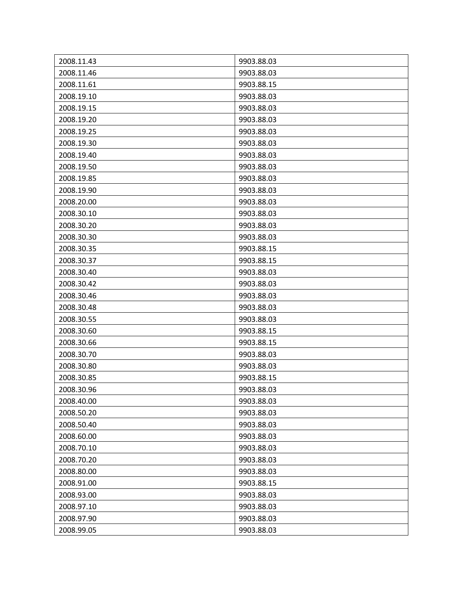| 2008.11.43 | 9903.88.03 |
|------------|------------|
| 2008.11.46 | 9903.88.03 |
| 2008.11.61 | 9903.88.15 |
| 2008.19.10 | 9903.88.03 |
| 2008.19.15 | 9903.88.03 |
| 2008.19.20 | 9903.88.03 |
| 2008.19.25 | 9903.88.03 |
| 2008.19.30 | 9903.88.03 |
| 2008.19.40 | 9903.88.03 |
| 2008.19.50 | 9903.88.03 |
| 2008.19.85 | 9903.88.03 |
| 2008.19.90 | 9903.88.03 |
| 2008.20.00 | 9903.88.03 |
| 2008.30.10 | 9903.88.03 |
| 2008.30.20 | 9903.88.03 |
| 2008.30.30 | 9903.88.03 |
| 2008.30.35 | 9903.88.15 |
| 2008.30.37 | 9903.88.15 |
| 2008.30.40 | 9903.88.03 |
| 2008.30.42 | 9903.88.03 |
| 2008.30.46 | 9903.88.03 |
| 2008.30.48 | 9903.88.03 |
| 2008.30.55 | 9903.88.03 |
| 2008.30.60 | 9903.88.15 |
| 2008.30.66 | 9903.88.15 |
| 2008.30.70 | 9903.88.03 |
| 2008.30.80 | 9903.88.03 |
| 2008.30.85 | 9903.88.15 |
| 2008.30.96 | 9903.88.03 |
| 2008.40.00 | 9903.88.03 |
| 2008.50.20 | 9903.88.03 |
| 2008.50.40 | 9903.88.03 |
| 2008.60.00 | 9903.88.03 |
| 2008.70.10 | 9903.88.03 |
| 2008.70.20 | 9903.88.03 |
| 2008.80.00 | 9903.88.03 |
| 2008.91.00 | 9903.88.15 |
| 2008.93.00 | 9903.88.03 |
| 2008.97.10 | 9903.88.03 |
| 2008.97.90 | 9903.88.03 |
| 2008.99.05 | 9903.88.03 |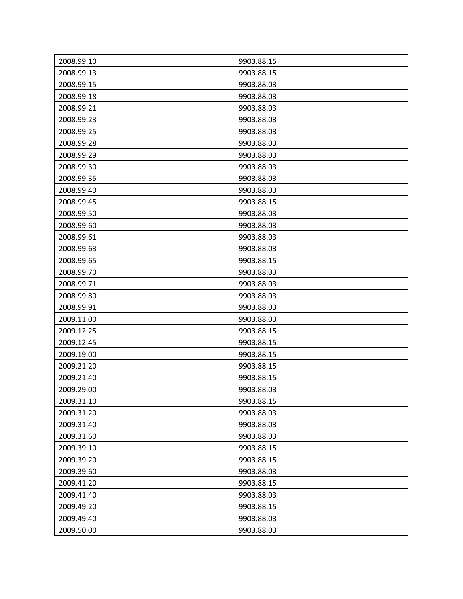| 2008.99.10 | 9903.88.15 |
|------------|------------|
| 2008.99.13 | 9903.88.15 |
| 2008.99.15 | 9903.88.03 |
| 2008.99.18 | 9903.88.03 |
| 2008.99.21 | 9903.88.03 |
| 2008.99.23 | 9903.88.03 |
| 2008.99.25 | 9903.88.03 |
| 2008.99.28 | 9903.88.03 |
| 2008.99.29 | 9903.88.03 |
| 2008.99.30 | 9903.88.03 |
| 2008.99.35 | 9903.88.03 |
| 2008.99.40 | 9903.88.03 |
| 2008.99.45 | 9903.88.15 |
| 2008.99.50 | 9903.88.03 |
| 2008.99.60 | 9903.88.03 |
| 2008.99.61 | 9903.88.03 |
| 2008.99.63 | 9903.88.03 |
| 2008.99.65 | 9903.88.15 |
| 2008.99.70 | 9903.88.03 |
| 2008.99.71 | 9903.88.03 |
| 2008.99.80 | 9903.88.03 |
| 2008.99.91 | 9903.88.03 |
| 2009.11.00 | 9903.88.03 |
| 2009.12.25 | 9903.88.15 |
| 2009.12.45 | 9903.88.15 |
| 2009.19.00 | 9903.88.15 |
| 2009.21.20 | 9903.88.15 |
| 2009.21.40 | 9903.88.15 |
| 2009.29.00 | 9903.88.03 |
| 2009.31.10 | 9903.88.15 |
| 2009.31.20 | 9903.88.03 |
| 2009.31.40 | 9903.88.03 |
| 2009.31.60 | 9903.88.03 |
| 2009.39.10 | 9903.88.15 |
| 2009.39.20 | 9903.88.15 |
| 2009.39.60 | 9903.88.03 |
| 2009.41.20 | 9903.88.15 |
| 2009.41.40 | 9903.88.03 |
| 2009.49.20 | 9903.88.15 |
| 2009.49.40 | 9903.88.03 |
| 2009.50.00 | 9903.88.03 |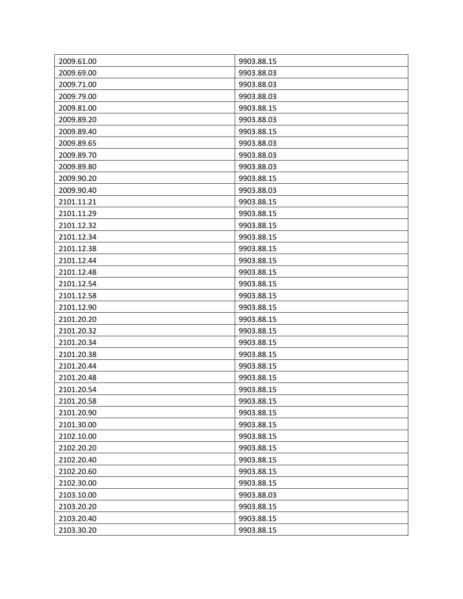| 2009.61.00 | 9903.88.15 |
|------------|------------|
| 2009.69.00 | 9903.88.03 |
| 2009.71.00 | 9903.88.03 |
| 2009.79.00 | 9903.88.03 |
| 2009.81.00 | 9903.88.15 |
| 2009.89.20 | 9903.88.03 |
| 2009.89.40 | 9903.88.15 |
| 2009.89.65 | 9903.88.03 |
| 2009.89.70 | 9903.88.03 |
| 2009.89.80 | 9903.88.03 |
| 2009.90.20 | 9903.88.15 |
| 2009.90.40 | 9903.88.03 |
| 2101.11.21 | 9903.88.15 |
| 2101.11.29 | 9903.88.15 |
| 2101.12.32 | 9903.88.15 |
| 2101.12.34 | 9903.88.15 |
| 2101.12.38 | 9903.88.15 |
| 2101.12.44 | 9903.88.15 |
| 2101.12.48 | 9903.88.15 |
| 2101.12.54 | 9903.88.15 |
| 2101.12.58 | 9903.88.15 |
| 2101.12.90 | 9903.88.15 |
| 2101.20.20 | 9903.88.15 |
| 2101.20.32 | 9903.88.15 |
| 2101.20.34 | 9903.88.15 |
| 2101.20.38 | 9903.88.15 |
| 2101.20.44 | 9903.88.15 |
| 2101.20.48 | 9903.88.15 |
| 2101.20.54 | 9903.88.15 |
| 2101.20.58 | 9903.88.15 |
| 2101.20.90 | 9903.88.15 |
| 2101.30.00 | 9903.88.15 |
| 2102.10.00 | 9903.88.15 |
| 2102.20.20 | 9903.88.15 |
| 2102.20.40 | 9903.88.15 |
| 2102.20.60 | 9903.88.15 |
| 2102.30.00 | 9903.88.15 |
| 2103.10.00 | 9903.88.03 |
| 2103.20.20 | 9903.88.15 |
| 2103.20.40 | 9903.88.15 |
| 2103.30.20 | 9903.88.15 |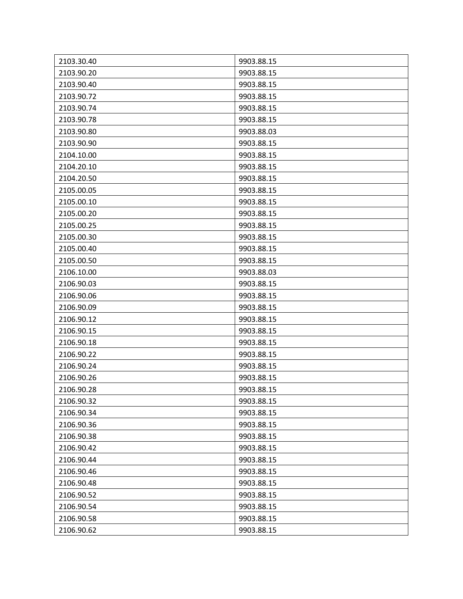| 2103.30.40 | 9903.88.15 |
|------------|------------|
| 2103.90.20 | 9903.88.15 |
| 2103.90.40 | 9903.88.15 |
| 2103.90.72 | 9903.88.15 |
| 2103.90.74 | 9903.88.15 |
| 2103.90.78 | 9903.88.15 |
| 2103.90.80 | 9903.88.03 |
| 2103.90.90 | 9903.88.15 |
| 2104.10.00 | 9903.88.15 |
| 2104.20.10 | 9903.88.15 |
| 2104.20.50 | 9903.88.15 |
| 2105.00.05 | 9903.88.15 |
| 2105.00.10 | 9903.88.15 |
| 2105.00.20 | 9903.88.15 |
| 2105.00.25 | 9903.88.15 |
| 2105.00.30 | 9903.88.15 |
| 2105.00.40 | 9903.88.15 |
| 2105.00.50 | 9903.88.15 |
| 2106.10.00 | 9903.88.03 |
| 2106.90.03 | 9903.88.15 |
| 2106.90.06 | 9903.88.15 |
| 2106.90.09 | 9903.88.15 |
| 2106.90.12 | 9903.88.15 |
| 2106.90.15 | 9903.88.15 |
| 2106.90.18 | 9903.88.15 |
| 2106.90.22 | 9903.88.15 |
| 2106.90.24 | 9903.88.15 |
| 2106.90.26 | 9903.88.15 |
| 2106.90.28 | 9903.88.15 |
| 2106.90.32 | 9903.88.15 |
| 2106.90.34 | 9903.88.15 |
| 2106.90.36 | 9903.88.15 |
| 2106.90.38 | 9903.88.15 |
| 2106.90.42 | 9903.88.15 |
| 2106.90.44 | 9903.88.15 |
| 2106.90.46 | 9903.88.15 |
| 2106.90.48 | 9903.88.15 |
| 2106.90.52 | 9903.88.15 |
| 2106.90.54 | 9903.88.15 |
| 2106.90.58 | 9903.88.15 |
| 2106.90.62 | 9903.88.15 |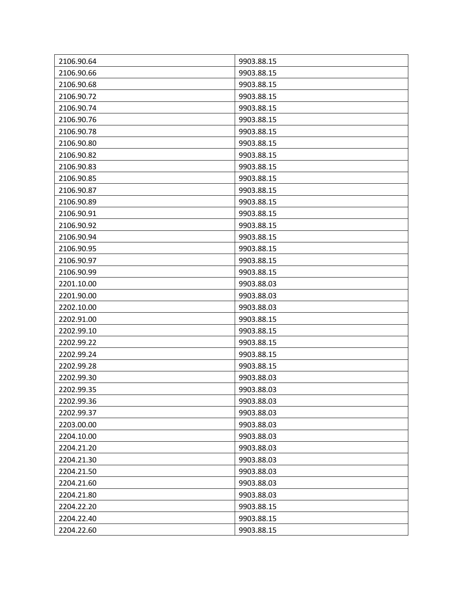| 2106.90.64 | 9903.88.15 |
|------------|------------|
| 2106.90.66 | 9903.88.15 |
| 2106.90.68 | 9903.88.15 |
| 2106.90.72 | 9903.88.15 |
| 2106.90.74 | 9903.88.15 |
| 2106.90.76 | 9903.88.15 |
| 2106.90.78 | 9903.88.15 |
| 2106.90.80 | 9903.88.15 |
| 2106.90.82 | 9903.88.15 |
| 2106.90.83 | 9903.88.15 |
| 2106.90.85 | 9903.88.15 |
| 2106.90.87 | 9903.88.15 |
| 2106.90.89 | 9903.88.15 |
| 2106.90.91 | 9903.88.15 |
| 2106.90.92 | 9903.88.15 |
| 2106.90.94 | 9903.88.15 |
| 2106.90.95 | 9903.88.15 |
| 2106.90.97 | 9903.88.15 |
| 2106.90.99 | 9903.88.15 |
| 2201.10.00 | 9903.88.03 |
| 2201.90.00 | 9903.88.03 |
| 2202.10.00 | 9903.88.03 |
| 2202.91.00 | 9903.88.15 |
| 2202.99.10 | 9903.88.15 |
| 2202.99.22 | 9903.88.15 |
| 2202.99.24 | 9903.88.15 |
| 2202.99.28 | 9903.88.15 |
| 2202.99.30 | 9903.88.03 |
| 2202.99.35 | 9903.88.03 |
| 2202.99.36 | 9903.88.03 |
| 2202.99.37 | 9903.88.03 |
| 2203.00.00 | 9903.88.03 |
| 2204.10.00 | 9903.88.03 |
| 2204.21.20 | 9903.88.03 |
| 2204.21.30 | 9903.88.03 |
| 2204.21.50 | 9903.88.03 |
| 2204.21.60 | 9903.88.03 |
| 2204.21.80 | 9903.88.03 |
| 2204.22.20 | 9903.88.15 |
| 2204.22.40 | 9903.88.15 |
| 2204.22.60 | 9903.88.15 |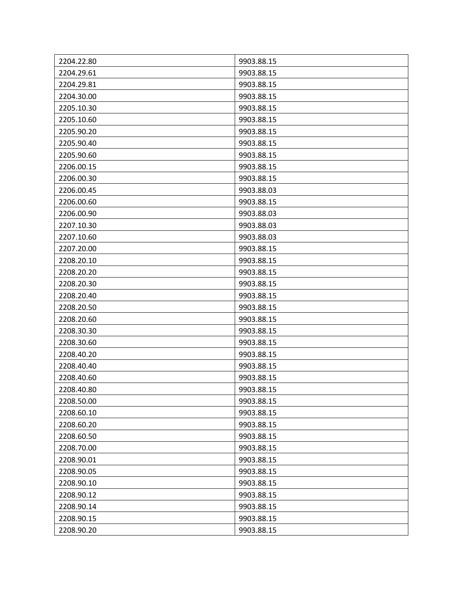| 2204.22.80 | 9903.88.15 |
|------------|------------|
| 2204.29.61 | 9903.88.15 |
| 2204.29.81 | 9903.88.15 |
| 2204.30.00 | 9903.88.15 |
| 2205.10.30 | 9903.88.15 |
| 2205.10.60 | 9903.88.15 |
| 2205.90.20 | 9903.88.15 |
| 2205.90.40 | 9903.88.15 |
| 2205.90.60 | 9903.88.15 |
| 2206.00.15 | 9903.88.15 |
| 2206.00.30 | 9903.88.15 |
| 2206.00.45 | 9903.88.03 |
| 2206.00.60 | 9903.88.15 |
| 2206.00.90 | 9903.88.03 |
| 2207.10.30 | 9903.88.03 |
| 2207.10.60 | 9903.88.03 |
| 2207.20.00 | 9903.88.15 |
| 2208.20.10 | 9903.88.15 |
| 2208.20.20 | 9903.88.15 |
| 2208.20.30 | 9903.88.15 |
| 2208.20.40 | 9903.88.15 |
| 2208.20.50 | 9903.88.15 |
| 2208.20.60 | 9903.88.15 |
| 2208.30.30 | 9903.88.15 |
| 2208.30.60 | 9903.88.15 |
| 2208.40.20 | 9903.88.15 |
| 2208.40.40 | 9903.88.15 |
| 2208.40.60 | 9903.88.15 |
| 2208.40.80 | 9903.88.15 |
| 2208.50.00 | 9903.88.15 |
| 2208.60.10 | 9903.88.15 |
| 2208.60.20 | 9903.88.15 |
| 2208.60.50 | 9903.88.15 |
| 2208.70.00 | 9903.88.15 |
| 2208.90.01 | 9903.88.15 |
| 2208.90.05 | 9903.88.15 |
| 2208.90.10 | 9903.88.15 |
| 2208.90.12 | 9903.88.15 |
| 2208.90.14 | 9903.88.15 |
| 2208.90.15 | 9903.88.15 |
| 2208.90.20 | 9903.88.15 |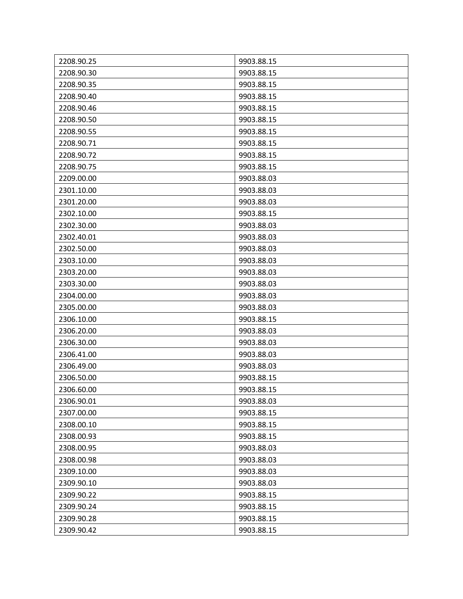| 2208.90.25 | 9903.88.15 |
|------------|------------|
| 2208.90.30 | 9903.88.15 |
| 2208.90.35 | 9903.88.15 |
| 2208.90.40 | 9903.88.15 |
| 2208.90.46 | 9903.88.15 |
| 2208.90.50 | 9903.88.15 |
| 2208.90.55 | 9903.88.15 |
| 2208.90.71 | 9903.88.15 |
| 2208.90.72 | 9903.88.15 |
| 2208.90.75 | 9903.88.15 |
| 2209.00.00 | 9903.88.03 |
| 2301.10.00 | 9903.88.03 |
| 2301.20.00 | 9903.88.03 |
| 2302.10.00 | 9903.88.15 |
| 2302.30.00 | 9903.88.03 |
| 2302.40.01 | 9903.88.03 |
| 2302.50.00 | 9903.88.03 |
| 2303.10.00 | 9903.88.03 |
| 2303.20.00 | 9903.88.03 |
| 2303.30.00 | 9903.88.03 |
| 2304.00.00 | 9903.88.03 |
| 2305.00.00 | 9903.88.03 |
| 2306.10.00 | 9903.88.15 |
| 2306.20.00 | 9903.88.03 |
| 2306.30.00 | 9903.88.03 |
| 2306.41.00 | 9903.88.03 |
| 2306.49.00 | 9903.88.03 |
| 2306.50.00 | 9903.88.15 |
| 2306.60.00 | 9903.88.15 |
| 2306.90.01 | 9903.88.03 |
| 2307.00.00 | 9903.88.15 |
| 2308.00.10 | 9903.88.15 |
| 2308.00.93 | 9903.88.15 |
| 2308.00.95 | 9903.88.03 |
| 2308.00.98 | 9903.88.03 |
| 2309.10.00 | 9903.88.03 |
| 2309.90.10 | 9903.88.03 |
| 2309.90.22 | 9903.88.15 |
| 2309.90.24 | 9903.88.15 |
| 2309.90.28 | 9903.88.15 |
| 2309.90.42 | 9903.88.15 |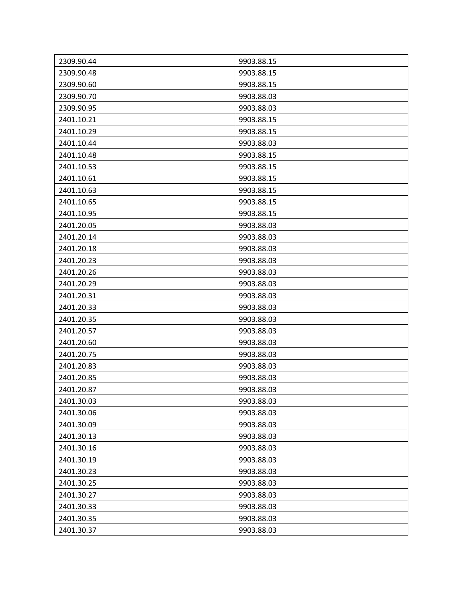| 2309.90.44 | 9903.88.15 |
|------------|------------|
| 2309.90.48 | 9903.88.15 |
| 2309.90.60 | 9903.88.15 |
| 2309.90.70 | 9903.88.03 |
| 2309.90.95 | 9903.88.03 |
| 2401.10.21 | 9903.88.15 |
| 2401.10.29 | 9903.88.15 |
| 2401.10.44 | 9903.88.03 |
| 2401.10.48 | 9903.88.15 |
| 2401.10.53 | 9903.88.15 |
| 2401.10.61 | 9903.88.15 |
| 2401.10.63 | 9903.88.15 |
| 2401.10.65 | 9903.88.15 |
| 2401.10.95 | 9903.88.15 |
| 2401.20.05 | 9903.88.03 |
| 2401.20.14 | 9903.88.03 |
| 2401.20.18 | 9903.88.03 |
| 2401.20.23 | 9903.88.03 |
| 2401.20.26 | 9903.88.03 |
| 2401.20.29 | 9903.88.03 |
| 2401.20.31 | 9903.88.03 |
| 2401.20.33 | 9903.88.03 |
| 2401.20.35 | 9903.88.03 |
| 2401.20.57 | 9903.88.03 |
| 2401.20.60 | 9903.88.03 |
| 2401.20.75 | 9903.88.03 |
| 2401.20.83 | 9903.88.03 |
| 2401.20.85 | 9903.88.03 |
| 2401.20.87 | 9903.88.03 |
| 2401.30.03 | 9903.88.03 |
| 2401.30.06 | 9903.88.03 |
| 2401.30.09 | 9903.88.03 |
| 2401.30.13 | 9903.88.03 |
| 2401.30.16 | 9903.88.03 |
| 2401.30.19 | 9903.88.03 |
| 2401.30.23 | 9903.88.03 |
| 2401.30.25 | 9903.88.03 |
| 2401.30.27 | 9903.88.03 |
| 2401.30.33 | 9903.88.03 |
| 2401.30.35 | 9903.88.03 |
| 2401.30.37 | 9903.88.03 |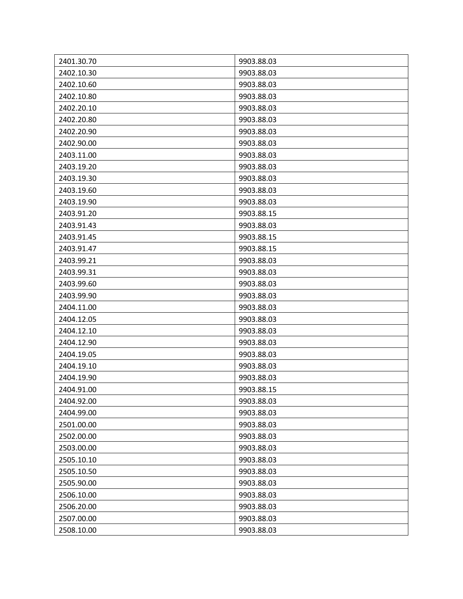| 2401.30.70 | 9903.88.03 |
|------------|------------|
| 2402.10.30 | 9903.88.03 |
| 2402.10.60 | 9903.88.03 |
| 2402.10.80 | 9903.88.03 |
| 2402.20.10 | 9903.88.03 |
| 2402.20.80 | 9903.88.03 |
| 2402.20.90 | 9903.88.03 |
| 2402.90.00 | 9903.88.03 |
| 2403.11.00 | 9903.88.03 |
| 2403.19.20 | 9903.88.03 |
| 2403.19.30 | 9903.88.03 |
| 2403.19.60 | 9903.88.03 |
| 2403.19.90 | 9903.88.03 |
| 2403.91.20 | 9903.88.15 |
| 2403.91.43 | 9903.88.03 |
| 2403.91.45 | 9903.88.15 |
| 2403.91.47 | 9903.88.15 |
| 2403.99.21 | 9903.88.03 |
| 2403.99.31 | 9903.88.03 |
| 2403.99.60 | 9903.88.03 |
| 2403.99.90 | 9903.88.03 |
| 2404.11.00 | 9903.88.03 |
| 2404.12.05 | 9903.88.03 |
| 2404.12.10 | 9903.88.03 |
| 2404.12.90 | 9903.88.03 |
| 2404.19.05 | 9903.88.03 |
| 2404.19.10 | 9903.88.03 |
| 2404.19.90 | 9903.88.03 |
| 2404.91.00 | 9903.88.15 |
| 2404.92.00 | 9903.88.03 |
| 2404.99.00 | 9903.88.03 |
| 2501.00.00 | 9903.88.03 |
| 2502.00.00 | 9903.88.03 |
| 2503.00.00 | 9903.88.03 |
| 2505.10.10 | 9903.88.03 |
| 2505.10.50 | 9903.88.03 |
| 2505.90.00 | 9903.88.03 |
| 2506.10.00 | 9903.88.03 |
| 2506.20.00 | 9903.88.03 |
| 2507.00.00 | 9903.88.03 |
| 2508.10.00 | 9903.88.03 |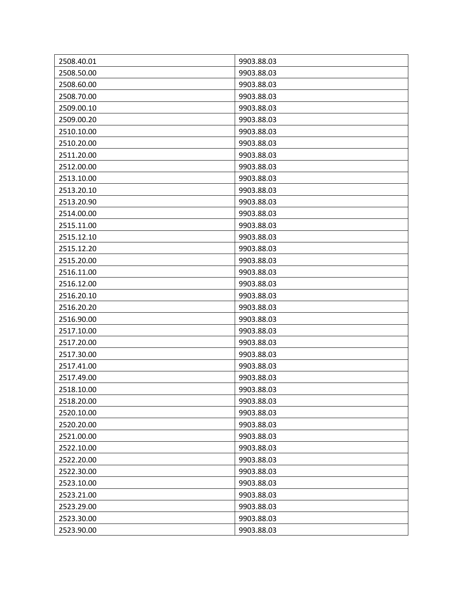| 2508.40.01 | 9903.88.03 |
|------------|------------|
| 2508.50.00 | 9903.88.03 |
| 2508.60.00 | 9903.88.03 |
|            |            |
| 2508.70.00 | 9903.88.03 |
| 2509.00.10 | 9903.88.03 |
| 2509.00.20 | 9903.88.03 |
| 2510.10.00 | 9903.88.03 |
| 2510.20.00 | 9903.88.03 |
| 2511.20.00 | 9903.88.03 |
| 2512.00.00 | 9903.88.03 |
| 2513.10.00 | 9903.88.03 |
| 2513.20.10 | 9903.88.03 |
| 2513.20.90 | 9903.88.03 |
| 2514.00.00 | 9903.88.03 |
| 2515.11.00 | 9903.88.03 |
| 2515.12.10 | 9903.88.03 |
| 2515.12.20 | 9903.88.03 |
| 2515.20.00 | 9903.88.03 |
| 2516.11.00 | 9903.88.03 |
| 2516.12.00 | 9903.88.03 |
| 2516.20.10 | 9903.88.03 |
| 2516.20.20 | 9903.88.03 |
| 2516.90.00 | 9903.88.03 |
| 2517.10.00 | 9903.88.03 |
| 2517.20.00 | 9903.88.03 |
| 2517.30.00 | 9903.88.03 |
| 2517.41.00 | 9903.88.03 |
| 2517.49.00 | 9903.88.03 |
| 2518.10.00 | 9903.88.03 |
| 2518.20.00 | 9903.88.03 |
| 2520.10.00 | 9903.88.03 |
| 2520.20.00 | 9903.88.03 |
| 2521.00.00 | 9903.88.03 |
| 2522.10.00 | 9903.88.03 |
| 2522.20.00 | 9903.88.03 |
| 2522.30.00 | 9903.88.03 |
| 2523.10.00 | 9903.88.03 |
| 2523.21.00 | 9903.88.03 |
| 2523.29.00 | 9903.88.03 |
| 2523.30.00 | 9903.88.03 |
| 2523.90.00 | 9903.88.03 |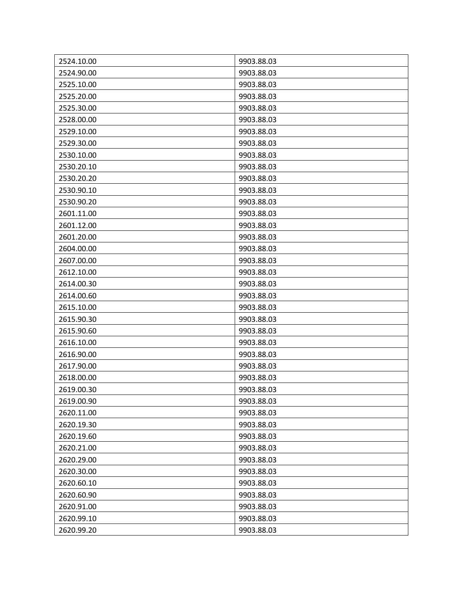| 2524.10.00 | 9903.88.03 |
|------------|------------|
| 2524.90.00 | 9903.88.03 |
| 2525.10.00 | 9903.88.03 |
| 2525.20.00 | 9903.88.03 |
| 2525.30.00 | 9903.88.03 |
| 2528.00.00 | 9903.88.03 |
| 2529.10.00 | 9903.88.03 |
| 2529.30.00 | 9903.88.03 |
| 2530.10.00 | 9903.88.03 |
| 2530.20.10 | 9903.88.03 |
| 2530.20.20 | 9903.88.03 |
| 2530.90.10 | 9903.88.03 |
| 2530.90.20 | 9903.88.03 |
| 2601.11.00 | 9903.88.03 |
| 2601.12.00 | 9903.88.03 |
| 2601.20.00 | 9903.88.03 |
| 2604.00.00 | 9903.88.03 |
| 2607.00.00 | 9903.88.03 |
| 2612.10.00 | 9903.88.03 |
| 2614.00.30 | 9903.88.03 |
| 2614.00.60 | 9903.88.03 |
| 2615.10.00 | 9903.88.03 |
| 2615.90.30 | 9903.88.03 |
| 2615.90.60 | 9903.88.03 |
| 2616.10.00 | 9903.88.03 |
| 2616.90.00 | 9903.88.03 |
| 2617.90.00 | 9903.88.03 |
| 2618.00.00 | 9903.88.03 |
| 2619.00.30 | 9903.88.03 |
| 2619.00.90 | 9903.88.03 |
| 2620.11.00 | 9903.88.03 |
| 2620.19.30 | 9903.88.03 |
| 2620.19.60 | 9903.88.03 |
| 2620.21.00 | 9903.88.03 |
| 2620.29.00 | 9903.88.03 |
| 2620.30.00 | 9903.88.03 |
| 2620.60.10 | 9903.88.03 |
| 2620.60.90 | 9903.88.03 |
| 2620.91.00 | 9903.88.03 |
| 2620.99.10 | 9903.88.03 |
| 2620.99.20 | 9903.88.03 |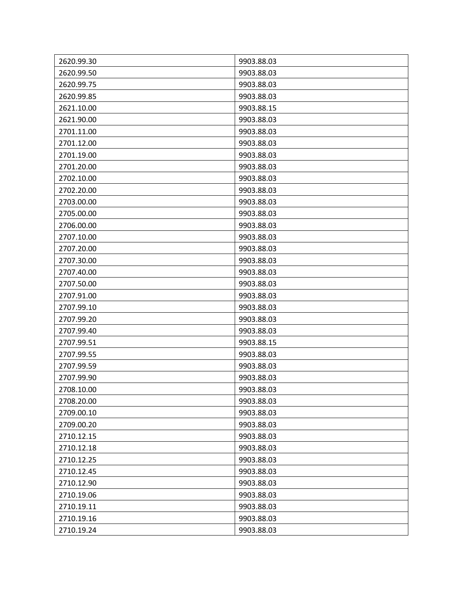| 2620.99.30 | 9903.88.03 |
|------------|------------|
| 2620.99.50 | 9903.88.03 |
| 2620.99.75 | 9903.88.03 |
| 2620.99.85 | 9903.88.03 |
| 2621.10.00 | 9903.88.15 |
| 2621.90.00 | 9903.88.03 |
| 2701.11.00 | 9903.88.03 |
| 2701.12.00 | 9903.88.03 |
| 2701.19.00 | 9903.88.03 |
| 2701.20.00 | 9903.88.03 |
| 2702.10.00 | 9903.88.03 |
| 2702.20.00 | 9903.88.03 |
| 2703.00.00 | 9903.88.03 |
| 2705.00.00 | 9903.88.03 |
| 2706.00.00 | 9903.88.03 |
| 2707.10.00 | 9903.88.03 |
| 2707.20.00 | 9903.88.03 |
| 2707.30.00 | 9903.88.03 |
| 2707.40.00 | 9903.88.03 |
| 2707.50.00 | 9903.88.03 |
| 2707.91.00 | 9903.88.03 |
| 2707.99.10 | 9903.88.03 |
| 2707.99.20 | 9903.88.03 |
| 2707.99.40 | 9903.88.03 |
| 2707.99.51 | 9903.88.15 |
| 2707.99.55 | 9903.88.03 |
| 2707.99.59 | 9903.88.03 |
| 2707.99.90 | 9903.88.03 |
| 2708.10.00 | 9903.88.03 |
| 2708.20.00 | 9903.88.03 |
| 2709.00.10 | 9903.88.03 |
| 2709.00.20 | 9903.88.03 |
| 2710.12.15 | 9903.88.03 |
| 2710.12.18 | 9903.88.03 |
| 2710.12.25 | 9903.88.03 |
| 2710.12.45 | 9903.88.03 |
| 2710.12.90 | 9903.88.03 |
| 2710.19.06 | 9903.88.03 |
| 2710.19.11 | 9903.88.03 |
| 2710.19.16 | 9903.88.03 |
| 2710.19.24 | 9903.88.03 |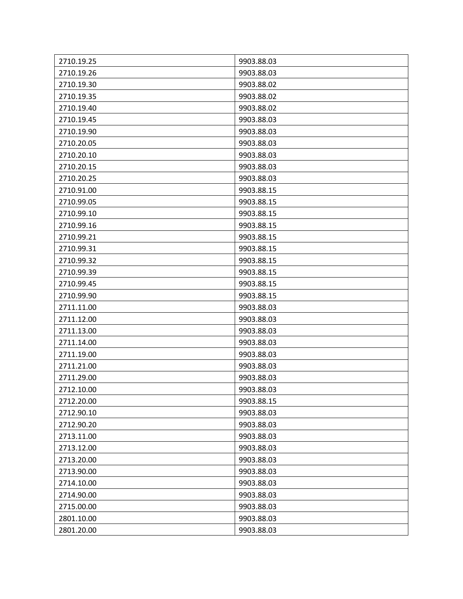| 2710.19.25 | 9903.88.03 |
|------------|------------|
| 2710.19.26 | 9903.88.03 |
| 2710.19.30 | 9903.88.02 |
| 2710.19.35 | 9903.88.02 |
| 2710.19.40 | 9903.88.02 |
| 2710.19.45 | 9903.88.03 |
| 2710.19.90 | 9903.88.03 |
| 2710.20.05 | 9903.88.03 |
| 2710.20.10 | 9903.88.03 |
| 2710.20.15 | 9903.88.03 |
| 2710.20.25 | 9903.88.03 |
| 2710.91.00 | 9903.88.15 |
| 2710.99.05 | 9903.88.15 |
| 2710.99.10 | 9903.88.15 |
| 2710.99.16 | 9903.88.15 |
| 2710.99.21 | 9903.88.15 |
| 2710.99.31 | 9903.88.15 |
| 2710.99.32 | 9903.88.15 |
| 2710.99.39 | 9903.88.15 |
| 2710.99.45 | 9903.88.15 |
| 2710.99.90 | 9903.88.15 |
| 2711.11.00 | 9903.88.03 |
| 2711.12.00 | 9903.88.03 |
| 2711.13.00 | 9903.88.03 |
| 2711.14.00 | 9903.88.03 |
| 2711.19.00 | 9903.88.03 |
| 2711.21.00 | 9903.88.03 |
| 2711.29.00 | 9903.88.03 |
| 2712.10.00 | 9903.88.03 |
| 2712.20.00 | 9903.88.15 |
| 2712.90.10 | 9903.88.03 |
| 2712.90.20 | 9903.88.03 |
| 2713.11.00 | 9903.88.03 |
| 2713.12.00 | 9903.88.03 |
| 2713.20.00 | 9903.88.03 |
| 2713.90.00 | 9903.88.03 |
| 2714.10.00 | 9903.88.03 |
| 2714.90.00 | 9903.88.03 |
| 2715.00.00 | 9903.88.03 |
| 2801.10.00 | 9903.88.03 |
| 2801.20.00 | 9903.88.03 |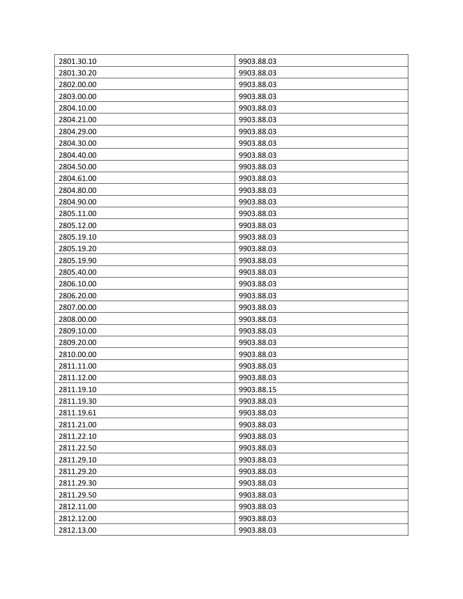| 2801.30.10 | 9903.88.03 |
|------------|------------|
| 2801.30.20 | 9903.88.03 |
| 2802.00.00 | 9903.88.03 |
| 2803.00.00 | 9903.88.03 |
| 2804.10.00 | 9903.88.03 |
| 2804.21.00 | 9903.88.03 |
| 2804.29.00 | 9903.88.03 |
| 2804.30.00 | 9903.88.03 |
| 2804.40.00 | 9903.88.03 |
| 2804.50.00 | 9903.88.03 |
| 2804.61.00 | 9903.88.03 |
| 2804.80.00 | 9903.88.03 |
| 2804.90.00 | 9903.88.03 |
| 2805.11.00 | 9903.88.03 |
| 2805.12.00 | 9903.88.03 |
| 2805.19.10 | 9903.88.03 |
| 2805.19.20 | 9903.88.03 |
| 2805.19.90 | 9903.88.03 |
| 2805.40.00 | 9903.88.03 |
| 2806.10.00 | 9903.88.03 |
| 2806.20.00 | 9903.88.03 |
| 2807.00.00 | 9903.88.03 |
| 2808.00.00 | 9903.88.03 |
| 2809.10.00 | 9903.88.03 |
| 2809.20.00 | 9903.88.03 |
| 2810.00.00 | 9903.88.03 |
| 2811.11.00 | 9903.88.03 |
| 2811.12.00 | 9903.88.03 |
| 2811.19.10 | 9903.88.15 |
| 2811.19.30 | 9903.88.03 |
| 2811.19.61 | 9903.88.03 |
| 2811.21.00 | 9903.88.03 |
| 2811.22.10 | 9903.88.03 |
| 2811.22.50 | 9903.88.03 |
| 2811.29.10 | 9903.88.03 |
| 2811.29.20 | 9903.88.03 |
| 2811.29.30 | 9903.88.03 |
| 2811.29.50 | 9903.88.03 |
| 2812.11.00 | 9903.88.03 |
| 2812.12.00 | 9903.88.03 |
| 2812.13.00 | 9903.88.03 |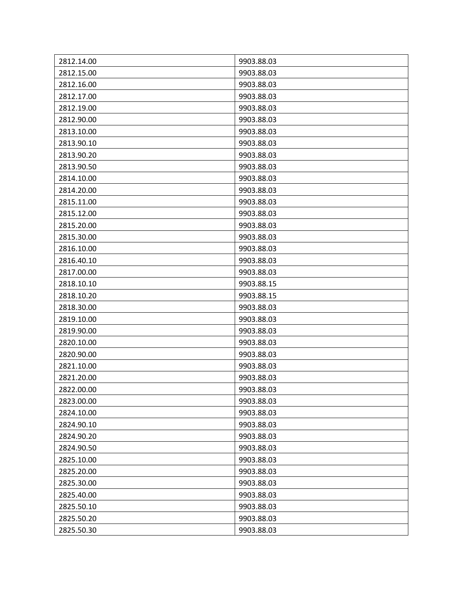| 2812.14.00 | 9903.88.03 |
|------------|------------|
| 2812.15.00 | 9903.88.03 |
| 2812.16.00 | 9903.88.03 |
| 2812.17.00 | 9903.88.03 |
| 2812.19.00 | 9903.88.03 |
| 2812.90.00 | 9903.88.03 |
| 2813.10.00 | 9903.88.03 |
| 2813.90.10 | 9903.88.03 |
| 2813.90.20 | 9903.88.03 |
| 2813.90.50 | 9903.88.03 |
| 2814.10.00 | 9903.88.03 |
| 2814.20.00 | 9903.88.03 |
| 2815.11.00 | 9903.88.03 |
| 2815.12.00 | 9903.88.03 |
| 2815.20.00 | 9903.88.03 |
| 2815.30.00 | 9903.88.03 |
| 2816.10.00 | 9903.88.03 |
| 2816.40.10 | 9903.88.03 |
| 2817.00.00 | 9903.88.03 |
| 2818.10.10 | 9903.88.15 |
| 2818.10.20 | 9903.88.15 |
| 2818.30.00 | 9903.88.03 |
| 2819.10.00 | 9903.88.03 |
| 2819.90.00 | 9903.88.03 |
| 2820.10.00 | 9903.88.03 |
| 2820.90.00 | 9903.88.03 |
| 2821.10.00 | 9903.88.03 |
| 2821.20.00 | 9903.88.03 |
| 2822.00.00 | 9903.88.03 |
| 2823.00.00 | 9903.88.03 |
| 2824.10.00 | 9903.88.03 |
| 2824.90.10 | 9903.88.03 |
| 2824.90.20 | 9903.88.03 |
| 2824.90.50 | 9903.88.03 |
| 2825.10.00 | 9903.88.03 |
| 2825.20.00 | 9903.88.03 |
| 2825.30.00 | 9903.88.03 |
| 2825.40.00 | 9903.88.03 |
| 2825.50.10 | 9903.88.03 |
| 2825.50.20 | 9903.88.03 |
| 2825.50.30 | 9903.88.03 |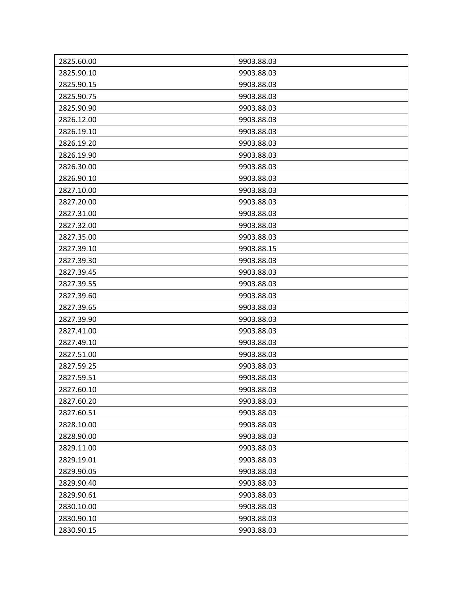| 2825.60.00 | 9903.88.03 |
|------------|------------|
| 2825.90.10 | 9903.88.03 |
| 2825.90.15 | 9903.88.03 |
| 2825.90.75 | 9903.88.03 |
| 2825.90.90 | 9903.88.03 |
| 2826.12.00 | 9903.88.03 |
| 2826.19.10 | 9903.88.03 |
| 2826.19.20 | 9903.88.03 |
| 2826.19.90 | 9903.88.03 |
| 2826.30.00 | 9903.88.03 |
| 2826.90.10 | 9903.88.03 |
| 2827.10.00 | 9903.88.03 |
| 2827.20.00 | 9903.88.03 |
| 2827.31.00 | 9903.88.03 |
| 2827.32.00 | 9903.88.03 |
| 2827.35.00 | 9903.88.03 |
| 2827.39.10 | 9903.88.15 |
| 2827.39.30 | 9903.88.03 |
| 2827.39.45 | 9903.88.03 |
| 2827.39.55 | 9903.88.03 |
| 2827.39.60 | 9903.88.03 |
| 2827.39.65 | 9903.88.03 |
| 2827.39.90 | 9903.88.03 |
| 2827.41.00 | 9903.88.03 |
| 2827.49.10 | 9903.88.03 |
| 2827.51.00 | 9903.88.03 |
| 2827.59.25 | 9903.88.03 |
| 2827.59.51 | 9903.88.03 |
| 2827.60.10 | 9903.88.03 |
| 2827.60.20 | 9903.88.03 |
| 2827.60.51 | 9903.88.03 |
| 2828.10.00 | 9903.88.03 |
| 2828.90.00 | 9903.88.03 |
| 2829.11.00 | 9903.88.03 |
| 2829.19.01 | 9903.88.03 |
| 2829.90.05 | 9903.88.03 |
| 2829.90.40 | 9903.88.03 |
| 2829.90.61 | 9903.88.03 |
| 2830.10.00 | 9903.88.03 |
| 2830.90.10 | 9903.88.03 |
| 2830.90.15 | 9903.88.03 |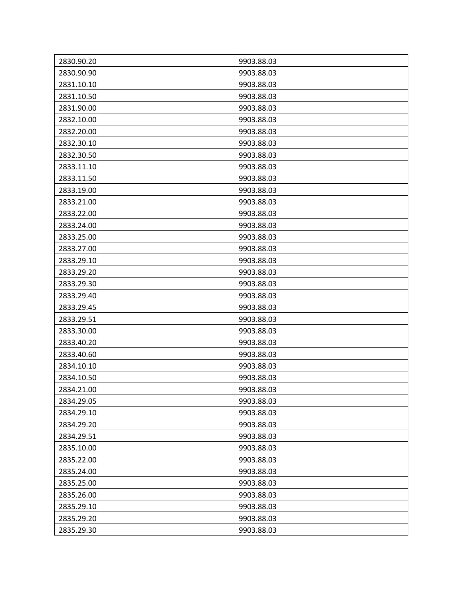| 2830.90.20 | 9903.88.03 |
|------------|------------|
| 2830.90.90 | 9903.88.03 |
| 2831.10.10 | 9903.88.03 |
| 2831.10.50 | 9903.88.03 |
| 2831.90.00 | 9903.88.03 |
| 2832.10.00 | 9903.88.03 |
| 2832.20.00 | 9903.88.03 |
| 2832.30.10 | 9903.88.03 |
| 2832.30.50 | 9903.88.03 |
| 2833.11.10 | 9903.88.03 |
| 2833.11.50 | 9903.88.03 |
| 2833.19.00 | 9903.88.03 |
| 2833.21.00 | 9903.88.03 |
| 2833.22.00 | 9903.88.03 |
| 2833.24.00 | 9903.88.03 |
| 2833.25.00 | 9903.88.03 |
| 2833.27.00 | 9903.88.03 |
| 2833.29.10 | 9903.88.03 |
| 2833.29.20 | 9903.88.03 |
| 2833.29.30 | 9903.88.03 |
| 2833.29.40 | 9903.88.03 |
| 2833.29.45 | 9903.88.03 |
| 2833.29.51 | 9903.88.03 |
| 2833.30.00 | 9903.88.03 |
| 2833.40.20 | 9903.88.03 |
| 2833.40.60 | 9903.88.03 |
| 2834.10.10 | 9903.88.03 |
| 2834.10.50 | 9903.88.03 |
| 2834.21.00 | 9903.88.03 |
| 2834.29.05 | 9903.88.03 |
| 2834.29.10 | 9903.88.03 |
| 2834.29.20 | 9903.88.03 |
| 2834.29.51 | 9903.88.03 |
| 2835.10.00 | 9903.88.03 |
| 2835.22.00 | 9903.88.03 |
| 2835.24.00 | 9903.88.03 |
| 2835.25.00 | 9903.88.03 |
| 2835.26.00 | 9903.88.03 |
| 2835.29.10 | 9903.88.03 |
| 2835.29.20 | 9903.88.03 |
| 2835.29.30 | 9903.88.03 |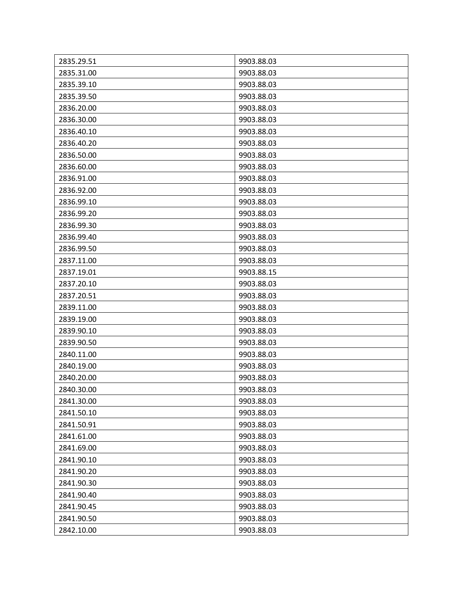| 2835.29.51 | 9903.88.03 |
|------------|------------|
| 2835.31.00 | 9903.88.03 |
| 2835.39.10 | 9903.88.03 |
|            |            |
| 2835.39.50 | 9903.88.03 |
| 2836.20.00 | 9903.88.03 |
| 2836.30.00 | 9903.88.03 |
| 2836.40.10 | 9903.88.03 |
| 2836.40.20 | 9903.88.03 |
| 2836.50.00 | 9903.88.03 |
| 2836.60.00 | 9903.88.03 |
| 2836.91.00 | 9903.88.03 |
| 2836.92.00 | 9903.88.03 |
| 2836.99.10 | 9903.88.03 |
| 2836.99.20 | 9903.88.03 |
| 2836.99.30 | 9903.88.03 |
| 2836.99.40 | 9903.88.03 |
| 2836.99.50 | 9903.88.03 |
| 2837.11.00 | 9903.88.03 |
| 2837.19.01 | 9903.88.15 |
| 2837.20.10 | 9903.88.03 |
| 2837.20.51 | 9903.88.03 |
| 2839.11.00 | 9903.88.03 |
| 2839.19.00 | 9903.88.03 |
| 2839.90.10 | 9903.88.03 |
| 2839.90.50 | 9903.88.03 |
| 2840.11.00 | 9903.88.03 |
| 2840.19.00 | 9903.88.03 |
| 2840.20.00 | 9903.88.03 |
| 2840.30.00 | 9903.88.03 |
| 2841.30.00 | 9903.88.03 |
| 2841.50.10 | 9903.88.03 |
| 2841.50.91 | 9903.88.03 |
| 2841.61.00 | 9903.88.03 |
| 2841.69.00 | 9903.88.03 |
| 2841.90.10 | 9903.88.03 |
| 2841.90.20 | 9903.88.03 |
| 2841.90.30 | 9903.88.03 |
| 2841.90.40 | 9903.88.03 |
| 2841.90.45 | 9903.88.03 |
| 2841.90.50 | 9903.88.03 |
| 2842.10.00 | 9903.88.03 |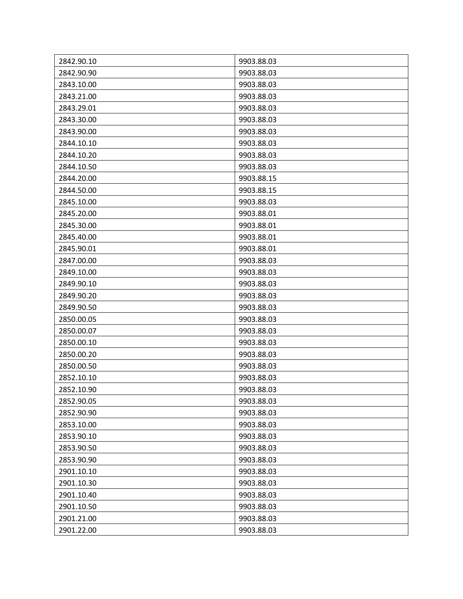| 2842.90.10 | 9903.88.03 |
|------------|------------|
| 2842.90.90 | 9903.88.03 |
| 2843.10.00 | 9903.88.03 |
|            |            |
| 2843.21.00 | 9903.88.03 |
| 2843.29.01 | 9903.88.03 |
| 2843.30.00 | 9903.88.03 |
| 2843.90.00 | 9903.88.03 |
| 2844.10.10 | 9903.88.03 |
| 2844.10.20 | 9903.88.03 |
| 2844.10.50 | 9903.88.03 |
| 2844.20.00 | 9903.88.15 |
| 2844.50.00 | 9903.88.15 |
| 2845.10.00 | 9903.88.03 |
| 2845.20.00 | 9903.88.01 |
| 2845.30.00 | 9903.88.01 |
| 2845.40.00 | 9903.88.01 |
| 2845.90.01 | 9903.88.01 |
| 2847.00.00 | 9903.88.03 |
| 2849.10.00 | 9903.88.03 |
| 2849.90.10 | 9903.88.03 |
| 2849.90.20 | 9903.88.03 |
| 2849.90.50 | 9903.88.03 |
| 2850.00.05 | 9903.88.03 |
| 2850.00.07 | 9903.88.03 |
| 2850.00.10 | 9903.88.03 |
| 2850.00.20 | 9903.88.03 |
| 2850.00.50 | 9903.88.03 |
| 2852.10.10 | 9903.88.03 |
| 2852.10.90 | 9903.88.03 |
| 2852.90.05 | 9903.88.03 |
| 2852.90.90 | 9903.88.03 |
| 2853.10.00 | 9903.88.03 |
| 2853.90.10 | 9903.88.03 |
| 2853.90.50 | 9903.88.03 |
| 2853.90.90 | 9903.88.03 |
| 2901.10.10 | 9903.88.03 |
| 2901.10.30 | 9903.88.03 |
| 2901.10.40 | 9903.88.03 |
| 2901.10.50 | 9903.88.03 |
| 2901.21.00 | 9903.88.03 |
| 2901.22.00 | 9903.88.03 |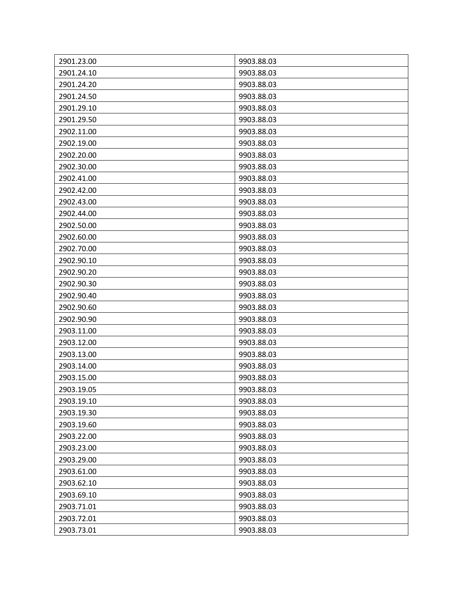| 2901.23.00 | 9903.88.03 |
|------------|------------|
| 2901.24.10 | 9903.88.03 |
| 2901.24.20 | 9903.88.03 |
| 2901.24.50 | 9903.88.03 |
| 2901.29.10 | 9903.88.03 |
| 2901.29.50 | 9903.88.03 |
| 2902.11.00 | 9903.88.03 |
| 2902.19.00 | 9903.88.03 |
| 2902.20.00 | 9903.88.03 |
| 2902.30.00 | 9903.88.03 |
| 2902.41.00 | 9903.88.03 |
| 2902.42.00 | 9903.88.03 |
| 2902.43.00 | 9903.88.03 |
| 2902.44.00 | 9903.88.03 |
| 2902.50.00 | 9903.88.03 |
| 2902.60.00 | 9903.88.03 |
| 2902.70.00 | 9903.88.03 |
| 2902.90.10 | 9903.88.03 |
| 2902.90.20 | 9903.88.03 |
| 2902.90.30 | 9903.88.03 |
| 2902.90.40 | 9903.88.03 |
| 2902.90.60 | 9903.88.03 |
| 2902.90.90 | 9903.88.03 |
| 2903.11.00 | 9903.88.03 |
| 2903.12.00 | 9903.88.03 |
| 2903.13.00 | 9903.88.03 |
| 2903.14.00 | 9903.88.03 |
| 2903.15.00 | 9903.88.03 |
| 2903.19.05 | 9903.88.03 |
| 2903.19.10 | 9903.88.03 |
| 2903.19.30 | 9903.88.03 |
| 2903.19.60 | 9903.88.03 |
| 2903.22.00 | 9903.88.03 |
| 2903.23.00 | 9903.88.03 |
| 2903.29.00 | 9903.88.03 |
| 2903.61.00 | 9903.88.03 |
| 2903.62.10 | 9903.88.03 |
| 2903.69.10 | 9903.88.03 |
| 2903.71.01 | 9903.88.03 |
| 2903.72.01 | 9903.88.03 |
| 2903.73.01 | 9903.88.03 |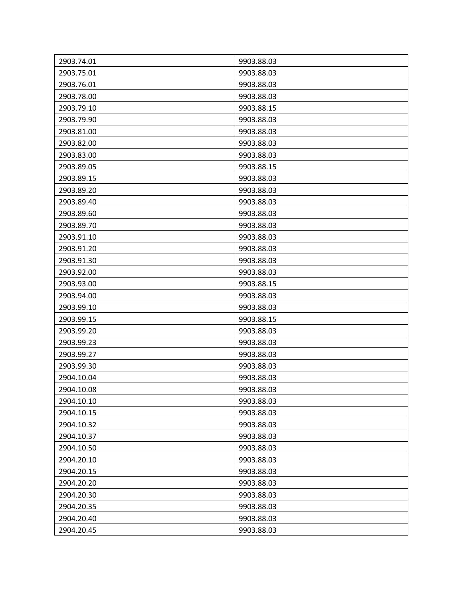| 2903.74.01 | 9903.88.03 |
|------------|------------|
| 2903.75.01 | 9903.88.03 |
| 2903.76.01 | 9903.88.03 |
| 2903.78.00 | 9903.88.03 |
| 2903.79.10 | 9903.88.15 |
| 2903.79.90 | 9903.88.03 |
| 2903.81.00 | 9903.88.03 |
| 2903.82.00 | 9903.88.03 |
| 2903.83.00 | 9903.88.03 |
| 2903.89.05 | 9903.88.15 |
| 2903.89.15 | 9903.88.03 |
| 2903.89.20 | 9903.88.03 |
| 2903.89.40 | 9903.88.03 |
| 2903.89.60 | 9903.88.03 |
| 2903.89.70 | 9903.88.03 |
| 2903.91.10 | 9903.88.03 |
| 2903.91.20 | 9903.88.03 |
| 2903.91.30 | 9903.88.03 |
| 2903.92.00 | 9903.88.03 |
| 2903.93.00 | 9903.88.15 |
| 2903.94.00 | 9903.88.03 |
| 2903.99.10 | 9903.88.03 |
| 2903.99.15 | 9903.88.15 |
| 2903.99.20 | 9903.88.03 |
| 2903.99.23 | 9903.88.03 |
| 2903.99.27 | 9903.88.03 |
| 2903.99.30 | 9903.88.03 |
| 2904.10.04 | 9903.88.03 |
| 2904.10.08 | 9903.88.03 |
| 2904.10.10 | 9903.88.03 |
| 2904.10.15 | 9903.88.03 |
| 2904.10.32 | 9903.88.03 |
| 2904.10.37 | 9903.88.03 |
| 2904.10.50 | 9903.88.03 |
| 2904.20.10 | 9903.88.03 |
| 2904.20.15 | 9903.88.03 |
| 2904.20.20 | 9903.88.03 |
| 2904.20.30 | 9903.88.03 |
| 2904.20.35 | 9903.88.03 |
| 2904.20.40 | 9903.88.03 |
| 2904.20.45 | 9903.88.03 |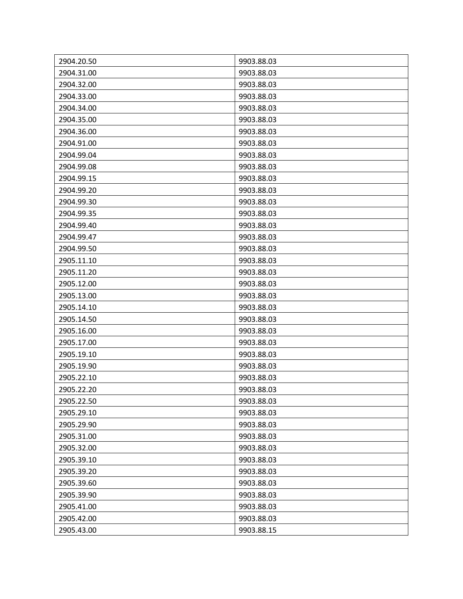| 2904.20.50 | 9903.88.03 |
|------------|------------|
| 2904.31.00 | 9903.88.03 |
| 2904.32.00 | 9903.88.03 |
| 2904.33.00 | 9903.88.03 |
| 2904.34.00 | 9903.88.03 |
| 2904.35.00 | 9903.88.03 |
| 2904.36.00 | 9903.88.03 |
| 2904.91.00 | 9903.88.03 |
| 2904.99.04 | 9903.88.03 |
| 2904.99.08 | 9903.88.03 |
| 2904.99.15 | 9903.88.03 |
| 2904.99.20 | 9903.88.03 |
| 2904.99.30 | 9903.88.03 |
| 2904.99.35 | 9903.88.03 |
| 2904.99.40 | 9903.88.03 |
| 2904.99.47 | 9903.88.03 |
| 2904.99.50 | 9903.88.03 |
| 2905.11.10 | 9903.88.03 |
| 2905.11.20 | 9903.88.03 |
| 2905.12.00 | 9903.88.03 |
| 2905.13.00 | 9903.88.03 |
| 2905.14.10 | 9903.88.03 |
| 2905.14.50 | 9903.88.03 |
| 2905.16.00 | 9903.88.03 |
| 2905.17.00 | 9903.88.03 |
| 2905.19.10 | 9903.88.03 |
| 2905.19.90 | 9903.88.03 |
| 2905.22.10 | 9903.88.03 |
| 2905.22.20 | 9903.88.03 |
| 2905.22.50 | 9903.88.03 |
| 2905.29.10 | 9903.88.03 |
| 2905.29.90 | 9903.88.03 |
| 2905.31.00 | 9903.88.03 |
| 2905.32.00 | 9903.88.03 |
| 2905.39.10 | 9903.88.03 |
| 2905.39.20 | 9903.88.03 |
| 2905.39.60 | 9903.88.03 |
| 2905.39.90 | 9903.88.03 |
| 2905.41.00 | 9903.88.03 |
| 2905.42.00 | 9903.88.03 |
| 2905.43.00 | 9903.88.15 |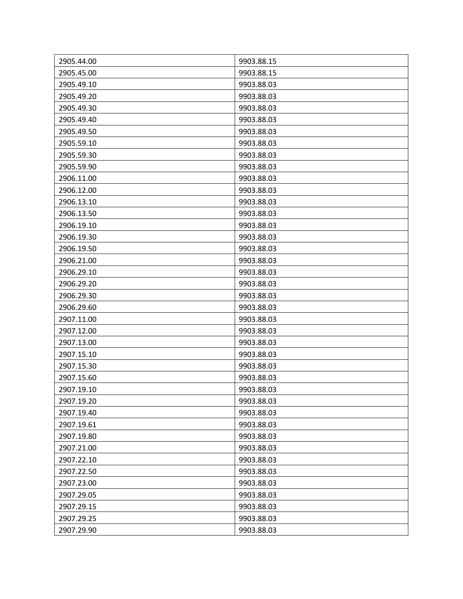| 2905.44.00 | 9903.88.15 |
|------------|------------|
| 2905.45.00 | 9903.88.15 |
| 2905.49.10 | 9903.88.03 |
| 2905.49.20 | 9903.88.03 |
| 2905.49.30 | 9903.88.03 |
| 2905.49.40 | 9903.88.03 |
| 2905.49.50 | 9903.88.03 |
| 2905.59.10 | 9903.88.03 |
| 2905.59.30 | 9903.88.03 |
| 2905.59.90 | 9903.88.03 |
| 2906.11.00 | 9903.88.03 |
| 2906.12.00 | 9903.88.03 |
| 2906.13.10 | 9903.88.03 |
| 2906.13.50 | 9903.88.03 |
| 2906.19.10 | 9903.88.03 |
| 2906.19.30 | 9903.88.03 |
| 2906.19.50 | 9903.88.03 |
| 2906.21.00 | 9903.88.03 |
| 2906.29.10 | 9903.88.03 |
| 2906.29.20 | 9903.88.03 |
| 2906.29.30 | 9903.88.03 |
| 2906.29.60 | 9903.88.03 |
| 2907.11.00 | 9903.88.03 |
| 2907.12.00 | 9903.88.03 |
| 2907.13.00 | 9903.88.03 |
| 2907.15.10 | 9903.88.03 |
| 2907.15.30 | 9903.88.03 |
| 2907.15.60 | 9903.88.03 |
| 2907.19.10 | 9903.88.03 |
| 2907.19.20 | 9903.88.03 |
| 2907.19.40 | 9903.88.03 |
| 2907.19.61 | 9903.88.03 |
| 2907.19.80 | 9903.88.03 |
| 2907.21.00 | 9903.88.03 |
| 2907.22.10 | 9903.88.03 |
| 2907.22.50 | 9903.88.03 |
| 2907.23.00 | 9903.88.03 |
| 2907.29.05 | 9903.88.03 |
| 2907.29.15 | 9903.88.03 |
| 2907.29.25 | 9903.88.03 |
| 2907.29.90 | 9903.88.03 |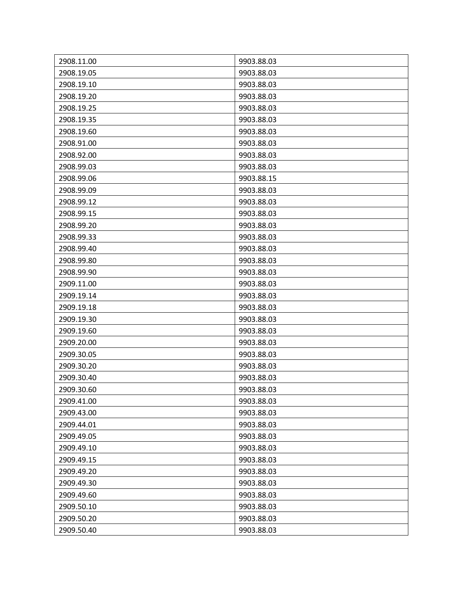| 2908.11.00 | 9903.88.03 |
|------------|------------|
| 2908.19.05 | 9903.88.03 |
| 2908.19.10 | 9903.88.03 |
| 2908.19.20 | 9903.88.03 |
| 2908.19.25 | 9903.88.03 |
| 2908.19.35 | 9903.88.03 |
| 2908.19.60 | 9903.88.03 |
| 2908.91.00 | 9903.88.03 |
| 2908.92.00 | 9903.88.03 |
| 2908.99.03 | 9903.88.03 |
| 2908.99.06 | 9903.88.15 |
| 2908.99.09 | 9903.88.03 |
| 2908.99.12 | 9903.88.03 |
| 2908.99.15 | 9903.88.03 |
| 2908.99.20 | 9903.88.03 |
| 2908.99.33 | 9903.88.03 |
| 2908.99.40 | 9903.88.03 |
| 2908.99.80 | 9903.88.03 |
| 2908.99.90 | 9903.88.03 |
| 2909.11.00 | 9903.88.03 |
| 2909.19.14 | 9903.88.03 |
| 2909.19.18 | 9903.88.03 |
| 2909.19.30 | 9903.88.03 |
| 2909.19.60 | 9903.88.03 |
| 2909.20.00 | 9903.88.03 |
| 2909.30.05 | 9903.88.03 |
| 2909.30.20 | 9903.88.03 |
| 2909.30.40 | 9903.88.03 |
| 2909.30.60 | 9903.88.03 |
| 2909.41.00 | 9903.88.03 |
| 2909.43.00 | 9903.88.03 |
| 2909.44.01 | 9903.88.03 |
| 2909.49.05 | 9903.88.03 |
| 2909.49.10 | 9903.88.03 |
| 2909.49.15 | 9903.88.03 |
| 2909.49.20 | 9903.88.03 |
| 2909.49.30 | 9903.88.03 |
| 2909.49.60 | 9903.88.03 |
| 2909.50.10 | 9903.88.03 |
| 2909.50.20 | 9903.88.03 |
| 2909.50.40 | 9903.88.03 |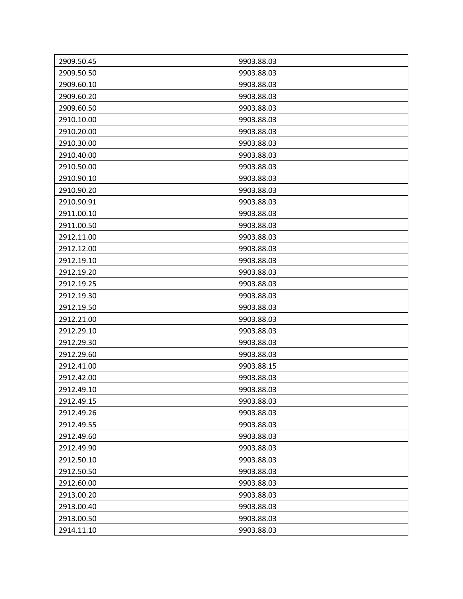| 2909.50.45 | 9903.88.03 |
|------------|------------|
| 2909.50.50 | 9903.88.03 |
| 2909.60.10 | 9903.88.03 |
| 2909.60.20 | 9903.88.03 |
| 2909.60.50 | 9903.88.03 |
| 2910.10.00 | 9903.88.03 |
| 2910.20.00 | 9903.88.03 |
| 2910.30.00 | 9903.88.03 |
| 2910.40.00 | 9903.88.03 |
| 2910.50.00 | 9903.88.03 |
| 2910.90.10 | 9903.88.03 |
| 2910.90.20 | 9903.88.03 |
| 2910.90.91 | 9903.88.03 |
| 2911.00.10 | 9903.88.03 |
| 2911.00.50 | 9903.88.03 |
| 2912.11.00 | 9903.88.03 |
| 2912.12.00 | 9903.88.03 |
| 2912.19.10 | 9903.88.03 |
| 2912.19.20 | 9903.88.03 |
| 2912.19.25 | 9903.88.03 |
| 2912.19.30 | 9903.88.03 |
| 2912.19.50 | 9903.88.03 |
| 2912.21.00 | 9903.88.03 |
| 2912.29.10 | 9903.88.03 |
| 2912.29.30 | 9903.88.03 |
| 2912.29.60 | 9903.88.03 |
| 2912.41.00 | 9903.88.15 |
| 2912.42.00 | 9903.88.03 |
| 2912.49.10 | 9903.88.03 |
| 2912.49.15 | 9903.88.03 |
| 2912.49.26 | 9903.88.03 |
| 2912.49.55 | 9903.88.03 |
| 2912.49.60 | 9903.88.03 |
| 2912.49.90 | 9903.88.03 |
| 2912.50.10 | 9903.88.03 |
| 2912.50.50 | 9903.88.03 |
| 2912.60.00 | 9903.88.03 |
| 2913.00.20 | 9903.88.03 |
| 2913.00.40 | 9903.88.03 |
| 2913.00.50 | 9903.88.03 |
| 2914.11.10 | 9903.88.03 |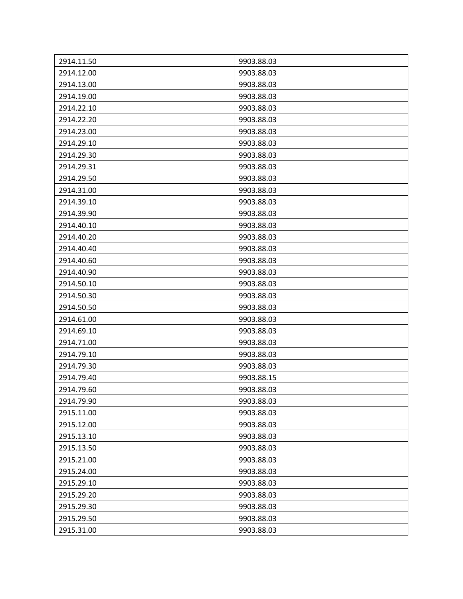| 2914.11.50 | 9903.88.03 |
|------------|------------|
| 2914.12.00 | 9903.88.03 |
| 2914.13.00 | 9903.88.03 |
| 2914.19.00 | 9903.88.03 |
| 2914.22.10 | 9903.88.03 |
| 2914.22.20 | 9903.88.03 |
| 2914.23.00 | 9903.88.03 |
| 2914.29.10 | 9903.88.03 |
| 2914.29.30 | 9903.88.03 |
| 2914.29.31 | 9903.88.03 |
| 2914.29.50 | 9903.88.03 |
| 2914.31.00 | 9903.88.03 |
| 2914.39.10 | 9903.88.03 |
| 2914.39.90 | 9903.88.03 |
| 2914.40.10 | 9903.88.03 |
| 2914.40.20 | 9903.88.03 |
| 2914.40.40 | 9903.88.03 |
| 2914.40.60 | 9903.88.03 |
| 2914.40.90 | 9903.88.03 |
| 2914.50.10 | 9903.88.03 |
| 2914.50.30 | 9903.88.03 |
| 2914.50.50 | 9903.88.03 |
| 2914.61.00 | 9903.88.03 |
| 2914.69.10 | 9903.88.03 |
| 2914.71.00 | 9903.88.03 |
| 2914.79.10 | 9903.88.03 |
| 2914.79.30 | 9903.88.03 |
| 2914.79.40 | 9903.88.15 |
| 2914.79.60 | 9903.88.03 |
| 2914.79.90 | 9903.88.03 |
| 2915.11.00 | 9903.88.03 |
| 2915.12.00 | 9903.88.03 |
| 2915.13.10 | 9903.88.03 |
| 2915.13.50 | 9903.88.03 |
| 2915.21.00 | 9903.88.03 |
| 2915.24.00 | 9903.88.03 |
| 2915.29.10 | 9903.88.03 |
| 2915.29.20 | 9903.88.03 |
| 2915.29.30 | 9903.88.03 |
| 2915.29.50 | 9903.88.03 |
| 2915.31.00 | 9903.88.03 |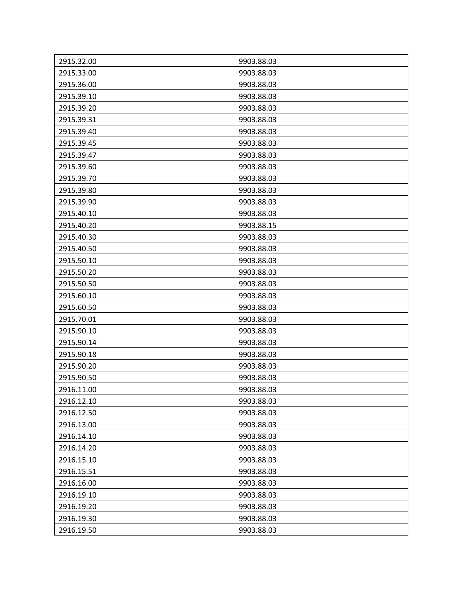| 2915.32.00 | 9903.88.03 |
|------------|------------|
| 2915.33.00 | 9903.88.03 |
| 2915.36.00 | 9903.88.03 |
| 2915.39.10 | 9903.88.03 |
| 2915.39.20 | 9903.88.03 |
| 2915.39.31 | 9903.88.03 |
| 2915.39.40 | 9903.88.03 |
| 2915.39.45 | 9903.88.03 |
| 2915.39.47 | 9903.88.03 |
| 2915.39.60 | 9903.88.03 |
| 2915.39.70 | 9903.88.03 |
| 2915.39.80 | 9903.88.03 |
| 2915.39.90 | 9903.88.03 |
| 2915.40.10 | 9903.88.03 |
| 2915.40.20 | 9903.88.15 |
| 2915.40.30 | 9903.88.03 |
| 2915.40.50 | 9903.88.03 |
| 2915.50.10 | 9903.88.03 |
| 2915.50.20 | 9903.88.03 |
| 2915.50.50 | 9903.88.03 |
| 2915.60.10 | 9903.88.03 |
| 2915.60.50 | 9903.88.03 |
| 2915.70.01 | 9903.88.03 |
| 2915.90.10 | 9903.88.03 |
| 2915.90.14 | 9903.88.03 |
| 2915.90.18 | 9903.88.03 |
| 2915.90.20 | 9903.88.03 |
| 2915.90.50 | 9903.88.03 |
| 2916.11.00 | 9903.88.03 |
| 2916.12.10 | 9903.88.03 |
| 2916.12.50 | 9903.88.03 |
| 2916.13.00 | 9903.88.03 |
| 2916.14.10 | 9903.88.03 |
| 2916.14.20 | 9903.88.03 |
| 2916.15.10 | 9903.88.03 |
| 2916.15.51 | 9903.88.03 |
| 2916.16.00 | 9903.88.03 |
| 2916.19.10 | 9903.88.03 |
| 2916.19.20 | 9903.88.03 |
| 2916.19.30 | 9903.88.03 |
| 2916.19.50 | 9903.88.03 |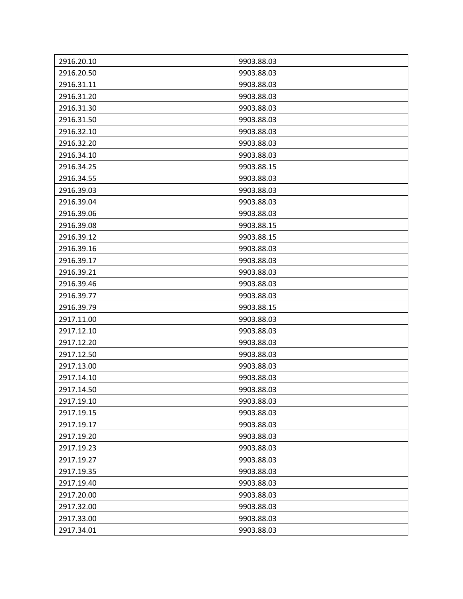| 2916.20.10 | 9903.88.03 |
|------------|------------|
| 2916.20.50 | 9903.88.03 |
| 2916.31.11 | 9903.88.03 |
| 2916.31.20 | 9903.88.03 |
| 2916.31.30 | 9903.88.03 |
| 2916.31.50 | 9903.88.03 |
| 2916.32.10 | 9903.88.03 |
| 2916.32.20 | 9903.88.03 |
| 2916.34.10 | 9903.88.03 |
| 2916.34.25 | 9903.88.15 |
| 2916.34.55 | 9903.88.03 |
| 2916.39.03 | 9903.88.03 |
| 2916.39.04 | 9903.88.03 |
| 2916.39.06 | 9903.88.03 |
| 2916.39.08 | 9903.88.15 |
| 2916.39.12 | 9903.88.15 |
| 2916.39.16 | 9903.88.03 |
| 2916.39.17 | 9903.88.03 |
| 2916.39.21 | 9903.88.03 |
| 2916.39.46 | 9903.88.03 |
| 2916.39.77 | 9903.88.03 |
| 2916.39.79 | 9903.88.15 |
| 2917.11.00 | 9903.88.03 |
| 2917.12.10 | 9903.88.03 |
| 2917.12.20 | 9903.88.03 |
| 2917.12.50 | 9903.88.03 |
| 2917.13.00 | 9903.88.03 |
| 2917.14.10 | 9903.88.03 |
| 2917.14.50 | 9903.88.03 |
| 2917.19.10 | 9903.88.03 |
| 2917.19.15 | 9903.88.03 |
| 2917.19.17 | 9903.88.03 |
| 2917.19.20 | 9903.88.03 |
| 2917.19.23 | 9903.88.03 |
| 2917.19.27 | 9903.88.03 |
| 2917.19.35 | 9903.88.03 |
| 2917.19.40 | 9903.88.03 |
| 2917.20.00 | 9903.88.03 |
| 2917.32.00 | 9903.88.03 |
| 2917.33.00 | 9903.88.03 |
| 2917.34.01 | 9903.88.03 |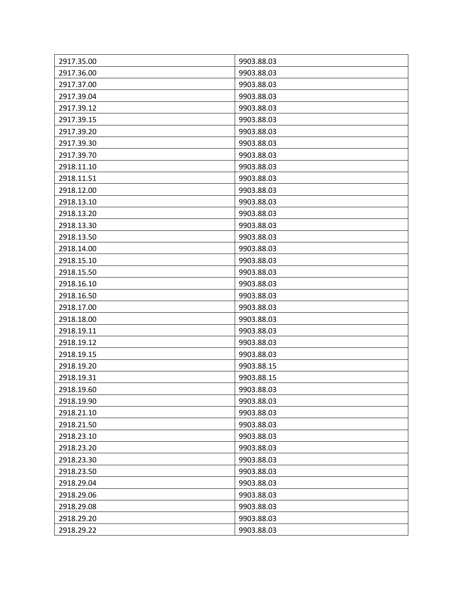| 2917.35.00 | 9903.88.03 |
|------------|------------|
| 2917.36.00 | 9903.88.03 |
| 2917.37.00 | 9903.88.03 |
| 2917.39.04 | 9903.88.03 |
| 2917.39.12 | 9903.88.03 |
| 2917.39.15 | 9903.88.03 |
| 2917.39.20 | 9903.88.03 |
| 2917.39.30 | 9903.88.03 |
| 2917.39.70 | 9903.88.03 |
| 2918.11.10 | 9903.88.03 |
| 2918.11.51 | 9903.88.03 |
| 2918.12.00 | 9903.88.03 |
| 2918.13.10 | 9903.88.03 |
| 2918.13.20 | 9903.88.03 |
| 2918.13.30 | 9903.88.03 |
| 2918.13.50 | 9903.88.03 |
| 2918.14.00 | 9903.88.03 |
| 2918.15.10 | 9903.88.03 |
| 2918.15.50 | 9903.88.03 |
| 2918.16.10 | 9903.88.03 |
| 2918.16.50 | 9903.88.03 |
| 2918.17.00 | 9903.88.03 |
| 2918.18.00 | 9903.88.03 |
| 2918.19.11 | 9903.88.03 |
| 2918.19.12 | 9903.88.03 |
| 2918.19.15 | 9903.88.03 |
| 2918.19.20 | 9903.88.15 |
| 2918.19.31 | 9903.88.15 |
| 2918.19.60 | 9903.88.03 |
| 2918.19.90 | 9903.88.03 |
| 2918.21.10 | 9903.88.03 |
| 2918.21.50 | 9903.88.03 |
| 2918.23.10 | 9903.88.03 |
| 2918.23.20 | 9903.88.03 |
| 2918.23.30 | 9903.88.03 |
| 2918.23.50 | 9903.88.03 |
| 2918.29.04 | 9903.88.03 |
| 2918.29.06 | 9903.88.03 |
| 2918.29.08 | 9903.88.03 |
| 2918.29.20 | 9903.88.03 |
| 2918.29.22 | 9903.88.03 |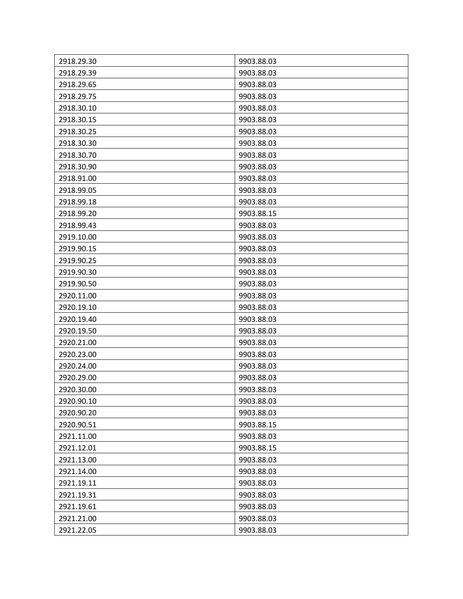| 2918.29.30 | 9903.88.03 |
|------------|------------|
| 2918.29.39 | 9903.88.03 |
| 2918.29.65 | 9903.88.03 |
| 2918.29.75 | 9903.88.03 |
| 2918.30.10 | 9903.88.03 |
| 2918.30.15 | 9903.88.03 |
| 2918.30.25 | 9903.88.03 |
| 2918.30.30 | 9903.88.03 |
| 2918.30.70 | 9903.88.03 |
| 2918.30.90 | 9903.88.03 |
| 2918.91.00 | 9903.88.03 |
| 2918.99.05 | 9903.88.03 |
| 2918.99.18 | 9903.88.03 |
| 2918.99.20 | 9903.88.15 |
| 2918.99.43 | 9903.88.03 |
| 2919.10.00 | 9903.88.03 |
| 2919.90.15 | 9903.88.03 |
| 2919.90.25 | 9903.88.03 |
| 2919.90.30 | 9903.88.03 |
| 2919.90.50 | 9903.88.03 |
| 2920.11.00 | 9903.88.03 |
| 2920.19.10 | 9903.88.03 |
| 2920.19.40 | 9903.88.03 |
| 2920.19.50 | 9903.88.03 |
| 2920.21.00 | 9903.88.03 |
| 2920.23.00 | 9903.88.03 |
| 2920.24.00 | 9903.88.03 |
| 2920.29.00 | 9903.88.03 |
| 2920.30.00 | 9903.88.03 |
| 2920.90.10 | 9903.88.03 |
| 2920.90.20 | 9903.88.03 |
| 2920.90.51 | 9903.88.15 |
| 2921.11.00 | 9903.88.03 |
| 2921.12.01 | 9903.88.15 |
| 2921.13.00 | 9903.88.03 |
| 2921.14.00 | 9903.88.03 |
| 2921.19.11 | 9903.88.03 |
| 2921.19.31 | 9903.88.03 |
| 2921.19.61 | 9903.88.03 |
| 2921.21.00 | 9903.88.03 |
| 2921.22.05 | 9903.88.03 |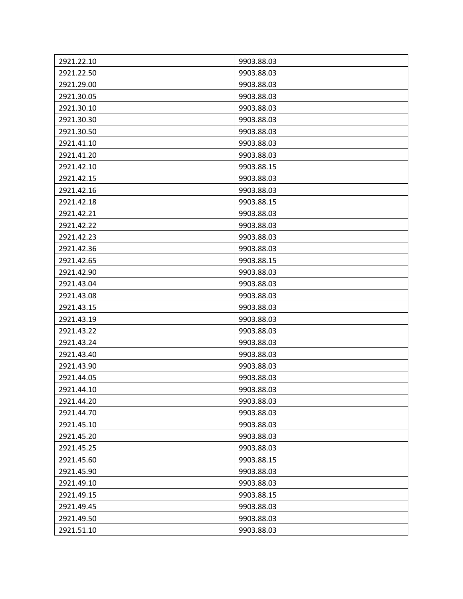| 2921.22.10 | 9903.88.03 |
|------------|------------|
| 2921.22.50 | 9903.88.03 |
| 2921.29.00 | 9903.88.03 |
| 2921.30.05 | 9903.88.03 |
| 2921.30.10 | 9903.88.03 |
| 2921.30.30 | 9903.88.03 |
| 2921.30.50 | 9903.88.03 |
| 2921.41.10 | 9903.88.03 |
| 2921.41.20 | 9903.88.03 |
| 2921.42.10 | 9903.88.15 |
| 2921.42.15 | 9903.88.03 |
| 2921.42.16 | 9903.88.03 |
| 2921.42.18 | 9903.88.15 |
| 2921.42.21 | 9903.88.03 |
| 2921.42.22 | 9903.88.03 |
| 2921.42.23 | 9903.88.03 |
| 2921.42.36 | 9903.88.03 |
| 2921.42.65 | 9903.88.15 |
| 2921.42.90 | 9903.88.03 |
| 2921.43.04 | 9903.88.03 |
| 2921.43.08 | 9903.88.03 |
| 2921.43.15 | 9903.88.03 |
| 2921.43.19 | 9903.88.03 |
| 2921.43.22 | 9903.88.03 |
| 2921.43.24 | 9903.88.03 |
| 2921.43.40 | 9903.88.03 |
| 2921.43.90 | 9903.88.03 |
| 2921.44.05 | 9903.88.03 |
| 2921.44.10 | 9903.88.03 |
| 2921.44.20 | 9903.88.03 |
| 2921.44.70 | 9903.88.03 |
| 2921.45.10 | 9903.88.03 |
| 2921.45.20 | 9903.88.03 |
| 2921.45.25 | 9903.88.03 |
| 2921.45.60 | 9903.88.15 |
| 2921.45.90 | 9903.88.03 |
| 2921.49.10 | 9903.88.03 |
| 2921.49.15 | 9903.88.15 |
| 2921.49.45 | 9903.88.03 |
| 2921.49.50 | 9903.88.03 |
| 2921.51.10 | 9903.88.03 |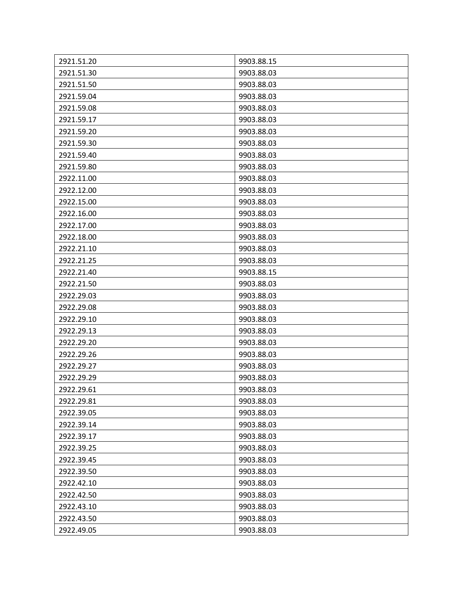| 2921.51.20 | 9903.88.15 |
|------------|------------|
| 2921.51.30 | 9903.88.03 |
| 2921.51.50 | 9903.88.03 |
| 2921.59.04 | 9903.88.03 |
| 2921.59.08 | 9903.88.03 |
| 2921.59.17 | 9903.88.03 |
| 2921.59.20 | 9903.88.03 |
| 2921.59.30 | 9903.88.03 |
| 2921.59.40 | 9903.88.03 |
| 2921.59.80 | 9903.88.03 |
| 2922.11.00 | 9903.88.03 |
| 2922.12.00 | 9903.88.03 |
| 2922.15.00 | 9903.88.03 |
| 2922.16.00 | 9903.88.03 |
| 2922.17.00 | 9903.88.03 |
| 2922.18.00 | 9903.88.03 |
| 2922.21.10 | 9903.88.03 |
| 2922.21.25 | 9903.88.03 |
| 2922.21.40 | 9903.88.15 |
| 2922.21.50 | 9903.88.03 |
| 2922.29.03 | 9903.88.03 |
| 2922.29.08 | 9903.88.03 |
| 2922.29.10 | 9903.88.03 |
| 2922.29.13 | 9903.88.03 |
| 2922.29.20 | 9903.88.03 |
| 2922.29.26 | 9903.88.03 |
| 2922.29.27 | 9903.88.03 |
| 2922.29.29 | 9903.88.03 |
| 2922.29.61 | 9903.88.03 |
| 2922.29.81 | 9903.88.03 |
| 2922.39.05 | 9903.88.03 |
| 2922.39.14 | 9903.88.03 |
| 2922.39.17 | 9903.88.03 |
| 2922.39.25 | 9903.88.03 |
| 2922.39.45 | 9903.88.03 |
| 2922.39.50 | 9903.88.03 |
| 2922.42.10 | 9903.88.03 |
| 2922.42.50 | 9903.88.03 |
| 2922.43.10 | 9903.88.03 |
| 2922.43.50 | 9903.88.03 |
| 2922.49.05 | 9903.88.03 |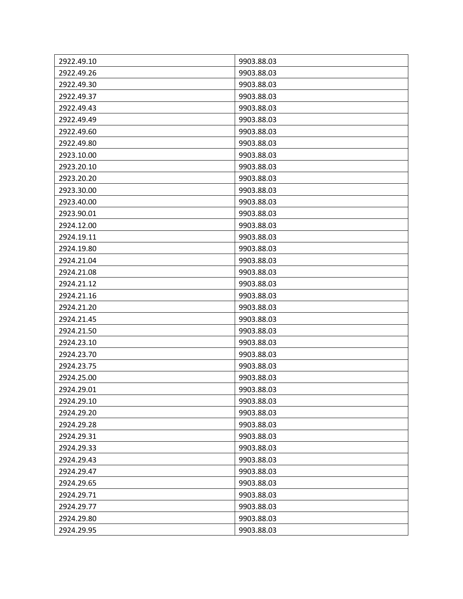| 2922.49.10 | 9903.88.03 |
|------------|------------|
| 2922.49.26 | 9903.88.03 |
| 2922.49.30 | 9903.88.03 |
| 2922.49.37 | 9903.88.03 |
| 2922.49.43 | 9903.88.03 |
| 2922.49.49 | 9903.88.03 |
| 2922.49.60 | 9903.88.03 |
| 2922.49.80 | 9903.88.03 |
| 2923.10.00 | 9903.88.03 |
| 2923.20.10 | 9903.88.03 |
| 2923.20.20 | 9903.88.03 |
| 2923.30.00 | 9903.88.03 |
| 2923.40.00 | 9903.88.03 |
| 2923.90.01 | 9903.88.03 |
| 2924.12.00 | 9903.88.03 |
| 2924.19.11 | 9903.88.03 |
| 2924.19.80 | 9903.88.03 |
| 2924.21.04 | 9903.88.03 |
| 2924.21.08 | 9903.88.03 |
| 2924.21.12 | 9903.88.03 |
| 2924.21.16 | 9903.88.03 |
| 2924.21.20 | 9903.88.03 |
| 2924.21.45 | 9903.88.03 |
| 2924.21.50 | 9903.88.03 |
| 2924.23.10 | 9903.88.03 |
| 2924.23.70 | 9903.88.03 |
| 2924.23.75 | 9903.88.03 |
| 2924.25.00 | 9903.88.03 |
| 2924.29.01 | 9903.88.03 |
| 2924.29.10 | 9903.88.03 |
| 2924.29.20 | 9903.88.03 |
| 2924.29.28 | 9903.88.03 |
| 2924.29.31 | 9903.88.03 |
| 2924.29.33 | 9903.88.03 |
| 2924.29.43 | 9903.88.03 |
| 2924.29.47 | 9903.88.03 |
| 2924.29.65 | 9903.88.03 |
| 2924.29.71 | 9903.88.03 |
| 2924.29.77 | 9903.88.03 |
| 2924.29.80 | 9903.88.03 |
| 2924.29.95 | 9903.88.03 |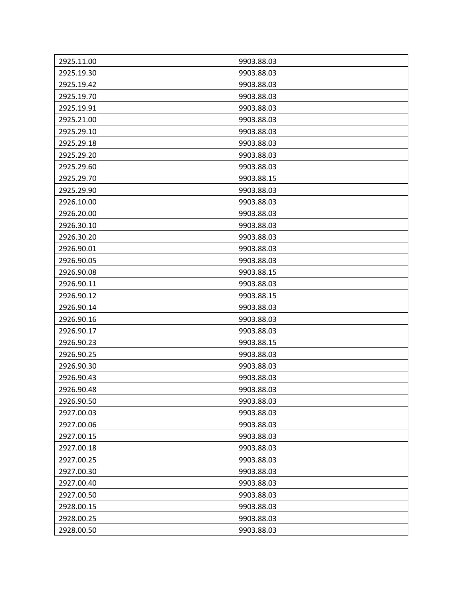| 2925.11.00 | 9903.88.03 |
|------------|------------|
| 2925.19.30 | 9903.88.03 |
| 2925.19.42 | 9903.88.03 |
| 2925.19.70 | 9903.88.03 |
| 2925.19.91 | 9903.88.03 |
| 2925.21.00 | 9903.88.03 |
| 2925.29.10 | 9903.88.03 |
| 2925.29.18 | 9903.88.03 |
| 2925.29.20 | 9903.88.03 |
| 2925.29.60 | 9903.88.03 |
| 2925.29.70 | 9903.88.15 |
| 2925.29.90 | 9903.88.03 |
| 2926.10.00 | 9903.88.03 |
| 2926.20.00 | 9903.88.03 |
| 2926.30.10 | 9903.88.03 |
| 2926.30.20 | 9903.88.03 |
| 2926.90.01 | 9903.88.03 |
| 2926.90.05 | 9903.88.03 |
| 2926.90.08 | 9903.88.15 |
| 2926.90.11 | 9903.88.03 |
| 2926.90.12 | 9903.88.15 |
| 2926.90.14 | 9903.88.03 |
| 2926.90.16 | 9903.88.03 |
| 2926.90.17 | 9903.88.03 |
| 2926.90.23 | 9903.88.15 |
| 2926.90.25 | 9903.88.03 |
| 2926.90.30 | 9903.88.03 |
| 2926.90.43 | 9903.88.03 |
| 2926.90.48 | 9903.88.03 |
| 2926.90.50 | 9903.88.03 |
| 2927.00.03 | 9903.88.03 |
| 2927.00.06 | 9903.88.03 |
| 2927.00.15 | 9903.88.03 |
| 2927.00.18 | 9903.88.03 |
| 2927.00.25 | 9903.88.03 |
| 2927.00.30 | 9903.88.03 |
| 2927.00.40 | 9903.88.03 |
| 2927.00.50 | 9903.88.03 |
| 2928.00.15 | 9903.88.03 |
| 2928.00.25 | 9903.88.03 |
| 2928.00.50 | 9903.88.03 |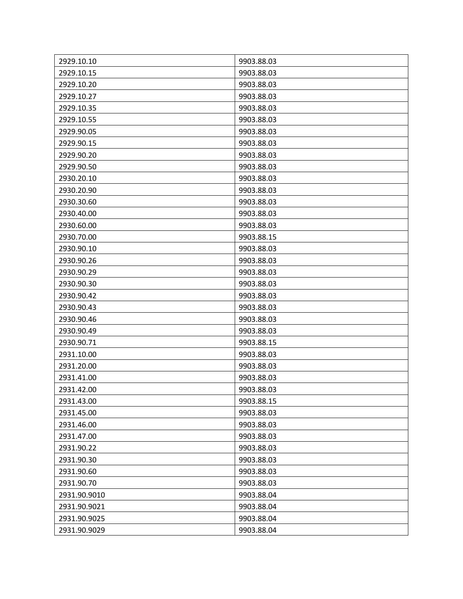| 2929.10.10<br>9903.88.03   |  |
|----------------------------|--|
| 2929.10.15<br>9903.88.03   |  |
| 2929.10.20<br>9903.88.03   |  |
| 2929.10.27<br>9903.88.03   |  |
| 2929.10.35<br>9903.88.03   |  |
| 2929.10.55<br>9903.88.03   |  |
| 2929.90.05<br>9903.88.03   |  |
| 2929.90.15<br>9903.88.03   |  |
| 2929.90.20<br>9903.88.03   |  |
| 2929.90.50<br>9903.88.03   |  |
| 2930.20.10<br>9903.88.03   |  |
| 2930.20.90<br>9903.88.03   |  |
| 2930.30.60<br>9903.88.03   |  |
| 2930.40.00<br>9903.88.03   |  |
| 2930.60.00<br>9903.88.03   |  |
| 2930.70.00<br>9903.88.15   |  |
| 2930.90.10<br>9903.88.03   |  |
| 2930.90.26<br>9903.88.03   |  |
| 2930.90.29<br>9903.88.03   |  |
| 2930.90.30<br>9903.88.03   |  |
| 2930.90.42<br>9903.88.03   |  |
| 2930.90.43<br>9903.88.03   |  |
| 2930.90.46<br>9903.88.03   |  |
| 2930.90.49<br>9903.88.03   |  |
| 2930.90.71<br>9903.88.15   |  |
| 2931.10.00<br>9903.88.03   |  |
| 2931.20.00<br>9903.88.03   |  |
| 2931.41.00<br>9903.88.03   |  |
| 2931.42.00<br>9903.88.03   |  |
| 2931.43.00<br>9903.88.15   |  |
| 2931.45.00<br>9903.88.03   |  |
| 2931.46.00<br>9903.88.03   |  |
| 2931.47.00<br>9903.88.03   |  |
| 2931.90.22<br>9903.88.03   |  |
| 2931.90.30<br>9903.88.03   |  |
| 2931.90.60<br>9903.88.03   |  |
| 2931.90.70<br>9903.88.03   |  |
| 2931.90.9010<br>9903.88.04 |  |
| 2931.90.9021<br>9903.88.04 |  |
| 2931.90.9025<br>9903.88.04 |  |
| 2931.90.9029<br>9903.88.04 |  |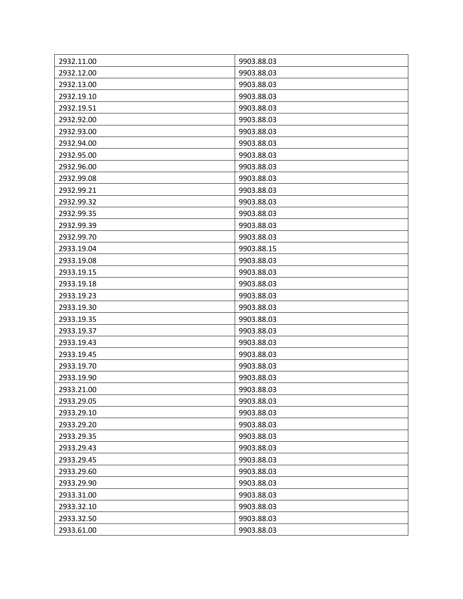| 2932.11.00<br>9903.88.03 |
|--------------------------|
| 2932.12.00<br>9903.88.03 |
| 2932.13.00<br>9903.88.03 |
| 2932.19.10<br>9903.88.03 |
| 2932.19.51<br>9903.88.03 |
| 2932.92.00<br>9903.88.03 |
| 2932.93.00<br>9903.88.03 |
| 2932.94.00<br>9903.88.03 |
| 2932.95.00<br>9903.88.03 |
| 2932.96.00<br>9903.88.03 |
| 2932.99.08<br>9903.88.03 |
| 2932.99.21<br>9903.88.03 |
| 2932.99.32<br>9903.88.03 |
| 2932.99.35<br>9903.88.03 |
| 2932.99.39<br>9903.88.03 |
| 2932.99.70<br>9903.88.03 |
| 2933.19.04<br>9903.88.15 |
| 2933.19.08<br>9903.88.03 |
| 2933.19.15<br>9903.88.03 |
| 2933.19.18<br>9903.88.03 |
| 2933.19.23<br>9903.88.03 |
| 2933.19.30<br>9903.88.03 |
| 2933.19.35<br>9903.88.03 |
| 2933.19.37<br>9903.88.03 |
| 2933.19.43<br>9903.88.03 |
| 2933.19.45<br>9903.88.03 |
| 2933.19.70<br>9903.88.03 |
| 9903.88.03<br>2933.19.90 |
| 2933.21.00<br>9903.88.03 |
| 9903.88.03<br>2933.29.05 |
| 2933.29.10<br>9903.88.03 |
| 2933.29.20<br>9903.88.03 |
| 2933.29.35<br>9903.88.03 |
| 2933.29.43<br>9903.88.03 |
| 2933.29.45<br>9903.88.03 |
| 2933.29.60<br>9903.88.03 |
| 2933.29.90<br>9903.88.03 |
| 2933.31.00<br>9903.88.03 |
| 2933.32.10<br>9903.88.03 |
| 2933.32.50<br>9903.88.03 |
| 2933.61.00<br>9903.88.03 |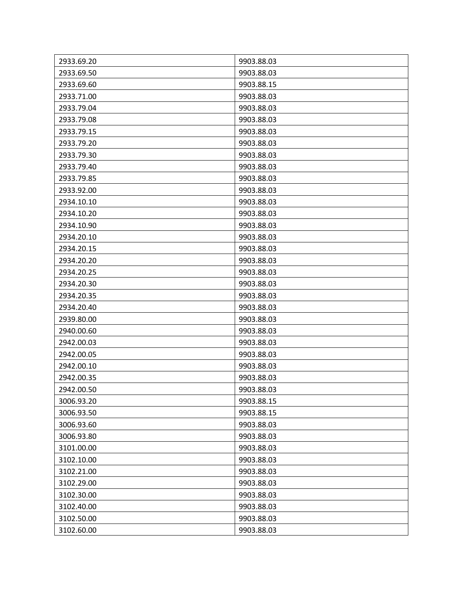| 2933.69.20 | 9903.88.03 |
|------------|------------|
| 2933.69.50 | 9903.88.03 |
| 2933.69.60 | 9903.88.15 |
| 2933.71.00 | 9903.88.03 |
| 2933.79.04 | 9903.88.03 |
| 2933.79.08 | 9903.88.03 |
| 2933.79.15 | 9903.88.03 |
| 2933.79.20 | 9903.88.03 |
| 2933.79.30 | 9903.88.03 |
| 2933.79.40 | 9903.88.03 |
| 2933.79.85 | 9903.88.03 |
| 2933.92.00 | 9903.88.03 |
| 2934.10.10 | 9903.88.03 |
| 2934.10.20 | 9903.88.03 |
| 2934.10.90 | 9903.88.03 |
| 2934.20.10 | 9903.88.03 |
| 2934.20.15 | 9903.88.03 |
| 2934.20.20 | 9903.88.03 |
| 2934.20.25 | 9903.88.03 |
| 2934.20.30 | 9903.88.03 |
| 2934.20.35 | 9903.88.03 |
| 2934.20.40 | 9903.88.03 |
| 2939.80.00 | 9903.88.03 |
| 2940.00.60 | 9903.88.03 |
| 2942.00.03 | 9903.88.03 |
| 2942.00.05 | 9903.88.03 |
| 2942.00.10 | 9903.88.03 |
| 2942.00.35 | 9903.88.03 |
| 2942.00.50 | 9903.88.03 |
| 3006.93.20 | 9903.88.15 |
| 3006.93.50 | 9903.88.15 |
| 3006.93.60 | 9903.88.03 |
| 3006.93.80 | 9903.88.03 |
| 3101.00.00 | 9903.88.03 |
| 3102.10.00 | 9903.88.03 |
| 3102.21.00 | 9903.88.03 |
| 3102.29.00 | 9903.88.03 |
| 3102.30.00 | 9903.88.03 |
| 3102.40.00 | 9903.88.03 |
| 3102.50.00 | 9903.88.03 |
| 3102.60.00 | 9903.88.03 |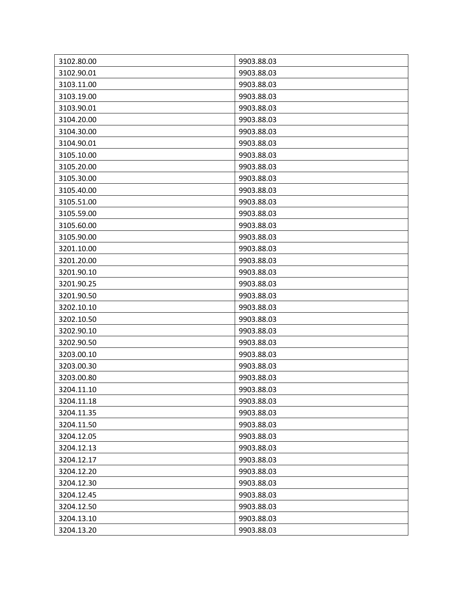| 3102.80.00 | 9903.88.03 |
|------------|------------|
| 3102.90.01 | 9903.88.03 |
| 3103.11.00 | 9903.88.03 |
| 3103.19.00 | 9903.88.03 |
| 3103.90.01 | 9903.88.03 |
| 3104.20.00 | 9903.88.03 |
| 3104.30.00 | 9903.88.03 |
| 3104.90.01 | 9903.88.03 |
| 3105.10.00 | 9903.88.03 |
| 3105.20.00 | 9903.88.03 |
| 3105.30.00 | 9903.88.03 |
| 3105.40.00 | 9903.88.03 |
| 3105.51.00 | 9903.88.03 |
| 3105.59.00 | 9903.88.03 |
| 3105.60.00 | 9903.88.03 |
| 3105.90.00 | 9903.88.03 |
| 3201.10.00 | 9903.88.03 |
| 3201.20.00 | 9903.88.03 |
| 3201.90.10 | 9903.88.03 |
| 3201.90.25 | 9903.88.03 |
| 3201.90.50 | 9903.88.03 |
| 3202.10.10 | 9903.88.03 |
| 3202.10.50 | 9903.88.03 |
| 3202.90.10 | 9903.88.03 |
| 3202.90.50 | 9903.88.03 |
| 3203.00.10 | 9903.88.03 |
| 3203.00.30 | 9903.88.03 |
| 3203.00.80 | 9903.88.03 |
| 3204.11.10 | 9903.88.03 |
| 3204.11.18 | 9903.88.03 |
| 3204.11.35 | 9903.88.03 |
| 3204.11.50 | 9903.88.03 |
| 3204.12.05 | 9903.88.03 |
| 3204.12.13 | 9903.88.03 |
| 3204.12.17 | 9903.88.03 |
| 3204.12.20 | 9903.88.03 |
| 3204.12.30 | 9903.88.03 |
| 3204.12.45 | 9903.88.03 |
| 3204.12.50 | 9903.88.03 |
| 3204.13.10 | 9903.88.03 |
| 3204.13.20 | 9903.88.03 |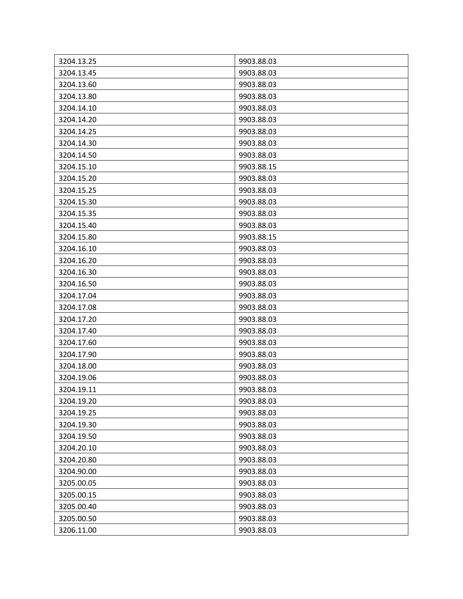| 3204.13.25 | 9903.88.03 |
|------------|------------|
| 3204.13.45 | 9903.88.03 |
| 3204.13.60 | 9903.88.03 |
| 3204.13.80 | 9903.88.03 |
| 3204.14.10 | 9903.88.03 |
| 3204.14.20 | 9903.88.03 |
| 3204.14.25 | 9903.88.03 |
| 3204.14.30 | 9903.88.03 |
| 3204.14.50 | 9903.88.03 |
| 3204.15.10 | 9903.88.15 |
| 3204.15.20 | 9903.88.03 |
| 3204.15.25 | 9903.88.03 |
| 3204.15.30 | 9903.88.03 |
| 3204.15.35 | 9903.88.03 |
| 3204.15.40 | 9903.88.03 |
| 3204.15.80 | 9903.88.15 |
| 3204.16.10 | 9903.88.03 |
| 3204.16.20 | 9903.88.03 |
| 3204.16.30 | 9903.88.03 |
| 3204.16.50 | 9903.88.03 |
| 3204.17.04 | 9903.88.03 |
| 3204.17.08 | 9903.88.03 |
| 3204.17.20 | 9903.88.03 |
| 3204.17.40 | 9903.88.03 |
| 3204.17.60 | 9903.88.03 |
| 3204.17.90 | 9903.88.03 |
| 3204.18.00 | 9903.88.03 |
| 3204.19.06 | 9903.88.03 |
| 3204.19.11 | 9903.88.03 |
| 3204.19.20 | 9903.88.03 |
| 3204.19.25 | 9903.88.03 |
| 3204.19.30 | 9903.88.03 |
| 3204.19.50 | 9903.88.03 |
| 3204.20.10 | 9903.88.03 |
| 3204.20.80 | 9903.88.03 |
| 3204.90.00 | 9903.88.03 |
| 3205.00.05 | 9903.88.03 |
| 3205.00.15 | 9903.88.03 |
| 3205.00.40 | 9903.88.03 |
| 3205.00.50 | 9903.88.03 |
| 3206.11.00 | 9903.88.03 |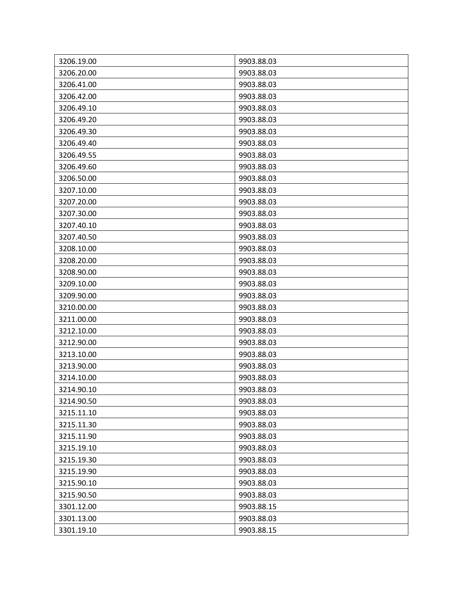| 3206.19.00 | 9903.88.03 |
|------------|------------|
| 3206.20.00 | 9903.88.03 |
| 3206.41.00 | 9903.88.03 |
| 3206.42.00 | 9903.88.03 |
| 3206.49.10 | 9903.88.03 |
| 3206.49.20 | 9903.88.03 |
| 3206.49.30 | 9903.88.03 |
| 3206.49.40 | 9903.88.03 |
| 3206.49.55 | 9903.88.03 |
| 3206.49.60 | 9903.88.03 |
| 3206.50.00 | 9903.88.03 |
| 3207.10.00 | 9903.88.03 |
| 3207.20.00 | 9903.88.03 |
| 3207.30.00 | 9903.88.03 |
| 3207.40.10 | 9903.88.03 |
| 3207.40.50 | 9903.88.03 |
| 3208.10.00 | 9903.88.03 |
| 3208.20.00 | 9903.88.03 |
| 3208.90.00 | 9903.88.03 |
| 3209.10.00 | 9903.88.03 |
| 3209.90.00 | 9903.88.03 |
| 3210.00.00 | 9903.88.03 |
| 3211.00.00 | 9903.88.03 |
| 3212.10.00 | 9903.88.03 |
| 3212.90.00 | 9903.88.03 |
| 3213.10.00 | 9903.88.03 |
| 3213.90.00 | 9903.88.03 |
| 3214.10.00 | 9903.88.03 |
| 3214.90.10 | 9903.88.03 |
| 3214.90.50 | 9903.88.03 |
| 3215.11.10 | 9903.88.03 |
| 3215.11.30 | 9903.88.03 |
| 3215.11.90 | 9903.88.03 |
| 3215.19.10 | 9903.88.03 |
| 3215.19.30 | 9903.88.03 |
| 3215.19.90 | 9903.88.03 |
| 3215.90.10 | 9903.88.03 |
| 3215.90.50 | 9903.88.03 |
| 3301.12.00 | 9903.88.15 |
| 3301.13.00 | 9903.88.03 |
| 3301.19.10 | 9903.88.15 |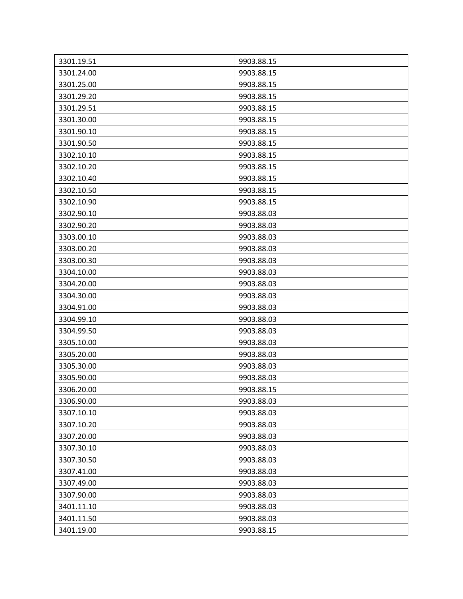| 3301.19.51 | 9903.88.15 |
|------------|------------|
| 3301.24.00 | 9903.88.15 |
| 3301.25.00 | 9903.88.15 |
| 3301.29.20 | 9903.88.15 |
| 3301.29.51 | 9903.88.15 |
| 3301.30.00 | 9903.88.15 |
| 3301.90.10 | 9903.88.15 |
| 3301.90.50 | 9903.88.15 |
| 3302.10.10 | 9903.88.15 |
| 3302.10.20 | 9903.88.15 |
| 3302.10.40 | 9903.88.15 |
| 3302.10.50 | 9903.88.15 |
| 3302.10.90 | 9903.88.15 |
| 3302.90.10 | 9903.88.03 |
| 3302.90.20 | 9903.88.03 |
| 3303.00.10 | 9903.88.03 |
| 3303.00.20 | 9903.88.03 |
| 3303.00.30 | 9903.88.03 |
| 3304.10.00 | 9903.88.03 |
| 3304.20.00 | 9903.88.03 |
| 3304.30.00 | 9903.88.03 |
| 3304.91.00 | 9903.88.03 |
| 3304.99.10 | 9903.88.03 |
| 3304.99.50 | 9903.88.03 |
| 3305.10.00 | 9903.88.03 |
| 3305.20.00 | 9903.88.03 |
| 3305.30.00 | 9903.88.03 |
| 3305.90.00 | 9903.88.03 |
| 3306.20.00 | 9903.88.15 |
| 3306.90.00 | 9903.88.03 |
| 3307.10.10 | 9903.88.03 |
| 3307.10.20 | 9903.88.03 |
| 3307.20.00 | 9903.88.03 |
| 3307.30.10 | 9903.88.03 |
| 3307.30.50 | 9903.88.03 |
| 3307.41.00 | 9903.88.03 |
| 3307.49.00 | 9903.88.03 |
| 3307.90.00 | 9903.88.03 |
| 3401.11.10 | 9903.88.03 |
| 3401.11.50 | 9903.88.03 |
| 3401.19.00 | 9903.88.15 |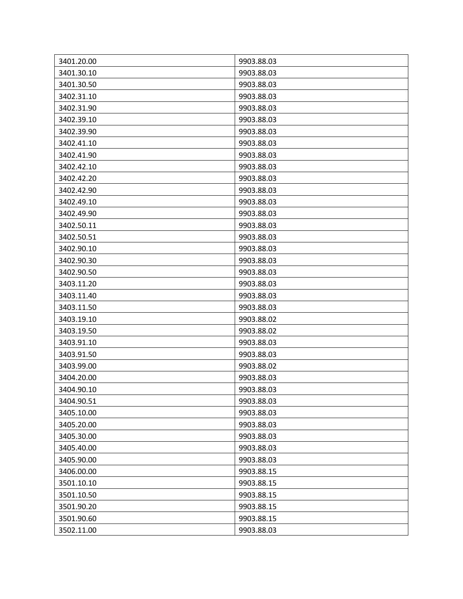| 3401.20.00 | 9903.88.03 |
|------------|------------|
| 3401.30.10 | 9903.88.03 |
| 3401.30.50 | 9903.88.03 |
| 3402.31.10 | 9903.88.03 |
| 3402.31.90 | 9903.88.03 |
| 3402.39.10 | 9903.88.03 |
| 3402.39.90 | 9903.88.03 |
| 3402.41.10 | 9903.88.03 |
| 3402.41.90 | 9903.88.03 |
| 3402.42.10 | 9903.88.03 |
| 3402.42.20 | 9903.88.03 |
| 3402.42.90 | 9903.88.03 |
| 3402.49.10 | 9903.88.03 |
| 3402.49.90 | 9903.88.03 |
| 3402.50.11 | 9903.88.03 |
| 3402.50.51 | 9903.88.03 |
| 3402.90.10 | 9903.88.03 |
| 3402.90.30 | 9903.88.03 |
| 3402.90.50 | 9903.88.03 |
| 3403.11.20 | 9903.88.03 |
| 3403.11.40 | 9903.88.03 |
| 3403.11.50 | 9903.88.03 |
| 3403.19.10 | 9903.88.02 |
| 3403.19.50 | 9903.88.02 |
| 3403.91.10 | 9903.88.03 |
| 3403.91.50 | 9903.88.03 |
| 3403.99.00 | 9903.88.02 |
| 3404.20.00 | 9903.88.03 |
| 3404.90.10 | 9903.88.03 |
| 3404.90.51 | 9903.88.03 |
| 3405.10.00 | 9903.88.03 |
| 3405.20.00 | 9903.88.03 |
| 3405.30.00 | 9903.88.03 |
| 3405.40.00 | 9903.88.03 |
| 3405.90.00 | 9903.88.03 |
| 3406.00.00 | 9903.88.15 |
| 3501.10.10 | 9903.88.15 |
| 3501.10.50 | 9903.88.15 |
| 3501.90.20 | 9903.88.15 |
| 3501.90.60 | 9903.88.15 |
| 3502.11.00 | 9903.88.03 |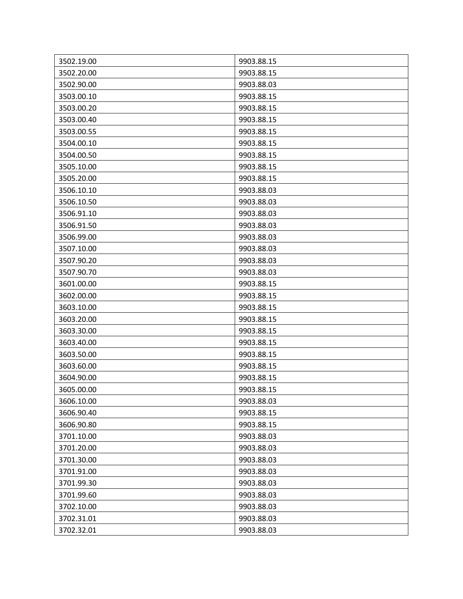| 3502.19.00 | 9903.88.15 |
|------------|------------|
| 3502.20.00 | 9903.88.15 |
| 3502.90.00 | 9903.88.03 |
| 3503.00.10 | 9903.88.15 |
| 3503.00.20 | 9903.88.15 |
| 3503.00.40 | 9903.88.15 |
| 3503.00.55 | 9903.88.15 |
| 3504.00.10 | 9903.88.15 |
| 3504.00.50 | 9903.88.15 |
| 3505.10.00 | 9903.88.15 |
| 3505.20.00 | 9903.88.15 |
| 3506.10.10 | 9903.88.03 |
| 3506.10.50 | 9903.88.03 |
| 3506.91.10 | 9903.88.03 |
| 3506.91.50 | 9903.88.03 |
| 3506.99.00 | 9903.88.03 |
| 3507.10.00 | 9903.88.03 |
| 3507.90.20 | 9903.88.03 |
| 3507.90.70 | 9903.88.03 |
| 3601.00.00 | 9903.88.15 |
| 3602.00.00 | 9903.88.15 |
| 3603.10.00 | 9903.88.15 |
| 3603.20.00 | 9903.88.15 |
| 3603.30.00 | 9903.88.15 |
| 3603.40.00 | 9903.88.15 |
| 3603.50.00 | 9903.88.15 |
| 3603.60.00 | 9903.88.15 |
| 3604.90.00 | 9903.88.15 |
| 3605.00.00 | 9903.88.15 |
| 3606.10.00 | 9903.88.03 |
| 3606.90.40 | 9903.88.15 |
| 3606.90.80 | 9903.88.15 |
| 3701.10.00 | 9903.88.03 |
| 3701.20.00 | 9903.88.03 |
| 3701.30.00 | 9903.88.03 |
| 3701.91.00 | 9903.88.03 |
| 3701.99.30 | 9903.88.03 |
| 3701.99.60 | 9903.88.03 |
| 3702.10.00 | 9903.88.03 |
| 3702.31.01 | 9903.88.03 |
| 3702.32.01 | 9903.88.03 |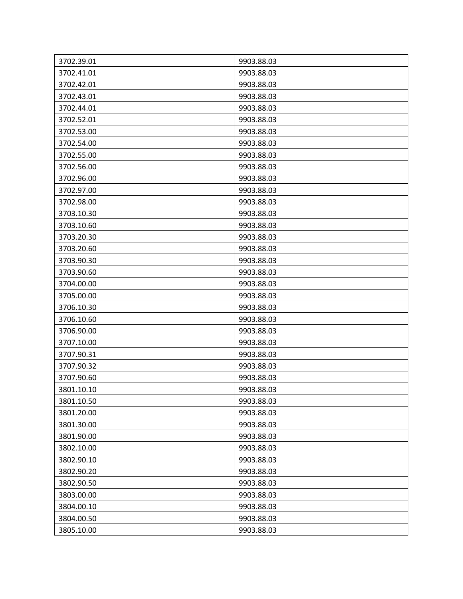| 3702.39.01 | 9903.88.03 |
|------------|------------|
| 3702.41.01 | 9903.88.03 |
| 3702.42.01 | 9903.88.03 |
| 3702.43.01 | 9903.88.03 |
| 3702.44.01 | 9903.88.03 |
| 3702.52.01 | 9903.88.03 |
| 3702.53.00 | 9903.88.03 |
| 3702.54.00 | 9903.88.03 |
| 3702.55.00 | 9903.88.03 |
| 3702.56.00 | 9903.88.03 |
| 3702.96.00 | 9903.88.03 |
| 3702.97.00 | 9903.88.03 |
| 3702.98.00 | 9903.88.03 |
| 3703.10.30 | 9903.88.03 |
| 3703.10.60 | 9903.88.03 |
| 3703.20.30 | 9903.88.03 |
| 3703.20.60 | 9903.88.03 |
| 3703.90.30 | 9903.88.03 |
| 3703.90.60 | 9903.88.03 |
| 3704.00.00 | 9903.88.03 |
| 3705.00.00 | 9903.88.03 |
| 3706.10.30 | 9903.88.03 |
| 3706.10.60 | 9903.88.03 |
| 3706.90.00 | 9903.88.03 |
| 3707.10.00 | 9903.88.03 |
| 3707.90.31 | 9903.88.03 |
| 3707.90.32 | 9903.88.03 |
| 3707.90.60 | 9903.88.03 |
| 3801.10.10 | 9903.88.03 |
| 3801.10.50 | 9903.88.03 |
| 3801.20.00 | 9903.88.03 |
| 3801.30.00 | 9903.88.03 |
| 3801.90.00 | 9903.88.03 |
| 3802.10.00 | 9903.88.03 |
| 3802.90.10 | 9903.88.03 |
| 3802.90.20 | 9903.88.03 |
| 3802.90.50 | 9903.88.03 |
| 3803.00.00 | 9903.88.03 |
| 3804.00.10 | 9903.88.03 |
| 3804.00.50 | 9903.88.03 |
| 3805.10.00 | 9903.88.03 |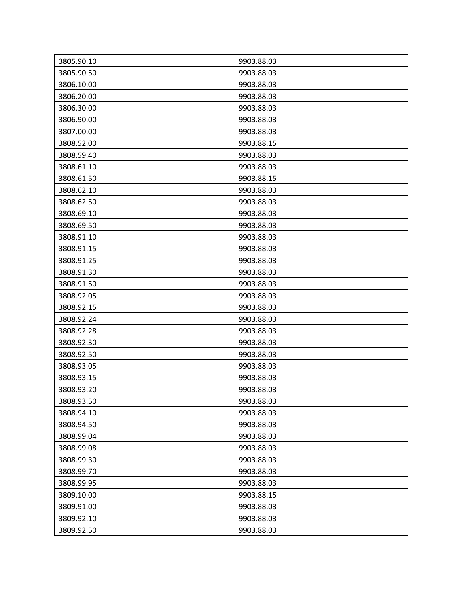| 3805.90.10 | 9903.88.03 |
|------------|------------|
| 3805.90.50 | 9903.88.03 |
| 3806.10.00 | 9903.88.03 |
| 3806.20.00 | 9903.88.03 |
| 3806.30.00 | 9903.88.03 |
| 3806.90.00 | 9903.88.03 |
| 3807.00.00 | 9903.88.03 |
| 3808.52.00 | 9903.88.15 |
| 3808.59.40 | 9903.88.03 |
| 3808.61.10 | 9903.88.03 |
| 3808.61.50 | 9903.88.15 |
| 3808.62.10 | 9903.88.03 |
| 3808.62.50 | 9903.88.03 |
| 3808.69.10 | 9903.88.03 |
| 3808.69.50 | 9903.88.03 |
| 3808.91.10 | 9903.88.03 |
| 3808.91.15 | 9903.88.03 |
| 3808.91.25 | 9903.88.03 |
| 3808.91.30 | 9903.88.03 |
| 3808.91.50 | 9903.88.03 |
| 3808.92.05 | 9903.88.03 |
| 3808.92.15 | 9903.88.03 |
| 3808.92.24 | 9903.88.03 |
| 3808.92.28 | 9903.88.03 |
| 3808.92.30 | 9903.88.03 |
| 3808.92.50 | 9903.88.03 |
| 3808.93.05 | 9903.88.03 |
| 3808.93.15 | 9903.88.03 |
| 3808.93.20 | 9903.88.03 |
| 3808.93.50 | 9903.88.03 |
| 3808.94.10 | 9903.88.03 |
| 3808.94.50 | 9903.88.03 |
| 3808.99.04 | 9903.88.03 |
| 3808.99.08 | 9903.88.03 |
| 3808.99.30 | 9903.88.03 |
| 3808.99.70 | 9903.88.03 |
| 3808.99.95 | 9903.88.03 |
| 3809.10.00 | 9903.88.15 |
| 3809.91.00 | 9903.88.03 |
| 3809.92.10 | 9903.88.03 |
| 3809.92.50 | 9903.88.03 |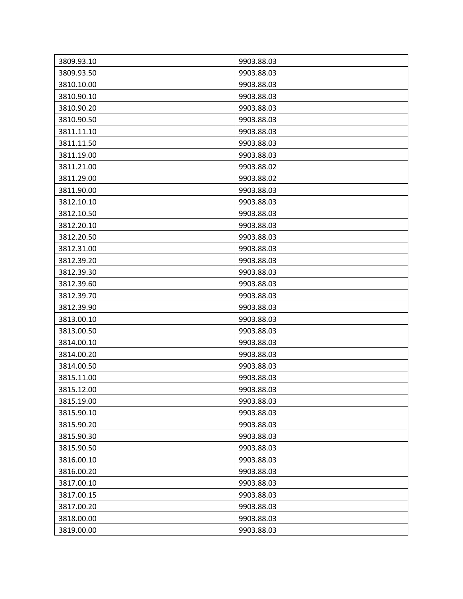| 3809.93.10 | 9903.88.03 |
|------------|------------|
| 3809.93.50 | 9903.88.03 |
| 3810.10.00 | 9903.88.03 |
| 3810.90.10 | 9903.88.03 |
| 3810.90.20 | 9903.88.03 |
| 3810.90.50 | 9903.88.03 |
| 3811.11.10 | 9903.88.03 |
| 3811.11.50 | 9903.88.03 |
| 3811.19.00 | 9903.88.03 |
| 3811.21.00 | 9903.88.02 |
| 3811.29.00 | 9903.88.02 |
| 3811.90.00 | 9903.88.03 |
| 3812.10.10 | 9903.88.03 |
| 3812.10.50 | 9903.88.03 |
| 3812.20.10 | 9903.88.03 |
| 3812.20.50 | 9903.88.03 |
| 3812.31.00 | 9903.88.03 |
| 3812.39.20 | 9903.88.03 |
| 3812.39.30 | 9903.88.03 |
| 3812.39.60 | 9903.88.03 |
| 3812.39.70 | 9903.88.03 |
| 3812.39.90 | 9903.88.03 |
| 3813.00.10 | 9903.88.03 |
| 3813.00.50 | 9903.88.03 |
| 3814.00.10 | 9903.88.03 |
| 3814.00.20 | 9903.88.03 |
| 3814.00.50 | 9903.88.03 |
| 3815.11.00 | 9903.88.03 |
| 3815.12.00 | 9903.88.03 |
| 3815.19.00 | 9903.88.03 |
| 3815.90.10 | 9903.88.03 |
| 3815.90.20 | 9903.88.03 |
| 3815.90.30 | 9903.88.03 |
| 3815.90.50 | 9903.88.03 |
| 3816.00.10 | 9903.88.03 |
| 3816.00.20 | 9903.88.03 |
| 3817.00.10 | 9903.88.03 |
| 3817.00.15 | 9903.88.03 |
| 3817.00.20 | 9903.88.03 |
| 3818.00.00 | 9903.88.03 |
| 3819.00.00 | 9903.88.03 |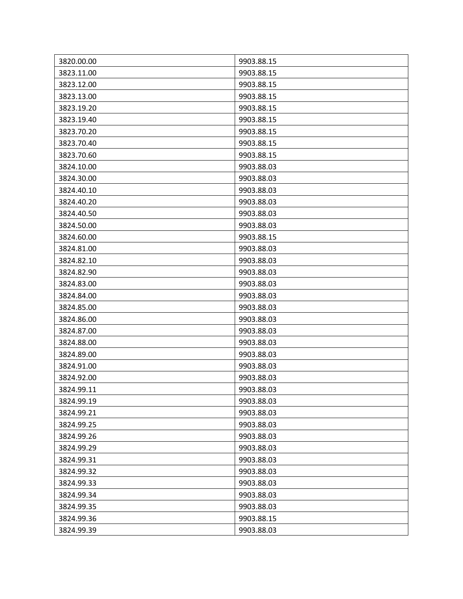| 3820.00.00 | 9903.88.15 |
|------------|------------|
| 3823.11.00 | 9903.88.15 |
| 3823.12.00 | 9903.88.15 |
| 3823.13.00 | 9903.88.15 |
| 3823.19.20 | 9903.88.15 |
| 3823.19.40 | 9903.88.15 |
| 3823.70.20 | 9903.88.15 |
| 3823.70.40 | 9903.88.15 |
| 3823.70.60 | 9903.88.15 |
| 3824.10.00 | 9903.88.03 |
| 3824.30.00 | 9903.88.03 |
| 3824.40.10 | 9903.88.03 |
| 3824.40.20 | 9903.88.03 |
| 3824.40.50 | 9903.88.03 |
| 3824.50.00 | 9903.88.03 |
| 3824.60.00 | 9903.88.15 |
| 3824.81.00 | 9903.88.03 |
| 3824.82.10 | 9903.88.03 |
| 3824.82.90 | 9903.88.03 |
| 3824.83.00 | 9903.88.03 |
| 3824.84.00 | 9903.88.03 |
| 3824.85.00 | 9903.88.03 |
| 3824.86.00 | 9903.88.03 |
| 3824.87.00 | 9903.88.03 |
| 3824.88.00 | 9903.88.03 |
| 3824.89.00 | 9903.88.03 |
| 3824.91.00 | 9903.88.03 |
| 3824.92.00 | 9903.88.03 |
| 3824.99.11 | 9903.88.03 |
| 3824.99.19 | 9903.88.03 |
| 3824.99.21 | 9903.88.03 |
| 3824.99.25 | 9903.88.03 |
| 3824.99.26 | 9903.88.03 |
| 3824.99.29 | 9903.88.03 |
| 3824.99.31 | 9903.88.03 |
| 3824.99.32 | 9903.88.03 |
| 3824.99.33 | 9903.88.03 |
| 3824.99.34 | 9903.88.03 |
| 3824.99.35 | 9903.88.03 |
| 3824.99.36 | 9903.88.15 |
| 3824.99.39 | 9903.88.03 |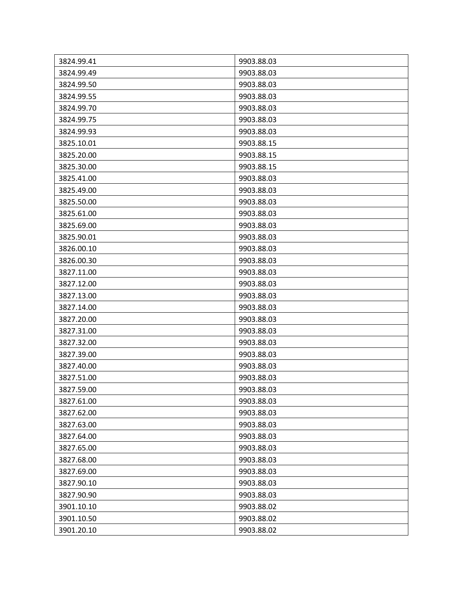| 3824.99.41 | 9903.88.03 |
|------------|------------|
| 3824.99.49 | 9903.88.03 |
| 3824.99.50 | 9903.88.03 |
| 3824.99.55 | 9903.88.03 |
| 3824.99.70 | 9903.88.03 |
| 3824.99.75 | 9903.88.03 |
| 3824.99.93 | 9903.88.03 |
| 3825.10.01 | 9903.88.15 |
| 3825.20.00 | 9903.88.15 |
| 3825.30.00 | 9903.88.15 |
| 3825.41.00 | 9903.88.03 |
| 3825.49.00 | 9903.88.03 |
| 3825.50.00 | 9903.88.03 |
| 3825.61.00 | 9903.88.03 |
| 3825.69.00 | 9903.88.03 |
| 3825.90.01 | 9903.88.03 |
| 3826.00.10 | 9903.88.03 |
| 3826.00.30 | 9903.88.03 |
| 3827.11.00 | 9903.88.03 |
| 3827.12.00 | 9903.88.03 |
| 3827.13.00 | 9903.88.03 |
| 3827.14.00 | 9903.88.03 |
| 3827.20.00 | 9903.88.03 |
| 3827.31.00 | 9903.88.03 |
| 3827.32.00 | 9903.88.03 |
| 3827.39.00 | 9903.88.03 |
| 3827.40.00 | 9903.88.03 |
| 3827.51.00 | 9903.88.03 |
| 3827.59.00 | 9903.88.03 |
| 3827.61.00 | 9903.88.03 |
| 3827.62.00 | 9903.88.03 |
| 3827.63.00 | 9903.88.03 |
| 3827.64.00 | 9903.88.03 |
| 3827.65.00 | 9903.88.03 |
| 3827.68.00 | 9903.88.03 |
| 3827.69.00 | 9903.88.03 |
| 3827.90.10 | 9903.88.03 |
| 3827.90.90 | 9903.88.03 |
| 3901.10.10 | 9903.88.02 |
| 3901.10.50 | 9903.88.02 |
| 3901.20.10 | 9903.88.02 |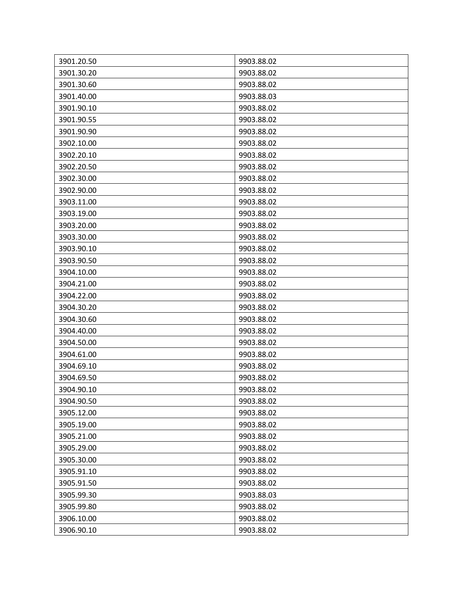| 3901.20.50 | 9903.88.02 |
|------------|------------|
| 3901.30.20 | 9903.88.02 |
| 3901.30.60 | 9903.88.02 |
| 3901.40.00 | 9903.88.03 |
| 3901.90.10 | 9903.88.02 |
| 3901.90.55 | 9903.88.02 |
| 3901.90.90 | 9903.88.02 |
| 3902.10.00 | 9903.88.02 |
| 3902.20.10 | 9903.88.02 |
| 3902.20.50 | 9903.88.02 |
| 3902.30.00 | 9903.88.02 |
| 3902.90.00 | 9903.88.02 |
| 3903.11.00 | 9903.88.02 |
| 3903.19.00 | 9903.88.02 |
| 3903.20.00 | 9903.88.02 |
| 3903.30.00 | 9903.88.02 |
| 3903.90.10 | 9903.88.02 |
| 3903.90.50 | 9903.88.02 |
| 3904.10.00 | 9903.88.02 |
| 3904.21.00 | 9903.88.02 |
| 3904.22.00 | 9903.88.02 |
| 3904.30.20 | 9903.88.02 |
| 3904.30.60 | 9903.88.02 |
| 3904.40.00 | 9903.88.02 |
| 3904.50.00 | 9903.88.02 |
| 3904.61.00 | 9903.88.02 |
| 3904.69.10 | 9903.88.02 |
| 3904.69.50 | 9903.88.02 |
| 3904.90.10 | 9903.88.02 |
| 3904.90.50 | 9903.88.02 |
| 3905.12.00 | 9903.88.02 |
| 3905.19.00 | 9903.88.02 |
| 3905.21.00 | 9903.88.02 |
| 3905.29.00 | 9903.88.02 |
| 3905.30.00 | 9903.88.02 |
| 3905.91.10 | 9903.88.02 |
| 3905.91.50 | 9903.88.02 |
| 3905.99.30 | 9903.88.03 |
| 3905.99.80 | 9903.88.02 |
| 3906.10.00 | 9903.88.02 |
| 3906.90.10 | 9903.88.02 |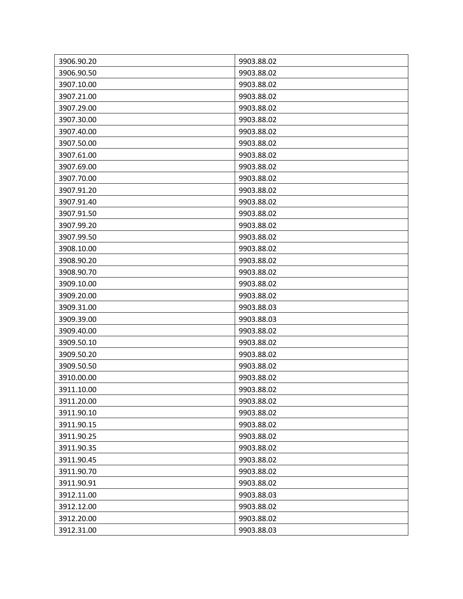| 3906.90.20 | 9903.88.02 |
|------------|------------|
| 3906.90.50 | 9903.88.02 |
| 3907.10.00 | 9903.88.02 |
| 3907.21.00 | 9903.88.02 |
| 3907.29.00 | 9903.88.02 |
| 3907.30.00 | 9903.88.02 |
| 3907.40.00 | 9903.88.02 |
| 3907.50.00 | 9903.88.02 |
| 3907.61.00 | 9903.88.02 |
| 3907.69.00 | 9903.88.02 |
| 3907.70.00 | 9903.88.02 |
| 3907.91.20 | 9903.88.02 |
| 3907.91.40 | 9903.88.02 |
| 3907.91.50 | 9903.88.02 |
| 3907.99.20 | 9903.88.02 |
| 3907.99.50 | 9903.88.02 |
| 3908.10.00 | 9903.88.02 |
| 3908.90.20 | 9903.88.02 |
| 3908.90.70 | 9903.88.02 |
| 3909.10.00 | 9903.88.02 |
| 3909.20.00 | 9903.88.02 |
| 3909.31.00 | 9903.88.03 |
| 3909.39.00 | 9903.88.03 |
| 3909.40.00 | 9903.88.02 |
| 3909.50.10 | 9903.88.02 |
| 3909.50.20 | 9903.88.02 |
| 3909.50.50 | 9903.88.02 |
| 3910.00.00 | 9903.88.02 |
| 3911.10.00 | 9903.88.02 |
| 3911.20.00 | 9903.88.02 |
| 3911.90.10 | 9903.88.02 |
| 3911.90.15 | 9903.88.02 |
| 3911.90.25 | 9903.88.02 |
| 3911.90.35 | 9903.88.02 |
| 3911.90.45 | 9903.88.02 |
| 3911.90.70 | 9903.88.02 |
| 3911.90.91 | 9903.88.02 |
| 3912.11.00 | 9903.88.03 |
| 3912.12.00 | 9903.88.02 |
| 3912.20.00 | 9903.88.02 |
| 3912.31.00 | 9903.88.03 |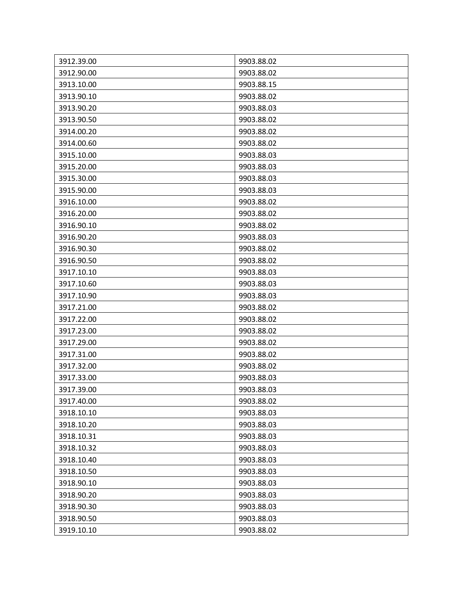| 3912.39.00 | 9903.88.02 |
|------------|------------|
| 3912.90.00 | 9903.88.02 |
| 3913.10.00 | 9903.88.15 |
| 3913.90.10 | 9903.88.02 |
| 3913.90.20 | 9903.88.03 |
| 3913.90.50 | 9903.88.02 |
| 3914.00.20 | 9903.88.02 |
| 3914.00.60 | 9903.88.02 |
| 3915.10.00 | 9903.88.03 |
| 3915.20.00 | 9903.88.03 |
| 3915.30.00 | 9903.88.03 |
| 3915.90.00 | 9903.88.03 |
| 3916.10.00 | 9903.88.02 |
| 3916.20.00 | 9903.88.02 |
| 3916.90.10 | 9903.88.02 |
| 3916.90.20 | 9903.88.03 |
| 3916.90.30 | 9903.88.02 |
| 3916.90.50 | 9903.88.02 |
| 3917.10.10 | 9903.88.03 |
| 3917.10.60 | 9903.88.03 |
| 3917.10.90 | 9903.88.03 |
| 3917.21.00 | 9903.88.02 |
| 3917.22.00 | 9903.88.02 |
| 3917.23.00 | 9903.88.02 |
| 3917.29.00 | 9903.88.02 |
| 3917.31.00 | 9903.88.02 |
| 3917.32.00 | 9903.88.02 |
| 3917.33.00 | 9903.88.03 |
| 3917.39.00 | 9903.88.03 |
| 3917.40.00 | 9903.88.02 |
| 3918.10.10 | 9903.88.03 |
| 3918.10.20 | 9903.88.03 |
| 3918.10.31 | 9903.88.03 |
| 3918.10.32 | 9903.88.03 |
| 3918.10.40 | 9903.88.03 |
| 3918.10.50 | 9903.88.03 |
| 3918.90.10 | 9903.88.03 |
| 3918.90.20 | 9903.88.03 |
| 3918.90.30 | 9903.88.03 |
| 3918.90.50 | 9903.88.03 |
| 3919.10.10 | 9903.88.02 |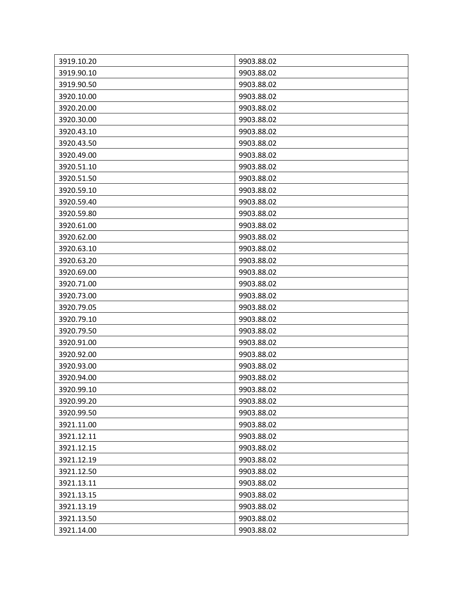| 3919.10.20 | 9903.88.02 |
|------------|------------|
| 3919.90.10 | 9903.88.02 |
| 3919.90.50 | 9903.88.02 |
| 3920.10.00 | 9903.88.02 |
| 3920.20.00 | 9903.88.02 |
| 3920.30.00 | 9903.88.02 |
| 3920.43.10 | 9903.88.02 |
| 3920.43.50 | 9903.88.02 |
| 3920.49.00 | 9903.88.02 |
| 3920.51.10 | 9903.88.02 |
| 3920.51.50 | 9903.88.02 |
| 3920.59.10 | 9903.88.02 |
| 3920.59.40 | 9903.88.02 |
| 3920.59.80 | 9903.88.02 |
| 3920.61.00 | 9903.88.02 |
| 3920.62.00 | 9903.88.02 |
| 3920.63.10 | 9903.88.02 |
| 3920.63.20 | 9903.88.02 |
| 3920.69.00 | 9903.88.02 |
| 3920.71.00 | 9903.88.02 |
| 3920.73.00 | 9903.88.02 |
| 3920.79.05 | 9903.88.02 |
| 3920.79.10 | 9903.88.02 |
| 3920.79.50 | 9903.88.02 |
| 3920.91.00 | 9903.88.02 |
| 3920.92.00 | 9903.88.02 |
| 3920.93.00 | 9903.88.02 |
| 3920.94.00 | 9903.88.02 |
| 3920.99.10 | 9903.88.02 |
| 3920.99.20 | 9903.88.02 |
| 3920.99.50 | 9903.88.02 |
| 3921.11.00 | 9903.88.02 |
| 3921.12.11 | 9903.88.02 |
| 3921.12.15 | 9903.88.02 |
| 3921.12.19 | 9903.88.02 |
| 3921.12.50 | 9903.88.02 |
| 3921.13.11 | 9903.88.02 |
| 3921.13.15 | 9903.88.02 |
| 3921.13.19 | 9903.88.02 |
| 3921.13.50 | 9903.88.02 |
| 3921.14.00 | 9903.88.02 |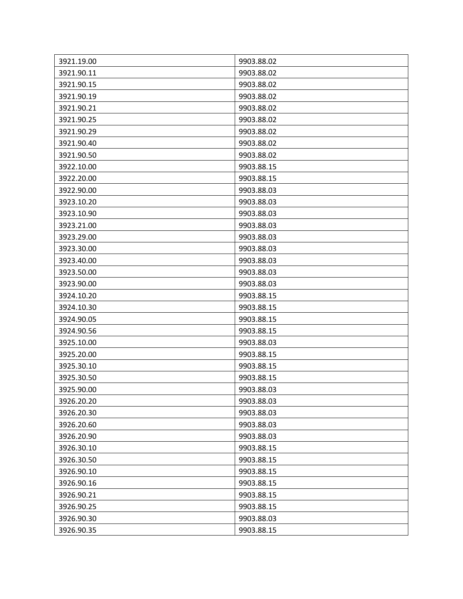| 3921.19.00 | 9903.88.02 |
|------------|------------|
| 3921.90.11 | 9903.88.02 |
| 3921.90.15 | 9903.88.02 |
| 3921.90.19 | 9903.88.02 |
| 3921.90.21 | 9903.88.02 |
| 3921.90.25 | 9903.88.02 |
| 3921.90.29 | 9903.88.02 |
| 3921.90.40 | 9903.88.02 |
| 3921.90.50 | 9903.88.02 |
| 3922.10.00 | 9903.88.15 |
| 3922.20.00 | 9903.88.15 |
| 3922.90.00 | 9903.88.03 |
| 3923.10.20 | 9903.88.03 |
| 3923.10.90 | 9903.88.03 |
| 3923.21.00 | 9903.88.03 |
| 3923.29.00 | 9903.88.03 |
| 3923.30.00 | 9903.88.03 |
| 3923.40.00 | 9903.88.03 |
| 3923.50.00 | 9903.88.03 |
| 3923.90.00 | 9903.88.03 |
| 3924.10.20 | 9903.88.15 |
| 3924.10.30 | 9903.88.15 |
| 3924.90.05 | 9903.88.15 |
| 3924.90.56 | 9903.88.15 |
| 3925.10.00 | 9903.88.03 |
| 3925.20.00 | 9903.88.15 |
| 3925.30.10 | 9903.88.15 |
| 3925.30.50 | 9903.88.15 |
| 3925.90.00 | 9903.88.03 |
| 3926.20.20 | 9903.88.03 |
| 3926.20.30 | 9903.88.03 |
| 3926.20.60 | 9903.88.03 |
| 3926.20.90 | 9903.88.03 |
| 3926.30.10 | 9903.88.15 |
| 3926.30.50 | 9903.88.15 |
| 3926.90.10 | 9903.88.15 |
| 3926.90.16 | 9903.88.15 |
| 3926.90.21 | 9903.88.15 |
| 3926.90.25 | 9903.88.15 |
| 3926.90.30 | 9903.88.03 |
| 3926.90.35 | 9903.88.15 |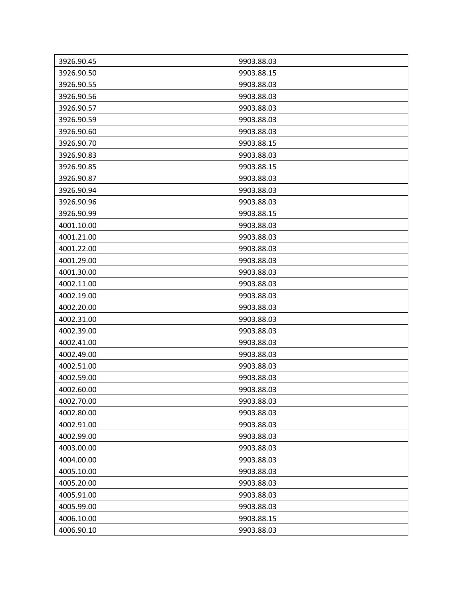| 3926.90.45 | 9903.88.03 |
|------------|------------|
| 3926.90.50 | 9903.88.15 |
| 3926.90.55 | 9903.88.03 |
| 3926.90.56 | 9903.88.03 |
| 3926.90.57 | 9903.88.03 |
| 3926.90.59 | 9903.88.03 |
| 3926.90.60 | 9903.88.03 |
| 3926.90.70 | 9903.88.15 |
| 3926.90.83 | 9903.88.03 |
| 3926.90.85 | 9903.88.15 |
| 3926.90.87 | 9903.88.03 |
| 3926.90.94 | 9903.88.03 |
| 3926.90.96 | 9903.88.03 |
| 3926.90.99 | 9903.88.15 |
| 4001.10.00 | 9903.88.03 |
| 4001.21.00 | 9903.88.03 |
| 4001.22.00 | 9903.88.03 |
| 4001.29.00 | 9903.88.03 |
| 4001.30.00 | 9903.88.03 |
| 4002.11.00 | 9903.88.03 |
| 4002.19.00 | 9903.88.03 |
| 4002.20.00 | 9903.88.03 |
| 4002.31.00 | 9903.88.03 |
| 4002.39.00 | 9903.88.03 |
| 4002.41.00 | 9903.88.03 |
| 4002.49.00 | 9903.88.03 |
| 4002.51.00 | 9903.88.03 |
| 4002.59.00 | 9903.88.03 |
| 4002.60.00 | 9903.88.03 |
| 4002.70.00 | 9903.88.03 |
| 4002.80.00 | 9903.88.03 |
| 4002.91.00 | 9903.88.03 |
| 4002.99.00 | 9903.88.03 |
| 4003.00.00 | 9903.88.03 |
| 4004.00.00 | 9903.88.03 |
| 4005.10.00 | 9903.88.03 |
| 4005.20.00 | 9903.88.03 |
| 4005.91.00 | 9903.88.03 |
| 4005.99.00 | 9903.88.03 |
| 4006.10.00 | 9903.88.15 |
| 4006.90.10 | 9903.88.03 |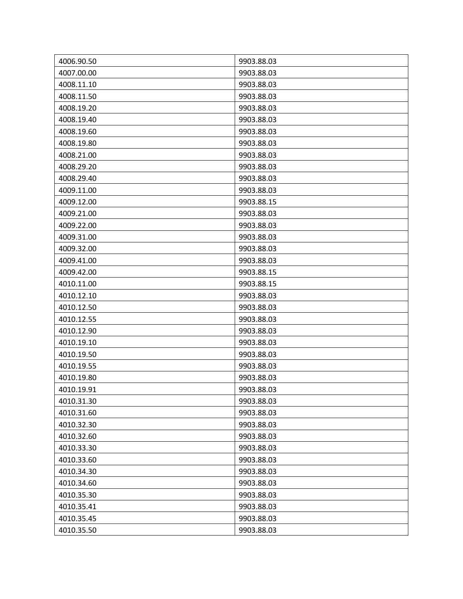| 4006.90.50 | 9903.88.03 |
|------------|------------|
| 4007.00.00 | 9903.88.03 |
| 4008.11.10 | 9903.88.03 |
| 4008.11.50 | 9903.88.03 |
| 4008.19.20 | 9903.88.03 |
| 4008.19.40 | 9903.88.03 |
| 4008.19.60 | 9903.88.03 |
| 4008.19.80 | 9903.88.03 |
| 4008.21.00 | 9903.88.03 |
| 4008.29.20 | 9903.88.03 |
| 4008.29.40 | 9903.88.03 |
| 4009.11.00 | 9903.88.03 |
| 4009.12.00 | 9903.88.15 |
| 4009.21.00 | 9903.88.03 |
| 4009.22.00 | 9903.88.03 |
| 4009.31.00 | 9903.88.03 |
| 4009.32.00 | 9903.88.03 |
| 4009.41.00 | 9903.88.03 |
| 4009.42.00 | 9903.88.15 |
| 4010.11.00 | 9903.88.15 |
| 4010.12.10 | 9903.88.03 |
| 4010.12.50 | 9903.88.03 |
| 4010.12.55 | 9903.88.03 |
| 4010.12.90 | 9903.88.03 |
| 4010.19.10 | 9903.88.03 |
| 4010.19.50 | 9903.88.03 |
| 4010.19.55 | 9903.88.03 |
| 4010.19.80 | 9903.88.03 |
| 4010.19.91 | 9903.88.03 |
| 4010.31.30 | 9903.88.03 |
| 4010.31.60 | 9903.88.03 |
| 4010.32.30 | 9903.88.03 |
| 4010.32.60 | 9903.88.03 |
| 4010.33.30 | 9903.88.03 |
| 4010.33.60 | 9903.88.03 |
| 4010.34.30 | 9903.88.03 |
| 4010.34.60 | 9903.88.03 |
| 4010.35.30 | 9903.88.03 |
| 4010.35.41 | 9903.88.03 |
| 4010.35.45 | 9903.88.03 |
| 4010.35.50 | 9903.88.03 |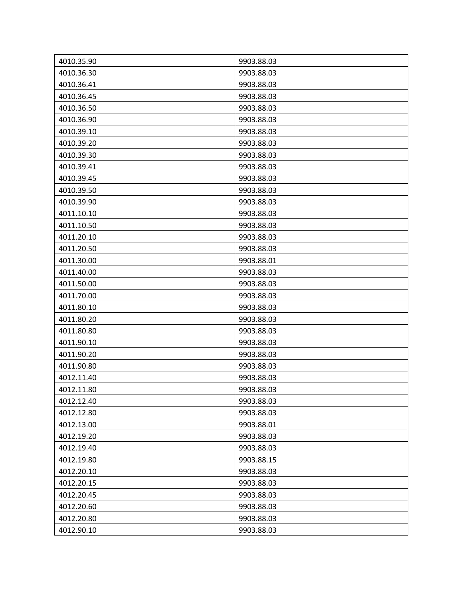| 4010.35.90 | 9903.88.03 |
|------------|------------|
| 4010.36.30 | 9903.88.03 |
| 4010.36.41 | 9903.88.03 |
| 4010.36.45 | 9903.88.03 |
|            |            |
| 4010.36.50 | 9903.88.03 |
| 4010.36.90 | 9903.88.03 |
| 4010.39.10 | 9903.88.03 |
| 4010.39.20 | 9903.88.03 |
| 4010.39.30 | 9903.88.03 |
| 4010.39.41 | 9903.88.03 |
| 4010.39.45 | 9903.88.03 |
| 4010.39.50 | 9903.88.03 |
| 4010.39.90 | 9903.88.03 |
| 4011.10.10 | 9903.88.03 |
| 4011.10.50 | 9903.88.03 |
| 4011.20.10 | 9903.88.03 |
| 4011.20.50 | 9903.88.03 |
| 4011.30.00 | 9903.88.01 |
| 4011.40.00 | 9903.88.03 |
| 4011.50.00 | 9903.88.03 |
| 4011.70.00 | 9903.88.03 |
| 4011.80.10 | 9903.88.03 |
| 4011.80.20 | 9903.88.03 |
| 4011.80.80 | 9903.88.03 |
| 4011.90.10 | 9903.88.03 |
| 4011.90.20 | 9903.88.03 |
| 4011.90.80 | 9903.88.03 |
| 4012.11.40 | 9903.88.03 |
| 4012.11.80 | 9903.88.03 |
| 4012.12.40 | 9903.88.03 |
| 4012.12.80 | 9903.88.03 |
| 4012.13.00 | 9903.88.01 |
| 4012.19.20 | 9903.88.03 |
| 4012.19.40 | 9903.88.03 |
| 4012.19.80 | 9903.88.15 |
| 4012.20.10 | 9903.88.03 |
| 4012.20.15 | 9903.88.03 |
| 4012.20.45 | 9903.88.03 |
| 4012.20.60 | 9903.88.03 |
| 4012.20.80 | 9903.88.03 |
| 4012.90.10 | 9903.88.03 |
|            |            |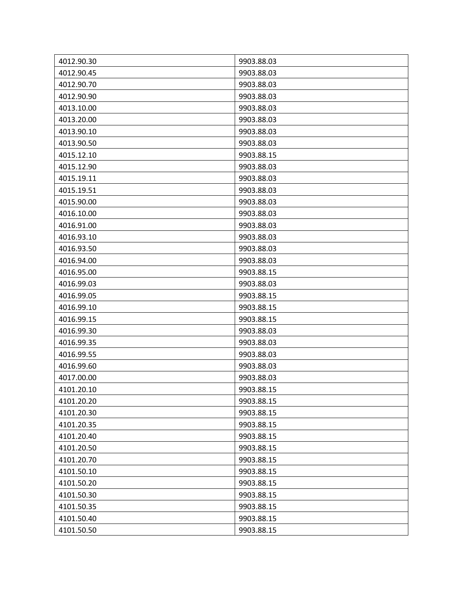| 4012.90.30 | 9903.88.03 |
|------------|------------|
| 4012.90.45 | 9903.88.03 |
| 4012.90.70 | 9903.88.03 |
| 4012.90.90 | 9903.88.03 |
| 4013.10.00 | 9903.88.03 |
| 4013.20.00 | 9903.88.03 |
| 4013.90.10 | 9903.88.03 |
| 4013.90.50 | 9903.88.03 |
| 4015.12.10 | 9903.88.15 |
| 4015.12.90 | 9903.88.03 |
| 4015.19.11 | 9903.88.03 |
| 4015.19.51 | 9903.88.03 |
| 4015.90.00 | 9903.88.03 |
| 4016.10.00 | 9903.88.03 |
| 4016.91.00 | 9903.88.03 |
| 4016.93.10 | 9903.88.03 |
| 4016.93.50 | 9903.88.03 |
| 4016.94.00 | 9903.88.03 |
| 4016.95.00 | 9903.88.15 |
| 4016.99.03 | 9903.88.03 |
| 4016.99.05 | 9903.88.15 |
| 4016.99.10 | 9903.88.15 |
| 4016.99.15 | 9903.88.15 |
| 4016.99.30 | 9903.88.03 |
| 4016.99.35 | 9903.88.03 |
| 4016.99.55 | 9903.88.03 |
| 4016.99.60 | 9903.88.03 |
| 4017.00.00 | 9903.88.03 |
| 4101.20.10 | 9903.88.15 |
| 4101.20.20 | 9903.88.15 |
| 4101.20.30 | 9903.88.15 |
| 4101.20.35 | 9903.88.15 |
| 4101.20.40 | 9903.88.15 |
| 4101.20.50 | 9903.88.15 |
| 4101.20.70 | 9903.88.15 |
| 4101.50.10 | 9903.88.15 |
| 4101.50.20 | 9903.88.15 |
| 4101.50.30 | 9903.88.15 |
| 4101.50.35 | 9903.88.15 |
| 4101.50.40 | 9903.88.15 |
| 4101.50.50 | 9903.88.15 |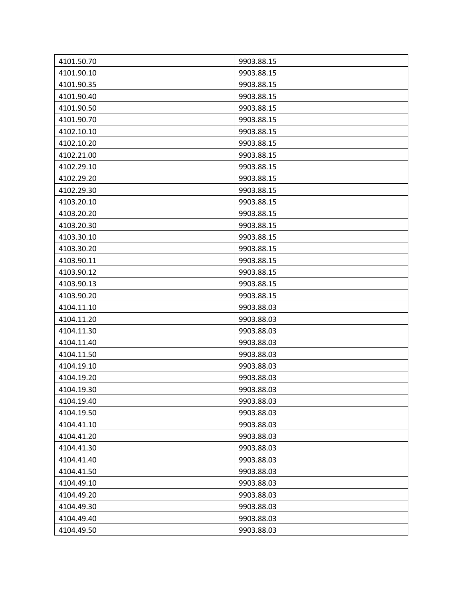| 4101.50.70 | 9903.88.15 |
|------------|------------|
| 4101.90.10 | 9903.88.15 |
| 4101.90.35 | 9903.88.15 |
| 4101.90.40 | 9903.88.15 |
| 4101.90.50 | 9903.88.15 |
| 4101.90.70 | 9903.88.15 |
| 4102.10.10 | 9903.88.15 |
| 4102.10.20 | 9903.88.15 |
| 4102.21.00 | 9903.88.15 |
| 4102.29.10 | 9903.88.15 |
| 4102.29.20 | 9903.88.15 |
| 4102.29.30 | 9903.88.15 |
| 4103.20.10 | 9903.88.15 |
| 4103.20.20 | 9903.88.15 |
| 4103.20.30 | 9903.88.15 |
| 4103.30.10 | 9903.88.15 |
| 4103.30.20 | 9903.88.15 |
| 4103.90.11 | 9903.88.15 |
| 4103.90.12 | 9903.88.15 |
| 4103.90.13 | 9903.88.15 |
| 4103.90.20 | 9903.88.15 |
| 4104.11.10 | 9903.88.03 |
| 4104.11.20 | 9903.88.03 |
| 4104.11.30 | 9903.88.03 |
| 4104.11.40 | 9903.88.03 |
| 4104.11.50 | 9903.88.03 |
| 4104.19.10 | 9903.88.03 |
| 4104.19.20 | 9903.88.03 |
| 4104.19.30 | 9903.88.03 |
| 4104.19.40 | 9903.88.03 |
| 4104.19.50 | 9903.88.03 |
| 4104.41.10 | 9903.88.03 |
| 4104.41.20 | 9903.88.03 |
| 4104.41.30 | 9903.88.03 |
| 4104.41.40 | 9903.88.03 |
| 4104.41.50 | 9903.88.03 |
| 4104.49.10 | 9903.88.03 |
| 4104.49.20 | 9903.88.03 |
| 4104.49.30 | 9903.88.03 |
| 4104.49.40 | 9903.88.03 |
| 4104.49.50 | 9903.88.03 |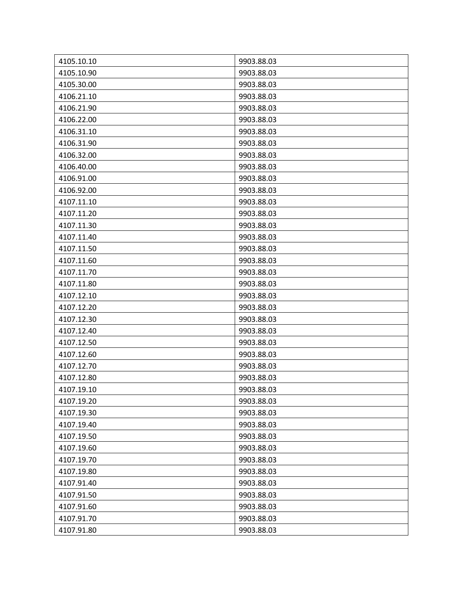| 4105.10.10 | 9903.88.03 |
|------------|------------|
| 4105.10.90 | 9903.88.03 |
| 4105.30.00 | 9903.88.03 |
| 4106.21.10 | 9903.88.03 |
| 4106.21.90 | 9903.88.03 |
| 4106.22.00 | 9903.88.03 |
| 4106.31.10 | 9903.88.03 |
| 4106.31.90 | 9903.88.03 |
| 4106.32.00 | 9903.88.03 |
| 4106.40.00 | 9903.88.03 |
| 4106.91.00 | 9903.88.03 |
| 4106.92.00 | 9903.88.03 |
| 4107.11.10 | 9903.88.03 |
| 4107.11.20 | 9903.88.03 |
| 4107.11.30 | 9903.88.03 |
| 4107.11.40 | 9903.88.03 |
| 4107.11.50 | 9903.88.03 |
| 4107.11.60 | 9903.88.03 |
| 4107.11.70 | 9903.88.03 |
| 4107.11.80 | 9903.88.03 |
| 4107.12.10 | 9903.88.03 |
| 4107.12.20 | 9903.88.03 |
| 4107.12.30 | 9903.88.03 |
| 4107.12.40 | 9903.88.03 |
| 4107.12.50 | 9903.88.03 |
| 4107.12.60 | 9903.88.03 |
| 4107.12.70 | 9903.88.03 |
| 4107.12.80 | 9903.88.03 |
| 4107.19.10 | 9903.88.03 |
| 4107.19.20 | 9903.88.03 |
| 4107.19.30 | 9903.88.03 |
| 4107.19.40 | 9903.88.03 |
| 4107.19.50 | 9903.88.03 |
| 4107.19.60 | 9903.88.03 |
| 4107.19.70 | 9903.88.03 |
| 4107.19.80 | 9903.88.03 |
| 4107.91.40 | 9903.88.03 |
| 4107.91.50 | 9903.88.03 |
| 4107.91.60 | 9903.88.03 |
| 4107.91.70 | 9903.88.03 |
| 4107.91.80 | 9903.88.03 |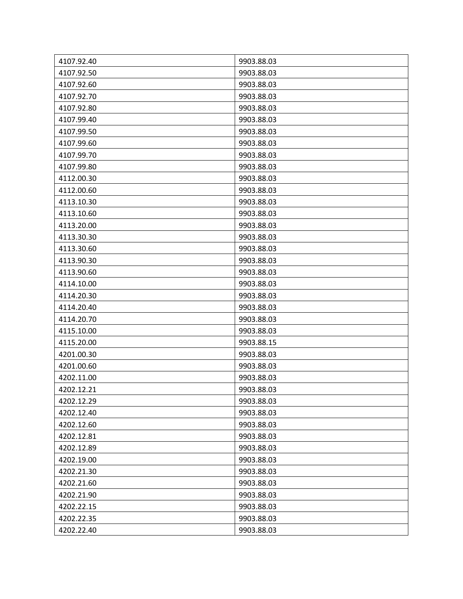| 4107.92.40 | 9903.88.03 |
|------------|------------|
| 4107.92.50 | 9903.88.03 |
| 4107.92.60 | 9903.88.03 |
| 4107.92.70 | 9903.88.03 |
| 4107.92.80 | 9903.88.03 |
| 4107.99.40 | 9903.88.03 |
| 4107.99.50 | 9903.88.03 |
| 4107.99.60 | 9903.88.03 |
| 4107.99.70 | 9903.88.03 |
| 4107.99.80 | 9903.88.03 |
| 4112.00.30 | 9903.88.03 |
| 4112.00.60 | 9903.88.03 |
| 4113.10.30 | 9903.88.03 |
| 4113.10.60 | 9903.88.03 |
| 4113.20.00 | 9903.88.03 |
| 4113.30.30 | 9903.88.03 |
| 4113.30.60 | 9903.88.03 |
| 4113.90.30 | 9903.88.03 |
| 4113.90.60 | 9903.88.03 |
| 4114.10.00 | 9903.88.03 |
| 4114.20.30 | 9903.88.03 |
| 4114.20.40 | 9903.88.03 |
| 4114.20.70 | 9903.88.03 |
| 4115.10.00 | 9903.88.03 |
| 4115.20.00 | 9903.88.15 |
| 4201.00.30 | 9903.88.03 |
| 4201.00.60 | 9903.88.03 |
| 4202.11.00 | 9903.88.03 |
| 4202.12.21 | 9903.88.03 |
| 4202.12.29 | 9903.88.03 |
| 4202.12.40 | 9903.88.03 |
| 4202.12.60 | 9903.88.03 |
| 4202.12.81 | 9903.88.03 |
| 4202.12.89 | 9903.88.03 |
| 4202.19.00 | 9903.88.03 |
| 4202.21.30 | 9903.88.03 |
| 4202.21.60 | 9903.88.03 |
| 4202.21.90 | 9903.88.03 |
| 4202.22.15 | 9903.88.03 |
| 4202.22.35 | 9903.88.03 |
| 4202.22.40 | 9903.88.03 |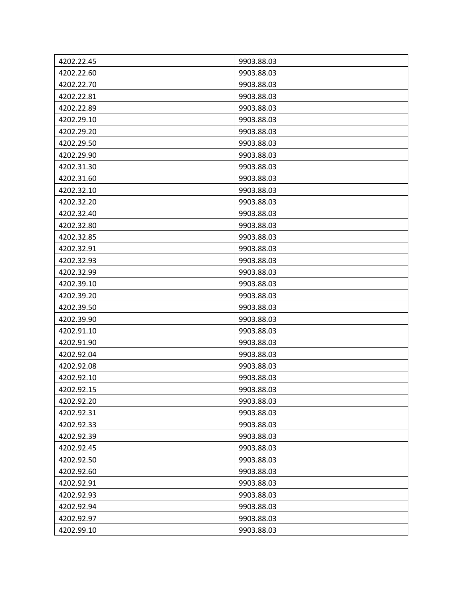| 4202.22.45 | 9903.88.03 |
|------------|------------|
| 4202.22.60 | 9903.88.03 |
| 4202.22.70 | 9903.88.03 |
| 4202.22.81 | 9903.88.03 |
| 4202.22.89 | 9903.88.03 |
| 4202.29.10 | 9903.88.03 |
| 4202.29.20 | 9903.88.03 |
| 4202.29.50 | 9903.88.03 |
| 4202.29.90 | 9903.88.03 |
| 4202.31.30 | 9903.88.03 |
| 4202.31.60 | 9903.88.03 |
| 4202.32.10 | 9903.88.03 |
| 4202.32.20 | 9903.88.03 |
| 4202.32.40 | 9903.88.03 |
| 4202.32.80 | 9903.88.03 |
| 4202.32.85 | 9903.88.03 |
| 4202.32.91 | 9903.88.03 |
| 4202.32.93 | 9903.88.03 |
| 4202.32.99 | 9903.88.03 |
| 4202.39.10 | 9903.88.03 |
| 4202.39.20 | 9903.88.03 |
| 4202.39.50 | 9903.88.03 |
| 4202.39.90 | 9903.88.03 |
| 4202.91.10 | 9903.88.03 |
| 4202.91.90 | 9903.88.03 |
| 4202.92.04 | 9903.88.03 |
| 4202.92.08 | 9903.88.03 |
| 4202.92.10 | 9903.88.03 |
| 4202.92.15 | 9903.88.03 |
| 4202.92.20 | 9903.88.03 |
| 4202.92.31 | 9903.88.03 |
| 4202.92.33 | 9903.88.03 |
| 4202.92.39 | 9903.88.03 |
| 4202.92.45 | 9903.88.03 |
| 4202.92.50 | 9903.88.03 |
| 4202.92.60 | 9903.88.03 |
| 4202.92.91 | 9903.88.03 |
| 4202.92.93 | 9903.88.03 |
| 4202.92.94 | 9903.88.03 |
| 4202.92.97 | 9903.88.03 |
| 4202.99.10 | 9903.88.03 |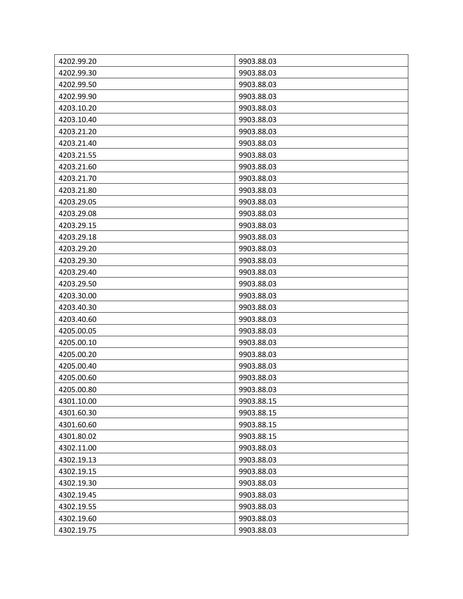| 4202.99.20 | 9903.88.03 |
|------------|------------|
| 4202.99.30 | 9903.88.03 |
| 4202.99.50 | 9903.88.03 |
| 4202.99.90 | 9903.88.03 |
| 4203.10.20 | 9903.88.03 |
| 4203.10.40 | 9903.88.03 |
| 4203.21.20 | 9903.88.03 |
| 4203.21.40 | 9903.88.03 |
| 4203.21.55 | 9903.88.03 |
| 4203.21.60 | 9903.88.03 |
| 4203.21.70 | 9903.88.03 |
| 4203.21.80 | 9903.88.03 |
| 4203.29.05 | 9903.88.03 |
| 4203.29.08 | 9903.88.03 |
| 4203.29.15 | 9903.88.03 |
| 4203.29.18 | 9903.88.03 |
| 4203.29.20 | 9903.88.03 |
| 4203.29.30 | 9903.88.03 |
| 4203.29.40 | 9903.88.03 |
| 4203.29.50 | 9903.88.03 |
| 4203.30.00 | 9903.88.03 |
| 4203.40.30 | 9903.88.03 |
| 4203.40.60 | 9903.88.03 |
| 4205.00.05 | 9903.88.03 |
| 4205.00.10 | 9903.88.03 |
| 4205.00.20 | 9903.88.03 |
| 4205.00.40 | 9903.88.03 |
| 4205.00.60 | 9903.88.03 |
| 4205.00.80 | 9903.88.03 |
| 4301.10.00 | 9903.88.15 |
| 4301.60.30 | 9903.88.15 |
| 4301.60.60 | 9903.88.15 |
| 4301.80.02 | 9903.88.15 |
| 4302.11.00 | 9903.88.03 |
| 4302.19.13 | 9903.88.03 |
| 4302.19.15 | 9903.88.03 |
| 4302.19.30 | 9903.88.03 |
| 4302.19.45 | 9903.88.03 |
| 4302.19.55 | 9903.88.03 |
| 4302.19.60 | 9903.88.03 |
| 4302.19.75 | 9903.88.03 |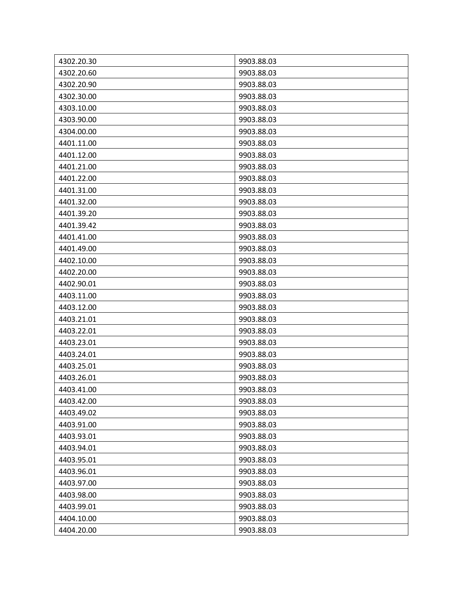| 4302.20.30 | 9903.88.03 |
|------------|------------|
| 4302.20.60 | 9903.88.03 |
| 4302.20.90 | 9903.88.03 |
| 4302.30.00 | 9903.88.03 |
| 4303.10.00 | 9903.88.03 |
| 4303.90.00 | 9903.88.03 |
| 4304.00.00 | 9903.88.03 |
| 4401.11.00 | 9903.88.03 |
| 4401.12.00 | 9903.88.03 |
| 4401.21.00 | 9903.88.03 |
| 4401.22.00 | 9903.88.03 |
| 4401.31.00 | 9903.88.03 |
| 4401.32.00 | 9903.88.03 |
| 4401.39.20 | 9903.88.03 |
| 4401.39.42 | 9903.88.03 |
| 4401.41.00 | 9903.88.03 |
| 4401.49.00 | 9903.88.03 |
| 4402.10.00 | 9903.88.03 |
| 4402.20.00 | 9903.88.03 |
| 4402.90.01 | 9903.88.03 |
| 4403.11.00 | 9903.88.03 |
| 4403.12.00 | 9903.88.03 |
| 4403.21.01 | 9903.88.03 |
| 4403.22.01 | 9903.88.03 |
| 4403.23.01 | 9903.88.03 |
| 4403.24.01 | 9903.88.03 |
| 4403.25.01 | 9903.88.03 |
| 4403.26.01 | 9903.88.03 |
| 4403.41.00 | 9903.88.03 |
| 4403.42.00 | 9903.88.03 |
| 4403.49.02 | 9903.88.03 |
| 4403.91.00 | 9903.88.03 |
| 4403.93.01 | 9903.88.03 |
| 4403.94.01 | 9903.88.03 |
| 4403.95.01 | 9903.88.03 |
| 4403.96.01 | 9903.88.03 |
| 4403.97.00 | 9903.88.03 |
| 4403.98.00 | 9903.88.03 |
| 4403.99.01 | 9903.88.03 |
| 4404.10.00 | 9903.88.03 |
| 4404.20.00 | 9903.88.03 |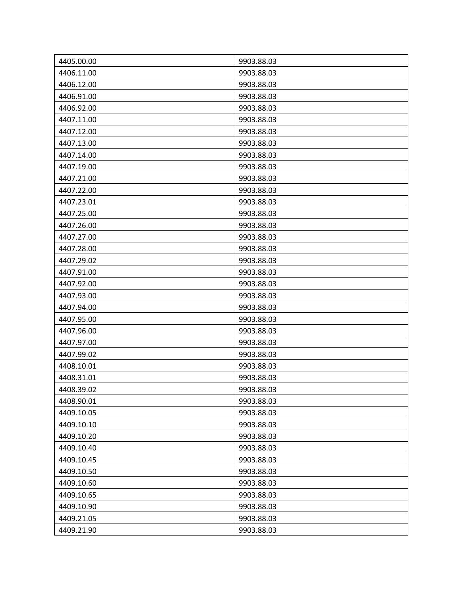| 4405.00.00 | 9903.88.03 |
|------------|------------|
| 4406.11.00 | 9903.88.03 |
| 4406.12.00 | 9903.88.03 |
| 4406.91.00 | 9903.88.03 |
| 4406.92.00 | 9903.88.03 |
| 4407.11.00 | 9903.88.03 |
| 4407.12.00 | 9903.88.03 |
| 4407.13.00 | 9903.88.03 |
| 4407.14.00 | 9903.88.03 |
| 4407.19.00 | 9903.88.03 |
| 4407.21.00 | 9903.88.03 |
| 4407.22.00 | 9903.88.03 |
| 4407.23.01 | 9903.88.03 |
| 4407.25.00 | 9903.88.03 |
| 4407.26.00 | 9903.88.03 |
| 4407.27.00 | 9903.88.03 |
| 4407.28.00 | 9903.88.03 |
| 4407.29.02 | 9903.88.03 |
| 4407.91.00 | 9903.88.03 |
| 4407.92.00 | 9903.88.03 |
| 4407.93.00 | 9903.88.03 |
| 4407.94.00 | 9903.88.03 |
| 4407.95.00 | 9903.88.03 |
| 4407.96.00 | 9903.88.03 |
| 4407.97.00 | 9903.88.03 |
| 4407.99.02 | 9903.88.03 |
| 4408.10.01 | 9903.88.03 |
| 4408.31.01 | 9903.88.03 |
| 4408.39.02 | 9903.88.03 |
| 4408.90.01 | 9903.88.03 |
| 4409.10.05 | 9903.88.03 |
| 4409.10.10 | 9903.88.03 |
| 4409.10.20 | 9903.88.03 |
| 4409.10.40 | 9903.88.03 |
| 4409.10.45 | 9903.88.03 |
| 4409.10.50 | 9903.88.03 |
| 4409.10.60 | 9903.88.03 |
| 4409.10.65 | 9903.88.03 |
| 4409.10.90 | 9903.88.03 |
| 4409.21.05 | 9903.88.03 |
| 4409.21.90 | 9903.88.03 |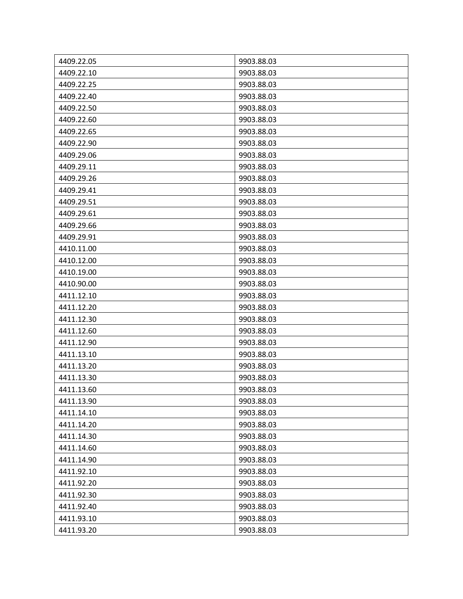| 4409.22.05 | 9903.88.03 |
|------------|------------|
| 4409.22.10 | 9903.88.03 |
| 4409.22.25 | 9903.88.03 |
| 4409.22.40 | 9903.88.03 |
| 4409.22.50 | 9903.88.03 |
| 4409.22.60 | 9903.88.03 |
| 4409.22.65 | 9903.88.03 |
| 4409.22.90 | 9903.88.03 |
| 4409.29.06 | 9903.88.03 |
| 4409.29.11 | 9903.88.03 |
| 4409.29.26 | 9903.88.03 |
| 4409.29.41 | 9903.88.03 |
| 4409.29.51 | 9903.88.03 |
| 4409.29.61 | 9903.88.03 |
| 4409.29.66 | 9903.88.03 |
| 4409.29.91 | 9903.88.03 |
| 4410.11.00 | 9903.88.03 |
| 4410.12.00 | 9903.88.03 |
| 4410.19.00 | 9903.88.03 |
| 4410.90.00 | 9903.88.03 |
| 4411.12.10 | 9903.88.03 |
| 4411.12.20 | 9903.88.03 |
| 4411.12.30 | 9903.88.03 |
| 4411.12.60 | 9903.88.03 |
| 4411.12.90 | 9903.88.03 |
| 4411.13.10 | 9903.88.03 |
| 4411.13.20 | 9903.88.03 |
| 4411.13.30 | 9903.88.03 |
| 4411.13.60 | 9903.88.03 |
| 4411.13.90 | 9903.88.03 |
| 4411.14.10 | 9903.88.03 |
| 4411.14.20 | 9903.88.03 |
| 4411.14.30 | 9903.88.03 |
| 4411.14.60 | 9903.88.03 |
| 4411.14.90 | 9903.88.03 |
| 4411.92.10 | 9903.88.03 |
| 4411.92.20 | 9903.88.03 |
| 4411.92.30 | 9903.88.03 |
| 4411.92.40 | 9903.88.03 |
| 4411.93.10 | 9903.88.03 |
| 4411.93.20 | 9903.88.03 |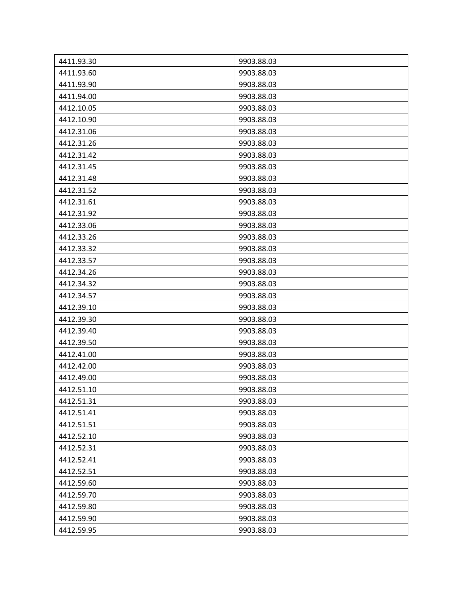| 4411.93.30 | 9903.88.03 |
|------------|------------|
| 4411.93.60 | 9903.88.03 |
| 4411.93.90 | 9903.88.03 |
| 4411.94.00 | 9903.88.03 |
| 4412.10.05 | 9903.88.03 |
| 4412.10.90 | 9903.88.03 |
| 4412.31.06 | 9903.88.03 |
| 4412.31.26 | 9903.88.03 |
| 4412.31.42 | 9903.88.03 |
| 4412.31.45 | 9903.88.03 |
| 4412.31.48 | 9903.88.03 |
| 4412.31.52 | 9903.88.03 |
| 4412.31.61 | 9903.88.03 |
| 4412.31.92 | 9903.88.03 |
| 4412.33.06 | 9903.88.03 |
| 4412.33.26 | 9903.88.03 |
| 4412.33.32 | 9903.88.03 |
| 4412.33.57 | 9903.88.03 |
| 4412.34.26 | 9903.88.03 |
| 4412.34.32 | 9903.88.03 |
| 4412.34.57 | 9903.88.03 |
| 4412.39.10 | 9903.88.03 |
| 4412.39.30 | 9903.88.03 |
| 4412.39.40 | 9903.88.03 |
| 4412.39.50 | 9903.88.03 |
| 4412.41.00 | 9903.88.03 |
| 4412.42.00 | 9903.88.03 |
| 4412.49.00 | 9903.88.03 |
| 4412.51.10 | 9903.88.03 |
| 4412.51.31 | 9903.88.03 |
| 4412.51.41 | 9903.88.03 |
| 4412.51.51 | 9903.88.03 |
| 4412.52.10 | 9903.88.03 |
| 4412.52.31 | 9903.88.03 |
| 4412.52.41 | 9903.88.03 |
| 4412.52.51 | 9903.88.03 |
| 4412.59.60 | 9903.88.03 |
| 4412.59.70 | 9903.88.03 |
| 4412.59.80 | 9903.88.03 |
| 4412.59.90 | 9903.88.03 |
| 4412.59.95 | 9903.88.03 |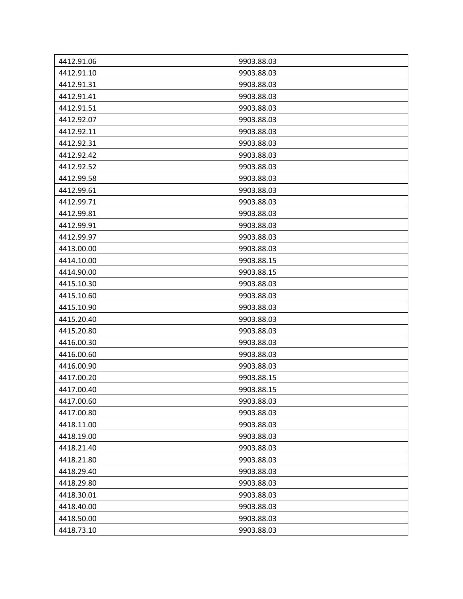| 4412.91.06 | 9903.88.03 |
|------------|------------|
| 4412.91.10 | 9903.88.03 |
| 4412.91.31 | 9903.88.03 |
| 4412.91.41 | 9903.88.03 |
| 4412.91.51 | 9903.88.03 |
| 4412.92.07 | 9903.88.03 |
| 4412.92.11 | 9903.88.03 |
| 4412.92.31 | 9903.88.03 |
| 4412.92.42 | 9903.88.03 |
| 4412.92.52 | 9903.88.03 |
| 4412.99.58 | 9903.88.03 |
| 4412.99.61 | 9903.88.03 |
| 4412.99.71 | 9903.88.03 |
| 4412.99.81 | 9903.88.03 |
| 4412.99.91 | 9903.88.03 |
| 4412.99.97 | 9903.88.03 |
| 4413.00.00 | 9903.88.03 |
| 4414.10.00 | 9903.88.15 |
| 4414.90.00 | 9903.88.15 |
| 4415.10.30 | 9903.88.03 |
| 4415.10.60 | 9903.88.03 |
| 4415.10.90 | 9903.88.03 |
| 4415.20.40 | 9903.88.03 |
| 4415.20.80 | 9903.88.03 |
| 4416.00.30 | 9903.88.03 |
| 4416.00.60 | 9903.88.03 |
| 4416.00.90 | 9903.88.03 |
| 4417.00.20 | 9903.88.15 |
| 4417.00.40 | 9903.88.15 |
| 4417.00.60 | 9903.88.03 |
| 4417.00.80 | 9903.88.03 |
| 4418.11.00 | 9903.88.03 |
| 4418.19.00 | 9903.88.03 |
| 4418.21.40 | 9903.88.03 |
| 4418.21.80 | 9903.88.03 |
| 4418.29.40 | 9903.88.03 |
| 4418.29.80 | 9903.88.03 |
| 4418.30.01 | 9903.88.03 |
| 4418.40.00 | 9903.88.03 |
| 4418.50.00 | 9903.88.03 |
| 4418.73.10 | 9903.88.03 |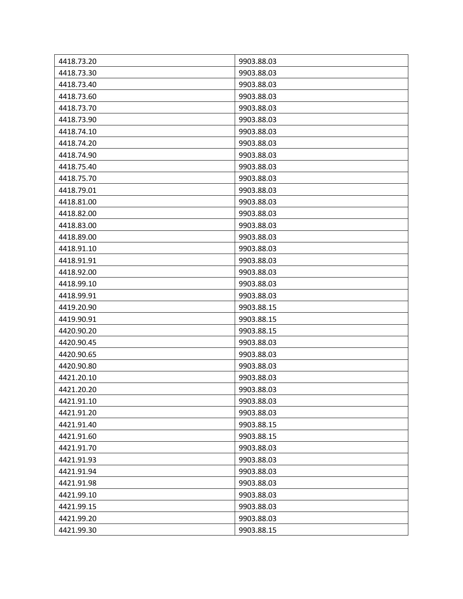| 4418.73.20 | 9903.88.03 |
|------------|------------|
| 4418.73.30 | 9903.88.03 |
| 4418.73.40 | 9903.88.03 |
| 4418.73.60 | 9903.88.03 |
| 4418.73.70 | 9903.88.03 |
| 4418.73.90 | 9903.88.03 |
| 4418.74.10 | 9903.88.03 |
| 4418.74.20 | 9903.88.03 |
| 4418.74.90 | 9903.88.03 |
| 4418.75.40 | 9903.88.03 |
| 4418.75.70 | 9903.88.03 |
| 4418.79.01 | 9903.88.03 |
| 4418.81.00 | 9903.88.03 |
| 4418.82.00 | 9903.88.03 |
| 4418.83.00 | 9903.88.03 |
| 4418.89.00 | 9903.88.03 |
| 4418.91.10 | 9903.88.03 |
| 4418.91.91 | 9903.88.03 |
| 4418.92.00 | 9903.88.03 |
| 4418.99.10 | 9903.88.03 |
| 4418.99.91 | 9903.88.03 |
| 4419.20.90 | 9903.88.15 |
| 4419.90.91 | 9903.88.15 |
| 4420.90.20 | 9903.88.15 |
| 4420.90.45 | 9903.88.03 |
| 4420.90.65 | 9903.88.03 |
| 4420.90.80 | 9903.88.03 |
| 4421.20.10 | 9903.88.03 |
| 4421.20.20 | 9903.88.03 |
| 4421.91.10 | 9903.88.03 |
| 4421.91.20 | 9903.88.03 |
| 4421.91.40 | 9903.88.15 |
| 4421.91.60 | 9903.88.15 |
| 4421.91.70 | 9903.88.03 |
| 4421.91.93 | 9903.88.03 |
| 4421.91.94 | 9903.88.03 |
| 4421.91.98 | 9903.88.03 |
| 4421.99.10 | 9903.88.03 |
| 4421.99.15 | 9903.88.03 |
| 4421.99.20 | 9903.88.03 |
| 4421.99.30 | 9903.88.15 |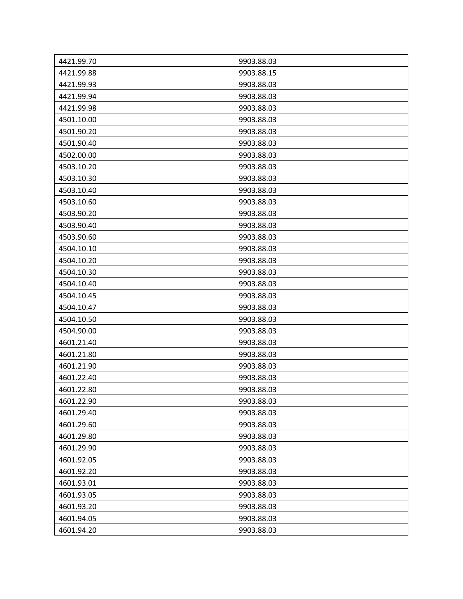| 4421.99.70 | 9903.88.03 |
|------------|------------|
| 4421.99.88 | 9903.88.15 |
| 4421.99.93 | 9903.88.03 |
| 4421.99.94 | 9903.88.03 |
| 4421.99.98 | 9903.88.03 |
| 4501.10.00 | 9903.88.03 |
| 4501.90.20 | 9903.88.03 |
| 4501.90.40 | 9903.88.03 |
| 4502.00.00 | 9903.88.03 |
| 4503.10.20 | 9903.88.03 |
| 4503.10.30 | 9903.88.03 |
| 4503.10.40 | 9903.88.03 |
| 4503.10.60 | 9903.88.03 |
| 4503.90.20 | 9903.88.03 |
| 4503.90.40 | 9903.88.03 |
| 4503.90.60 | 9903.88.03 |
| 4504.10.10 | 9903.88.03 |
| 4504.10.20 | 9903.88.03 |
| 4504.10.30 | 9903.88.03 |
| 4504.10.40 | 9903.88.03 |
| 4504.10.45 | 9903.88.03 |
| 4504.10.47 | 9903.88.03 |
| 4504.10.50 | 9903.88.03 |
| 4504.90.00 | 9903.88.03 |
| 4601.21.40 | 9903.88.03 |
| 4601.21.80 | 9903.88.03 |
| 4601.21.90 | 9903.88.03 |
| 4601.22.40 | 9903.88.03 |
| 4601.22.80 | 9903.88.03 |
| 4601.22.90 | 9903.88.03 |
| 4601.29.40 | 9903.88.03 |
| 4601.29.60 | 9903.88.03 |
| 4601.29.80 | 9903.88.03 |
| 4601.29.90 | 9903.88.03 |
| 4601.92.05 | 9903.88.03 |
| 4601.92.20 | 9903.88.03 |
| 4601.93.01 | 9903.88.03 |
| 4601.93.05 | 9903.88.03 |
| 4601.93.20 | 9903.88.03 |
| 4601.94.05 | 9903.88.03 |
| 4601.94.20 | 9903.88.03 |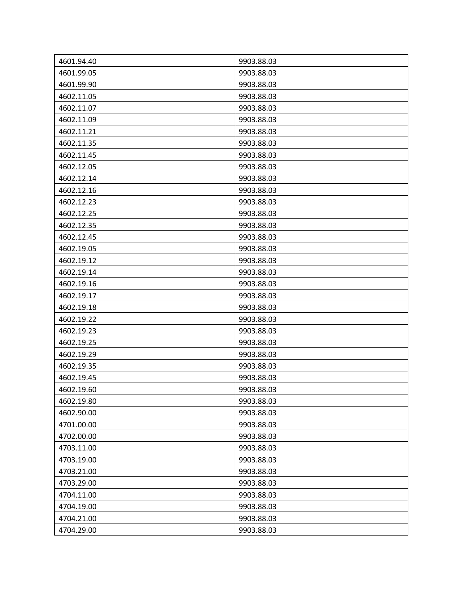| 4601.94.40<br>9903.88.03<br>4601.99.05<br>9903.88.03<br>4601.99.90<br>9903.88.03<br>9903.88.03<br>4602.11.05<br>4602.11.07<br>9903.88.03<br>4602.11.09<br>9903.88.03<br>4602.11.21<br>9903.88.03<br>4602.11.35<br>9903.88.03<br>4602.11.45<br>9903.88.03<br>4602.12.05<br>9903.88.03<br>4602.12.14<br>9903.88.03<br>4602.12.16<br>9903.88.03<br>4602.12.23<br>9903.88.03<br>4602.12.25<br>9903.88.03<br>4602.12.35<br>9903.88.03<br>4602.12.45<br>9903.88.03<br>4602.19.05<br>9903.88.03<br>4602.19.12<br>9903.88.03 |
|----------------------------------------------------------------------------------------------------------------------------------------------------------------------------------------------------------------------------------------------------------------------------------------------------------------------------------------------------------------------------------------------------------------------------------------------------------------------------------------------------------------------|
|                                                                                                                                                                                                                                                                                                                                                                                                                                                                                                                      |
|                                                                                                                                                                                                                                                                                                                                                                                                                                                                                                                      |
|                                                                                                                                                                                                                                                                                                                                                                                                                                                                                                                      |
|                                                                                                                                                                                                                                                                                                                                                                                                                                                                                                                      |
|                                                                                                                                                                                                                                                                                                                                                                                                                                                                                                                      |
|                                                                                                                                                                                                                                                                                                                                                                                                                                                                                                                      |
|                                                                                                                                                                                                                                                                                                                                                                                                                                                                                                                      |
|                                                                                                                                                                                                                                                                                                                                                                                                                                                                                                                      |
|                                                                                                                                                                                                                                                                                                                                                                                                                                                                                                                      |
|                                                                                                                                                                                                                                                                                                                                                                                                                                                                                                                      |
|                                                                                                                                                                                                                                                                                                                                                                                                                                                                                                                      |
|                                                                                                                                                                                                                                                                                                                                                                                                                                                                                                                      |
|                                                                                                                                                                                                                                                                                                                                                                                                                                                                                                                      |
|                                                                                                                                                                                                                                                                                                                                                                                                                                                                                                                      |
|                                                                                                                                                                                                                                                                                                                                                                                                                                                                                                                      |
|                                                                                                                                                                                                                                                                                                                                                                                                                                                                                                                      |
|                                                                                                                                                                                                                                                                                                                                                                                                                                                                                                                      |
|                                                                                                                                                                                                                                                                                                                                                                                                                                                                                                                      |
| 4602.19.14<br>9903.88.03                                                                                                                                                                                                                                                                                                                                                                                                                                                                                             |
| 4602.19.16<br>9903.88.03                                                                                                                                                                                                                                                                                                                                                                                                                                                                                             |
| 4602.19.17<br>9903.88.03                                                                                                                                                                                                                                                                                                                                                                                                                                                                                             |
| 4602.19.18<br>9903.88.03                                                                                                                                                                                                                                                                                                                                                                                                                                                                                             |
| 4602.19.22<br>9903.88.03                                                                                                                                                                                                                                                                                                                                                                                                                                                                                             |
| 4602.19.23<br>9903.88.03                                                                                                                                                                                                                                                                                                                                                                                                                                                                                             |
| 4602.19.25<br>9903.88.03                                                                                                                                                                                                                                                                                                                                                                                                                                                                                             |
| 4602.19.29<br>9903.88.03                                                                                                                                                                                                                                                                                                                                                                                                                                                                                             |
| 4602.19.35<br>9903.88.03                                                                                                                                                                                                                                                                                                                                                                                                                                                                                             |
| 4602.19.45<br>9903.88.03                                                                                                                                                                                                                                                                                                                                                                                                                                                                                             |
| 4602.19.60<br>9903.88.03                                                                                                                                                                                                                                                                                                                                                                                                                                                                                             |
| 4602.19.80<br>9903.88.03                                                                                                                                                                                                                                                                                                                                                                                                                                                                                             |
| 4602.90.00<br>9903.88.03                                                                                                                                                                                                                                                                                                                                                                                                                                                                                             |
| 4701.00.00<br>9903.88.03                                                                                                                                                                                                                                                                                                                                                                                                                                                                                             |
| 4702.00.00<br>9903.88.03                                                                                                                                                                                                                                                                                                                                                                                                                                                                                             |
| 4703.11.00<br>9903.88.03                                                                                                                                                                                                                                                                                                                                                                                                                                                                                             |
| 4703.19.00<br>9903.88.03                                                                                                                                                                                                                                                                                                                                                                                                                                                                                             |
| 4703.21.00<br>9903.88.03                                                                                                                                                                                                                                                                                                                                                                                                                                                                                             |
| 4703.29.00<br>9903.88.03                                                                                                                                                                                                                                                                                                                                                                                                                                                                                             |
| 4704.11.00<br>9903.88.03                                                                                                                                                                                                                                                                                                                                                                                                                                                                                             |
| 4704.19.00<br>9903.88.03                                                                                                                                                                                                                                                                                                                                                                                                                                                                                             |
| 4704.21.00<br>9903.88.03                                                                                                                                                                                                                                                                                                                                                                                                                                                                                             |
| 4704.29.00<br>9903.88.03                                                                                                                                                                                                                                                                                                                                                                                                                                                                                             |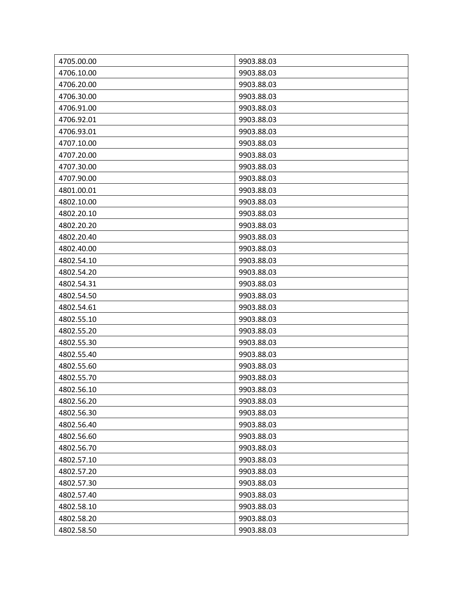| 4705.00.00 | 9903.88.03 |
|------------|------------|
| 4706.10.00 | 9903.88.03 |
| 4706.20.00 | 9903.88.03 |
| 4706.30.00 | 9903.88.03 |
| 4706.91.00 | 9903.88.03 |
| 4706.92.01 | 9903.88.03 |
| 4706.93.01 | 9903.88.03 |
| 4707.10.00 | 9903.88.03 |
| 4707.20.00 | 9903.88.03 |
| 4707.30.00 | 9903.88.03 |
| 4707.90.00 | 9903.88.03 |
| 4801.00.01 | 9903.88.03 |
| 4802.10.00 | 9903.88.03 |
| 4802.20.10 | 9903.88.03 |
| 4802.20.20 | 9903.88.03 |
| 4802.20.40 | 9903.88.03 |
| 4802.40.00 | 9903.88.03 |
| 4802.54.10 | 9903.88.03 |
| 4802.54.20 | 9903.88.03 |
| 4802.54.31 | 9903.88.03 |
| 4802.54.50 | 9903.88.03 |
| 4802.54.61 | 9903.88.03 |
| 4802.55.10 | 9903.88.03 |
| 4802.55.20 | 9903.88.03 |
| 4802.55.30 | 9903.88.03 |
| 4802.55.40 | 9903.88.03 |
| 4802.55.60 | 9903.88.03 |
| 4802.55.70 | 9903.88.03 |
| 4802.56.10 | 9903.88.03 |
| 4802.56.20 | 9903.88.03 |
| 4802.56.30 | 9903.88.03 |
| 4802.56.40 | 9903.88.03 |
| 4802.56.60 | 9903.88.03 |
| 4802.56.70 | 9903.88.03 |
| 4802.57.10 | 9903.88.03 |
| 4802.57.20 | 9903.88.03 |
| 4802.57.30 | 9903.88.03 |
| 4802.57.40 | 9903.88.03 |
| 4802.58.10 | 9903.88.03 |
| 4802.58.20 | 9903.88.03 |
| 4802.58.50 | 9903.88.03 |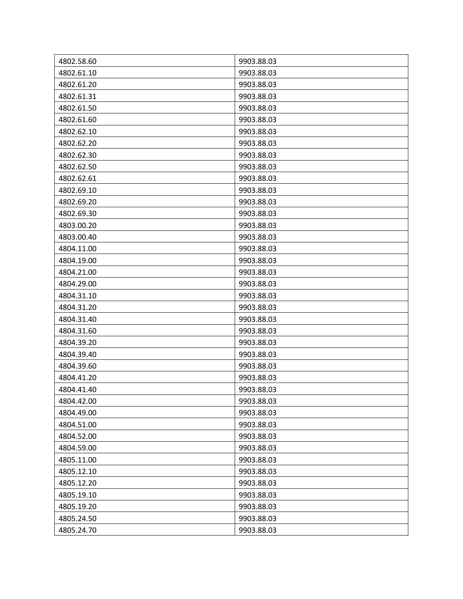| 4802.58.60 | 9903.88.03 |
|------------|------------|
| 4802.61.10 | 9903.88.03 |
| 4802.61.20 | 9903.88.03 |
| 4802.61.31 | 9903.88.03 |
| 4802.61.50 | 9903.88.03 |
| 4802.61.60 | 9903.88.03 |
| 4802.62.10 | 9903.88.03 |
| 4802.62.20 | 9903.88.03 |
| 4802.62.30 | 9903.88.03 |
| 4802.62.50 | 9903.88.03 |
| 4802.62.61 | 9903.88.03 |
| 4802.69.10 | 9903.88.03 |
| 4802.69.20 | 9903.88.03 |
| 4802.69.30 | 9903.88.03 |
| 4803.00.20 | 9903.88.03 |
| 4803.00.40 | 9903.88.03 |
| 4804.11.00 | 9903.88.03 |
| 4804.19.00 | 9903.88.03 |
| 4804.21.00 | 9903.88.03 |
| 4804.29.00 | 9903.88.03 |
| 4804.31.10 | 9903.88.03 |
| 4804.31.20 | 9903.88.03 |
| 4804.31.40 | 9903.88.03 |
| 4804.31.60 | 9903.88.03 |
| 4804.39.20 | 9903.88.03 |
| 4804.39.40 | 9903.88.03 |
| 4804.39.60 | 9903.88.03 |
| 4804.41.20 | 9903.88.03 |
| 4804.41.40 | 9903.88.03 |
| 4804.42.00 | 9903.88.03 |
| 4804.49.00 | 9903.88.03 |
| 4804.51.00 | 9903.88.03 |
| 4804.52.00 | 9903.88.03 |
| 4804.59.00 | 9903.88.03 |
| 4805.11.00 | 9903.88.03 |
| 4805.12.10 | 9903.88.03 |
| 4805.12.20 | 9903.88.03 |
| 4805.19.10 | 9903.88.03 |
| 4805.19.20 | 9903.88.03 |
| 4805.24.50 | 9903.88.03 |
| 4805.24.70 | 9903.88.03 |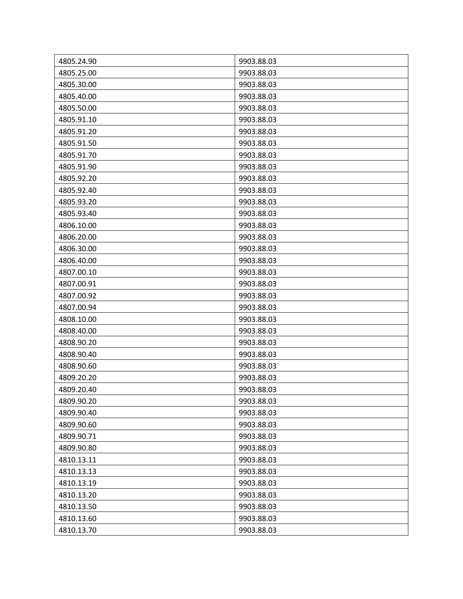| 4805.24.90 | 9903.88.03 |
|------------|------------|
| 4805.25.00 | 9903.88.03 |
| 4805.30.00 | 9903.88.03 |
| 4805.40.00 | 9903.88.03 |
| 4805.50.00 | 9903.88.03 |
| 4805.91.10 | 9903.88.03 |
| 4805.91.20 | 9903.88.03 |
| 4805.91.50 | 9903.88.03 |
| 4805.91.70 | 9903.88.03 |
| 4805.91.90 | 9903.88.03 |
| 4805.92.20 | 9903.88.03 |
| 4805.92.40 | 9903.88.03 |
| 4805.93.20 | 9903.88.03 |
| 4805.93.40 | 9903.88.03 |
| 4806.10.00 | 9903.88.03 |
| 4806.20.00 | 9903.88.03 |
| 4806.30.00 | 9903.88.03 |
| 4806.40.00 | 9903.88.03 |
| 4807.00.10 | 9903.88.03 |
| 4807.00.91 | 9903.88.03 |
| 4807.00.92 | 9903.88.03 |
| 4807.00.94 | 9903.88.03 |
| 4808.10.00 | 9903.88.03 |
| 4808.40.00 | 9903.88.03 |
| 4808.90.20 | 9903.88.03 |
| 4808.90.40 | 9903.88.03 |
| 4808.90.60 | 9903.88.03 |
| 4809.20.20 | 9903.88.03 |
| 4809.20.40 | 9903.88.03 |
| 4809.90.20 | 9903.88.03 |
| 4809.90.40 | 9903.88.03 |
| 4809.90.60 | 9903.88.03 |
| 4809.90.71 | 9903.88.03 |
| 4809.90.80 | 9903.88.03 |
| 4810.13.11 | 9903.88.03 |
| 4810.13.13 | 9903.88.03 |
| 4810.13.19 | 9903.88.03 |
| 4810.13.20 | 9903.88.03 |
| 4810.13.50 | 9903.88.03 |
| 4810.13.60 | 9903.88.03 |
| 4810.13.70 | 9903.88.03 |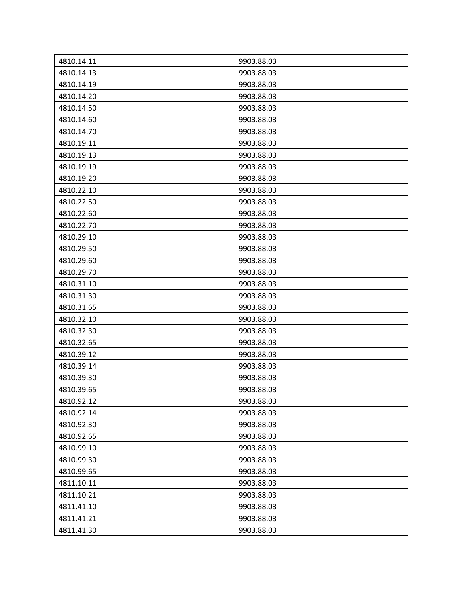| 4810.14.11 | 9903.88.03 |
|------------|------------|
| 4810.14.13 | 9903.88.03 |
| 4810.14.19 | 9903.88.03 |
| 4810.14.20 | 9903.88.03 |
| 4810.14.50 | 9903.88.03 |
| 4810.14.60 | 9903.88.03 |
| 4810.14.70 | 9903.88.03 |
| 4810.19.11 | 9903.88.03 |
| 4810.19.13 | 9903.88.03 |
| 4810.19.19 | 9903.88.03 |
| 4810.19.20 | 9903.88.03 |
| 4810.22.10 | 9903.88.03 |
| 4810.22.50 | 9903.88.03 |
| 4810.22.60 | 9903.88.03 |
| 4810.22.70 | 9903.88.03 |
| 4810.29.10 | 9903.88.03 |
| 4810.29.50 | 9903.88.03 |
| 4810.29.60 | 9903.88.03 |
| 4810.29.70 | 9903.88.03 |
| 4810.31.10 | 9903.88.03 |
| 4810.31.30 | 9903.88.03 |
| 4810.31.65 | 9903.88.03 |
| 4810.32.10 | 9903.88.03 |
| 4810.32.30 | 9903.88.03 |
| 4810.32.65 | 9903.88.03 |
| 4810.39.12 | 9903.88.03 |
| 4810.39.14 | 9903.88.03 |
| 4810.39.30 | 9903.88.03 |
| 4810.39.65 | 9903.88.03 |
| 4810.92.12 | 9903.88.03 |
| 4810.92.14 | 9903.88.03 |
| 4810.92.30 | 9903.88.03 |
| 4810.92.65 | 9903.88.03 |
| 4810.99.10 | 9903.88.03 |
| 4810.99.30 | 9903.88.03 |
| 4810.99.65 | 9903.88.03 |
| 4811.10.11 | 9903.88.03 |
| 4811.10.21 | 9903.88.03 |
| 4811.41.10 | 9903.88.03 |
| 4811.41.21 | 9903.88.03 |
| 4811.41.30 | 9903.88.03 |
|            |            |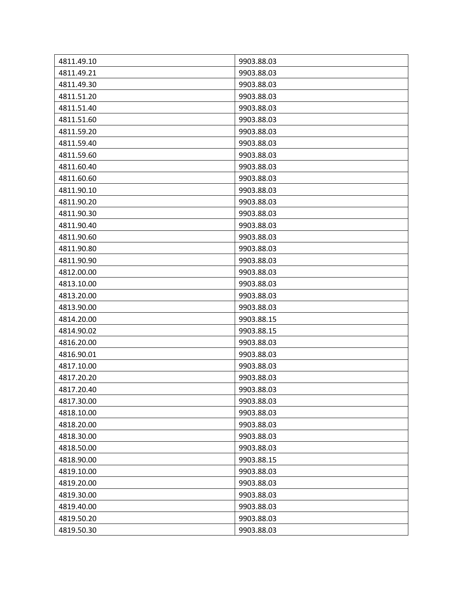| 4811.49.10 | 9903.88.03 |
|------------|------------|
| 4811.49.21 | 9903.88.03 |
| 4811.49.30 | 9903.88.03 |
| 4811.51.20 | 9903.88.03 |
| 4811.51.40 | 9903.88.03 |
| 4811.51.60 | 9903.88.03 |
| 4811.59.20 | 9903.88.03 |
| 4811.59.40 | 9903.88.03 |
| 4811.59.60 | 9903.88.03 |
| 4811.60.40 | 9903.88.03 |
| 4811.60.60 | 9903.88.03 |
| 4811.90.10 | 9903.88.03 |
| 4811.90.20 | 9903.88.03 |
| 4811.90.30 | 9903.88.03 |
| 4811.90.40 | 9903.88.03 |
| 4811.90.60 | 9903.88.03 |
| 4811.90.80 | 9903.88.03 |
| 4811.90.90 | 9903.88.03 |
| 4812.00.00 | 9903.88.03 |
| 4813.10.00 | 9903.88.03 |
| 4813.20.00 | 9903.88.03 |
| 4813.90.00 | 9903.88.03 |
| 4814.20.00 | 9903.88.15 |
| 4814.90.02 | 9903.88.15 |
| 4816.20.00 | 9903.88.03 |
| 4816.90.01 | 9903.88.03 |
| 4817.10.00 | 9903.88.03 |
| 4817.20.20 | 9903.88.03 |
| 4817.20.40 | 9903.88.03 |
| 4817.30.00 | 9903.88.03 |
| 4818.10.00 | 9903.88.03 |
| 4818.20.00 | 9903.88.03 |
| 4818.30.00 | 9903.88.03 |
| 4818.50.00 | 9903.88.03 |
| 4818.90.00 | 9903.88.15 |
| 4819.10.00 | 9903.88.03 |
| 4819.20.00 | 9903.88.03 |
| 4819.30.00 | 9903.88.03 |
| 4819.40.00 | 9903.88.03 |
| 4819.50.20 | 9903.88.03 |
| 4819.50.30 | 9903.88.03 |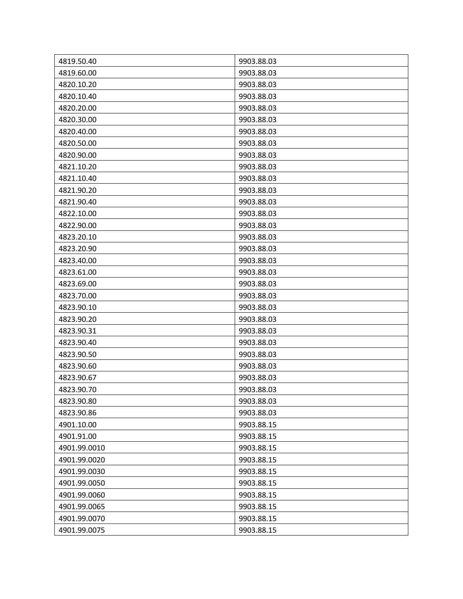| 4819.50.40   | 9903.88.03 |
|--------------|------------|
| 4819.60.00   | 9903.88.03 |
| 4820.10.20   | 9903.88.03 |
| 4820.10.40   | 9903.88.03 |
| 4820.20.00   | 9903.88.03 |
| 4820.30.00   | 9903.88.03 |
| 4820.40.00   | 9903.88.03 |
| 4820.50.00   | 9903.88.03 |
| 4820.90.00   | 9903.88.03 |
| 4821.10.20   | 9903.88.03 |
| 4821.10.40   | 9903.88.03 |
| 4821.90.20   | 9903.88.03 |
| 4821.90.40   | 9903.88.03 |
| 4822.10.00   | 9903.88.03 |
| 4822.90.00   | 9903.88.03 |
| 4823.20.10   | 9903.88.03 |
| 4823.20.90   | 9903.88.03 |
| 4823.40.00   | 9903.88.03 |
| 4823.61.00   | 9903.88.03 |
| 4823.69.00   | 9903.88.03 |
| 4823.70.00   | 9903.88.03 |
| 4823.90.10   | 9903.88.03 |
| 4823.90.20   | 9903.88.03 |
| 4823.90.31   | 9903.88.03 |
| 4823.90.40   | 9903.88.03 |
| 4823.90.50   | 9903.88.03 |
| 4823.90.60   | 9903.88.03 |
| 4823.90.67   | 9903.88.03 |
| 4823.90.70   | 9903.88.03 |
| 4823.90.80   | 9903.88.03 |
| 4823.90.86   | 9903.88.03 |
| 4901.10.00   | 9903.88.15 |
| 4901.91.00   | 9903.88.15 |
| 4901.99.0010 | 9903.88.15 |
| 4901.99.0020 | 9903.88.15 |
| 4901.99.0030 | 9903.88.15 |
| 4901.99.0050 | 9903.88.15 |
| 4901.99.0060 | 9903.88.15 |
| 4901.99.0065 | 9903.88.15 |
| 4901.99.0070 | 9903.88.15 |
| 4901.99.0075 | 9903.88.15 |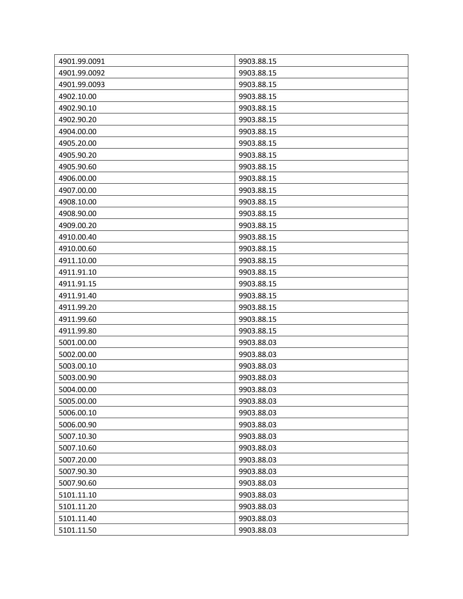| 4901.99.0091 | 9903.88.15 |
|--------------|------------|
| 4901.99.0092 | 9903.88.15 |
| 4901.99.0093 | 9903.88.15 |
| 4902.10.00   | 9903.88.15 |
| 4902.90.10   | 9903.88.15 |
| 4902.90.20   | 9903.88.15 |
| 4904.00.00   | 9903.88.15 |
| 4905.20.00   | 9903.88.15 |
| 4905.90.20   | 9903.88.15 |
| 4905.90.60   | 9903.88.15 |
| 4906.00.00   | 9903.88.15 |
| 4907.00.00   | 9903.88.15 |
| 4908.10.00   | 9903.88.15 |
| 4908.90.00   | 9903.88.15 |
| 4909.00.20   | 9903.88.15 |
| 4910.00.40   | 9903.88.15 |
| 4910.00.60   | 9903.88.15 |
| 4911.10.00   | 9903.88.15 |
| 4911.91.10   | 9903.88.15 |
| 4911.91.15   | 9903.88.15 |
| 4911.91.40   | 9903.88.15 |
| 4911.99.20   | 9903.88.15 |
| 4911.99.60   | 9903.88.15 |
| 4911.99.80   | 9903.88.15 |
| 5001.00.00   | 9903.88.03 |
| 5002.00.00   | 9903.88.03 |
| 5003.00.10   | 9903.88.03 |
| 5003.00.90   | 9903.88.03 |
| 5004.00.00   | 9903.88.03 |
| 5005.00.00   | 9903.88.03 |
| 5006.00.10   | 9903.88.03 |
| 5006.00.90   | 9903.88.03 |
| 5007.10.30   | 9903.88.03 |
| 5007.10.60   | 9903.88.03 |
| 5007.20.00   | 9903.88.03 |
| 5007.90.30   | 9903.88.03 |
| 5007.90.60   | 9903.88.03 |
| 5101.11.10   | 9903.88.03 |
| 5101.11.20   | 9903.88.03 |
| 5101.11.40   | 9903.88.03 |
| 5101.11.50   | 9903.88.03 |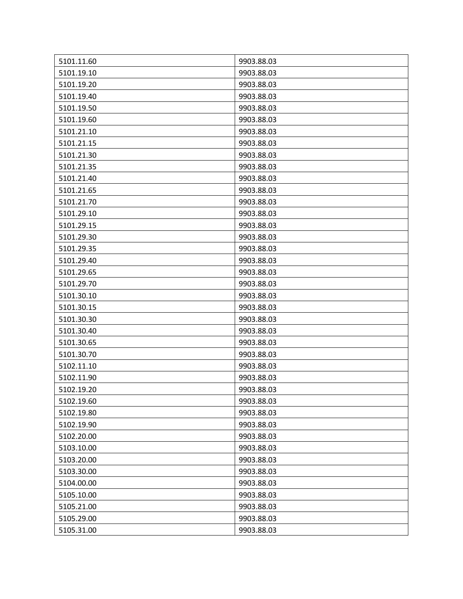| 5101.11.60 | 9903.88.03 |
|------------|------------|
| 5101.19.10 | 9903.88.03 |
| 5101.19.20 | 9903.88.03 |
|            |            |
| 5101.19.40 | 9903.88.03 |
| 5101.19.50 | 9903.88.03 |
| 5101.19.60 | 9903.88.03 |
| 5101.21.10 | 9903.88.03 |
| 5101.21.15 | 9903.88.03 |
| 5101.21.30 | 9903.88.03 |
| 5101.21.35 | 9903.88.03 |
| 5101.21.40 | 9903.88.03 |
| 5101.21.65 | 9903.88.03 |
| 5101.21.70 | 9903.88.03 |
| 5101.29.10 | 9903.88.03 |
| 5101.29.15 | 9903.88.03 |
| 5101.29.30 | 9903.88.03 |
| 5101.29.35 | 9903.88.03 |
| 5101.29.40 | 9903.88.03 |
| 5101.29.65 | 9903.88.03 |
| 5101.29.70 | 9903.88.03 |
| 5101.30.10 | 9903.88.03 |
| 5101.30.15 | 9903.88.03 |
| 5101.30.30 | 9903.88.03 |
| 5101.30.40 | 9903.88.03 |
| 5101.30.65 | 9903.88.03 |
| 5101.30.70 | 9903.88.03 |
| 5102.11.10 | 9903.88.03 |
| 5102.11.90 | 9903.88.03 |
| 5102.19.20 | 9903.88.03 |
| 5102.19.60 | 9903.88.03 |
| 5102.19.80 | 9903.88.03 |
| 5102.19.90 | 9903.88.03 |
| 5102.20.00 | 9903.88.03 |
| 5103.10.00 | 9903.88.03 |
| 5103.20.00 | 9903.88.03 |
| 5103.30.00 | 9903.88.03 |
| 5104.00.00 | 9903.88.03 |
| 5105.10.00 | 9903.88.03 |
| 5105.21.00 | 9903.88.03 |
| 5105.29.00 | 9903.88.03 |
| 5105.31.00 | 9903.88.03 |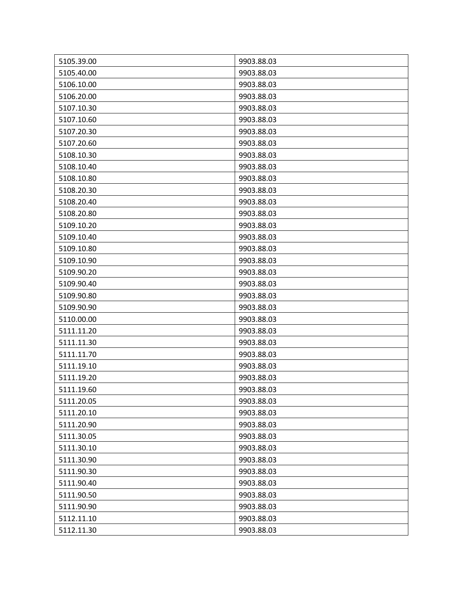| 5105.39.00 | 9903.88.03 |
|------------|------------|
| 5105.40.00 | 9903.88.03 |
| 5106.10.00 | 9903.88.03 |
| 5106.20.00 | 9903.88.03 |
| 5107.10.30 | 9903.88.03 |
| 5107.10.60 | 9903.88.03 |
| 5107.20.30 | 9903.88.03 |
| 5107.20.60 | 9903.88.03 |
| 5108.10.30 | 9903.88.03 |
| 5108.10.40 | 9903.88.03 |
| 5108.10.80 | 9903.88.03 |
| 5108.20.30 | 9903.88.03 |
| 5108.20.40 | 9903.88.03 |
| 5108.20.80 | 9903.88.03 |
| 5109.10.20 | 9903.88.03 |
| 5109.10.40 | 9903.88.03 |
| 5109.10.80 | 9903.88.03 |
| 5109.10.90 | 9903.88.03 |
| 5109.90.20 | 9903.88.03 |
| 5109.90.40 | 9903.88.03 |
| 5109.90.80 | 9903.88.03 |
| 5109.90.90 | 9903.88.03 |
| 5110.00.00 | 9903.88.03 |
| 5111.11.20 | 9903.88.03 |
| 5111.11.30 | 9903.88.03 |
| 5111.11.70 | 9903.88.03 |
| 5111.19.10 | 9903.88.03 |
| 5111.19.20 | 9903.88.03 |
| 5111.19.60 | 9903.88.03 |
| 5111.20.05 | 9903.88.03 |
| 5111.20.10 | 9903.88.03 |
| 5111.20.90 | 9903.88.03 |
| 5111.30.05 | 9903.88.03 |
| 5111.30.10 | 9903.88.03 |
| 5111.30.90 | 9903.88.03 |
| 5111.90.30 | 9903.88.03 |
| 5111.90.40 | 9903.88.03 |
| 5111.90.50 | 9903.88.03 |
| 5111.90.90 | 9903.88.03 |
| 5112.11.10 | 9903.88.03 |
| 5112.11.30 | 9903.88.03 |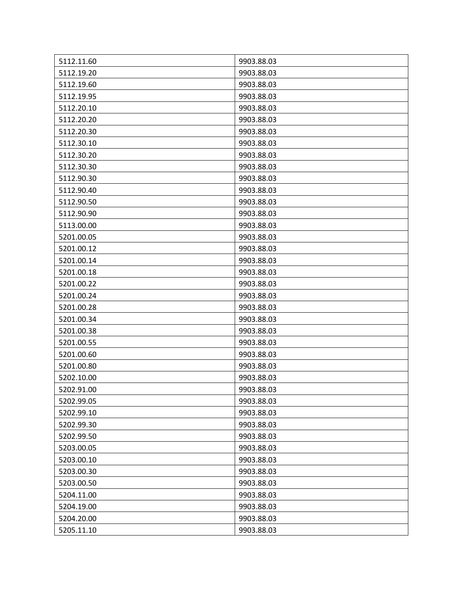| 5112.11.60 | 9903.88.03 |
|------------|------------|
| 5112.19.20 | 9903.88.03 |
| 5112.19.60 | 9903.88.03 |
| 5112.19.95 | 9903.88.03 |
| 5112.20.10 | 9903.88.03 |
| 5112.20.20 | 9903.88.03 |
| 5112.20.30 | 9903.88.03 |
| 5112.30.10 | 9903.88.03 |
| 5112.30.20 | 9903.88.03 |
| 5112.30.30 | 9903.88.03 |
| 5112.90.30 | 9903.88.03 |
| 5112.90.40 | 9903.88.03 |
| 5112.90.50 | 9903.88.03 |
| 5112.90.90 | 9903.88.03 |
| 5113.00.00 | 9903.88.03 |
| 5201.00.05 | 9903.88.03 |
| 5201.00.12 | 9903.88.03 |
| 5201.00.14 | 9903.88.03 |
| 5201.00.18 | 9903.88.03 |
| 5201.00.22 | 9903.88.03 |
| 5201.00.24 | 9903.88.03 |
| 5201.00.28 | 9903.88.03 |
| 5201.00.34 | 9903.88.03 |
| 5201.00.38 | 9903.88.03 |
| 5201.00.55 | 9903.88.03 |
| 5201.00.60 | 9903.88.03 |
| 5201.00.80 | 9903.88.03 |
| 5202.10.00 | 9903.88.03 |
| 5202.91.00 | 9903.88.03 |
| 5202.99.05 | 9903.88.03 |
| 5202.99.10 | 9903.88.03 |
| 5202.99.30 | 9903.88.03 |
| 5202.99.50 | 9903.88.03 |
| 5203.00.05 | 9903.88.03 |
| 5203.00.10 | 9903.88.03 |
| 5203.00.30 | 9903.88.03 |
| 5203.00.50 | 9903.88.03 |
| 5204.11.00 | 9903.88.03 |
| 5204.19.00 | 9903.88.03 |
| 5204.20.00 | 9903.88.03 |
| 5205.11.10 | 9903.88.03 |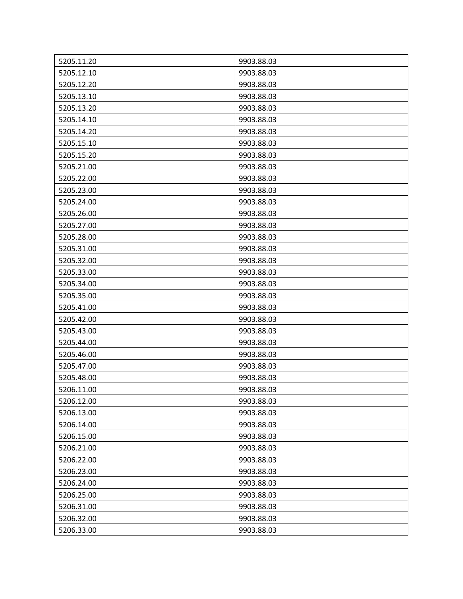| 5205.11.20 | 9903.88.03 |
|------------|------------|
| 5205.12.10 | 9903.88.03 |
| 5205.12.20 | 9903.88.03 |
| 5205.13.10 | 9903.88.03 |
| 5205.13.20 | 9903.88.03 |
| 5205.14.10 | 9903.88.03 |
| 5205.14.20 | 9903.88.03 |
| 5205.15.10 | 9903.88.03 |
| 5205.15.20 | 9903.88.03 |
| 5205.21.00 | 9903.88.03 |
| 5205.22.00 | 9903.88.03 |
| 5205.23.00 | 9903.88.03 |
| 5205.24.00 | 9903.88.03 |
| 5205.26.00 | 9903.88.03 |
| 5205.27.00 | 9903.88.03 |
| 5205.28.00 | 9903.88.03 |
| 5205.31.00 | 9903.88.03 |
| 5205.32.00 | 9903.88.03 |
| 5205.33.00 | 9903.88.03 |
| 5205.34.00 | 9903.88.03 |
| 5205.35.00 | 9903.88.03 |
| 5205.41.00 | 9903.88.03 |
| 5205.42.00 | 9903.88.03 |
| 5205.43.00 | 9903.88.03 |
| 5205.44.00 | 9903.88.03 |
| 5205.46.00 | 9903.88.03 |
| 5205.47.00 | 9903.88.03 |
| 5205.48.00 | 9903.88.03 |
| 5206.11.00 | 9903.88.03 |
| 5206.12.00 | 9903.88.03 |
| 5206.13.00 | 9903.88.03 |
| 5206.14.00 | 9903.88.03 |
| 5206.15.00 | 9903.88.03 |
| 5206.21.00 | 9903.88.03 |
| 5206.22.00 | 9903.88.03 |
| 5206.23.00 | 9903.88.03 |
| 5206.24.00 | 9903.88.03 |
| 5206.25.00 | 9903.88.03 |
| 5206.31.00 | 9903.88.03 |
| 5206.32.00 | 9903.88.03 |
| 5206.33.00 | 9903.88.03 |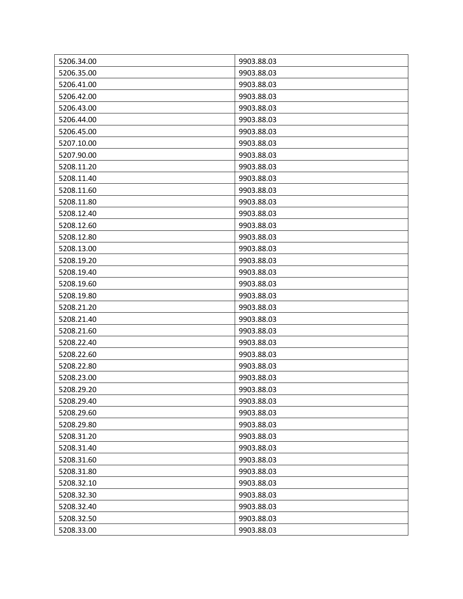| 5206.34.00 | 9903.88.03 |
|------------|------------|
| 5206.35.00 | 9903.88.03 |
| 5206.41.00 | 9903.88.03 |
| 5206.42.00 | 9903.88.03 |
| 5206.43.00 | 9903.88.03 |
| 5206.44.00 | 9903.88.03 |
| 5206.45.00 | 9903.88.03 |
| 5207.10.00 | 9903.88.03 |
| 5207.90.00 | 9903.88.03 |
| 5208.11.20 | 9903.88.03 |
| 5208.11.40 | 9903.88.03 |
| 5208.11.60 | 9903.88.03 |
| 5208.11.80 | 9903.88.03 |
| 5208.12.40 | 9903.88.03 |
| 5208.12.60 | 9903.88.03 |
| 5208.12.80 | 9903.88.03 |
| 5208.13.00 | 9903.88.03 |
| 5208.19.20 | 9903.88.03 |
| 5208.19.40 | 9903.88.03 |
| 5208.19.60 | 9903.88.03 |
| 5208.19.80 | 9903.88.03 |
| 5208.21.20 | 9903.88.03 |
| 5208.21.40 | 9903.88.03 |
| 5208.21.60 | 9903.88.03 |
| 5208.22.40 | 9903.88.03 |
| 5208.22.60 | 9903.88.03 |
| 5208.22.80 | 9903.88.03 |
| 5208.23.00 | 9903.88.03 |
| 5208.29.20 | 9903.88.03 |
| 5208.29.40 | 9903.88.03 |
| 5208.29.60 | 9903.88.03 |
| 5208.29.80 | 9903.88.03 |
| 5208.31.20 | 9903.88.03 |
| 5208.31.40 | 9903.88.03 |
| 5208.31.60 | 9903.88.03 |
| 5208.31.80 | 9903.88.03 |
| 5208.32.10 | 9903.88.03 |
| 5208.32.30 | 9903.88.03 |
| 5208.32.40 | 9903.88.03 |
| 5208.32.50 | 9903.88.03 |
| 5208.33.00 | 9903.88.03 |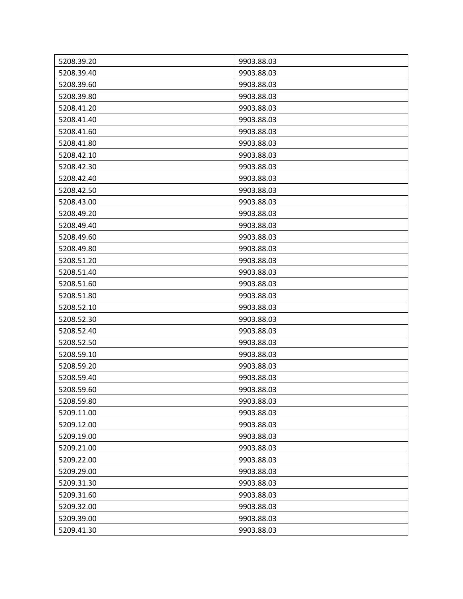| 5208.39.20 | 9903.88.03 |
|------------|------------|
| 5208.39.40 | 9903.88.03 |
| 5208.39.60 | 9903.88.03 |
| 5208.39.80 | 9903.88.03 |
| 5208.41.20 | 9903.88.03 |
| 5208.41.40 | 9903.88.03 |
| 5208.41.60 | 9903.88.03 |
| 5208.41.80 | 9903.88.03 |
| 5208.42.10 | 9903.88.03 |
| 5208.42.30 | 9903.88.03 |
| 5208.42.40 | 9903.88.03 |
| 5208.42.50 | 9903.88.03 |
| 5208.43.00 | 9903.88.03 |
| 5208.49.20 | 9903.88.03 |
| 5208.49.40 | 9903.88.03 |
| 5208.49.60 | 9903.88.03 |
| 5208.49.80 | 9903.88.03 |
| 5208.51.20 | 9903.88.03 |
| 5208.51.40 | 9903.88.03 |
| 5208.51.60 | 9903.88.03 |
| 5208.51.80 | 9903.88.03 |
| 5208.52.10 | 9903.88.03 |
| 5208.52.30 | 9903.88.03 |
| 5208.52.40 | 9903.88.03 |
| 5208.52.50 | 9903.88.03 |
| 5208.59.10 | 9903.88.03 |
| 5208.59.20 | 9903.88.03 |
| 5208.59.40 | 9903.88.03 |
| 5208.59.60 | 9903.88.03 |
| 5208.59.80 | 9903.88.03 |
| 5209.11.00 | 9903.88.03 |
| 5209.12.00 | 9903.88.03 |
| 5209.19.00 | 9903.88.03 |
| 5209.21.00 | 9903.88.03 |
| 5209.22.00 | 9903.88.03 |
| 5209.29.00 | 9903.88.03 |
| 5209.31.30 | 9903.88.03 |
| 5209.31.60 | 9903.88.03 |
| 5209.32.00 | 9903.88.03 |
| 5209.39.00 | 9903.88.03 |
| 5209.41.30 | 9903.88.03 |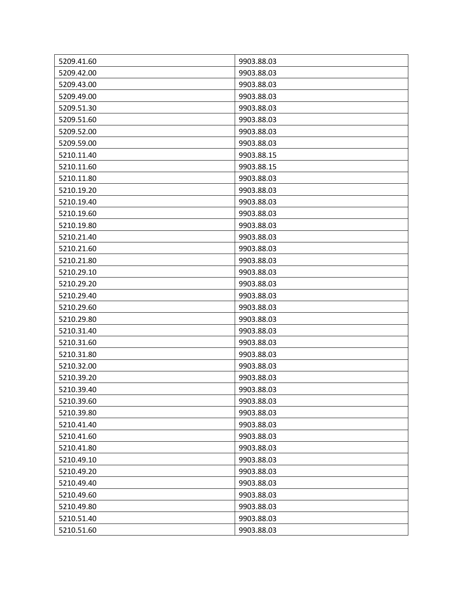| 5209.41.60 | 9903.88.03 |
|------------|------------|
| 5209.42.00 | 9903.88.03 |
| 5209.43.00 | 9903.88.03 |
| 5209.49.00 | 9903.88.03 |
| 5209.51.30 | 9903.88.03 |
| 5209.51.60 | 9903.88.03 |
| 5209.52.00 | 9903.88.03 |
| 5209.59.00 | 9903.88.03 |
| 5210.11.40 | 9903.88.15 |
| 5210.11.60 | 9903.88.15 |
| 5210.11.80 | 9903.88.03 |
| 5210.19.20 | 9903.88.03 |
| 5210.19.40 | 9903.88.03 |
| 5210.19.60 | 9903.88.03 |
| 5210.19.80 | 9903.88.03 |
| 5210.21.40 | 9903.88.03 |
| 5210.21.60 | 9903.88.03 |
| 5210.21.80 | 9903.88.03 |
| 5210.29.10 | 9903.88.03 |
| 5210.29.20 | 9903.88.03 |
| 5210.29.40 | 9903.88.03 |
| 5210.29.60 | 9903.88.03 |
| 5210.29.80 | 9903.88.03 |
| 5210.31.40 | 9903.88.03 |
| 5210.31.60 | 9903.88.03 |
| 5210.31.80 | 9903.88.03 |
| 5210.32.00 | 9903.88.03 |
| 5210.39.20 | 9903.88.03 |
| 5210.39.40 | 9903.88.03 |
| 5210.39.60 | 9903.88.03 |
| 5210.39.80 | 9903.88.03 |
| 5210.41.40 | 9903.88.03 |
| 5210.41.60 | 9903.88.03 |
| 5210.41.80 | 9903.88.03 |
| 5210.49.10 | 9903.88.03 |
| 5210.49.20 | 9903.88.03 |
| 5210.49.40 | 9903.88.03 |
| 5210.49.60 | 9903.88.03 |
| 5210.49.80 | 9903.88.03 |
| 5210.51.40 | 9903.88.03 |
| 5210.51.60 | 9903.88.03 |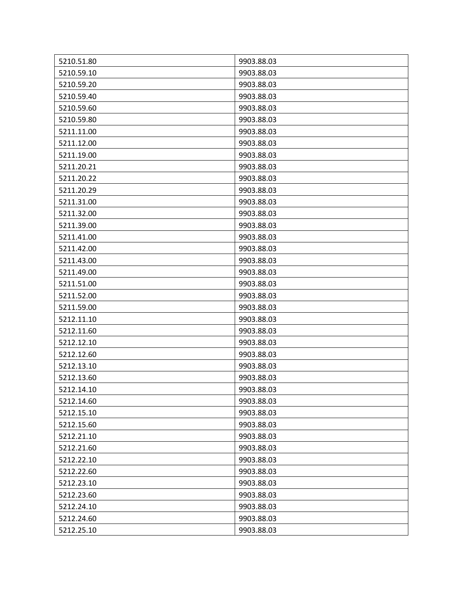| 5210.51.80 | 9903.88.03 |
|------------|------------|
| 5210.59.10 | 9903.88.03 |
| 5210.59.20 | 9903.88.03 |
| 5210.59.40 | 9903.88.03 |
| 5210.59.60 | 9903.88.03 |
| 5210.59.80 | 9903.88.03 |
| 5211.11.00 | 9903.88.03 |
| 5211.12.00 | 9903.88.03 |
| 5211.19.00 | 9903.88.03 |
| 5211.20.21 | 9903.88.03 |
| 5211.20.22 | 9903.88.03 |
| 5211.20.29 | 9903.88.03 |
| 5211.31.00 | 9903.88.03 |
| 5211.32.00 | 9903.88.03 |
| 5211.39.00 | 9903.88.03 |
| 5211.41.00 | 9903.88.03 |
| 5211.42.00 | 9903.88.03 |
| 5211.43.00 | 9903.88.03 |
| 5211.49.00 | 9903.88.03 |
| 5211.51.00 | 9903.88.03 |
| 5211.52.00 | 9903.88.03 |
| 5211.59.00 | 9903.88.03 |
| 5212.11.10 | 9903.88.03 |
| 5212.11.60 | 9903.88.03 |
| 5212.12.10 | 9903.88.03 |
| 5212.12.60 | 9903.88.03 |
| 5212.13.10 | 9903.88.03 |
| 5212.13.60 | 9903.88.03 |
| 5212.14.10 | 9903.88.03 |
| 5212.14.60 | 9903.88.03 |
| 5212.15.10 | 9903.88.03 |
| 5212.15.60 | 9903.88.03 |
| 5212.21.10 | 9903.88.03 |
| 5212.21.60 | 9903.88.03 |
| 5212.22.10 | 9903.88.03 |
| 5212.22.60 | 9903.88.03 |
| 5212.23.10 | 9903.88.03 |
| 5212.23.60 | 9903.88.03 |
| 5212.24.10 | 9903.88.03 |
| 5212.24.60 | 9903.88.03 |
| 5212.25.10 | 9903.88.03 |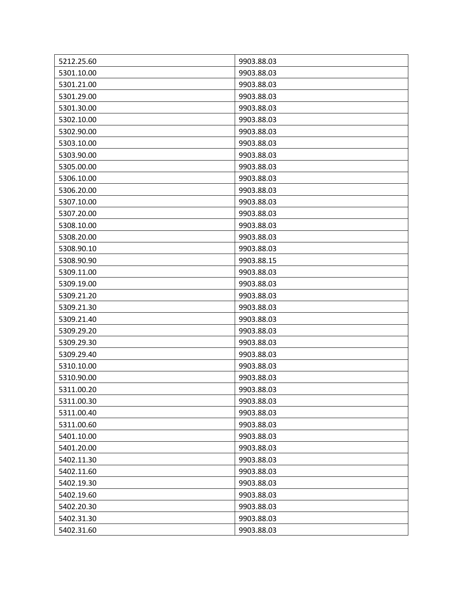| 5212.25.60 | 9903.88.03 |
|------------|------------|
| 5301.10.00 | 9903.88.03 |
| 5301.21.00 | 9903.88.03 |
| 5301.29.00 | 9903.88.03 |
| 5301.30.00 | 9903.88.03 |
| 5302.10.00 | 9903.88.03 |
| 5302.90.00 | 9903.88.03 |
| 5303.10.00 | 9903.88.03 |
| 5303.90.00 | 9903.88.03 |
| 5305.00.00 | 9903.88.03 |
| 5306.10.00 | 9903.88.03 |
| 5306.20.00 | 9903.88.03 |
| 5307.10.00 | 9903.88.03 |
| 5307.20.00 | 9903.88.03 |
| 5308.10.00 | 9903.88.03 |
| 5308.20.00 | 9903.88.03 |
| 5308.90.10 | 9903.88.03 |
| 5308.90.90 | 9903.88.15 |
| 5309.11.00 | 9903.88.03 |
| 5309.19.00 | 9903.88.03 |
| 5309.21.20 | 9903.88.03 |
| 5309.21.30 | 9903.88.03 |
| 5309.21.40 | 9903.88.03 |
| 5309.29.20 | 9903.88.03 |
| 5309.29.30 | 9903.88.03 |
| 5309.29.40 | 9903.88.03 |
| 5310.10.00 | 9903.88.03 |
| 5310.90.00 | 9903.88.03 |
| 5311.00.20 | 9903.88.03 |
| 5311.00.30 | 9903.88.03 |
| 5311.00.40 | 9903.88.03 |
| 5311.00.60 | 9903.88.03 |
| 5401.10.00 | 9903.88.03 |
| 5401.20.00 | 9903.88.03 |
| 5402.11.30 | 9903.88.03 |
| 5402.11.60 | 9903.88.03 |
| 5402.19.30 | 9903.88.03 |
| 5402.19.60 | 9903.88.03 |
| 5402.20.30 | 9903.88.03 |
| 5402.31.30 | 9903.88.03 |
| 5402.31.60 | 9903.88.03 |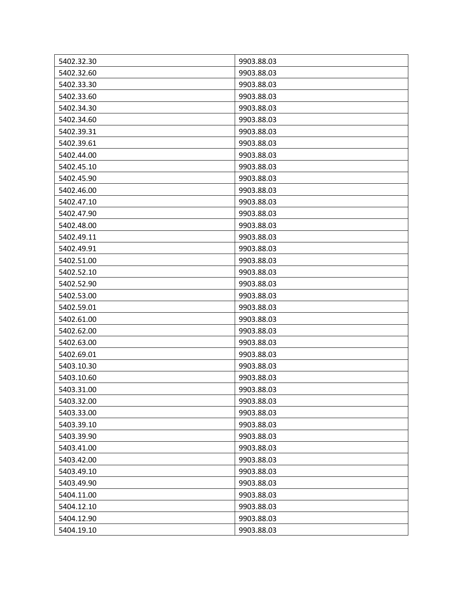| 5402.32.30 | 9903.88.03 |
|------------|------------|
| 5402.32.60 | 9903.88.03 |
| 5402.33.30 | 9903.88.03 |
| 5402.33.60 | 9903.88.03 |
| 5402.34.30 | 9903.88.03 |
| 5402.34.60 | 9903.88.03 |
| 5402.39.31 | 9903.88.03 |
| 5402.39.61 | 9903.88.03 |
| 5402.44.00 | 9903.88.03 |
| 5402.45.10 | 9903.88.03 |
| 5402.45.90 | 9903.88.03 |
| 5402.46.00 | 9903.88.03 |
| 5402.47.10 | 9903.88.03 |
| 5402.47.90 | 9903.88.03 |
| 5402.48.00 | 9903.88.03 |
| 5402.49.11 | 9903.88.03 |
| 5402.49.91 | 9903.88.03 |
| 5402.51.00 | 9903.88.03 |
| 5402.52.10 | 9903.88.03 |
| 5402.52.90 | 9903.88.03 |
| 5402.53.00 | 9903.88.03 |
| 5402.59.01 | 9903.88.03 |
| 5402.61.00 | 9903.88.03 |
| 5402.62.00 | 9903.88.03 |
| 5402.63.00 | 9903.88.03 |
| 5402.69.01 | 9903.88.03 |
| 5403.10.30 | 9903.88.03 |
| 5403.10.60 | 9903.88.03 |
| 5403.31.00 | 9903.88.03 |
| 5403.32.00 | 9903.88.03 |
| 5403.33.00 | 9903.88.03 |
| 5403.39.10 | 9903.88.03 |
| 5403.39.90 | 9903.88.03 |
| 5403.41.00 | 9903.88.03 |
| 5403.42.00 | 9903.88.03 |
| 5403.49.10 | 9903.88.03 |
| 5403.49.90 | 9903.88.03 |
| 5404.11.00 | 9903.88.03 |
| 5404.12.10 | 9903.88.03 |
| 5404.12.90 | 9903.88.03 |
| 5404.19.10 | 9903.88.03 |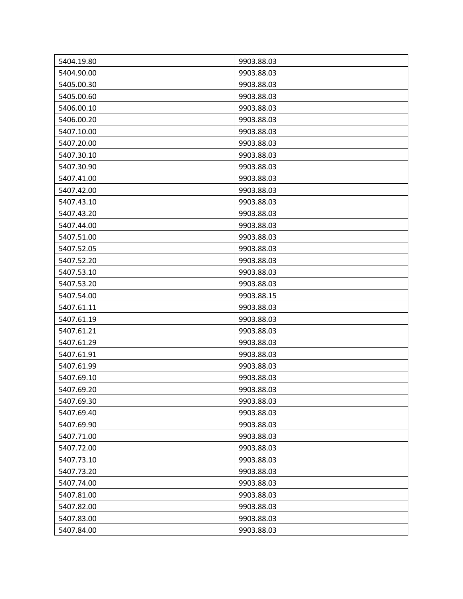| 5404.19.80 | 9903.88.03 |
|------------|------------|
| 5404.90.00 | 9903.88.03 |
| 5405.00.30 | 9903.88.03 |
| 5405.00.60 | 9903.88.03 |
| 5406.00.10 | 9903.88.03 |
| 5406.00.20 | 9903.88.03 |
| 5407.10.00 | 9903.88.03 |
| 5407.20.00 | 9903.88.03 |
| 5407.30.10 | 9903.88.03 |
| 5407.30.90 | 9903.88.03 |
| 5407.41.00 | 9903.88.03 |
| 5407.42.00 | 9903.88.03 |
| 5407.43.10 | 9903.88.03 |
| 5407.43.20 | 9903.88.03 |
| 5407.44.00 | 9903.88.03 |
| 5407.51.00 | 9903.88.03 |
| 5407.52.05 | 9903.88.03 |
| 5407.52.20 | 9903.88.03 |
| 5407.53.10 | 9903.88.03 |
| 5407.53.20 | 9903.88.03 |
| 5407.54.00 | 9903.88.15 |
| 5407.61.11 | 9903.88.03 |
| 5407.61.19 | 9903.88.03 |
| 5407.61.21 | 9903.88.03 |
| 5407.61.29 | 9903.88.03 |
| 5407.61.91 | 9903.88.03 |
| 5407.61.99 | 9903.88.03 |
| 5407.69.10 | 9903.88.03 |
| 5407.69.20 | 9903.88.03 |
| 5407.69.30 | 9903.88.03 |
| 5407.69.40 | 9903.88.03 |
| 5407.69.90 | 9903.88.03 |
| 5407.71.00 | 9903.88.03 |
| 5407.72.00 | 9903.88.03 |
| 5407.73.10 | 9903.88.03 |
| 5407.73.20 | 9903.88.03 |
| 5407.74.00 | 9903.88.03 |
| 5407.81.00 | 9903.88.03 |
| 5407.82.00 | 9903.88.03 |
| 5407.83.00 | 9903.88.03 |
| 5407.84.00 | 9903.88.03 |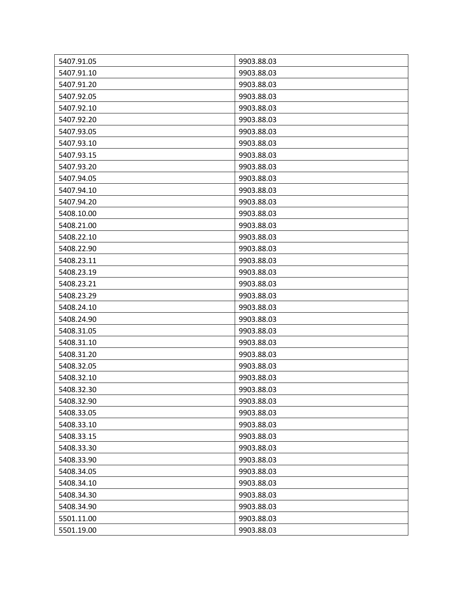| 5407.91.05 | 9903.88.03 |
|------------|------------|
| 5407.91.10 | 9903.88.03 |
| 5407.91.20 | 9903.88.03 |
| 5407.92.05 | 9903.88.03 |
| 5407.92.10 | 9903.88.03 |
| 5407.92.20 | 9903.88.03 |
| 5407.93.05 | 9903.88.03 |
| 5407.93.10 | 9903.88.03 |
| 5407.93.15 | 9903.88.03 |
| 5407.93.20 | 9903.88.03 |
| 5407.94.05 | 9903.88.03 |
| 5407.94.10 | 9903.88.03 |
| 5407.94.20 | 9903.88.03 |
| 5408.10.00 | 9903.88.03 |
| 5408.21.00 | 9903.88.03 |
| 5408.22.10 | 9903.88.03 |
| 5408.22.90 | 9903.88.03 |
| 5408.23.11 | 9903.88.03 |
| 5408.23.19 | 9903.88.03 |
| 5408.23.21 | 9903.88.03 |
| 5408.23.29 | 9903.88.03 |
| 5408.24.10 | 9903.88.03 |
| 5408.24.90 | 9903.88.03 |
| 5408.31.05 | 9903.88.03 |
| 5408.31.10 | 9903.88.03 |
| 5408.31.20 | 9903.88.03 |
| 5408.32.05 | 9903.88.03 |
| 5408.32.10 | 9903.88.03 |
| 5408.32.30 | 9903.88.03 |
| 5408.32.90 | 9903.88.03 |
| 5408.33.05 | 9903.88.03 |
| 5408.33.10 | 9903.88.03 |
| 5408.33.15 | 9903.88.03 |
| 5408.33.30 | 9903.88.03 |
| 5408.33.90 | 9903.88.03 |
| 5408.34.05 | 9903.88.03 |
| 5408.34.10 | 9903.88.03 |
| 5408.34.30 | 9903.88.03 |
| 5408.34.90 | 9903.88.03 |
| 5501.11.00 | 9903.88.03 |
| 5501.19.00 | 9903.88.03 |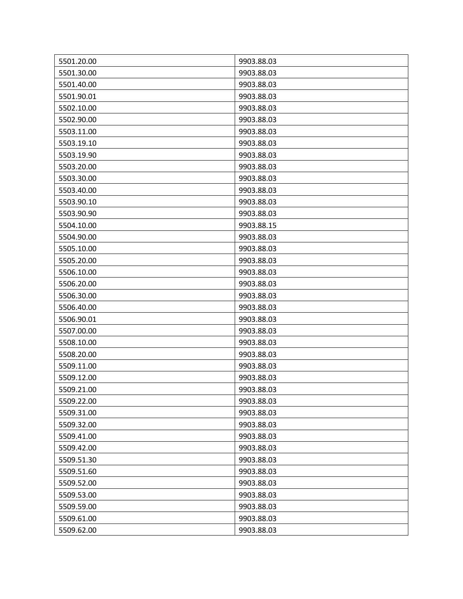| 5501.20.00 | 9903.88.03 |
|------------|------------|
| 5501.30.00 | 9903.88.03 |
| 5501.40.00 | 9903.88.03 |
| 5501.90.01 | 9903.88.03 |
| 5502.10.00 | 9903.88.03 |
| 5502.90.00 | 9903.88.03 |
| 5503.11.00 | 9903.88.03 |
| 5503.19.10 | 9903.88.03 |
| 5503.19.90 | 9903.88.03 |
| 5503.20.00 | 9903.88.03 |
| 5503.30.00 | 9903.88.03 |
| 5503.40.00 | 9903.88.03 |
| 5503.90.10 | 9903.88.03 |
| 5503.90.90 | 9903.88.03 |
| 5504.10.00 | 9903.88.15 |
| 5504.90.00 | 9903.88.03 |
| 5505.10.00 | 9903.88.03 |
| 5505.20.00 | 9903.88.03 |
| 5506.10.00 | 9903.88.03 |
| 5506.20.00 | 9903.88.03 |
| 5506.30.00 | 9903.88.03 |
| 5506.40.00 | 9903.88.03 |
| 5506.90.01 | 9903.88.03 |
| 5507.00.00 | 9903.88.03 |
| 5508.10.00 | 9903.88.03 |
| 5508.20.00 | 9903.88.03 |
| 5509.11.00 | 9903.88.03 |
| 5509.12.00 | 9903.88.03 |
| 5509.21.00 | 9903.88.03 |
| 5509.22.00 | 9903.88.03 |
| 5509.31.00 | 9903.88.03 |
| 5509.32.00 | 9903.88.03 |
| 5509.41.00 | 9903.88.03 |
| 5509.42.00 | 9903.88.03 |
| 5509.51.30 | 9903.88.03 |
| 5509.51.60 | 9903.88.03 |
| 5509.52.00 | 9903.88.03 |
| 5509.53.00 | 9903.88.03 |
| 5509.59.00 | 9903.88.03 |
| 5509.61.00 | 9903.88.03 |
| 5509.62.00 | 9903.88.03 |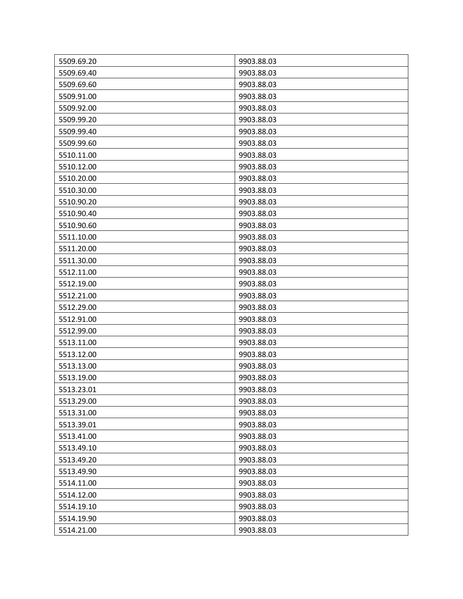| 5509.69.20 | 9903.88.03 |
|------------|------------|
| 5509.69.40 | 9903.88.03 |
| 5509.69.60 | 9903.88.03 |
| 5509.91.00 | 9903.88.03 |
| 5509.92.00 | 9903.88.03 |
| 5509.99.20 | 9903.88.03 |
| 5509.99.40 | 9903.88.03 |
| 5509.99.60 | 9903.88.03 |
| 5510.11.00 | 9903.88.03 |
| 5510.12.00 | 9903.88.03 |
| 5510.20.00 | 9903.88.03 |
| 5510.30.00 | 9903.88.03 |
| 5510.90.20 | 9903.88.03 |
| 5510.90.40 | 9903.88.03 |
| 5510.90.60 | 9903.88.03 |
| 5511.10.00 | 9903.88.03 |
| 5511.20.00 | 9903.88.03 |
| 5511.30.00 | 9903.88.03 |
| 5512.11.00 | 9903.88.03 |
| 5512.19.00 | 9903.88.03 |
| 5512.21.00 | 9903.88.03 |
| 5512.29.00 | 9903.88.03 |
| 5512.91.00 | 9903.88.03 |
| 5512.99.00 | 9903.88.03 |
| 5513.11.00 | 9903.88.03 |
| 5513.12.00 | 9903.88.03 |
| 5513.13.00 | 9903.88.03 |
| 5513.19.00 | 9903.88.03 |
| 5513.23.01 | 9903.88.03 |
| 5513.29.00 | 9903.88.03 |
| 5513.31.00 | 9903.88.03 |
| 5513.39.01 | 9903.88.03 |
| 5513.41.00 | 9903.88.03 |
| 5513.49.10 | 9903.88.03 |
| 5513.49.20 | 9903.88.03 |
| 5513.49.90 | 9903.88.03 |
| 5514.11.00 | 9903.88.03 |
| 5514.12.00 | 9903.88.03 |
| 5514.19.10 | 9903.88.03 |
| 5514.19.90 | 9903.88.03 |
| 5514.21.00 | 9903.88.03 |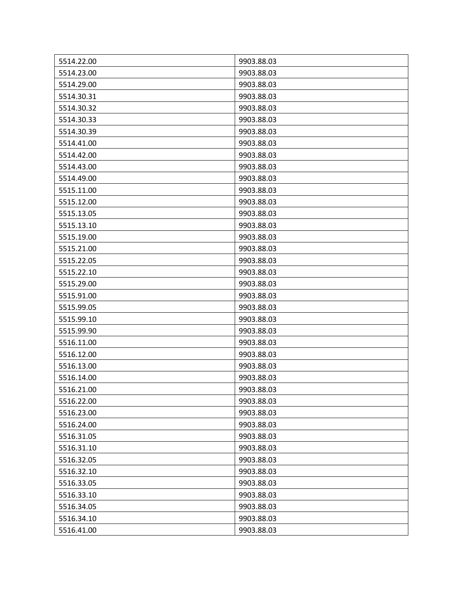| 5514.22.00 | 9903.88.03 |
|------------|------------|
| 5514.23.00 | 9903.88.03 |
| 5514.29.00 | 9903.88.03 |
| 5514.30.31 | 9903.88.03 |
| 5514.30.32 | 9903.88.03 |
| 5514.30.33 | 9903.88.03 |
| 5514.30.39 | 9903.88.03 |
| 5514.41.00 | 9903.88.03 |
| 5514.42.00 | 9903.88.03 |
| 5514.43.00 | 9903.88.03 |
| 5514.49.00 | 9903.88.03 |
| 5515.11.00 | 9903.88.03 |
| 5515.12.00 | 9903.88.03 |
| 5515.13.05 | 9903.88.03 |
| 5515.13.10 | 9903.88.03 |
| 5515.19.00 | 9903.88.03 |
| 5515.21.00 | 9903.88.03 |
| 5515.22.05 | 9903.88.03 |
| 5515.22.10 | 9903.88.03 |
| 5515.29.00 | 9903.88.03 |
| 5515.91.00 | 9903.88.03 |
| 5515.99.05 | 9903.88.03 |
| 5515.99.10 | 9903.88.03 |
| 5515.99.90 | 9903.88.03 |
| 5516.11.00 | 9903.88.03 |
| 5516.12.00 | 9903.88.03 |
| 5516.13.00 | 9903.88.03 |
| 5516.14.00 | 9903.88.03 |
| 5516.21.00 | 9903.88.03 |
| 5516.22.00 | 9903.88.03 |
| 5516.23.00 | 9903.88.03 |
| 5516.24.00 | 9903.88.03 |
| 5516.31.05 | 9903.88.03 |
| 5516.31.10 | 9903.88.03 |
| 5516.32.05 | 9903.88.03 |
| 5516.32.10 | 9903.88.03 |
| 5516.33.05 | 9903.88.03 |
| 5516.33.10 | 9903.88.03 |
| 5516.34.05 | 9903.88.03 |
| 5516.34.10 | 9903.88.03 |
| 5516.41.00 | 9903.88.03 |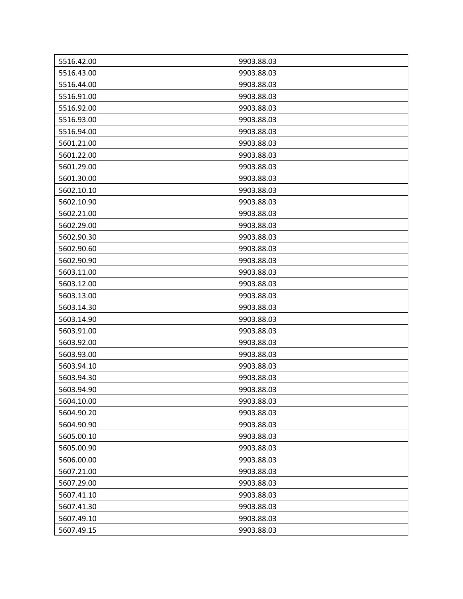| 5516.42.00 | 9903.88.03 |
|------------|------------|
| 5516.43.00 | 9903.88.03 |
| 5516.44.00 | 9903.88.03 |
| 5516.91.00 | 9903.88.03 |
| 5516.92.00 | 9903.88.03 |
| 5516.93.00 | 9903.88.03 |
| 5516.94.00 | 9903.88.03 |
| 5601.21.00 | 9903.88.03 |
| 5601.22.00 | 9903.88.03 |
| 5601.29.00 | 9903.88.03 |
| 5601.30.00 | 9903.88.03 |
| 5602.10.10 | 9903.88.03 |
| 5602.10.90 | 9903.88.03 |
| 5602.21.00 | 9903.88.03 |
| 5602.29.00 | 9903.88.03 |
| 5602.90.30 | 9903.88.03 |
| 5602.90.60 | 9903.88.03 |
| 5602.90.90 | 9903.88.03 |
| 5603.11.00 | 9903.88.03 |
| 5603.12.00 | 9903.88.03 |
| 5603.13.00 | 9903.88.03 |
| 5603.14.30 | 9903.88.03 |
| 5603.14.90 | 9903.88.03 |
| 5603.91.00 | 9903.88.03 |
| 5603.92.00 | 9903.88.03 |
| 5603.93.00 | 9903.88.03 |
| 5603.94.10 | 9903.88.03 |
| 5603.94.30 | 9903.88.03 |
| 5603.94.90 | 9903.88.03 |
| 5604.10.00 | 9903.88.03 |
| 5604.90.20 | 9903.88.03 |
| 5604.90.90 | 9903.88.03 |
| 5605.00.10 | 9903.88.03 |
| 5605.00.90 | 9903.88.03 |
| 5606.00.00 | 9903.88.03 |
| 5607.21.00 | 9903.88.03 |
| 5607.29.00 | 9903.88.03 |
| 5607.41.10 | 9903.88.03 |
| 5607.41.30 | 9903.88.03 |
| 5607.49.10 | 9903.88.03 |
| 5607.49.15 | 9903.88.03 |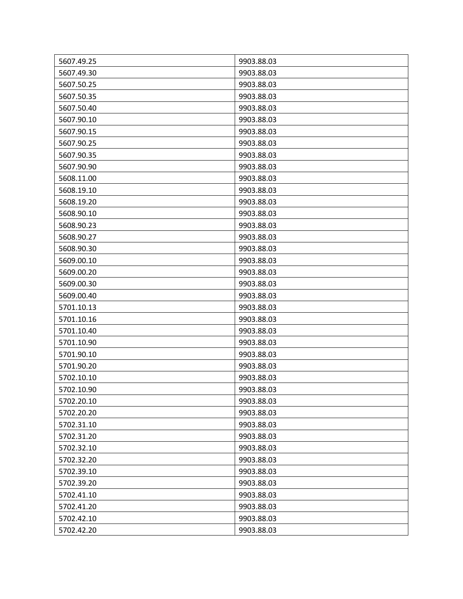| 5607.49.25 | 9903.88.03 |
|------------|------------|
| 5607.49.30 | 9903.88.03 |
| 5607.50.25 | 9903.88.03 |
| 5607.50.35 | 9903.88.03 |
| 5607.50.40 | 9903.88.03 |
| 5607.90.10 | 9903.88.03 |
| 5607.90.15 | 9903.88.03 |
| 5607.90.25 | 9903.88.03 |
| 5607.90.35 | 9903.88.03 |
| 5607.90.90 | 9903.88.03 |
| 5608.11.00 | 9903.88.03 |
| 5608.19.10 | 9903.88.03 |
| 5608.19.20 | 9903.88.03 |
| 5608.90.10 | 9903.88.03 |
| 5608.90.23 | 9903.88.03 |
| 5608.90.27 | 9903.88.03 |
| 5608.90.30 | 9903.88.03 |
| 5609.00.10 | 9903.88.03 |
| 5609.00.20 | 9903.88.03 |
| 5609.00.30 | 9903.88.03 |
| 5609.00.40 | 9903.88.03 |
| 5701.10.13 | 9903.88.03 |
| 5701.10.16 | 9903.88.03 |
| 5701.10.40 | 9903.88.03 |
| 5701.10.90 | 9903.88.03 |
| 5701.90.10 | 9903.88.03 |
| 5701.90.20 | 9903.88.03 |
| 5702.10.10 | 9903.88.03 |
| 5702.10.90 | 9903.88.03 |
| 5702.20.10 | 9903.88.03 |
| 5702.20.20 | 9903.88.03 |
| 5702.31.10 | 9903.88.03 |
| 5702.31.20 | 9903.88.03 |
| 5702.32.10 | 9903.88.03 |
| 5702.32.20 | 9903.88.03 |
| 5702.39.10 | 9903.88.03 |
| 5702.39.20 | 9903.88.03 |
| 5702.41.10 | 9903.88.03 |
| 5702.41.20 | 9903.88.03 |
| 5702.42.10 | 9903.88.03 |
| 5702.42.20 | 9903.88.03 |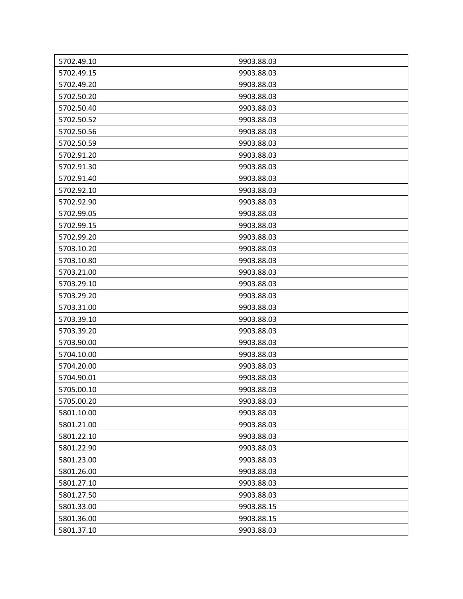| 5702.49.10 | 9903.88.03 |
|------------|------------|
| 5702.49.15 | 9903.88.03 |
| 5702.49.20 | 9903.88.03 |
| 5702.50.20 | 9903.88.03 |
| 5702.50.40 | 9903.88.03 |
| 5702.50.52 | 9903.88.03 |
| 5702.50.56 | 9903.88.03 |
| 5702.50.59 | 9903.88.03 |
| 5702.91.20 | 9903.88.03 |
| 5702.91.30 | 9903.88.03 |
| 5702.91.40 | 9903.88.03 |
| 5702.92.10 | 9903.88.03 |
| 5702.92.90 | 9903.88.03 |
| 5702.99.05 | 9903.88.03 |
| 5702.99.15 | 9903.88.03 |
| 5702.99.20 | 9903.88.03 |
| 5703.10.20 | 9903.88.03 |
| 5703.10.80 | 9903.88.03 |
| 5703.21.00 | 9903.88.03 |
| 5703.29.10 | 9903.88.03 |
| 5703.29.20 | 9903.88.03 |
| 5703.31.00 | 9903.88.03 |
| 5703.39.10 | 9903.88.03 |
| 5703.39.20 | 9903.88.03 |
| 5703.90.00 | 9903.88.03 |
| 5704.10.00 | 9903.88.03 |
| 5704.20.00 | 9903.88.03 |
| 5704.90.01 | 9903.88.03 |
| 5705.00.10 | 9903.88.03 |
| 5705.00.20 | 9903.88.03 |
| 5801.10.00 | 9903.88.03 |
| 5801.21.00 | 9903.88.03 |
| 5801.22.10 | 9903.88.03 |
| 5801.22.90 | 9903.88.03 |
| 5801.23.00 | 9903.88.03 |
| 5801.26.00 | 9903.88.03 |
| 5801.27.10 | 9903.88.03 |
| 5801.27.50 | 9903.88.03 |
| 5801.33.00 | 9903.88.15 |
| 5801.36.00 | 9903.88.15 |
| 5801.37.10 | 9903.88.03 |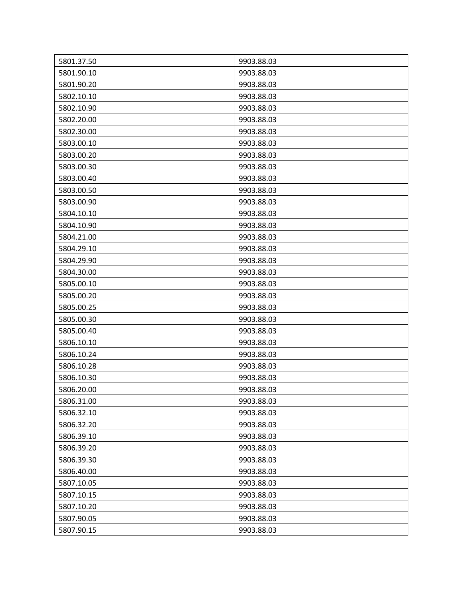| 5801.37.50 | 9903.88.03 |
|------------|------------|
| 5801.90.10 | 9903.88.03 |
| 5801.90.20 | 9903.88.03 |
| 5802.10.10 | 9903.88.03 |
| 5802.10.90 | 9903.88.03 |
| 5802.20.00 | 9903.88.03 |
| 5802.30.00 | 9903.88.03 |
| 5803.00.10 | 9903.88.03 |
| 5803.00.20 | 9903.88.03 |
| 5803.00.30 | 9903.88.03 |
| 5803.00.40 | 9903.88.03 |
| 5803.00.50 | 9903.88.03 |
| 5803.00.90 | 9903.88.03 |
| 5804.10.10 | 9903.88.03 |
| 5804.10.90 | 9903.88.03 |
| 5804.21.00 | 9903.88.03 |
| 5804.29.10 | 9903.88.03 |
| 5804.29.90 | 9903.88.03 |
| 5804.30.00 | 9903.88.03 |
| 5805.00.10 | 9903.88.03 |
| 5805.00.20 | 9903.88.03 |
| 5805.00.25 | 9903.88.03 |
| 5805.00.30 | 9903.88.03 |
| 5805.00.40 | 9903.88.03 |
| 5806.10.10 | 9903.88.03 |
| 5806.10.24 | 9903.88.03 |
| 5806.10.28 | 9903.88.03 |
| 5806.10.30 | 9903.88.03 |
| 5806.20.00 | 9903.88.03 |
| 5806.31.00 | 9903.88.03 |
| 5806.32.10 | 9903.88.03 |
| 5806.32.20 | 9903.88.03 |
| 5806.39.10 | 9903.88.03 |
| 5806.39.20 | 9903.88.03 |
| 5806.39.30 | 9903.88.03 |
| 5806.40.00 | 9903.88.03 |
| 5807.10.05 | 9903.88.03 |
| 5807.10.15 | 9903.88.03 |
| 5807.10.20 | 9903.88.03 |
| 5807.90.05 | 9903.88.03 |
| 5807.90.15 | 9903.88.03 |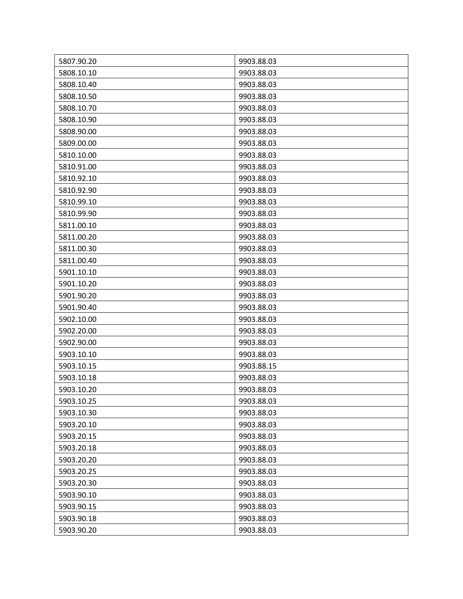| 5807.90.20 | 9903.88.03 |
|------------|------------|
| 5808.10.10 | 9903.88.03 |
| 5808.10.40 | 9903.88.03 |
| 5808.10.50 | 9903.88.03 |
| 5808.10.70 | 9903.88.03 |
| 5808.10.90 | 9903.88.03 |
| 5808.90.00 | 9903.88.03 |
| 5809.00.00 | 9903.88.03 |
| 5810.10.00 | 9903.88.03 |
| 5810.91.00 | 9903.88.03 |
| 5810.92.10 | 9903.88.03 |
| 5810.92.90 | 9903.88.03 |
| 5810.99.10 | 9903.88.03 |
| 5810.99.90 | 9903.88.03 |
| 5811.00.10 | 9903.88.03 |
| 5811.00.20 | 9903.88.03 |
| 5811.00.30 | 9903.88.03 |
| 5811.00.40 | 9903.88.03 |
| 5901.10.10 | 9903.88.03 |
| 5901.10.20 | 9903.88.03 |
| 5901.90.20 | 9903.88.03 |
| 5901.90.40 | 9903.88.03 |
| 5902.10.00 | 9903.88.03 |
| 5902.20.00 | 9903.88.03 |
| 5902.90.00 | 9903.88.03 |
| 5903.10.10 | 9903.88.03 |
| 5903.10.15 | 9903.88.15 |
| 5903.10.18 | 9903.88.03 |
| 5903.10.20 | 9903.88.03 |
| 5903.10.25 | 9903.88.03 |
| 5903.10.30 | 9903.88.03 |
| 5903.20.10 | 9903.88.03 |
| 5903.20.15 | 9903.88.03 |
| 5903.20.18 | 9903.88.03 |
| 5903.20.20 | 9903.88.03 |
| 5903.20.25 | 9903.88.03 |
| 5903.20.30 | 9903.88.03 |
| 5903.90.10 | 9903.88.03 |
| 5903.90.15 | 9903.88.03 |
| 5903.90.18 | 9903.88.03 |
| 5903.90.20 | 9903.88.03 |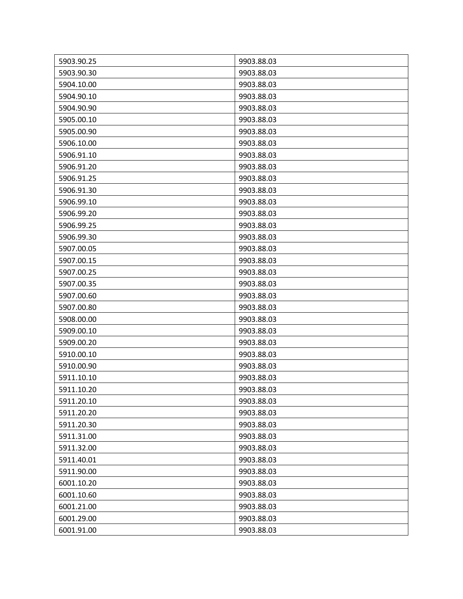| 5903.90.25 | 9903.88.03 |
|------------|------------|
| 5903.90.30 | 9903.88.03 |
| 5904.10.00 | 9903.88.03 |
| 5904.90.10 | 9903.88.03 |
| 5904.90.90 | 9903.88.03 |
| 5905.00.10 | 9903.88.03 |
| 5905.00.90 | 9903.88.03 |
| 5906.10.00 | 9903.88.03 |
| 5906.91.10 | 9903.88.03 |
| 5906.91.20 | 9903.88.03 |
| 5906.91.25 | 9903.88.03 |
| 5906.91.30 | 9903.88.03 |
| 5906.99.10 | 9903.88.03 |
| 5906.99.20 | 9903.88.03 |
| 5906.99.25 | 9903.88.03 |
| 5906.99.30 | 9903.88.03 |
| 5907.00.05 | 9903.88.03 |
| 5907.00.15 | 9903.88.03 |
| 5907.00.25 | 9903.88.03 |
| 5907.00.35 | 9903.88.03 |
| 5907.00.60 | 9903.88.03 |
| 5907.00.80 | 9903.88.03 |
| 5908.00.00 | 9903.88.03 |
| 5909.00.10 | 9903.88.03 |
| 5909.00.20 | 9903.88.03 |
| 5910.00.10 | 9903.88.03 |
| 5910.00.90 | 9903.88.03 |
| 5911.10.10 | 9903.88.03 |
| 5911.10.20 | 9903.88.03 |
| 5911.20.10 | 9903.88.03 |
| 5911.20.20 | 9903.88.03 |
| 5911.20.30 | 9903.88.03 |
| 5911.31.00 | 9903.88.03 |
| 5911.32.00 | 9903.88.03 |
| 5911.40.01 | 9903.88.03 |
| 5911.90.00 | 9903.88.03 |
| 6001.10.20 | 9903.88.03 |
| 6001.10.60 | 9903.88.03 |
| 6001.21.00 | 9903.88.03 |
| 6001.29.00 | 9903.88.03 |
| 6001.91.00 | 9903.88.03 |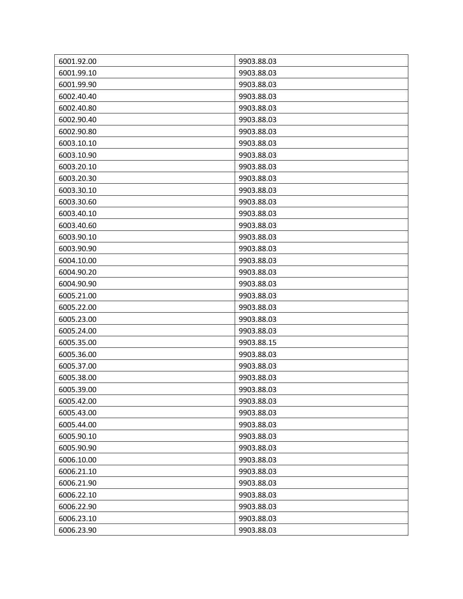| 6001.92.00 | 9903.88.03 |
|------------|------------|
| 6001.99.10 | 9903.88.03 |
| 6001.99.90 | 9903.88.03 |
| 6002.40.40 | 9903.88.03 |
| 6002.40.80 | 9903.88.03 |
| 6002.90.40 | 9903.88.03 |
| 6002.90.80 | 9903.88.03 |
| 6003.10.10 | 9903.88.03 |
| 6003.10.90 | 9903.88.03 |
| 6003.20.10 | 9903.88.03 |
| 6003.20.30 | 9903.88.03 |
| 6003.30.10 | 9903.88.03 |
| 6003.30.60 | 9903.88.03 |
| 6003.40.10 | 9903.88.03 |
| 6003.40.60 | 9903.88.03 |
| 6003.90.10 | 9903.88.03 |
| 6003.90.90 | 9903.88.03 |
| 6004.10.00 | 9903.88.03 |
| 6004.90.20 | 9903.88.03 |
| 6004.90.90 | 9903.88.03 |
| 6005.21.00 | 9903.88.03 |
| 6005.22.00 | 9903.88.03 |
| 6005.23.00 | 9903.88.03 |
| 6005.24.00 | 9903.88.03 |
| 6005.35.00 | 9903.88.15 |
| 6005.36.00 | 9903.88.03 |
| 6005.37.00 | 9903.88.03 |
| 6005.38.00 | 9903.88.03 |
| 6005.39.00 | 9903.88.03 |
| 6005.42.00 | 9903.88.03 |
| 6005.43.00 | 9903.88.03 |
| 6005.44.00 | 9903.88.03 |
| 6005.90.10 | 9903.88.03 |
| 6005.90.90 | 9903.88.03 |
| 6006.10.00 | 9903.88.03 |
| 6006.21.10 | 9903.88.03 |
| 6006.21.90 | 9903.88.03 |
| 6006.22.10 | 9903.88.03 |
| 6006.22.90 | 9903.88.03 |
| 6006.23.10 | 9903.88.03 |
| 6006.23.90 | 9903.88.03 |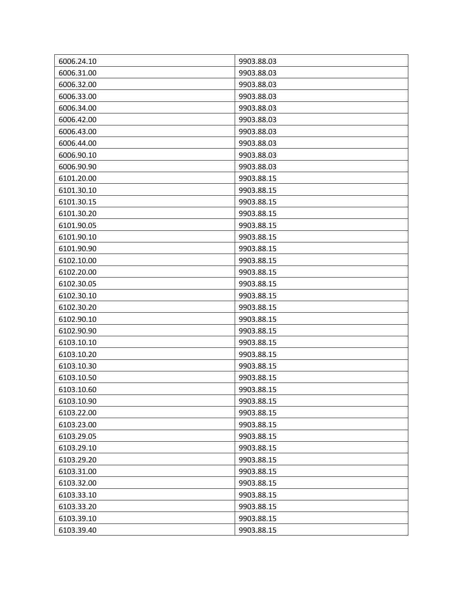| 6006.24.10 | 9903.88.03 |
|------------|------------|
| 6006.31.00 | 9903.88.03 |
| 6006.32.00 | 9903.88.03 |
| 6006.33.00 | 9903.88.03 |
| 6006.34.00 | 9903.88.03 |
| 6006.42.00 | 9903.88.03 |
| 6006.43.00 | 9903.88.03 |
| 6006.44.00 | 9903.88.03 |
| 6006.90.10 | 9903.88.03 |
| 6006.90.90 | 9903.88.03 |
| 6101.20.00 | 9903.88.15 |
| 6101.30.10 | 9903.88.15 |
| 6101.30.15 | 9903.88.15 |
| 6101.30.20 | 9903.88.15 |
| 6101.90.05 | 9903.88.15 |
| 6101.90.10 | 9903.88.15 |
| 6101.90.90 | 9903.88.15 |
| 6102.10.00 | 9903.88.15 |
| 6102.20.00 | 9903.88.15 |
| 6102.30.05 | 9903.88.15 |
| 6102.30.10 | 9903.88.15 |
| 6102.30.20 | 9903.88.15 |
| 6102.90.10 | 9903.88.15 |
| 6102.90.90 | 9903.88.15 |
| 6103.10.10 | 9903.88.15 |
| 6103.10.20 | 9903.88.15 |
| 6103.10.30 | 9903.88.15 |
| 6103.10.50 | 9903.88.15 |
| 6103.10.60 | 9903.88.15 |
| 6103.10.90 | 9903.88.15 |
| 6103.22.00 | 9903.88.15 |
| 6103.23.00 | 9903.88.15 |
| 6103.29.05 | 9903.88.15 |
| 6103.29.10 | 9903.88.15 |
| 6103.29.20 | 9903.88.15 |
| 6103.31.00 | 9903.88.15 |
| 6103.32.00 | 9903.88.15 |
| 6103.33.10 | 9903.88.15 |
| 6103.33.20 | 9903.88.15 |
| 6103.39.10 | 9903.88.15 |
| 6103.39.40 | 9903.88.15 |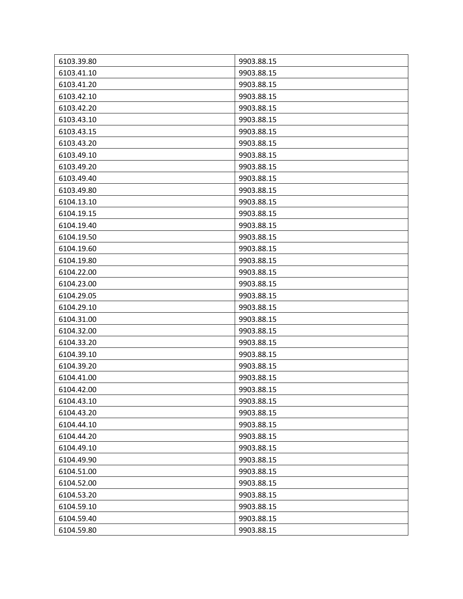| 6103.39.80 | 9903.88.15 |
|------------|------------|
| 6103.41.10 | 9903.88.15 |
| 6103.41.20 | 9903.88.15 |
| 6103.42.10 | 9903.88.15 |
| 6103.42.20 | 9903.88.15 |
| 6103.43.10 | 9903.88.15 |
| 6103.43.15 | 9903.88.15 |
| 6103.43.20 | 9903.88.15 |
| 6103.49.10 | 9903.88.15 |
| 6103.49.20 | 9903.88.15 |
| 6103.49.40 | 9903.88.15 |
| 6103.49.80 | 9903.88.15 |
| 6104.13.10 | 9903.88.15 |
| 6104.19.15 | 9903.88.15 |
| 6104.19.40 | 9903.88.15 |
| 6104.19.50 | 9903.88.15 |
| 6104.19.60 | 9903.88.15 |
| 6104.19.80 | 9903.88.15 |
| 6104.22.00 | 9903.88.15 |
| 6104.23.00 | 9903.88.15 |
| 6104.29.05 | 9903.88.15 |
| 6104.29.10 | 9903.88.15 |
| 6104.31.00 | 9903.88.15 |
| 6104.32.00 | 9903.88.15 |
| 6104.33.20 | 9903.88.15 |
| 6104.39.10 | 9903.88.15 |
| 6104.39.20 | 9903.88.15 |
| 6104.41.00 | 9903.88.15 |
| 6104.42.00 | 9903.88.15 |
| 6104.43.10 | 9903.88.15 |
| 6104.43.20 | 9903.88.15 |
| 6104.44.10 | 9903.88.15 |
| 6104.44.20 | 9903.88.15 |
| 6104.49.10 | 9903.88.15 |
| 6104.49.90 | 9903.88.15 |
| 6104.51.00 | 9903.88.15 |
| 6104.52.00 | 9903.88.15 |
| 6104.53.20 | 9903.88.15 |
| 6104.59.10 | 9903.88.15 |
| 6104.59.40 | 9903.88.15 |
| 6104.59.80 | 9903.88.15 |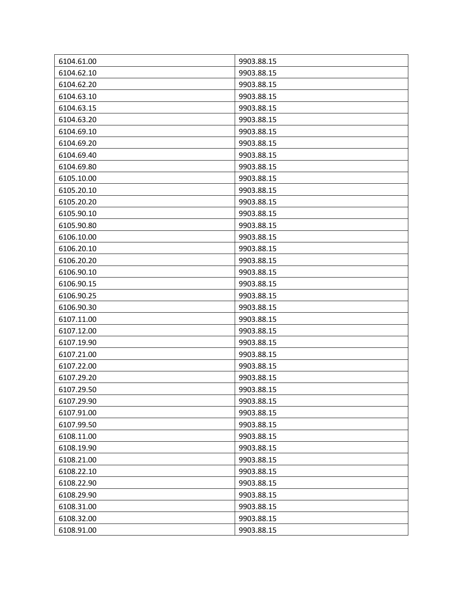| 6104.61.00 | 9903.88.15 |
|------------|------------|
| 6104.62.10 | 9903.88.15 |
| 6104.62.20 | 9903.88.15 |
| 6104.63.10 | 9903.88.15 |
| 6104.63.15 | 9903.88.15 |
| 6104.63.20 | 9903.88.15 |
| 6104.69.10 | 9903.88.15 |
| 6104.69.20 | 9903.88.15 |
| 6104.69.40 | 9903.88.15 |
| 6104.69.80 | 9903.88.15 |
| 6105.10.00 | 9903.88.15 |
| 6105.20.10 | 9903.88.15 |
| 6105.20.20 | 9903.88.15 |
| 6105.90.10 | 9903.88.15 |
| 6105.90.80 | 9903.88.15 |
| 6106.10.00 | 9903.88.15 |
| 6106.20.10 | 9903.88.15 |
| 6106.20.20 | 9903.88.15 |
| 6106.90.10 | 9903.88.15 |
| 6106.90.15 | 9903.88.15 |
| 6106.90.25 | 9903.88.15 |
| 6106.90.30 | 9903.88.15 |
| 6107.11.00 | 9903.88.15 |
| 6107.12.00 | 9903.88.15 |
| 6107.19.90 | 9903.88.15 |
| 6107.21.00 | 9903.88.15 |
| 6107.22.00 | 9903.88.15 |
| 6107.29.20 | 9903.88.15 |
| 6107.29.50 | 9903.88.15 |
| 6107.29.90 | 9903.88.15 |
| 6107.91.00 | 9903.88.15 |
| 6107.99.50 | 9903.88.15 |
| 6108.11.00 | 9903.88.15 |
| 6108.19.90 | 9903.88.15 |
| 6108.21.00 | 9903.88.15 |
| 6108.22.10 | 9903.88.15 |
| 6108.22.90 | 9903.88.15 |
| 6108.29.90 | 9903.88.15 |
| 6108.31.00 | 9903.88.15 |
| 6108.32.00 | 9903.88.15 |
| 6108.91.00 | 9903.88.15 |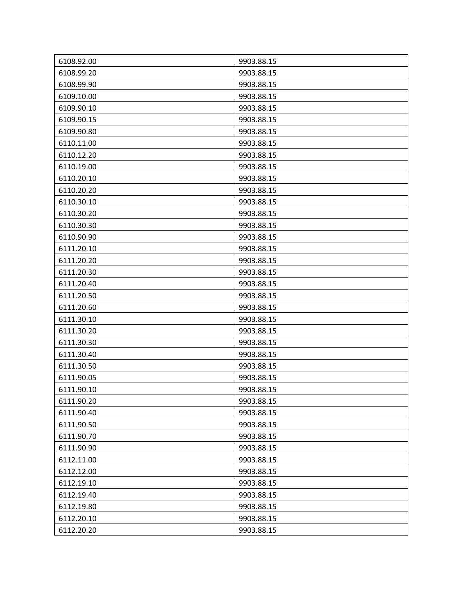| 6108.92.00 | 9903.88.15 |
|------------|------------|
| 6108.99.20 | 9903.88.15 |
| 6108.99.90 | 9903.88.15 |
| 6109.10.00 | 9903.88.15 |
| 6109.90.10 | 9903.88.15 |
| 6109.90.15 | 9903.88.15 |
| 6109.90.80 | 9903.88.15 |
| 6110.11.00 | 9903.88.15 |
| 6110.12.20 | 9903.88.15 |
| 6110.19.00 | 9903.88.15 |
| 6110.20.10 | 9903.88.15 |
| 6110.20.20 | 9903.88.15 |
| 6110.30.10 | 9903.88.15 |
| 6110.30.20 | 9903.88.15 |
| 6110.30.30 | 9903.88.15 |
| 6110.90.90 | 9903.88.15 |
| 6111.20.10 | 9903.88.15 |
| 6111.20.20 | 9903.88.15 |
| 6111.20.30 | 9903.88.15 |
| 6111.20.40 | 9903.88.15 |
| 6111.20.50 | 9903.88.15 |
| 6111.20.60 | 9903.88.15 |
| 6111.30.10 | 9903.88.15 |
| 6111.30.20 | 9903.88.15 |
| 6111.30.30 | 9903.88.15 |
| 6111.30.40 | 9903.88.15 |
| 6111.30.50 | 9903.88.15 |
| 6111.90.05 | 9903.88.15 |
| 6111.90.10 | 9903.88.15 |
| 6111.90.20 | 9903.88.15 |
| 6111.90.40 | 9903.88.15 |
| 6111.90.50 | 9903.88.15 |
| 6111.90.70 | 9903.88.15 |
| 6111.90.90 | 9903.88.15 |
| 6112.11.00 | 9903.88.15 |
| 6112.12.00 | 9903.88.15 |
| 6112.19.10 | 9903.88.15 |
| 6112.19.40 | 9903.88.15 |
| 6112.19.80 | 9903.88.15 |
| 6112.20.10 | 9903.88.15 |
| 6112.20.20 | 9903.88.15 |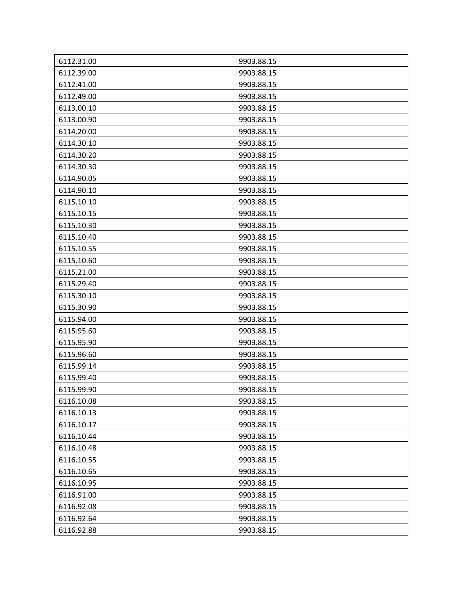| 6112.31.00 | 9903.88.15 |
|------------|------------|
| 6112.39.00 | 9903.88.15 |
| 6112.41.00 | 9903.88.15 |
| 6112.49.00 | 9903.88.15 |
| 6113.00.10 | 9903.88.15 |
| 6113.00.90 | 9903.88.15 |
| 6114.20.00 | 9903.88.15 |
| 6114.30.10 | 9903.88.15 |
| 6114.30.20 | 9903.88.15 |
| 6114.30.30 | 9903.88.15 |
| 6114.90.05 | 9903.88.15 |
| 6114.90.10 | 9903.88.15 |
| 6115.10.10 | 9903.88.15 |
| 6115.10.15 | 9903.88.15 |
| 6115.10.30 | 9903.88.15 |
| 6115.10.40 | 9903.88.15 |
| 6115.10.55 | 9903.88.15 |
| 6115.10.60 | 9903.88.15 |
| 6115.21.00 | 9903.88.15 |
| 6115.29.40 | 9903.88.15 |
| 6115.30.10 | 9903.88.15 |
| 6115.30.90 | 9903.88.15 |
| 6115.94.00 | 9903.88.15 |
| 6115.95.60 | 9903.88.15 |
| 6115.95.90 | 9903.88.15 |
| 6115.96.60 | 9903.88.15 |
| 6115.99.14 | 9903.88.15 |
| 6115.99.40 | 9903.88.15 |
| 6115.99.90 | 9903.88.15 |
| 6116.10.08 | 9903.88.15 |
| 6116.10.13 | 9903.88.15 |
| 6116.10.17 | 9903.88.15 |
| 6116.10.44 | 9903.88.15 |
| 6116.10.48 | 9903.88.15 |
| 6116.10.55 | 9903.88.15 |
| 6116.10.65 | 9903.88.15 |
| 6116.10.95 | 9903.88.15 |
| 6116.91.00 | 9903.88.15 |
| 6116.92.08 | 9903.88.15 |
| 6116.92.64 | 9903.88.15 |
| 6116.92.88 | 9903.88.15 |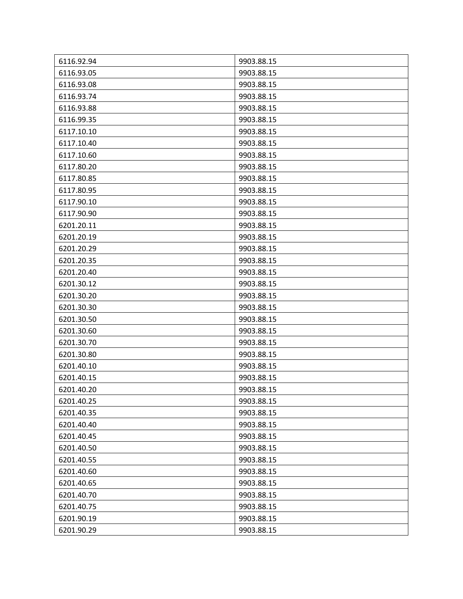| 6116.92.94 | 9903.88.15 |
|------------|------------|
| 6116.93.05 | 9903.88.15 |
| 6116.93.08 | 9903.88.15 |
| 6116.93.74 | 9903.88.15 |
| 6116.93.88 | 9903.88.15 |
| 6116.99.35 | 9903.88.15 |
| 6117.10.10 | 9903.88.15 |
| 6117.10.40 | 9903.88.15 |
| 6117.10.60 | 9903.88.15 |
| 6117.80.20 | 9903.88.15 |
| 6117.80.85 | 9903.88.15 |
| 6117.80.95 | 9903.88.15 |
| 6117.90.10 | 9903.88.15 |
| 6117.90.90 | 9903.88.15 |
| 6201.20.11 | 9903.88.15 |
| 6201.20.19 | 9903.88.15 |
| 6201.20.29 | 9903.88.15 |
| 6201.20.35 | 9903.88.15 |
| 6201.20.40 | 9903.88.15 |
| 6201.30.12 | 9903.88.15 |
| 6201.30.20 | 9903.88.15 |
| 6201.30.30 | 9903.88.15 |
| 6201.30.50 | 9903.88.15 |
| 6201.30.60 | 9903.88.15 |
| 6201.30.70 | 9903.88.15 |
| 6201.30.80 | 9903.88.15 |
| 6201.40.10 | 9903.88.15 |
| 6201.40.15 | 9903.88.15 |
| 6201.40.20 | 9903.88.15 |
| 6201.40.25 | 9903.88.15 |
| 6201.40.35 | 9903.88.15 |
| 6201.40.40 | 9903.88.15 |
| 6201.40.45 | 9903.88.15 |
| 6201.40.50 | 9903.88.15 |
| 6201.40.55 | 9903.88.15 |
| 6201.40.60 | 9903.88.15 |
| 6201.40.65 | 9903.88.15 |
| 6201.40.70 | 9903.88.15 |
| 6201.40.75 | 9903.88.15 |
| 6201.90.19 | 9903.88.15 |
| 6201.90.29 | 9903.88.15 |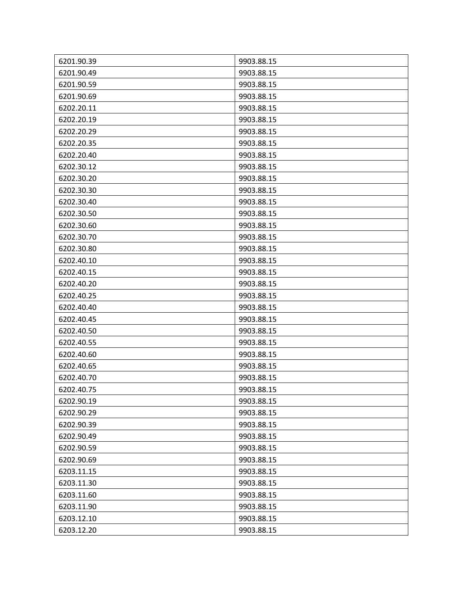| 6201.90.39 | 9903.88.15 |
|------------|------------|
| 6201.90.49 | 9903.88.15 |
| 6201.90.59 | 9903.88.15 |
| 6201.90.69 | 9903.88.15 |
| 6202.20.11 | 9903.88.15 |
| 6202.20.19 | 9903.88.15 |
| 6202.20.29 | 9903.88.15 |
| 6202.20.35 | 9903.88.15 |
| 6202.20.40 | 9903.88.15 |
| 6202.30.12 | 9903.88.15 |
| 6202.30.20 | 9903.88.15 |
| 6202.30.30 | 9903.88.15 |
| 6202.30.40 | 9903.88.15 |
| 6202.30.50 | 9903.88.15 |
| 6202.30.60 | 9903.88.15 |
| 6202.30.70 | 9903.88.15 |
| 6202.30.80 | 9903.88.15 |
| 6202.40.10 | 9903.88.15 |
| 6202.40.15 | 9903.88.15 |
| 6202.40.20 | 9903.88.15 |
| 6202.40.25 | 9903.88.15 |
| 6202.40.40 | 9903.88.15 |
| 6202.40.45 | 9903.88.15 |
| 6202.40.50 | 9903.88.15 |
| 6202.40.55 | 9903.88.15 |
| 6202.40.60 | 9903.88.15 |
| 6202.40.65 | 9903.88.15 |
| 6202.40.70 | 9903.88.15 |
| 6202.40.75 | 9903.88.15 |
| 6202.90.19 | 9903.88.15 |
| 6202.90.29 | 9903.88.15 |
| 6202.90.39 | 9903.88.15 |
| 6202.90.49 | 9903.88.15 |
| 6202.90.59 | 9903.88.15 |
| 6202.90.69 | 9903.88.15 |
| 6203.11.15 | 9903.88.15 |
| 6203.11.30 | 9903.88.15 |
| 6203.11.60 | 9903.88.15 |
| 6203.11.90 | 9903.88.15 |
| 6203.12.10 | 9903.88.15 |
| 6203.12.20 | 9903.88.15 |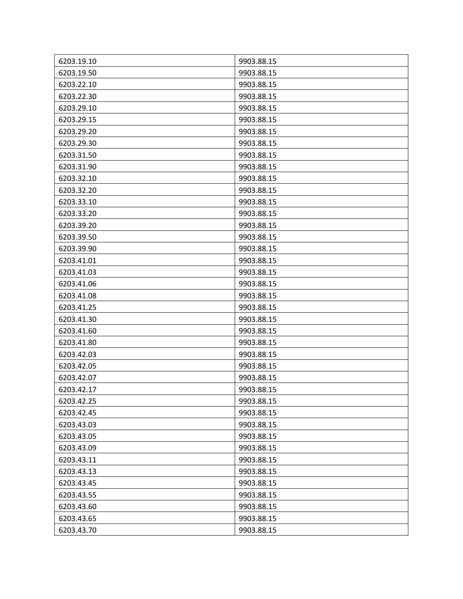| 6203.19.10 | 9903.88.15 |
|------------|------------|
| 6203.19.50 | 9903.88.15 |
| 6203.22.10 | 9903.88.15 |
| 6203.22.30 | 9903.88.15 |
| 6203.29.10 | 9903.88.15 |
| 6203.29.15 | 9903.88.15 |
| 6203.29.20 | 9903.88.15 |
| 6203.29.30 | 9903.88.15 |
| 6203.31.50 | 9903.88.15 |
| 6203.31.90 | 9903.88.15 |
| 6203.32.10 | 9903.88.15 |
| 6203.32.20 | 9903.88.15 |
| 6203.33.10 | 9903.88.15 |
| 6203.33.20 | 9903.88.15 |
| 6203.39.20 | 9903.88.15 |
| 6203.39.50 | 9903.88.15 |
| 6203.39.90 | 9903.88.15 |
| 6203.41.01 | 9903.88.15 |
| 6203.41.03 | 9903.88.15 |
| 6203.41.06 | 9903.88.15 |
| 6203.41.08 | 9903.88.15 |
| 6203.41.25 | 9903.88.15 |
| 6203.41.30 | 9903.88.15 |
| 6203.41.60 | 9903.88.15 |
| 6203.41.80 | 9903.88.15 |
| 6203.42.03 | 9903.88.15 |
| 6203.42.05 | 9903.88.15 |
| 6203.42.07 | 9903.88.15 |
| 6203.42.17 | 9903.88.15 |
| 6203.42.25 | 9903.88.15 |
| 6203.42.45 | 9903.88.15 |
| 6203.43.03 | 9903.88.15 |
| 6203.43.05 | 9903.88.15 |
| 6203.43.09 | 9903.88.15 |
| 6203.43.11 | 9903.88.15 |
| 6203.43.13 | 9903.88.15 |
| 6203.43.45 | 9903.88.15 |
| 6203.43.55 | 9903.88.15 |
| 6203.43.60 | 9903.88.15 |
| 6203.43.65 | 9903.88.15 |
| 6203.43.70 | 9903.88.15 |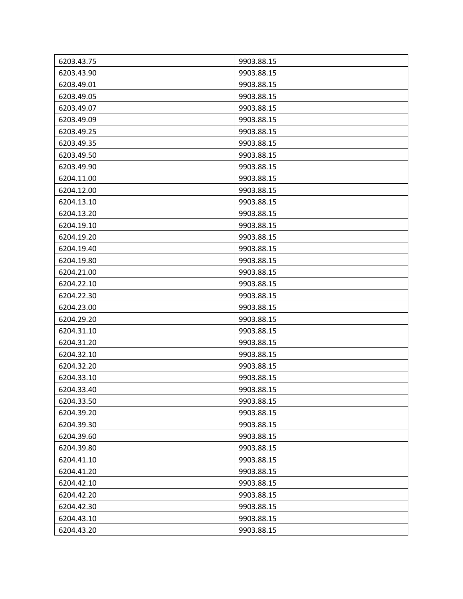| 6203.43.75 | 9903.88.15 |
|------------|------------|
| 6203.43.90 | 9903.88.15 |
| 6203.49.01 | 9903.88.15 |
| 6203.49.05 | 9903.88.15 |
| 6203.49.07 | 9903.88.15 |
| 6203.49.09 | 9903.88.15 |
| 6203.49.25 | 9903.88.15 |
| 6203.49.35 | 9903.88.15 |
| 6203.49.50 | 9903.88.15 |
| 6203.49.90 | 9903.88.15 |
| 6204.11.00 | 9903.88.15 |
| 6204.12.00 | 9903.88.15 |
| 6204.13.10 | 9903.88.15 |
| 6204.13.20 | 9903.88.15 |
| 6204.19.10 | 9903.88.15 |
| 6204.19.20 | 9903.88.15 |
| 6204.19.40 | 9903.88.15 |
| 6204.19.80 | 9903.88.15 |
| 6204.21.00 | 9903.88.15 |
| 6204.22.10 | 9903.88.15 |
| 6204.22.30 | 9903.88.15 |
| 6204.23.00 | 9903.88.15 |
| 6204.29.20 | 9903.88.15 |
| 6204.31.10 | 9903.88.15 |
| 6204.31.20 | 9903.88.15 |
| 6204.32.10 | 9903.88.15 |
| 6204.32.20 | 9903.88.15 |
| 6204.33.10 | 9903.88.15 |
| 6204.33.40 | 9903.88.15 |
| 6204.33.50 | 9903.88.15 |
| 6204.39.20 | 9903.88.15 |
| 6204.39.30 | 9903.88.15 |
| 6204.39.60 | 9903.88.15 |
| 6204.39.80 | 9903.88.15 |
| 6204.41.10 | 9903.88.15 |
| 6204.41.20 | 9903.88.15 |
| 6204.42.10 | 9903.88.15 |
| 6204.42.20 | 9903.88.15 |
| 6204.42.30 | 9903.88.15 |
| 6204.43.10 | 9903.88.15 |
| 6204.43.20 | 9903.88.15 |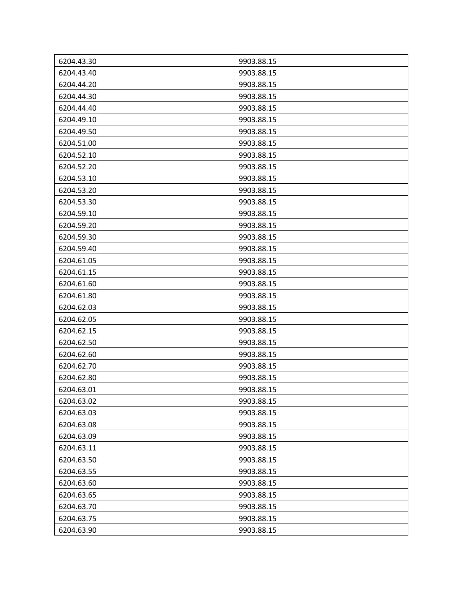| 6204.43.30 | 9903.88.15 |
|------------|------------|
| 6204.43.40 | 9903.88.15 |
| 6204.44.20 | 9903.88.15 |
| 6204.44.30 | 9903.88.15 |
| 6204.44.40 | 9903.88.15 |
| 6204.49.10 | 9903.88.15 |
| 6204.49.50 | 9903.88.15 |
| 6204.51.00 | 9903.88.15 |
| 6204.52.10 | 9903.88.15 |
| 6204.52.20 | 9903.88.15 |
| 6204.53.10 | 9903.88.15 |
| 6204.53.20 | 9903.88.15 |
| 6204.53.30 | 9903.88.15 |
| 6204.59.10 | 9903.88.15 |
| 6204.59.20 | 9903.88.15 |
| 6204.59.30 | 9903.88.15 |
| 6204.59.40 | 9903.88.15 |
| 6204.61.05 | 9903.88.15 |
| 6204.61.15 | 9903.88.15 |
| 6204.61.60 | 9903.88.15 |
| 6204.61.80 | 9903.88.15 |
| 6204.62.03 | 9903.88.15 |
| 6204.62.05 | 9903.88.15 |
| 6204.62.15 | 9903.88.15 |
| 6204.62.50 | 9903.88.15 |
| 6204.62.60 | 9903.88.15 |
| 6204.62.70 | 9903.88.15 |
| 6204.62.80 | 9903.88.15 |
| 6204.63.01 | 9903.88.15 |
| 6204.63.02 | 9903.88.15 |
| 6204.63.03 | 9903.88.15 |
| 6204.63.08 | 9903.88.15 |
| 6204.63.09 | 9903.88.15 |
| 6204.63.11 | 9903.88.15 |
| 6204.63.50 | 9903.88.15 |
| 6204.63.55 | 9903.88.15 |
| 6204.63.60 | 9903.88.15 |
| 6204.63.65 | 9903.88.15 |
| 6204.63.70 | 9903.88.15 |
| 6204.63.75 | 9903.88.15 |
| 6204.63.90 | 9903.88.15 |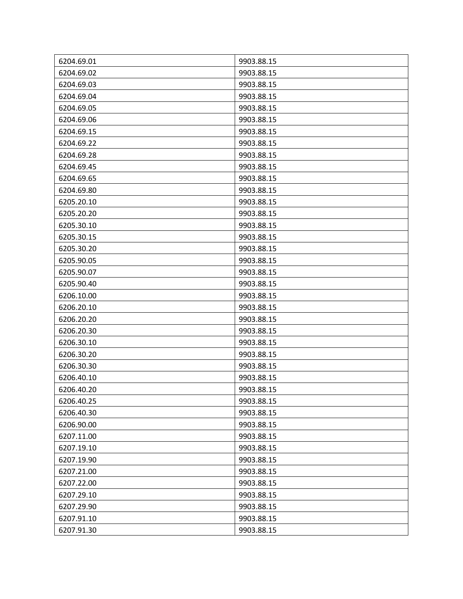| 6204.69.01 | 9903.88.15 |
|------------|------------|
| 6204.69.02 | 9903.88.15 |
| 6204.69.03 | 9903.88.15 |
| 6204.69.04 | 9903.88.15 |
| 6204.69.05 | 9903.88.15 |
| 6204.69.06 | 9903.88.15 |
| 6204.69.15 | 9903.88.15 |
| 6204.69.22 | 9903.88.15 |
| 6204.69.28 | 9903.88.15 |
| 6204.69.45 | 9903.88.15 |
| 6204.69.65 | 9903.88.15 |
| 6204.69.80 | 9903.88.15 |
| 6205.20.10 | 9903.88.15 |
| 6205.20.20 | 9903.88.15 |
| 6205.30.10 | 9903.88.15 |
| 6205.30.15 | 9903.88.15 |
| 6205.30.20 | 9903.88.15 |
| 6205.90.05 | 9903.88.15 |
| 6205.90.07 | 9903.88.15 |
| 6205.90.40 | 9903.88.15 |
| 6206.10.00 | 9903.88.15 |
| 6206.20.10 | 9903.88.15 |
| 6206.20.20 | 9903.88.15 |
| 6206.20.30 | 9903.88.15 |
| 6206.30.10 | 9903.88.15 |
| 6206.30.20 | 9903.88.15 |
| 6206.30.30 | 9903.88.15 |
| 6206.40.10 | 9903.88.15 |
| 6206.40.20 | 9903.88.15 |
| 6206.40.25 | 9903.88.15 |
| 6206.40.30 | 9903.88.15 |
| 6206.90.00 | 9903.88.15 |
| 6207.11.00 | 9903.88.15 |
| 6207.19.10 | 9903.88.15 |
| 6207.19.90 | 9903.88.15 |
| 6207.21.00 | 9903.88.15 |
| 6207.22.00 | 9903.88.15 |
| 6207.29.10 | 9903.88.15 |
| 6207.29.90 | 9903.88.15 |
| 6207.91.10 | 9903.88.15 |
| 6207.91.30 | 9903.88.15 |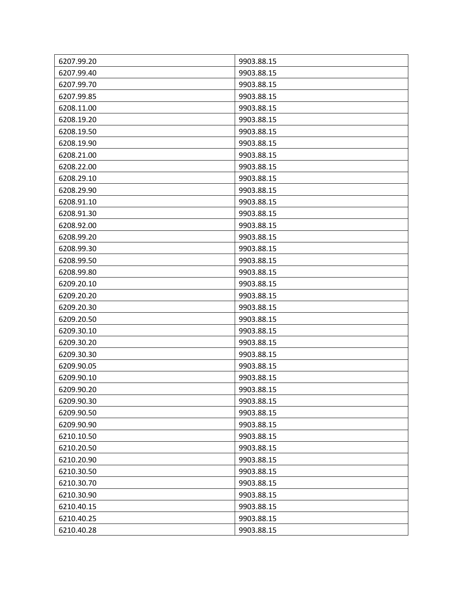| 6207.99.20 | 9903.88.15 |
|------------|------------|
| 6207.99.40 | 9903.88.15 |
| 6207.99.70 | 9903.88.15 |
| 6207.99.85 | 9903.88.15 |
| 6208.11.00 | 9903.88.15 |
| 6208.19.20 | 9903.88.15 |
| 6208.19.50 | 9903.88.15 |
| 6208.19.90 | 9903.88.15 |
| 6208.21.00 | 9903.88.15 |
| 6208.22.00 | 9903.88.15 |
| 6208.29.10 | 9903.88.15 |
| 6208.29.90 | 9903.88.15 |
| 6208.91.10 | 9903.88.15 |
| 6208.91.30 | 9903.88.15 |
| 6208.92.00 | 9903.88.15 |
| 6208.99.20 | 9903.88.15 |
| 6208.99.30 | 9903.88.15 |
| 6208.99.50 | 9903.88.15 |
| 6208.99.80 | 9903.88.15 |
| 6209.20.10 | 9903.88.15 |
| 6209.20.20 | 9903.88.15 |
| 6209.20.30 | 9903.88.15 |
| 6209.20.50 | 9903.88.15 |
| 6209.30.10 | 9903.88.15 |
| 6209.30.20 | 9903.88.15 |
| 6209.30.30 | 9903.88.15 |
| 6209.90.05 | 9903.88.15 |
| 6209.90.10 | 9903.88.15 |
| 6209.90.20 | 9903.88.15 |
| 6209.90.30 | 9903.88.15 |
| 6209.90.50 | 9903.88.15 |
| 6209.90.90 | 9903.88.15 |
| 6210.10.50 | 9903.88.15 |
| 6210.20.50 | 9903.88.15 |
| 6210.20.90 | 9903.88.15 |
| 6210.30.50 | 9903.88.15 |
| 6210.30.70 | 9903.88.15 |
| 6210.30.90 | 9903.88.15 |
| 6210.40.15 | 9903.88.15 |
| 6210.40.25 | 9903.88.15 |
| 6210.40.28 | 9903.88.15 |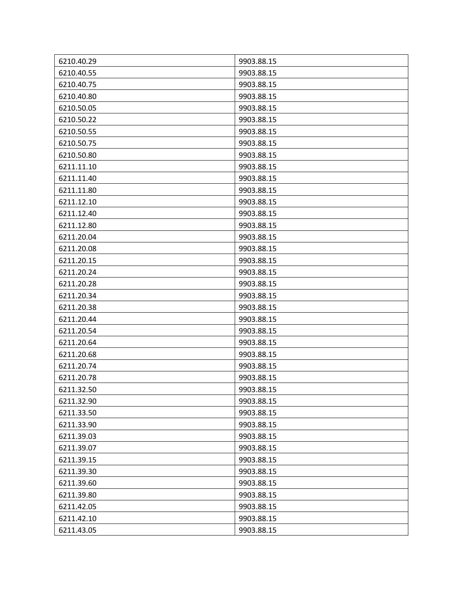| 6210.40.29 | 9903.88.15 |
|------------|------------|
| 6210.40.55 | 9903.88.15 |
| 6210.40.75 | 9903.88.15 |
| 6210.40.80 | 9903.88.15 |
| 6210.50.05 | 9903.88.15 |
| 6210.50.22 | 9903.88.15 |
| 6210.50.55 | 9903.88.15 |
| 6210.50.75 | 9903.88.15 |
| 6210.50.80 | 9903.88.15 |
| 6211.11.10 | 9903.88.15 |
| 6211.11.40 | 9903.88.15 |
| 6211.11.80 | 9903.88.15 |
| 6211.12.10 | 9903.88.15 |
| 6211.12.40 | 9903.88.15 |
| 6211.12.80 | 9903.88.15 |
| 6211.20.04 | 9903.88.15 |
| 6211.20.08 | 9903.88.15 |
| 6211.20.15 | 9903.88.15 |
| 6211.20.24 | 9903.88.15 |
| 6211.20.28 | 9903.88.15 |
| 6211.20.34 | 9903.88.15 |
| 6211.20.38 | 9903.88.15 |
| 6211.20.44 | 9903.88.15 |
| 6211.20.54 | 9903.88.15 |
| 6211.20.64 | 9903.88.15 |
| 6211.20.68 | 9903.88.15 |
| 6211.20.74 | 9903.88.15 |
| 6211.20.78 | 9903.88.15 |
| 6211.32.50 | 9903.88.15 |
| 6211.32.90 | 9903.88.15 |
| 6211.33.50 | 9903.88.15 |
| 6211.33.90 | 9903.88.15 |
| 6211.39.03 | 9903.88.15 |
| 6211.39.07 | 9903.88.15 |
| 6211.39.15 | 9903.88.15 |
| 6211.39.30 | 9903.88.15 |
| 6211.39.60 | 9903.88.15 |
| 6211.39.80 | 9903.88.15 |
| 6211.42.05 | 9903.88.15 |
| 6211.42.10 | 9903.88.15 |
| 6211.43.05 | 9903.88.15 |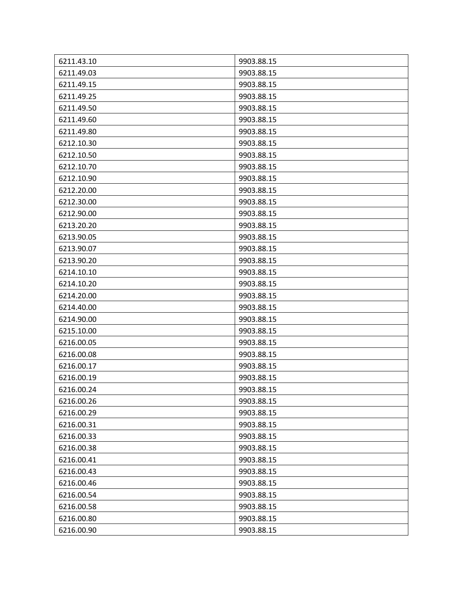| 6211.43.10 | 9903.88.15 |
|------------|------------|
| 6211.49.03 | 9903.88.15 |
| 6211.49.15 | 9903.88.15 |
| 6211.49.25 | 9903.88.15 |
| 6211.49.50 | 9903.88.15 |
| 6211.49.60 | 9903.88.15 |
| 6211.49.80 | 9903.88.15 |
| 6212.10.30 | 9903.88.15 |
| 6212.10.50 | 9903.88.15 |
| 6212.10.70 | 9903.88.15 |
| 6212.10.90 | 9903.88.15 |
| 6212.20.00 | 9903.88.15 |
| 6212.30.00 | 9903.88.15 |
| 6212.90.00 | 9903.88.15 |
| 6213.20.20 | 9903.88.15 |
| 6213.90.05 | 9903.88.15 |
| 6213.90.07 | 9903.88.15 |
| 6213.90.20 | 9903.88.15 |
| 6214.10.10 | 9903.88.15 |
| 6214.10.20 | 9903.88.15 |
| 6214.20.00 | 9903.88.15 |
| 6214.40.00 | 9903.88.15 |
| 6214.90.00 | 9903.88.15 |
| 6215.10.00 | 9903.88.15 |
| 6216.00.05 | 9903.88.15 |
| 6216.00.08 | 9903.88.15 |
| 6216.00.17 | 9903.88.15 |
| 6216.00.19 | 9903.88.15 |
| 6216.00.24 | 9903.88.15 |
| 6216.00.26 | 9903.88.15 |
| 6216.00.29 | 9903.88.15 |
| 6216.00.31 | 9903.88.15 |
| 6216.00.33 | 9903.88.15 |
| 6216.00.38 | 9903.88.15 |
| 6216.00.41 | 9903.88.15 |
| 6216.00.43 | 9903.88.15 |
| 6216.00.46 | 9903.88.15 |
| 6216.00.54 | 9903.88.15 |
| 6216.00.58 | 9903.88.15 |
| 6216.00.80 | 9903.88.15 |
| 6216.00.90 | 9903.88.15 |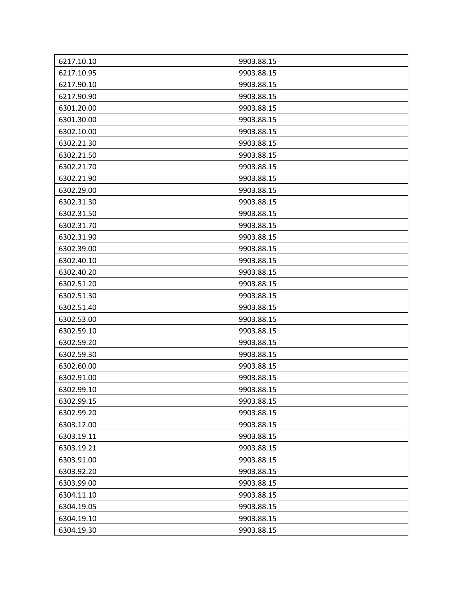| 6217.10.10 | 9903.88.15 |
|------------|------------|
| 6217.10.95 | 9903.88.15 |
| 6217.90.10 | 9903.88.15 |
| 6217.90.90 | 9903.88.15 |
| 6301.20.00 | 9903.88.15 |
| 6301.30.00 | 9903.88.15 |
| 6302.10.00 | 9903.88.15 |
| 6302.21.30 | 9903.88.15 |
| 6302.21.50 | 9903.88.15 |
| 6302.21.70 | 9903.88.15 |
| 6302.21.90 | 9903.88.15 |
| 6302.29.00 | 9903.88.15 |
| 6302.31.30 | 9903.88.15 |
| 6302.31.50 | 9903.88.15 |
| 6302.31.70 | 9903.88.15 |
| 6302.31.90 | 9903.88.15 |
| 6302.39.00 | 9903.88.15 |
| 6302.40.10 | 9903.88.15 |
| 6302.40.20 | 9903.88.15 |
| 6302.51.20 | 9903.88.15 |
| 6302.51.30 | 9903.88.15 |
| 6302.51.40 | 9903.88.15 |
| 6302.53.00 | 9903.88.15 |
| 6302.59.10 | 9903.88.15 |
| 6302.59.20 | 9903.88.15 |
| 6302.59.30 | 9903.88.15 |
| 6302.60.00 | 9903.88.15 |
| 6302.91.00 | 9903.88.15 |
| 6302.99.10 | 9903.88.15 |
| 6302.99.15 | 9903.88.15 |
| 6302.99.20 | 9903.88.15 |
| 6303.12.00 | 9903.88.15 |
| 6303.19.11 | 9903.88.15 |
| 6303.19.21 | 9903.88.15 |
| 6303.91.00 | 9903.88.15 |
| 6303.92.20 | 9903.88.15 |
| 6303.99.00 | 9903.88.15 |
| 6304.11.10 | 9903.88.15 |
| 6304.19.05 | 9903.88.15 |
| 6304.19.10 | 9903.88.15 |
| 6304.19.30 | 9903.88.15 |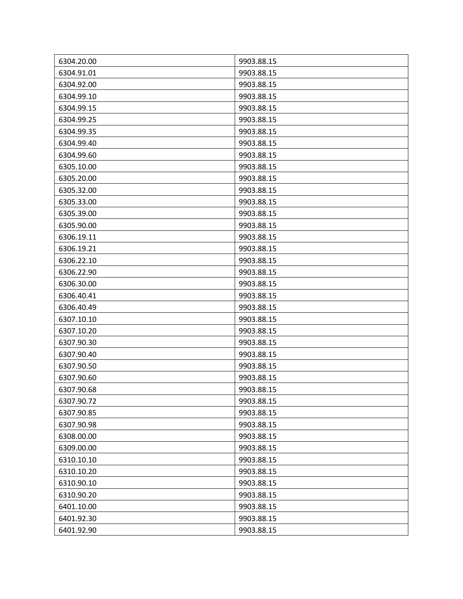| 6304.20.00 | 9903.88.15 |
|------------|------------|
| 6304.91.01 | 9903.88.15 |
| 6304.92.00 | 9903.88.15 |
| 6304.99.10 | 9903.88.15 |
| 6304.99.15 | 9903.88.15 |
| 6304.99.25 | 9903.88.15 |
| 6304.99.35 | 9903.88.15 |
| 6304.99.40 | 9903.88.15 |
| 6304.99.60 | 9903.88.15 |
| 6305.10.00 | 9903.88.15 |
| 6305.20.00 | 9903.88.15 |
| 6305.32.00 | 9903.88.15 |
| 6305.33.00 | 9903.88.15 |
| 6305.39.00 | 9903.88.15 |
| 6305.90.00 | 9903.88.15 |
| 6306.19.11 | 9903.88.15 |
| 6306.19.21 | 9903.88.15 |
| 6306.22.10 | 9903.88.15 |
| 6306.22.90 | 9903.88.15 |
| 6306.30.00 | 9903.88.15 |
| 6306.40.41 | 9903.88.15 |
| 6306.40.49 | 9903.88.15 |
| 6307.10.10 | 9903.88.15 |
| 6307.10.20 | 9903.88.15 |
| 6307.90.30 | 9903.88.15 |
| 6307.90.40 | 9903.88.15 |
| 6307.90.50 | 9903.88.15 |
| 6307.90.60 | 9903.88.15 |
| 6307.90.68 | 9903.88.15 |
| 6307.90.72 | 9903.88.15 |
| 6307.90.85 | 9903.88.15 |
| 6307.90.98 | 9903.88.15 |
| 6308.00.00 | 9903.88.15 |
| 6309.00.00 | 9903.88.15 |
| 6310.10.10 | 9903.88.15 |
| 6310.10.20 | 9903.88.15 |
| 6310.90.10 | 9903.88.15 |
| 6310.90.20 | 9903.88.15 |
| 6401.10.00 | 9903.88.15 |
| 6401.92.30 | 9903.88.15 |
| 6401.92.90 | 9903.88.15 |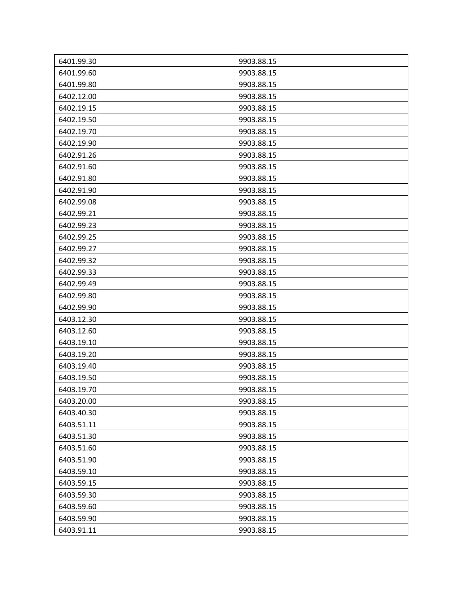| 6401.99.30 | 9903.88.15 |
|------------|------------|
| 6401.99.60 | 9903.88.15 |
| 6401.99.80 | 9903.88.15 |
| 6402.12.00 | 9903.88.15 |
| 6402.19.15 | 9903.88.15 |
| 6402.19.50 | 9903.88.15 |
| 6402.19.70 | 9903.88.15 |
| 6402.19.90 | 9903.88.15 |
| 6402.91.26 | 9903.88.15 |
| 6402.91.60 | 9903.88.15 |
| 6402.91.80 | 9903.88.15 |
| 6402.91.90 | 9903.88.15 |
| 6402.99.08 | 9903.88.15 |
| 6402.99.21 | 9903.88.15 |
| 6402.99.23 | 9903.88.15 |
| 6402.99.25 | 9903.88.15 |
| 6402.99.27 | 9903.88.15 |
| 6402.99.32 | 9903.88.15 |
| 6402.99.33 | 9903.88.15 |
| 6402.99.49 | 9903.88.15 |
| 6402.99.80 | 9903.88.15 |
| 6402.99.90 | 9903.88.15 |
| 6403.12.30 | 9903.88.15 |
| 6403.12.60 | 9903.88.15 |
| 6403.19.10 | 9903.88.15 |
| 6403.19.20 | 9903.88.15 |
| 6403.19.40 | 9903.88.15 |
| 6403.19.50 | 9903.88.15 |
| 6403.19.70 | 9903.88.15 |
| 6403.20.00 | 9903.88.15 |
| 6403.40.30 | 9903.88.15 |
| 6403.51.11 | 9903.88.15 |
| 6403.51.30 | 9903.88.15 |
| 6403.51.60 | 9903.88.15 |
| 6403.51.90 | 9903.88.15 |
| 6403.59.10 | 9903.88.15 |
| 6403.59.15 | 9903.88.15 |
| 6403.59.30 | 9903.88.15 |
| 6403.59.60 | 9903.88.15 |
| 6403.59.90 | 9903.88.15 |
| 6403.91.11 | 9903.88.15 |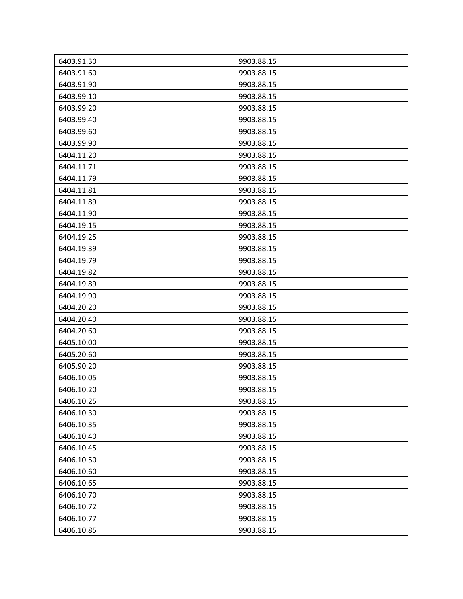| 6403.91.30 | 9903.88.15 |
|------------|------------|
| 6403.91.60 | 9903.88.15 |
| 6403.91.90 | 9903.88.15 |
| 6403.99.10 | 9903.88.15 |
| 6403.99.20 | 9903.88.15 |
| 6403.99.40 | 9903.88.15 |
| 6403.99.60 | 9903.88.15 |
| 6403.99.90 | 9903.88.15 |
| 6404.11.20 | 9903.88.15 |
| 6404.11.71 | 9903.88.15 |
| 6404.11.79 | 9903.88.15 |
| 6404.11.81 | 9903.88.15 |
| 6404.11.89 | 9903.88.15 |
| 6404.11.90 | 9903.88.15 |
| 6404.19.15 | 9903.88.15 |
| 6404.19.25 | 9903.88.15 |
| 6404.19.39 | 9903.88.15 |
| 6404.19.79 | 9903.88.15 |
| 6404.19.82 | 9903.88.15 |
| 6404.19.89 | 9903.88.15 |
| 6404.19.90 | 9903.88.15 |
| 6404.20.20 | 9903.88.15 |
| 6404.20.40 | 9903.88.15 |
| 6404.20.60 | 9903.88.15 |
| 6405.10.00 | 9903.88.15 |
| 6405.20.60 | 9903.88.15 |
| 6405.90.20 | 9903.88.15 |
| 6406.10.05 | 9903.88.15 |
| 6406.10.20 | 9903.88.15 |
| 6406.10.25 | 9903.88.15 |
| 6406.10.30 | 9903.88.15 |
| 6406.10.35 | 9903.88.15 |
| 6406.10.40 | 9903.88.15 |
| 6406.10.45 | 9903.88.15 |
| 6406.10.50 | 9903.88.15 |
| 6406.10.60 | 9903.88.15 |
| 6406.10.65 | 9903.88.15 |
| 6406.10.70 | 9903.88.15 |
| 6406.10.72 | 9903.88.15 |
| 6406.10.77 | 9903.88.15 |
| 6406.10.85 | 9903.88.15 |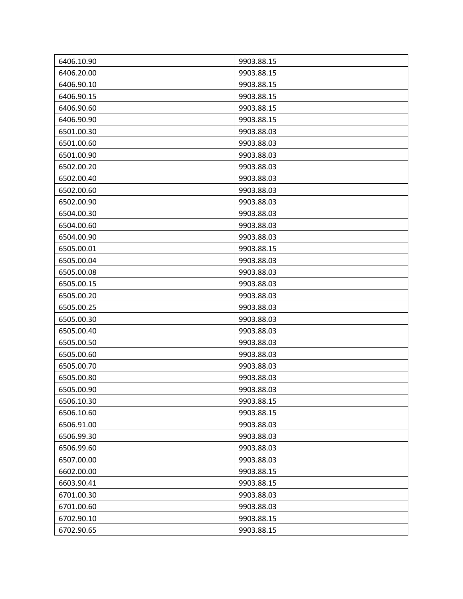| 6406.10.90 | 9903.88.15 |
|------------|------------|
| 6406.20.00 | 9903.88.15 |
| 6406.90.10 | 9903.88.15 |
| 6406.90.15 | 9903.88.15 |
| 6406.90.60 | 9903.88.15 |
| 6406.90.90 | 9903.88.15 |
| 6501.00.30 | 9903.88.03 |
| 6501.00.60 | 9903.88.03 |
| 6501.00.90 | 9903.88.03 |
| 6502.00.20 | 9903.88.03 |
| 6502.00.40 | 9903.88.03 |
| 6502.00.60 | 9903.88.03 |
| 6502.00.90 | 9903.88.03 |
| 6504.00.30 | 9903.88.03 |
| 6504.00.60 | 9903.88.03 |
| 6504.00.90 | 9903.88.03 |
| 6505.00.01 | 9903.88.15 |
| 6505.00.04 | 9903.88.03 |
| 6505.00.08 | 9903.88.03 |
| 6505.00.15 | 9903.88.03 |
| 6505.00.20 | 9903.88.03 |
| 6505.00.25 | 9903.88.03 |
| 6505.00.30 | 9903.88.03 |
| 6505.00.40 | 9903.88.03 |
| 6505.00.50 | 9903.88.03 |
| 6505.00.60 | 9903.88.03 |
| 6505.00.70 | 9903.88.03 |
| 6505.00.80 | 9903.88.03 |
| 6505.00.90 | 9903.88.03 |
| 6506.10.30 | 9903.88.15 |
| 6506.10.60 | 9903.88.15 |
| 6506.91.00 | 9903.88.03 |
| 6506.99.30 | 9903.88.03 |
| 6506.99.60 | 9903.88.03 |
| 6507.00.00 | 9903.88.03 |
| 6602.00.00 | 9903.88.15 |
| 6603.90.41 | 9903.88.15 |
| 6701.00.30 | 9903.88.03 |
| 6701.00.60 | 9903.88.03 |
| 6702.90.10 | 9903.88.15 |
| 6702.90.65 | 9903.88.15 |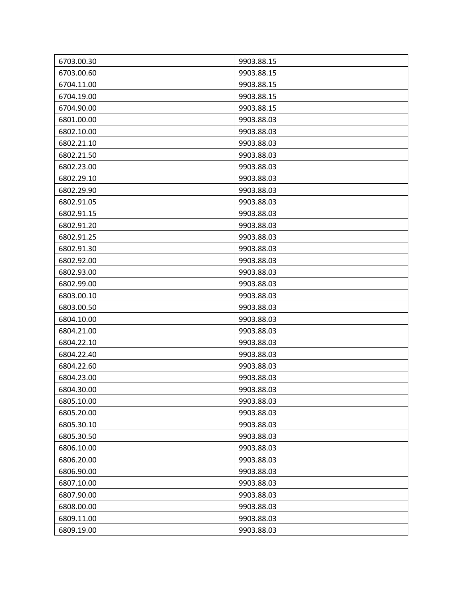| 6703.00.30 | 9903.88.15 |
|------------|------------|
| 6703.00.60 | 9903.88.15 |
| 6704.11.00 | 9903.88.15 |
| 6704.19.00 | 9903.88.15 |
| 6704.90.00 | 9903.88.15 |
| 6801.00.00 | 9903.88.03 |
| 6802.10.00 | 9903.88.03 |
| 6802.21.10 | 9903.88.03 |
| 6802.21.50 | 9903.88.03 |
| 6802.23.00 | 9903.88.03 |
| 6802.29.10 | 9903.88.03 |
| 6802.29.90 | 9903.88.03 |
| 6802.91.05 | 9903.88.03 |
| 6802.91.15 | 9903.88.03 |
| 6802.91.20 | 9903.88.03 |
| 6802.91.25 | 9903.88.03 |
| 6802.91.30 | 9903.88.03 |
| 6802.92.00 | 9903.88.03 |
| 6802.93.00 | 9903.88.03 |
| 6802.99.00 | 9903.88.03 |
| 6803.00.10 | 9903.88.03 |
| 6803.00.50 | 9903.88.03 |
| 6804.10.00 | 9903.88.03 |
| 6804.21.00 | 9903.88.03 |
| 6804.22.10 | 9903.88.03 |
| 6804.22.40 | 9903.88.03 |
| 6804.22.60 | 9903.88.03 |
| 6804.23.00 | 9903.88.03 |
| 6804.30.00 | 9903.88.03 |
| 6805.10.00 | 9903.88.03 |
| 6805.20.00 | 9903.88.03 |
| 6805.30.10 | 9903.88.03 |
| 6805.30.50 | 9903.88.03 |
| 6806.10.00 | 9903.88.03 |
| 6806.20.00 | 9903.88.03 |
| 6806.90.00 | 9903.88.03 |
| 6807.10.00 | 9903.88.03 |
| 6807.90.00 | 9903.88.03 |
| 6808.00.00 | 9903.88.03 |
| 6809.11.00 | 9903.88.03 |
| 6809.19.00 | 9903.88.03 |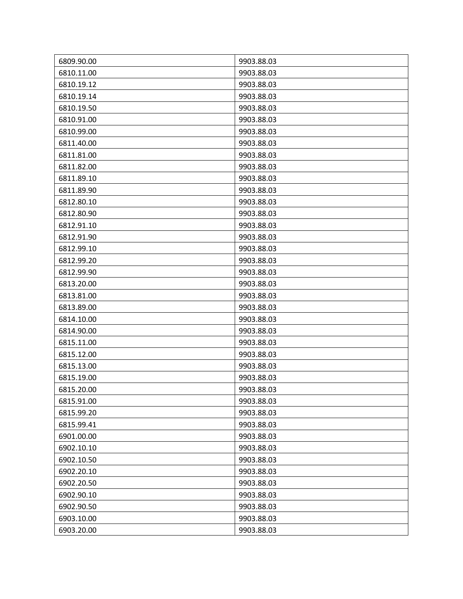| 6809.90.00 | 9903.88.03 |
|------------|------------|
| 6810.11.00 | 9903.88.03 |
| 6810.19.12 | 9903.88.03 |
| 6810.19.14 | 9903.88.03 |
| 6810.19.50 | 9903.88.03 |
| 6810.91.00 | 9903.88.03 |
| 6810.99.00 | 9903.88.03 |
| 6811.40.00 | 9903.88.03 |
| 6811.81.00 | 9903.88.03 |
| 6811.82.00 | 9903.88.03 |
| 6811.89.10 | 9903.88.03 |
| 6811.89.90 | 9903.88.03 |
| 6812.80.10 | 9903.88.03 |
| 6812.80.90 | 9903.88.03 |
| 6812.91.10 | 9903.88.03 |
| 6812.91.90 | 9903.88.03 |
| 6812.99.10 | 9903.88.03 |
| 6812.99.20 | 9903.88.03 |
| 6812.99.90 | 9903.88.03 |
| 6813.20.00 | 9903.88.03 |
| 6813.81.00 | 9903.88.03 |
| 6813.89.00 | 9903.88.03 |
| 6814.10.00 | 9903.88.03 |
| 6814.90.00 | 9903.88.03 |
| 6815.11.00 | 9903.88.03 |
| 6815.12.00 | 9903.88.03 |
| 6815.13.00 | 9903.88.03 |
| 6815.19.00 | 9903.88.03 |
| 6815.20.00 | 9903.88.03 |
| 6815.91.00 | 9903.88.03 |
| 6815.99.20 | 9903.88.03 |
| 6815.99.41 | 9903.88.03 |
| 6901.00.00 | 9903.88.03 |
| 6902.10.10 | 9903.88.03 |
| 6902.10.50 | 9903.88.03 |
| 6902.20.10 | 9903.88.03 |
| 6902.20.50 | 9903.88.03 |
| 6902.90.10 | 9903.88.03 |
| 6902.90.50 | 9903.88.03 |
| 6903.10.00 | 9903.88.03 |
| 6903.20.00 | 9903.88.03 |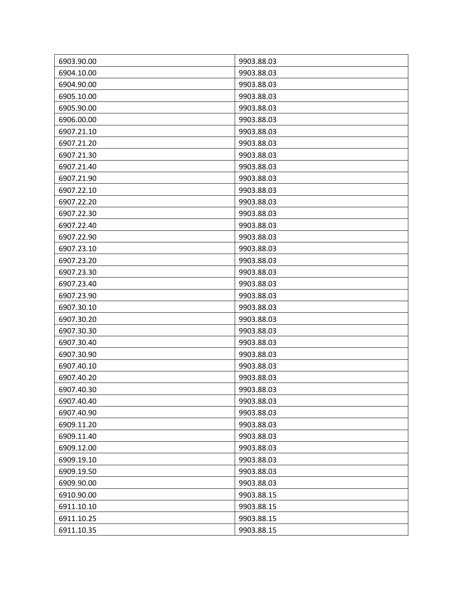| 6903.90.00 | 9903.88.03 |
|------------|------------|
| 6904.10.00 | 9903.88.03 |
| 6904.90.00 | 9903.88.03 |
| 6905.10.00 | 9903.88.03 |
| 6905.90.00 | 9903.88.03 |
| 6906.00.00 | 9903.88.03 |
| 6907.21.10 | 9903.88.03 |
| 6907.21.20 | 9903.88.03 |
| 6907.21.30 | 9903.88.03 |
| 6907.21.40 | 9903.88.03 |
| 6907.21.90 | 9903.88.03 |
| 6907.22.10 | 9903.88.03 |
| 6907.22.20 | 9903.88.03 |
| 6907.22.30 | 9903.88.03 |
| 6907.22.40 | 9903.88.03 |
| 6907.22.90 | 9903.88.03 |
| 6907.23.10 | 9903.88.03 |
| 6907.23.20 | 9903.88.03 |
| 6907.23.30 | 9903.88.03 |
| 6907.23.40 | 9903.88.03 |
| 6907.23.90 | 9903.88.03 |
| 6907.30.10 | 9903.88.03 |
| 6907.30.20 | 9903.88.03 |
| 6907.30.30 | 9903.88.03 |
| 6907.30.40 | 9903.88.03 |
| 6907.30.90 | 9903.88.03 |
| 6907.40.10 | 9903.88.03 |
| 6907.40.20 | 9903.88.03 |
| 6907.40.30 | 9903.88.03 |
| 6907.40.40 | 9903.88.03 |
| 6907.40.90 | 9903.88.03 |
| 6909.11.20 | 9903.88.03 |
| 6909.11.40 | 9903.88.03 |
| 6909.12.00 | 9903.88.03 |
| 6909.19.10 | 9903.88.03 |
| 6909.19.50 | 9903.88.03 |
| 6909.90.00 | 9903.88.03 |
| 6910.90.00 | 9903.88.15 |
| 6911.10.10 | 9903.88.15 |
| 6911.10.25 | 9903.88.15 |
| 6911.10.35 | 9903.88.15 |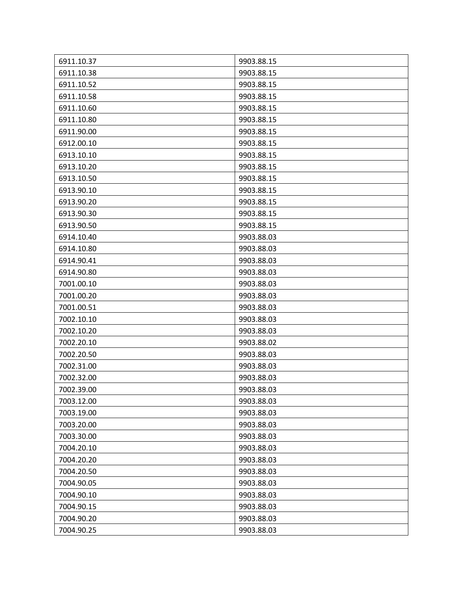| 6911.10.37 | 9903.88.15 |
|------------|------------|
| 6911.10.38 | 9903.88.15 |
| 6911.10.52 | 9903.88.15 |
| 6911.10.58 | 9903.88.15 |
| 6911.10.60 | 9903.88.15 |
| 6911.10.80 | 9903.88.15 |
| 6911.90.00 | 9903.88.15 |
| 6912.00.10 | 9903.88.15 |
| 6913.10.10 | 9903.88.15 |
| 6913.10.20 | 9903.88.15 |
| 6913.10.50 | 9903.88.15 |
| 6913.90.10 | 9903.88.15 |
| 6913.90.20 | 9903.88.15 |
| 6913.90.30 | 9903.88.15 |
| 6913.90.50 | 9903.88.15 |
| 6914.10.40 | 9903.88.03 |
| 6914.10.80 | 9903.88.03 |
| 6914.90.41 | 9903.88.03 |
| 6914.90.80 | 9903.88.03 |
| 7001.00.10 | 9903.88.03 |
| 7001.00.20 | 9903.88.03 |
| 7001.00.51 | 9903.88.03 |
| 7002.10.10 | 9903.88.03 |
| 7002.10.20 | 9903.88.03 |
| 7002.20.10 | 9903.88.02 |
| 7002.20.50 | 9903.88.03 |
| 7002.31.00 | 9903.88.03 |
| 7002.32.00 | 9903.88.03 |
| 7002.39.00 | 9903.88.03 |
| 7003.12.00 | 9903.88.03 |
| 7003.19.00 | 9903.88.03 |
| 7003.20.00 | 9903.88.03 |
| 7003.30.00 | 9903.88.03 |
| 7004.20.10 | 9903.88.03 |
| 7004.20.20 | 9903.88.03 |
| 7004.20.50 | 9903.88.03 |
| 7004.90.05 | 9903.88.03 |
| 7004.90.10 | 9903.88.03 |
| 7004.90.15 | 9903.88.03 |
| 7004.90.20 | 9903.88.03 |
| 7004.90.25 | 9903.88.03 |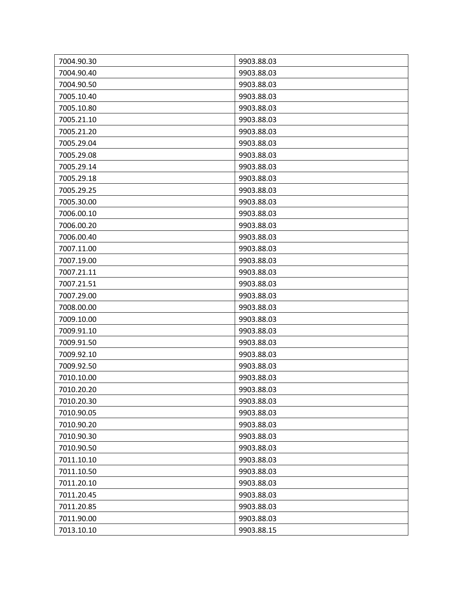| 7004.90.30 | 9903.88.03 |
|------------|------------|
| 7004.90.40 | 9903.88.03 |
| 7004.90.50 | 9903.88.03 |
| 7005.10.40 | 9903.88.03 |
| 7005.10.80 | 9903.88.03 |
| 7005.21.10 | 9903.88.03 |
| 7005.21.20 | 9903.88.03 |
| 7005.29.04 | 9903.88.03 |
| 7005.29.08 | 9903.88.03 |
| 7005.29.14 | 9903.88.03 |
| 7005.29.18 | 9903.88.03 |
| 7005.29.25 | 9903.88.03 |
| 7005.30.00 | 9903.88.03 |
| 7006.00.10 | 9903.88.03 |
| 7006.00.20 | 9903.88.03 |
| 7006.00.40 | 9903.88.03 |
| 7007.11.00 | 9903.88.03 |
| 7007.19.00 | 9903.88.03 |
| 7007.21.11 | 9903.88.03 |
| 7007.21.51 | 9903.88.03 |
| 7007.29.00 | 9903.88.03 |
| 7008.00.00 | 9903.88.03 |
| 7009.10.00 | 9903.88.03 |
| 7009.91.10 | 9903.88.03 |
| 7009.91.50 | 9903.88.03 |
| 7009.92.10 | 9903.88.03 |
| 7009.92.50 | 9903.88.03 |
| 7010.10.00 | 9903.88.03 |
| 7010.20.20 | 9903.88.03 |
| 7010.20.30 | 9903.88.03 |
| 7010.90.05 | 9903.88.03 |
| 7010.90.20 | 9903.88.03 |
| 7010.90.30 | 9903.88.03 |
| 7010.90.50 | 9903.88.03 |
| 7011.10.10 | 9903.88.03 |
| 7011.10.50 | 9903.88.03 |
| 7011.20.10 | 9903.88.03 |
| 7011.20.45 | 9903.88.03 |
| 7011.20.85 | 9903.88.03 |
| 7011.90.00 | 9903.88.03 |
| 7013.10.10 | 9903.88.15 |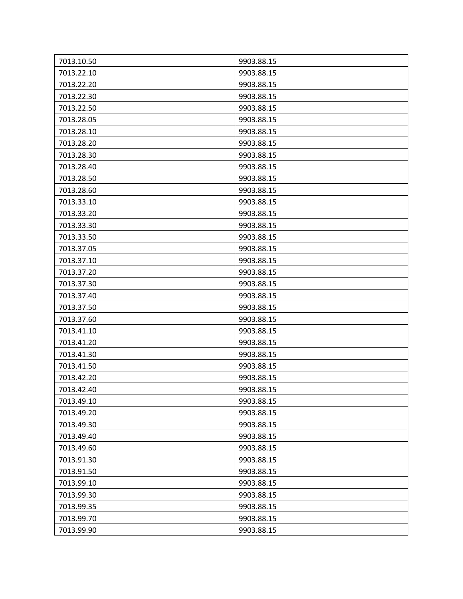| 7013.10.50 | 9903.88.15 |
|------------|------------|
| 7013.22.10 | 9903.88.15 |
| 7013.22.20 | 9903.88.15 |
| 7013.22.30 | 9903.88.15 |
| 7013.22.50 | 9903.88.15 |
| 7013.28.05 | 9903.88.15 |
| 7013.28.10 | 9903.88.15 |
| 7013.28.20 | 9903.88.15 |
| 7013.28.30 | 9903.88.15 |
| 7013.28.40 | 9903.88.15 |
| 7013.28.50 | 9903.88.15 |
| 7013.28.60 | 9903.88.15 |
| 7013.33.10 | 9903.88.15 |
| 7013.33.20 | 9903.88.15 |
| 7013.33.30 | 9903.88.15 |
| 7013.33.50 | 9903.88.15 |
| 7013.37.05 | 9903.88.15 |
| 7013.37.10 | 9903.88.15 |
| 7013.37.20 | 9903.88.15 |
| 7013.37.30 | 9903.88.15 |
| 7013.37.40 | 9903.88.15 |
| 7013.37.50 | 9903.88.15 |
| 7013.37.60 | 9903.88.15 |
| 7013.41.10 | 9903.88.15 |
| 7013.41.20 | 9903.88.15 |
| 7013.41.30 | 9903.88.15 |
| 7013.41.50 | 9903.88.15 |
| 7013.42.20 | 9903.88.15 |
| 7013.42.40 | 9903.88.15 |
| 7013.49.10 | 9903.88.15 |
| 7013.49.20 | 9903.88.15 |
| 7013.49.30 | 9903.88.15 |
| 7013.49.40 | 9903.88.15 |
| 7013.49.60 | 9903.88.15 |
| 7013.91.30 | 9903.88.15 |
| 7013.91.50 | 9903.88.15 |
| 7013.99.10 | 9903.88.15 |
| 7013.99.30 | 9903.88.15 |
| 7013.99.35 | 9903.88.15 |
| 7013.99.70 | 9903.88.15 |
| 7013.99.90 | 9903.88.15 |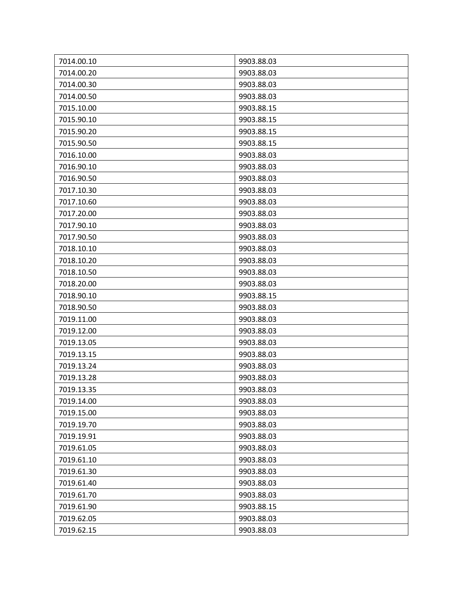| 7014.00.10 | 9903.88.03 |
|------------|------------|
| 7014.00.20 | 9903.88.03 |
| 7014.00.30 | 9903.88.03 |
| 7014.00.50 | 9903.88.03 |
| 7015.10.00 | 9903.88.15 |
| 7015.90.10 | 9903.88.15 |
| 7015.90.20 | 9903.88.15 |
| 7015.90.50 | 9903.88.15 |
| 7016.10.00 | 9903.88.03 |
| 7016.90.10 | 9903.88.03 |
| 7016.90.50 | 9903.88.03 |
| 7017.10.30 | 9903.88.03 |
| 7017.10.60 | 9903.88.03 |
| 7017.20.00 | 9903.88.03 |
| 7017.90.10 | 9903.88.03 |
| 7017.90.50 | 9903.88.03 |
| 7018.10.10 | 9903.88.03 |
| 7018.10.20 | 9903.88.03 |
| 7018.10.50 | 9903.88.03 |
| 7018.20.00 | 9903.88.03 |
| 7018.90.10 | 9903.88.15 |
| 7018.90.50 | 9903.88.03 |
| 7019.11.00 | 9903.88.03 |
| 7019.12.00 | 9903.88.03 |
| 7019.13.05 | 9903.88.03 |
| 7019.13.15 | 9903.88.03 |
| 7019.13.24 | 9903.88.03 |
| 7019.13.28 | 9903.88.03 |
| 7019.13.35 | 9903.88.03 |
| 7019.14.00 | 9903.88.03 |
| 7019.15.00 | 9903.88.03 |
| 7019.19.70 | 9903.88.03 |
| 7019.19.91 | 9903.88.03 |
| 7019.61.05 | 9903.88.03 |
| 7019.61.10 | 9903.88.03 |
| 7019.61.30 | 9903.88.03 |
| 7019.61.40 | 9903.88.03 |
| 7019.61.70 | 9903.88.03 |
| 7019.61.90 | 9903.88.15 |
| 7019.62.05 | 9903.88.03 |
| 7019.62.15 | 9903.88.03 |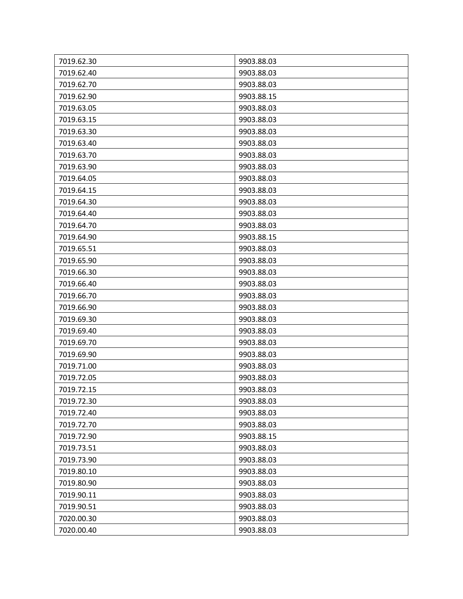| 7019.62.30 | 9903.88.03 |
|------------|------------|
| 7019.62.40 | 9903.88.03 |
| 7019.62.70 | 9903.88.03 |
| 7019.62.90 | 9903.88.15 |
| 7019.63.05 | 9903.88.03 |
| 7019.63.15 | 9903.88.03 |
| 7019.63.30 | 9903.88.03 |
| 7019.63.40 | 9903.88.03 |
| 7019.63.70 | 9903.88.03 |
| 7019.63.90 | 9903.88.03 |
| 7019.64.05 | 9903.88.03 |
| 7019.64.15 | 9903.88.03 |
| 7019.64.30 | 9903.88.03 |
| 7019.64.40 | 9903.88.03 |
| 7019.64.70 | 9903.88.03 |
| 7019.64.90 | 9903.88.15 |
| 7019.65.51 | 9903.88.03 |
| 7019.65.90 | 9903.88.03 |
| 7019.66.30 | 9903.88.03 |
| 7019.66.40 | 9903.88.03 |
| 7019.66.70 | 9903.88.03 |
| 7019.66.90 | 9903.88.03 |
| 7019.69.30 | 9903.88.03 |
| 7019.69.40 | 9903.88.03 |
| 7019.69.70 | 9903.88.03 |
| 7019.69.90 | 9903.88.03 |
| 7019.71.00 | 9903.88.03 |
| 7019.72.05 | 9903.88.03 |
| 7019.72.15 | 9903.88.03 |
| 7019.72.30 | 9903.88.03 |
| 7019.72.40 | 9903.88.03 |
| 7019.72.70 | 9903.88.03 |
| 7019.72.90 | 9903.88.15 |
| 7019.73.51 | 9903.88.03 |
| 7019.73.90 | 9903.88.03 |
| 7019.80.10 | 9903.88.03 |
| 7019.80.90 | 9903.88.03 |
| 7019.90.11 | 9903.88.03 |
| 7019.90.51 | 9903.88.03 |
| 7020.00.30 | 9903.88.03 |
| 7020.00.40 | 9903.88.03 |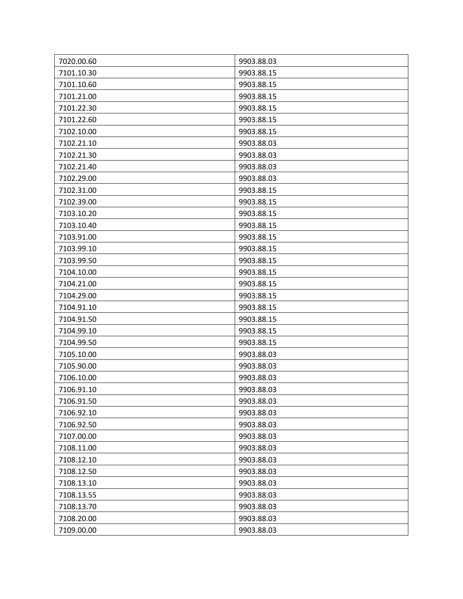| 7020.00.60 | 9903.88.03 |
|------------|------------|
| 7101.10.30 | 9903.88.15 |
| 7101.10.60 | 9903.88.15 |
| 7101.21.00 | 9903.88.15 |
| 7101.22.30 | 9903.88.15 |
| 7101.22.60 | 9903.88.15 |
| 7102.10.00 | 9903.88.15 |
| 7102.21.10 | 9903.88.03 |
| 7102.21.30 | 9903.88.03 |
| 7102.21.40 | 9903.88.03 |
| 7102.29.00 | 9903.88.03 |
| 7102.31.00 | 9903.88.15 |
| 7102.39.00 | 9903.88.15 |
| 7103.10.20 | 9903.88.15 |
| 7103.10.40 | 9903.88.15 |
| 7103.91.00 | 9903.88.15 |
| 7103.99.10 | 9903.88.15 |
| 7103.99.50 | 9903.88.15 |
| 7104.10.00 | 9903.88.15 |
| 7104.21.00 | 9903.88.15 |
| 7104.29.00 | 9903.88.15 |
| 7104.91.10 | 9903.88.15 |
| 7104.91.50 | 9903.88.15 |
| 7104.99.10 | 9903.88.15 |
| 7104.99.50 | 9903.88.15 |
| 7105.10.00 | 9903.88.03 |
| 7105.90.00 | 9903.88.03 |
| 7106.10.00 | 9903.88.03 |
| 7106.91.10 | 9903.88.03 |
| 7106.91.50 | 9903.88.03 |
| 7106.92.10 | 9903.88.03 |
| 7106.92.50 | 9903.88.03 |
| 7107.00.00 | 9903.88.03 |
| 7108.11.00 | 9903.88.03 |
| 7108.12.10 | 9903.88.03 |
| 7108.12.50 | 9903.88.03 |
| 7108.13.10 | 9903.88.03 |
| 7108.13.55 | 9903.88.03 |
| 7108.13.70 | 9903.88.03 |
| 7108.20.00 | 9903.88.03 |
| 7109.00.00 | 9903.88.03 |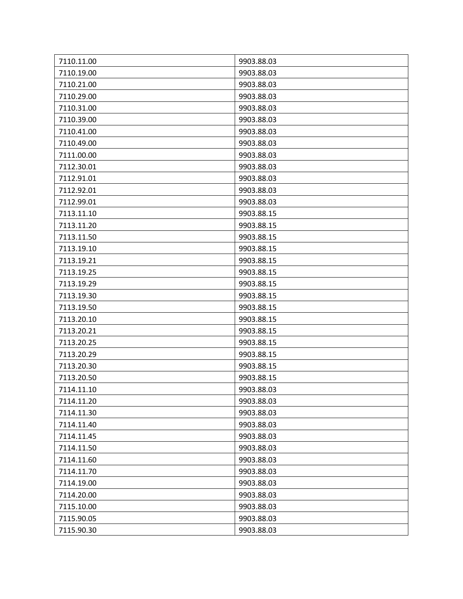| 7110.11.00 | 9903.88.03 |
|------------|------------|
| 7110.19.00 | 9903.88.03 |
| 7110.21.00 | 9903.88.03 |
| 7110.29.00 | 9903.88.03 |
| 7110.31.00 | 9903.88.03 |
| 7110.39.00 | 9903.88.03 |
| 7110.41.00 | 9903.88.03 |
| 7110.49.00 | 9903.88.03 |
| 7111.00.00 | 9903.88.03 |
| 7112.30.01 | 9903.88.03 |
| 7112.91.01 | 9903.88.03 |
| 7112.92.01 | 9903.88.03 |
| 7112.99.01 | 9903.88.03 |
| 7113.11.10 | 9903.88.15 |
| 7113.11.20 | 9903.88.15 |
| 7113.11.50 | 9903.88.15 |
| 7113.19.10 | 9903.88.15 |
| 7113.19.21 | 9903.88.15 |
| 7113.19.25 | 9903.88.15 |
| 7113.19.29 | 9903.88.15 |
| 7113.19.30 | 9903.88.15 |
| 7113.19.50 | 9903.88.15 |
| 7113.20.10 | 9903.88.15 |
| 7113.20.21 | 9903.88.15 |
| 7113.20.25 | 9903.88.15 |
| 7113.20.29 | 9903.88.15 |
| 7113.20.30 | 9903.88.15 |
| 7113.20.50 | 9903.88.15 |
| 7114.11.10 | 9903.88.03 |
| 7114.11.20 | 9903.88.03 |
| 7114.11.30 | 9903.88.03 |
| 7114.11.40 | 9903.88.03 |
| 7114.11.45 | 9903.88.03 |
| 7114.11.50 | 9903.88.03 |
| 7114.11.60 | 9903.88.03 |
| 7114.11.70 | 9903.88.03 |
| 7114.19.00 | 9903.88.03 |
| 7114.20.00 | 9903.88.03 |
| 7115.10.00 | 9903.88.03 |
| 7115.90.05 | 9903.88.03 |
|            |            |
| 7115.90.30 | 9903.88.03 |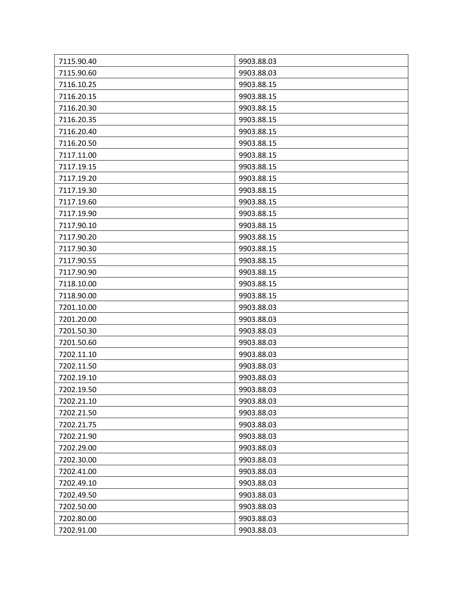| 7115.90.40 | 9903.88.03 |
|------------|------------|
| 7115.90.60 | 9903.88.03 |
| 7116.10.25 | 9903.88.15 |
| 7116.20.15 | 9903.88.15 |
| 7116.20.30 | 9903.88.15 |
| 7116.20.35 | 9903.88.15 |
| 7116.20.40 | 9903.88.15 |
| 7116.20.50 | 9903.88.15 |
| 7117.11.00 | 9903.88.15 |
| 7117.19.15 | 9903.88.15 |
| 7117.19.20 | 9903.88.15 |
| 7117.19.30 | 9903.88.15 |
| 7117.19.60 | 9903.88.15 |
| 7117.19.90 | 9903.88.15 |
| 7117.90.10 | 9903.88.15 |
| 7117.90.20 | 9903.88.15 |
| 7117.90.30 | 9903.88.15 |
| 7117.90.55 | 9903.88.15 |
| 7117.90.90 | 9903.88.15 |
| 7118.10.00 | 9903.88.15 |
| 7118.90.00 | 9903.88.15 |
| 7201.10.00 | 9903.88.03 |
| 7201.20.00 | 9903.88.03 |
| 7201.50.30 | 9903.88.03 |
| 7201.50.60 | 9903.88.03 |
| 7202.11.10 | 9903.88.03 |
| 7202.11.50 | 9903.88.03 |
| 7202.19.10 | 9903.88.03 |
| 7202.19.50 | 9903.88.03 |
| 7202.21.10 | 9903.88.03 |
| 7202.21.50 | 9903.88.03 |
| 7202.21.75 | 9903.88.03 |
| 7202.21.90 | 9903.88.03 |
| 7202.29.00 | 9903.88.03 |
| 7202.30.00 | 9903.88.03 |
| 7202.41.00 | 9903.88.03 |
| 7202.49.10 | 9903.88.03 |
| 7202.49.50 | 9903.88.03 |
| 7202.50.00 | 9903.88.03 |
| 7202.80.00 | 9903.88.03 |
| 7202.91.00 | 9903.88.03 |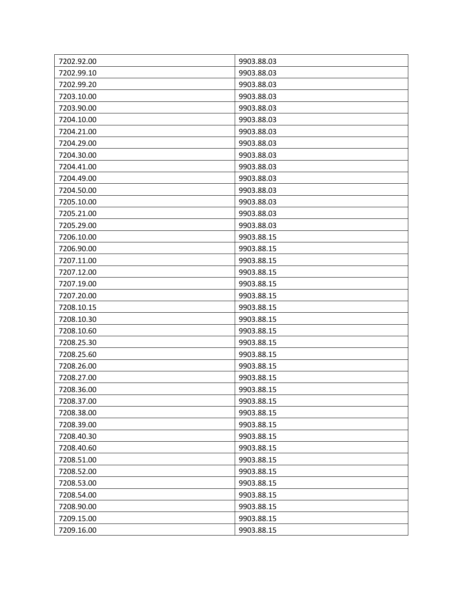| 7202.92.00 | 9903.88.03 |
|------------|------------|
| 7202.99.10 | 9903.88.03 |
| 7202.99.20 | 9903.88.03 |
| 7203.10.00 | 9903.88.03 |
| 7203.90.00 | 9903.88.03 |
| 7204.10.00 | 9903.88.03 |
| 7204.21.00 | 9903.88.03 |
| 7204.29.00 | 9903.88.03 |
| 7204.30.00 | 9903.88.03 |
| 7204.41.00 | 9903.88.03 |
| 7204.49.00 | 9903.88.03 |
| 7204.50.00 | 9903.88.03 |
| 7205.10.00 | 9903.88.03 |
| 7205.21.00 | 9903.88.03 |
| 7205.29.00 | 9903.88.03 |
| 7206.10.00 | 9903.88.15 |
| 7206.90.00 | 9903.88.15 |
| 7207.11.00 | 9903.88.15 |
| 7207.12.00 | 9903.88.15 |
| 7207.19.00 | 9903.88.15 |
| 7207.20.00 | 9903.88.15 |
| 7208.10.15 | 9903.88.15 |
| 7208.10.30 | 9903.88.15 |
| 7208.10.60 | 9903.88.15 |
| 7208.25.30 | 9903.88.15 |
| 7208.25.60 | 9903.88.15 |
| 7208.26.00 | 9903.88.15 |
| 7208.27.00 | 9903.88.15 |
| 7208.36.00 | 9903.88.15 |
| 7208.37.00 | 9903.88.15 |
| 7208.38.00 | 9903.88.15 |
| 7208.39.00 | 9903.88.15 |
| 7208.40.30 | 9903.88.15 |
| 7208.40.60 | 9903.88.15 |
| 7208.51.00 | 9903.88.15 |
| 7208.52.00 | 9903.88.15 |
| 7208.53.00 | 9903.88.15 |
| 7208.54.00 | 9903.88.15 |
| 7208.90.00 | 9903.88.15 |
| 7209.15.00 | 9903.88.15 |
| 7209.16.00 | 9903.88.15 |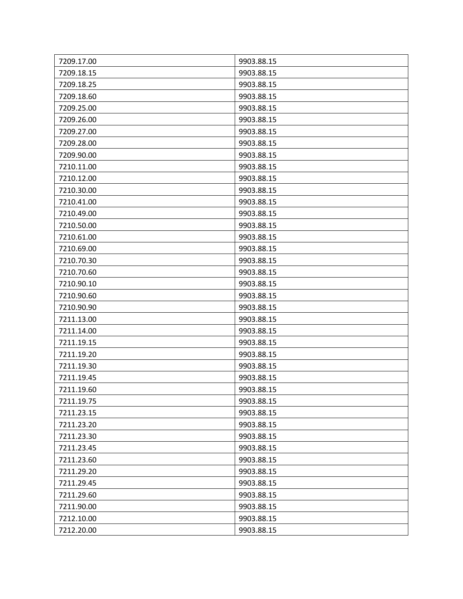| 7209.17.00 | 9903.88.15 |
|------------|------------|
| 7209.18.15 | 9903.88.15 |
| 7209.18.25 | 9903.88.15 |
| 7209.18.60 | 9903.88.15 |
| 7209.25.00 | 9903.88.15 |
| 7209.26.00 | 9903.88.15 |
| 7209.27.00 | 9903.88.15 |
| 7209.28.00 | 9903.88.15 |
| 7209.90.00 | 9903.88.15 |
| 7210.11.00 | 9903.88.15 |
| 7210.12.00 | 9903.88.15 |
| 7210.30.00 | 9903.88.15 |
| 7210.41.00 | 9903.88.15 |
| 7210.49.00 | 9903.88.15 |
| 7210.50.00 | 9903.88.15 |
| 7210.61.00 | 9903.88.15 |
| 7210.69.00 | 9903.88.15 |
| 7210.70.30 | 9903.88.15 |
| 7210.70.60 | 9903.88.15 |
| 7210.90.10 | 9903.88.15 |
| 7210.90.60 | 9903.88.15 |
| 7210.90.90 | 9903.88.15 |
| 7211.13.00 | 9903.88.15 |
| 7211.14.00 | 9903.88.15 |
| 7211.19.15 | 9903.88.15 |
| 7211.19.20 | 9903.88.15 |
| 7211.19.30 | 9903.88.15 |
| 7211.19.45 | 9903.88.15 |
| 7211.19.60 | 9903.88.15 |
| 7211.19.75 | 9903.88.15 |
| 7211.23.15 | 9903.88.15 |
| 7211.23.20 | 9903.88.15 |
| 7211.23.30 | 9903.88.15 |
| 7211.23.45 | 9903.88.15 |
| 7211.23.60 | 9903.88.15 |
| 7211.29.20 | 9903.88.15 |
| 7211.29.45 | 9903.88.15 |
| 7211.29.60 | 9903.88.15 |
| 7211.90.00 | 9903.88.15 |
| 7212.10.00 | 9903.88.15 |
| 7212.20.00 | 9903.88.15 |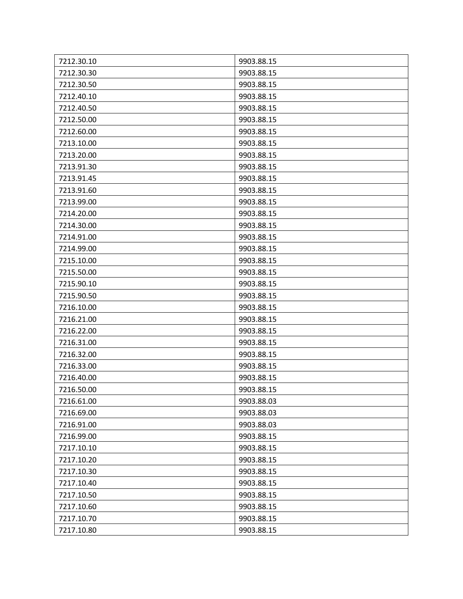| 7212.30.10 | 9903.88.15 |
|------------|------------|
| 7212.30.30 | 9903.88.15 |
| 7212.30.50 | 9903.88.15 |
| 7212.40.10 | 9903.88.15 |
| 7212.40.50 | 9903.88.15 |
| 7212.50.00 | 9903.88.15 |
| 7212.60.00 | 9903.88.15 |
| 7213.10.00 | 9903.88.15 |
| 7213.20.00 | 9903.88.15 |
| 7213.91.30 | 9903.88.15 |
| 7213.91.45 | 9903.88.15 |
| 7213.91.60 | 9903.88.15 |
| 7213.99.00 | 9903.88.15 |
| 7214.20.00 | 9903.88.15 |
| 7214.30.00 | 9903.88.15 |
| 7214.91.00 | 9903.88.15 |
| 7214.99.00 | 9903.88.15 |
| 7215.10.00 | 9903.88.15 |
| 7215.50.00 | 9903.88.15 |
| 7215.90.10 | 9903.88.15 |
| 7215.90.50 | 9903.88.15 |
| 7216.10.00 | 9903.88.15 |
| 7216.21.00 | 9903.88.15 |
| 7216.22.00 | 9903.88.15 |
| 7216.31.00 | 9903.88.15 |
| 7216.32.00 | 9903.88.15 |
| 7216.33.00 | 9903.88.15 |
| 7216.40.00 | 9903.88.15 |
| 7216.50.00 | 9903.88.15 |
| 7216.61.00 | 9903.88.03 |
| 7216.69.00 | 9903.88.03 |
| 7216.91.00 | 9903.88.03 |
| 7216.99.00 | 9903.88.15 |
| 7217.10.10 | 9903.88.15 |
| 7217.10.20 | 9903.88.15 |
| 7217.10.30 | 9903.88.15 |
| 7217.10.40 | 9903.88.15 |
| 7217.10.50 | 9903.88.15 |
| 7217.10.60 | 9903.88.15 |
| 7217.10.70 | 9903.88.15 |
| 7217.10.80 | 9903.88.15 |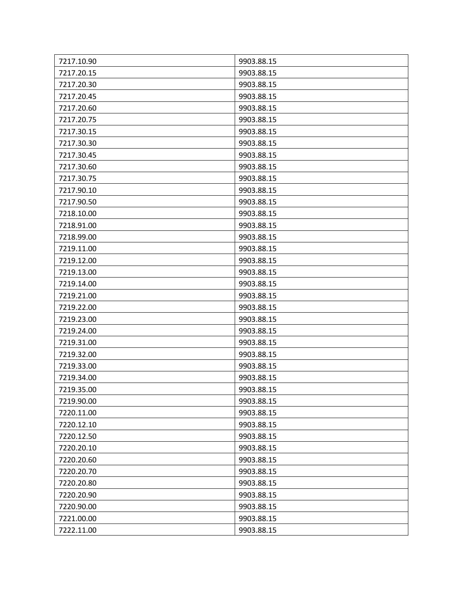| 7217.10.90 | 9903.88.15 |
|------------|------------|
| 7217.20.15 | 9903.88.15 |
| 7217.20.30 | 9903.88.15 |
| 7217.20.45 | 9903.88.15 |
| 7217.20.60 | 9903.88.15 |
| 7217.20.75 | 9903.88.15 |
| 7217.30.15 | 9903.88.15 |
| 7217.30.30 | 9903.88.15 |
| 7217.30.45 | 9903.88.15 |
| 7217.30.60 | 9903.88.15 |
| 7217.30.75 | 9903.88.15 |
| 7217.90.10 | 9903.88.15 |
| 7217.90.50 | 9903.88.15 |
| 7218.10.00 | 9903.88.15 |
| 7218.91.00 | 9903.88.15 |
| 7218.99.00 | 9903.88.15 |
| 7219.11.00 | 9903.88.15 |
| 7219.12.00 | 9903.88.15 |
| 7219.13.00 | 9903.88.15 |
| 7219.14.00 | 9903.88.15 |
| 7219.21.00 | 9903.88.15 |
| 7219.22.00 | 9903.88.15 |
| 7219.23.00 | 9903.88.15 |
| 7219.24.00 | 9903.88.15 |
| 7219.31.00 | 9903.88.15 |
| 7219.32.00 | 9903.88.15 |
| 7219.33.00 | 9903.88.15 |
| 7219.34.00 | 9903.88.15 |
| 7219.35.00 | 9903.88.15 |
| 7219.90.00 | 9903.88.15 |
| 7220.11.00 | 9903.88.15 |
| 7220.12.10 | 9903.88.15 |
| 7220.12.50 | 9903.88.15 |
| 7220.20.10 | 9903.88.15 |
| 7220.20.60 | 9903.88.15 |
| 7220.20.70 | 9903.88.15 |
| 7220.20.80 | 9903.88.15 |
| 7220.20.90 | 9903.88.15 |
| 7220.90.00 | 9903.88.15 |
| 7221.00.00 | 9903.88.15 |
| 7222.11.00 | 9903.88.15 |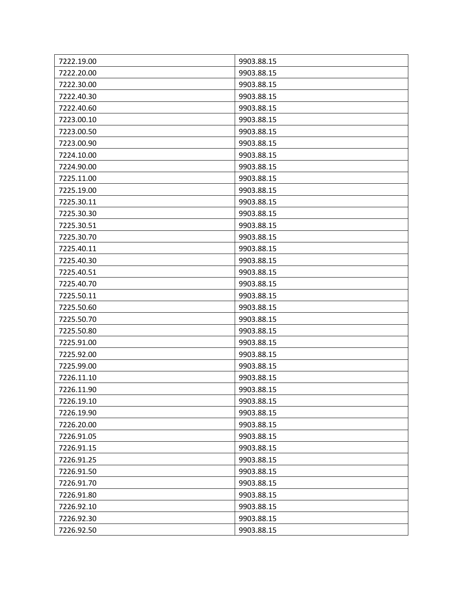| 7222.19.00 | 9903.88.15 |
|------------|------------|
| 7222.20.00 | 9903.88.15 |
| 7222.30.00 | 9903.88.15 |
| 7222.40.30 | 9903.88.15 |
| 7222.40.60 | 9903.88.15 |
| 7223.00.10 | 9903.88.15 |
| 7223.00.50 | 9903.88.15 |
| 7223.00.90 | 9903.88.15 |
| 7224.10.00 | 9903.88.15 |
| 7224.90.00 | 9903.88.15 |
| 7225.11.00 | 9903.88.15 |
| 7225.19.00 | 9903.88.15 |
| 7225.30.11 | 9903.88.15 |
| 7225.30.30 | 9903.88.15 |
| 7225.30.51 | 9903.88.15 |
| 7225.30.70 | 9903.88.15 |
| 7225.40.11 | 9903.88.15 |
| 7225.40.30 | 9903.88.15 |
| 7225.40.51 | 9903.88.15 |
| 7225.40.70 | 9903.88.15 |
| 7225.50.11 | 9903.88.15 |
| 7225.50.60 | 9903.88.15 |
| 7225.50.70 | 9903.88.15 |
| 7225.50.80 | 9903.88.15 |
| 7225.91.00 | 9903.88.15 |
| 7225.92.00 | 9903.88.15 |
| 7225.99.00 | 9903.88.15 |
| 7226.11.10 | 9903.88.15 |
| 7226.11.90 | 9903.88.15 |
| 7226.19.10 | 9903.88.15 |
| 7226.19.90 | 9903.88.15 |
| 7226.20.00 | 9903.88.15 |
| 7226.91.05 | 9903.88.15 |
| 7226.91.15 | 9903.88.15 |
| 7226.91.25 | 9903.88.15 |
| 7226.91.50 | 9903.88.15 |
| 7226.91.70 | 9903.88.15 |
| 7226.91.80 | 9903.88.15 |
| 7226.92.10 | 9903.88.15 |
| 7226.92.30 | 9903.88.15 |
| 7226.92.50 | 9903.88.15 |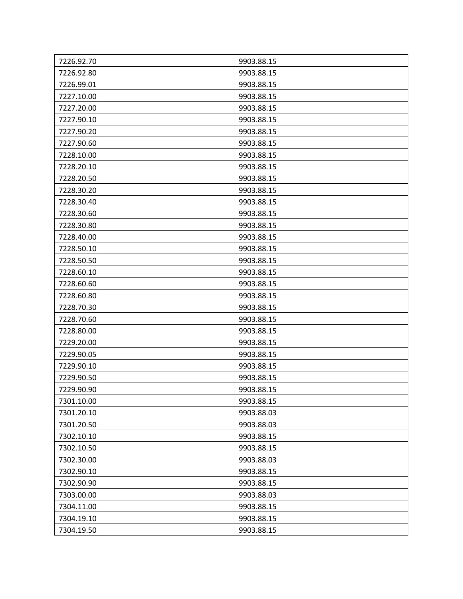| 7226.92.70 | 9903.88.15 |
|------------|------------|
| 7226.92.80 | 9903.88.15 |
| 7226.99.01 | 9903.88.15 |
| 7227.10.00 | 9903.88.15 |
| 7227.20.00 | 9903.88.15 |
| 7227.90.10 | 9903.88.15 |
| 7227.90.20 | 9903.88.15 |
| 7227.90.60 | 9903.88.15 |
| 7228.10.00 | 9903.88.15 |
| 7228.20.10 | 9903.88.15 |
| 7228.20.50 | 9903.88.15 |
| 7228.30.20 | 9903.88.15 |
| 7228.30.40 | 9903.88.15 |
| 7228.30.60 | 9903.88.15 |
| 7228.30.80 | 9903.88.15 |
| 7228.40.00 | 9903.88.15 |
| 7228.50.10 | 9903.88.15 |
| 7228.50.50 | 9903.88.15 |
| 7228.60.10 | 9903.88.15 |
| 7228.60.60 | 9903.88.15 |
| 7228.60.80 | 9903.88.15 |
| 7228.70.30 | 9903.88.15 |
| 7228.70.60 | 9903.88.15 |
| 7228.80.00 | 9903.88.15 |
| 7229.20.00 | 9903.88.15 |
| 7229.90.05 | 9903.88.15 |
| 7229.90.10 | 9903.88.15 |
| 7229.90.50 | 9903.88.15 |
| 7229.90.90 | 9903.88.15 |
| 7301.10.00 | 9903.88.15 |
| 7301.20.10 | 9903.88.03 |
| 7301.20.50 | 9903.88.03 |
| 7302.10.10 | 9903.88.15 |
| 7302.10.50 | 9903.88.15 |
| 7302.30.00 | 9903.88.03 |
| 7302.90.10 | 9903.88.15 |
| 7302.90.90 | 9903.88.15 |
| 7303.00.00 | 9903.88.03 |
| 7304.11.00 | 9903.88.15 |
| 7304.19.10 | 9903.88.15 |
| 7304.19.50 | 9903.88.15 |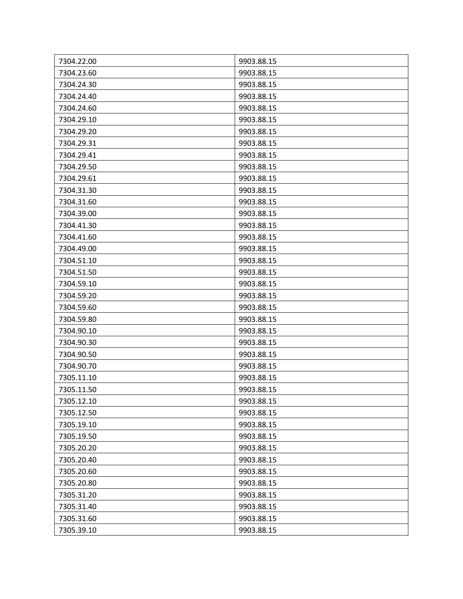| 7304.22.00 | 9903.88.15 |
|------------|------------|
| 7304.23.60 | 9903.88.15 |
| 7304.24.30 | 9903.88.15 |
| 7304.24.40 | 9903.88.15 |
| 7304.24.60 | 9903.88.15 |
| 7304.29.10 | 9903.88.15 |
| 7304.29.20 | 9903.88.15 |
| 7304.29.31 | 9903.88.15 |
| 7304.29.41 | 9903.88.15 |
| 7304.29.50 | 9903.88.15 |
| 7304.29.61 | 9903.88.15 |
| 7304.31.30 | 9903.88.15 |
| 7304.31.60 | 9903.88.15 |
| 7304.39.00 | 9903.88.15 |
| 7304.41.30 | 9903.88.15 |
| 7304.41.60 | 9903.88.15 |
| 7304.49.00 | 9903.88.15 |
| 7304.51.10 | 9903.88.15 |
| 7304.51.50 | 9903.88.15 |
| 7304.59.10 | 9903.88.15 |
| 7304.59.20 | 9903.88.15 |
| 7304.59.60 | 9903.88.15 |
| 7304.59.80 | 9903.88.15 |
| 7304.90.10 | 9903.88.15 |
| 7304.90.30 | 9903.88.15 |
| 7304.90.50 | 9903.88.15 |
| 7304.90.70 | 9903.88.15 |
| 7305.11.10 | 9903.88.15 |
| 7305.11.50 | 9903.88.15 |
| 7305.12.10 | 9903.88.15 |
| 7305.12.50 | 9903.88.15 |
| 7305.19.10 | 9903.88.15 |
| 7305.19.50 | 9903.88.15 |
| 7305.20.20 | 9903.88.15 |
| 7305.20.40 | 9903.88.15 |
| 7305.20.60 | 9903.88.15 |
| 7305.20.80 | 9903.88.15 |
| 7305.31.20 | 9903.88.15 |
| 7305.31.40 | 9903.88.15 |
| 7305.31.60 | 9903.88.15 |
| 7305.39.10 | 9903.88.15 |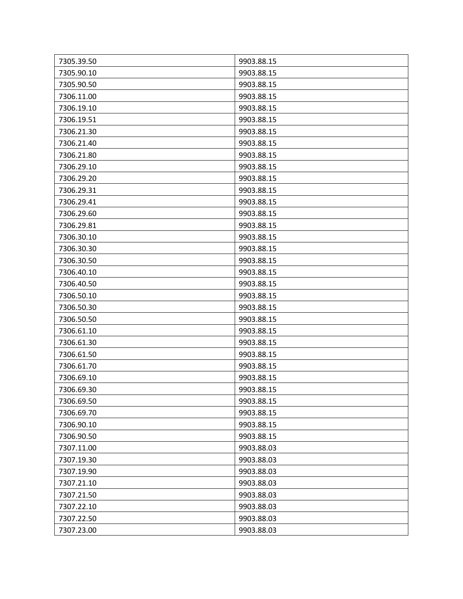| 7305.39.50 | 9903.88.15 |
|------------|------------|
| 7305.90.10 | 9903.88.15 |
| 7305.90.50 | 9903.88.15 |
| 7306.11.00 | 9903.88.15 |
| 7306.19.10 | 9903.88.15 |
| 7306.19.51 | 9903.88.15 |
| 7306.21.30 | 9903.88.15 |
| 7306.21.40 | 9903.88.15 |
| 7306.21.80 | 9903.88.15 |
| 7306.29.10 | 9903.88.15 |
| 7306.29.20 | 9903.88.15 |
| 7306.29.31 | 9903.88.15 |
| 7306.29.41 | 9903.88.15 |
| 7306.29.60 | 9903.88.15 |
| 7306.29.81 | 9903.88.15 |
| 7306.30.10 | 9903.88.15 |
| 7306.30.30 | 9903.88.15 |
| 7306.30.50 | 9903.88.15 |
| 7306.40.10 | 9903.88.15 |
| 7306.40.50 | 9903.88.15 |
| 7306.50.10 | 9903.88.15 |
| 7306.50.30 | 9903.88.15 |
| 7306.50.50 | 9903.88.15 |
| 7306.61.10 | 9903.88.15 |
| 7306.61.30 | 9903.88.15 |
| 7306.61.50 | 9903.88.15 |
| 7306.61.70 | 9903.88.15 |
| 7306.69.10 | 9903.88.15 |
| 7306.69.30 | 9903.88.15 |
| 7306.69.50 | 9903.88.15 |
| 7306.69.70 | 9903.88.15 |
| 7306.90.10 | 9903.88.15 |
| 7306.90.50 | 9903.88.15 |
| 7307.11.00 | 9903.88.03 |
| 7307.19.30 | 9903.88.03 |
| 7307.19.90 | 9903.88.03 |
| 7307.21.10 | 9903.88.03 |
| 7307.21.50 | 9903.88.03 |
| 7307.22.10 | 9903.88.03 |
| 7307.22.50 | 9903.88.03 |
| 7307.23.00 | 9903.88.03 |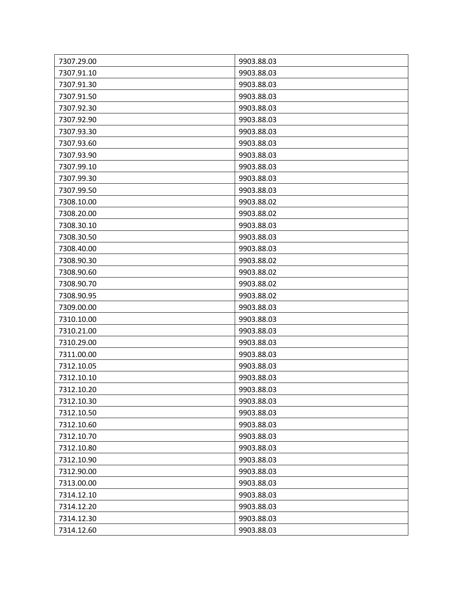| 7307.29.00 | 9903.88.03 |
|------------|------------|
| 7307.91.10 | 9903.88.03 |
| 7307.91.30 | 9903.88.03 |
| 7307.91.50 | 9903.88.03 |
| 7307.92.30 | 9903.88.03 |
| 7307.92.90 | 9903.88.03 |
| 7307.93.30 | 9903.88.03 |
| 7307.93.60 | 9903.88.03 |
| 7307.93.90 | 9903.88.03 |
| 7307.99.10 | 9903.88.03 |
| 7307.99.30 | 9903.88.03 |
| 7307.99.50 | 9903.88.03 |
| 7308.10.00 | 9903.88.02 |
| 7308.20.00 | 9903.88.02 |
| 7308.30.10 | 9903.88.03 |
| 7308.30.50 | 9903.88.03 |
| 7308.40.00 | 9903.88.03 |
| 7308.90.30 | 9903.88.02 |
| 7308.90.60 | 9903.88.02 |
| 7308.90.70 | 9903.88.02 |
| 7308.90.95 | 9903.88.02 |
| 7309.00.00 | 9903.88.03 |
| 7310.10.00 | 9903.88.03 |
| 7310.21.00 | 9903.88.03 |
| 7310.29.00 | 9903.88.03 |
| 7311.00.00 | 9903.88.03 |
| 7312.10.05 | 9903.88.03 |
| 7312.10.10 | 9903.88.03 |
| 7312.10.20 | 9903.88.03 |
| 7312.10.30 | 9903.88.03 |
| 7312.10.50 | 9903.88.03 |
| 7312.10.60 | 9903.88.03 |
| 7312.10.70 | 9903.88.03 |
| 7312.10.80 | 9903.88.03 |
| 7312.10.90 | 9903.88.03 |
| 7312.90.00 | 9903.88.03 |
| 7313.00.00 | 9903.88.03 |
| 7314.12.10 | 9903.88.03 |
| 7314.12.20 | 9903.88.03 |
| 7314.12.30 | 9903.88.03 |
| 7314.12.60 | 9903.88.03 |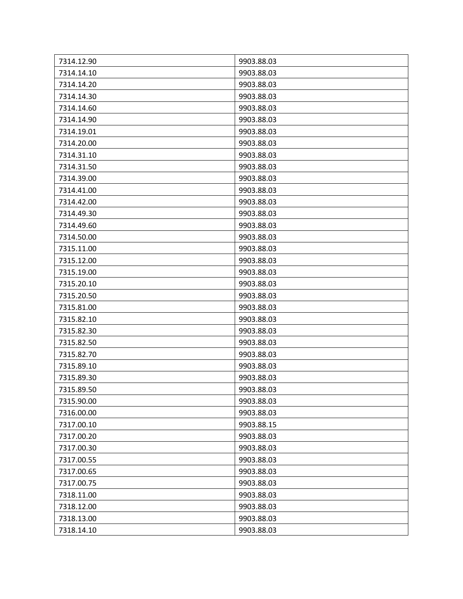| 7314.12.90 | 9903.88.03 |
|------------|------------|
| 7314.14.10 | 9903.88.03 |
| 7314.14.20 | 9903.88.03 |
| 7314.14.30 | 9903.88.03 |
| 7314.14.60 | 9903.88.03 |
| 7314.14.90 | 9903.88.03 |
| 7314.19.01 | 9903.88.03 |
| 7314.20.00 | 9903.88.03 |
| 7314.31.10 | 9903.88.03 |
| 7314.31.50 | 9903.88.03 |
| 7314.39.00 | 9903.88.03 |
| 7314.41.00 | 9903.88.03 |
| 7314.42.00 | 9903.88.03 |
| 7314.49.30 | 9903.88.03 |
| 7314.49.60 | 9903.88.03 |
| 7314.50.00 | 9903.88.03 |
| 7315.11.00 | 9903.88.03 |
| 7315.12.00 | 9903.88.03 |
| 7315.19.00 | 9903.88.03 |
| 7315.20.10 | 9903.88.03 |
| 7315.20.50 | 9903.88.03 |
| 7315.81.00 | 9903.88.03 |
| 7315.82.10 | 9903.88.03 |
| 7315.82.30 | 9903.88.03 |
| 7315.82.50 | 9903.88.03 |
| 7315.82.70 | 9903.88.03 |
| 7315.89.10 | 9903.88.03 |
| 7315.89.30 | 9903.88.03 |
| 7315.89.50 | 9903.88.03 |
| 7315.90.00 | 9903.88.03 |
| 7316.00.00 | 9903.88.03 |
| 7317.00.10 | 9903.88.15 |
| 7317.00.20 | 9903.88.03 |
| 7317.00.30 | 9903.88.03 |
| 7317.00.55 | 9903.88.03 |
| 7317.00.65 | 9903.88.03 |
| 7317.00.75 | 9903.88.03 |
| 7318.11.00 | 9903.88.03 |
| 7318.12.00 | 9903.88.03 |
| 7318.13.00 | 9903.88.03 |
| 7318.14.10 | 9903.88.03 |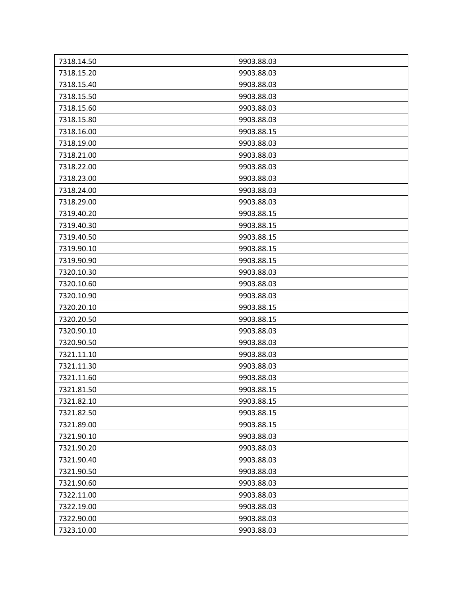| 7318.14.50 | 9903.88.03 |
|------------|------------|
| 7318.15.20 | 9903.88.03 |
| 7318.15.40 | 9903.88.03 |
| 7318.15.50 | 9903.88.03 |
| 7318.15.60 | 9903.88.03 |
| 7318.15.80 | 9903.88.03 |
| 7318.16.00 | 9903.88.15 |
| 7318.19.00 | 9903.88.03 |
| 7318.21.00 | 9903.88.03 |
| 7318.22.00 | 9903.88.03 |
| 7318.23.00 | 9903.88.03 |
| 7318.24.00 | 9903.88.03 |
| 7318.29.00 | 9903.88.03 |
| 7319.40.20 | 9903.88.15 |
| 7319.40.30 | 9903.88.15 |
| 7319.40.50 | 9903.88.15 |
| 7319.90.10 | 9903.88.15 |
| 7319.90.90 | 9903.88.15 |
| 7320.10.30 | 9903.88.03 |
| 7320.10.60 | 9903.88.03 |
| 7320.10.90 | 9903.88.03 |
| 7320.20.10 | 9903.88.15 |
| 7320.20.50 | 9903.88.15 |
| 7320.90.10 | 9903.88.03 |
| 7320.90.50 | 9903.88.03 |
| 7321.11.10 | 9903.88.03 |
| 7321.11.30 | 9903.88.03 |
| 7321.11.60 | 9903.88.03 |
| 7321.81.50 | 9903.88.15 |
| 7321.82.10 | 9903.88.15 |
| 7321.82.50 | 9903.88.15 |
| 7321.89.00 | 9903.88.15 |
| 7321.90.10 | 9903.88.03 |
| 7321.90.20 | 9903.88.03 |
| 7321.90.40 | 9903.88.03 |
| 7321.90.50 | 9903.88.03 |
| 7321.90.60 | 9903.88.03 |
| 7322.11.00 | 9903.88.03 |
| 7322.19.00 | 9903.88.03 |
| 7322.90.00 | 9903.88.03 |
| 7323.10.00 | 9903.88.03 |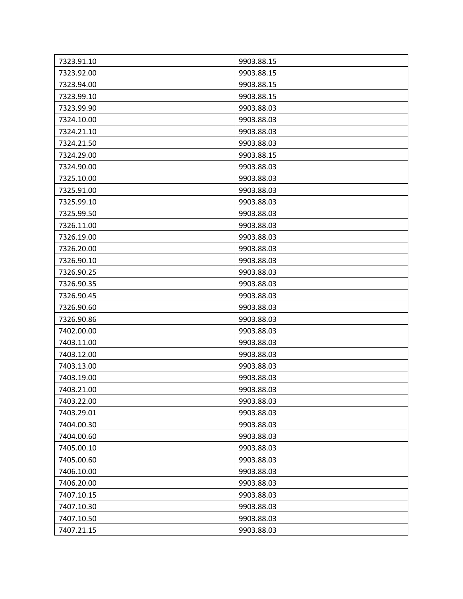| 7323.91.10 | 9903.88.15 |
|------------|------------|
| 7323.92.00 | 9903.88.15 |
| 7323.94.00 | 9903.88.15 |
| 7323.99.10 | 9903.88.15 |
| 7323.99.90 | 9903.88.03 |
| 7324.10.00 | 9903.88.03 |
| 7324.21.10 | 9903.88.03 |
| 7324.21.50 | 9903.88.03 |
| 7324.29.00 | 9903.88.15 |
| 7324.90.00 | 9903.88.03 |
| 7325.10.00 | 9903.88.03 |
| 7325.91.00 | 9903.88.03 |
| 7325.99.10 | 9903.88.03 |
| 7325.99.50 | 9903.88.03 |
| 7326.11.00 | 9903.88.03 |
| 7326.19.00 | 9903.88.03 |
| 7326.20.00 | 9903.88.03 |
| 7326.90.10 | 9903.88.03 |
| 7326.90.25 | 9903.88.03 |
| 7326.90.35 | 9903.88.03 |
| 7326.90.45 | 9903.88.03 |
| 7326.90.60 | 9903.88.03 |
| 7326.90.86 | 9903.88.03 |
| 7402.00.00 | 9903.88.03 |
| 7403.11.00 | 9903.88.03 |
| 7403.12.00 | 9903.88.03 |
| 7403.13.00 | 9903.88.03 |
| 7403.19.00 | 9903.88.03 |
| 7403.21.00 | 9903.88.03 |
| 7403.22.00 | 9903.88.03 |
| 7403.29.01 | 9903.88.03 |
| 7404.00.30 | 9903.88.03 |
| 7404.00.60 | 9903.88.03 |
| 7405.00.10 | 9903.88.03 |
| 7405.00.60 | 9903.88.03 |
| 7406.10.00 | 9903.88.03 |
| 7406.20.00 | 9903.88.03 |
| 7407.10.15 | 9903.88.03 |
| 7407.10.30 | 9903.88.03 |
| 7407.10.50 | 9903.88.03 |
| 7407.21.15 | 9903.88.03 |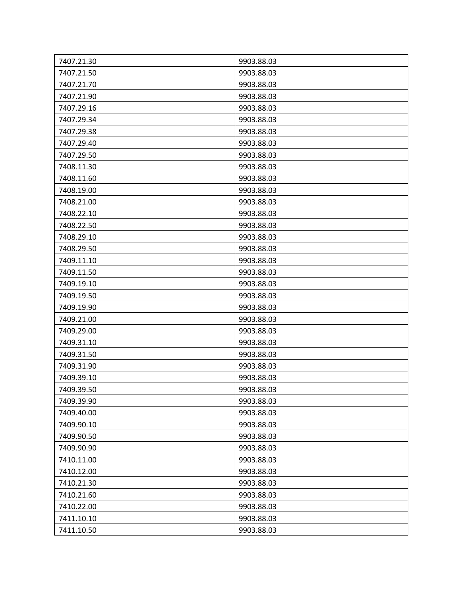| 7407.21.30 | 9903.88.03 |
|------------|------------|
| 7407.21.50 | 9903.88.03 |
| 7407.21.70 | 9903.88.03 |
| 7407.21.90 | 9903.88.03 |
| 7407.29.16 | 9903.88.03 |
| 7407.29.34 | 9903.88.03 |
| 7407.29.38 | 9903.88.03 |
| 7407.29.40 | 9903.88.03 |
| 7407.29.50 | 9903.88.03 |
| 7408.11.30 | 9903.88.03 |
| 7408.11.60 | 9903.88.03 |
| 7408.19.00 | 9903.88.03 |
| 7408.21.00 | 9903.88.03 |
| 7408.22.10 | 9903.88.03 |
| 7408.22.50 | 9903.88.03 |
| 7408.29.10 | 9903.88.03 |
| 7408.29.50 | 9903.88.03 |
| 7409.11.10 | 9903.88.03 |
| 7409.11.50 | 9903.88.03 |
| 7409.19.10 | 9903.88.03 |
| 7409.19.50 | 9903.88.03 |
| 7409.19.90 | 9903.88.03 |
| 7409.21.00 | 9903.88.03 |
| 7409.29.00 | 9903.88.03 |
| 7409.31.10 | 9903.88.03 |
| 7409.31.50 | 9903.88.03 |
| 7409.31.90 | 9903.88.03 |
| 7409.39.10 | 9903.88.03 |
| 7409.39.50 | 9903.88.03 |
| 7409.39.90 | 9903.88.03 |
| 7409.40.00 | 9903.88.03 |
| 7409.90.10 | 9903.88.03 |
| 7409.90.50 | 9903.88.03 |
| 7409.90.90 | 9903.88.03 |
| 7410.11.00 | 9903.88.03 |
| 7410.12.00 | 9903.88.03 |
| 7410.21.30 | 9903.88.03 |
| 7410.21.60 | 9903.88.03 |
| 7410.22.00 | 9903.88.03 |
| 7411.10.10 | 9903.88.03 |
| 7411.10.50 | 9903.88.03 |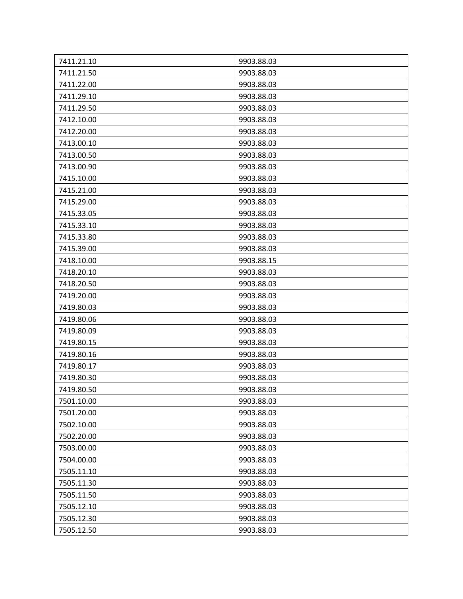| 7411.21.10 | 9903.88.03 |
|------------|------------|
| 7411.21.50 | 9903.88.03 |
| 7411.22.00 | 9903.88.03 |
| 7411.29.10 | 9903.88.03 |
| 7411.29.50 | 9903.88.03 |
| 7412.10.00 | 9903.88.03 |
| 7412.20.00 | 9903.88.03 |
| 7413.00.10 | 9903.88.03 |
| 7413.00.50 | 9903.88.03 |
| 7413.00.90 | 9903.88.03 |
| 7415.10.00 | 9903.88.03 |
| 7415.21.00 | 9903.88.03 |
| 7415.29.00 | 9903.88.03 |
| 7415.33.05 | 9903.88.03 |
| 7415.33.10 | 9903.88.03 |
| 7415.33.80 | 9903.88.03 |
| 7415.39.00 | 9903.88.03 |
| 7418.10.00 | 9903.88.15 |
| 7418.20.10 | 9903.88.03 |
| 7418.20.50 | 9903.88.03 |
| 7419.20.00 | 9903.88.03 |
| 7419.80.03 | 9903.88.03 |
| 7419.80.06 | 9903.88.03 |
| 7419.80.09 | 9903.88.03 |
| 7419.80.15 | 9903.88.03 |
| 7419.80.16 | 9903.88.03 |
| 7419.80.17 | 9903.88.03 |
| 7419.80.30 | 9903.88.03 |
| 7419.80.50 | 9903.88.03 |
| 7501.10.00 | 9903.88.03 |
| 7501.20.00 | 9903.88.03 |
| 7502.10.00 | 9903.88.03 |
| 7502.20.00 | 9903.88.03 |
| 7503.00.00 | 9903.88.03 |
| 7504.00.00 | 9903.88.03 |
| 7505.11.10 | 9903.88.03 |
| 7505.11.30 | 9903.88.03 |
| 7505.11.50 | 9903.88.03 |
| 7505.12.10 | 9903.88.03 |
| 7505.12.30 | 9903.88.03 |
| 7505.12.50 | 9903.88.03 |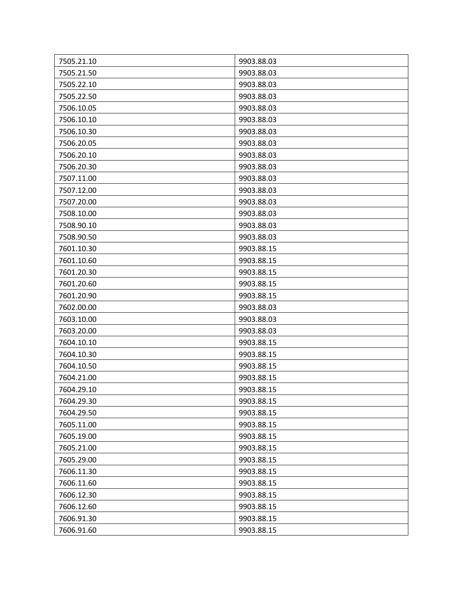| 7505.21.10 | 9903.88.03 |
|------------|------------|
| 7505.21.50 | 9903.88.03 |
| 7505.22.10 | 9903.88.03 |
| 7505.22.50 | 9903.88.03 |
| 7506.10.05 | 9903.88.03 |
| 7506.10.10 | 9903.88.03 |
| 7506.10.30 | 9903.88.03 |
| 7506.20.05 | 9903.88.03 |
| 7506.20.10 | 9903.88.03 |
| 7506.20.30 | 9903.88.03 |
| 7507.11.00 | 9903.88.03 |
| 7507.12.00 | 9903.88.03 |
| 7507.20.00 | 9903.88.03 |
| 7508.10.00 | 9903.88.03 |
| 7508.90.10 | 9903.88.03 |
| 7508.90.50 | 9903.88.03 |
| 7601.10.30 | 9903.88.15 |
| 7601.10.60 | 9903.88.15 |
| 7601.20.30 | 9903.88.15 |
| 7601.20.60 | 9903.88.15 |
| 7601.20.90 | 9903.88.15 |
| 7602.00.00 | 9903.88.03 |
| 7603.10.00 | 9903.88.03 |
| 7603.20.00 | 9903.88.03 |
| 7604.10.10 | 9903.88.15 |
| 7604.10.30 | 9903.88.15 |
| 7604.10.50 | 9903.88.15 |
| 7604.21.00 | 9903.88.15 |
| 7604.29.10 | 9903.88.15 |
| 7604.29.30 | 9903.88.15 |
| 7604.29.50 | 9903.88.15 |
| 7605.11.00 | 9903.88.15 |
| 7605.19.00 | 9903.88.15 |
| 7605.21.00 | 9903.88.15 |
| 7605.29.00 | 9903.88.15 |
| 7606.11.30 | 9903.88.15 |
| 7606.11.60 | 9903.88.15 |
| 7606.12.30 | 9903.88.15 |
| 7606.12.60 | 9903.88.15 |
| 7606.91.30 | 9903.88.15 |
| 7606.91.60 | 9903.88.15 |
|            |            |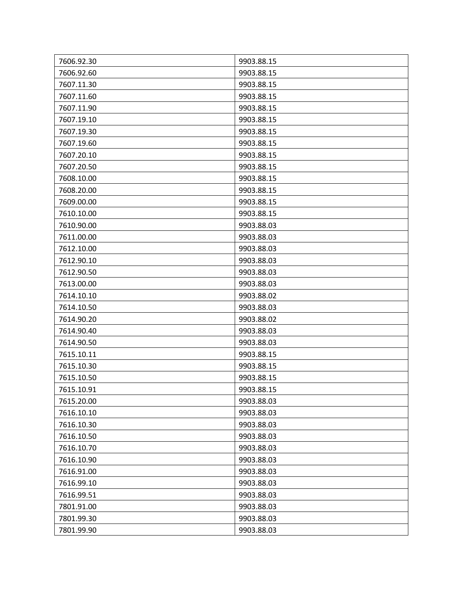| 7606.92.30 | 9903.88.15 |
|------------|------------|
| 7606.92.60 | 9903.88.15 |
| 7607.11.30 | 9903.88.15 |
| 7607.11.60 | 9903.88.15 |
| 7607.11.90 | 9903.88.15 |
| 7607.19.10 | 9903.88.15 |
| 7607.19.30 | 9903.88.15 |
| 7607.19.60 | 9903.88.15 |
| 7607.20.10 | 9903.88.15 |
| 7607.20.50 | 9903.88.15 |
| 7608.10.00 | 9903.88.15 |
| 7608.20.00 | 9903.88.15 |
| 7609.00.00 | 9903.88.15 |
| 7610.10.00 | 9903.88.15 |
| 7610.90.00 | 9903.88.03 |
| 7611.00.00 | 9903.88.03 |
| 7612.10.00 | 9903.88.03 |
| 7612.90.10 | 9903.88.03 |
| 7612.90.50 | 9903.88.03 |
| 7613.00.00 | 9903.88.03 |
| 7614.10.10 | 9903.88.02 |
| 7614.10.50 | 9903.88.03 |
| 7614.90.20 | 9903.88.02 |
| 7614.90.40 | 9903.88.03 |
| 7614.90.50 | 9903.88.03 |
| 7615.10.11 | 9903.88.15 |
| 7615.10.30 | 9903.88.15 |
| 7615.10.50 | 9903.88.15 |
| 7615.10.91 | 9903.88.15 |
| 7615.20.00 | 9903.88.03 |
| 7616.10.10 | 9903.88.03 |
| 7616.10.30 | 9903.88.03 |
| 7616.10.50 | 9903.88.03 |
| 7616.10.70 | 9903.88.03 |
| 7616.10.90 | 9903.88.03 |
| 7616.91.00 | 9903.88.03 |
| 7616.99.10 | 9903.88.03 |
| 7616.99.51 | 9903.88.03 |
| 7801.91.00 | 9903.88.03 |
| 7801.99.30 | 9903.88.03 |
| 7801.99.90 | 9903.88.03 |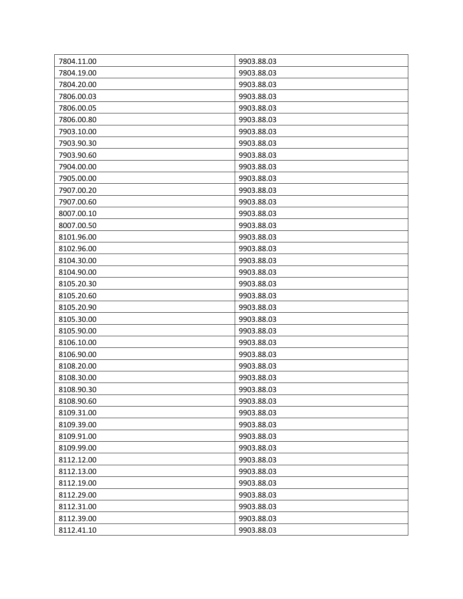| 7804.11.00 | 9903.88.03 |
|------------|------------|
| 7804.19.00 | 9903.88.03 |
| 7804.20.00 | 9903.88.03 |
| 7806.00.03 | 9903.88.03 |
| 7806.00.05 | 9903.88.03 |
| 7806.00.80 | 9903.88.03 |
| 7903.10.00 | 9903.88.03 |
| 7903.90.30 | 9903.88.03 |
| 7903.90.60 | 9903.88.03 |
| 7904.00.00 | 9903.88.03 |
| 7905.00.00 | 9903.88.03 |
| 7907.00.20 | 9903.88.03 |
| 7907.00.60 | 9903.88.03 |
| 8007.00.10 | 9903.88.03 |
| 8007.00.50 | 9903.88.03 |
| 8101.96.00 | 9903.88.03 |
| 8102.96.00 | 9903.88.03 |
| 8104.30.00 | 9903.88.03 |
| 8104.90.00 | 9903.88.03 |
| 8105.20.30 | 9903.88.03 |
| 8105.20.60 | 9903.88.03 |
| 8105.20.90 | 9903.88.03 |
| 8105.30.00 | 9903.88.03 |
| 8105.90.00 | 9903.88.03 |
| 8106.10.00 | 9903.88.03 |
| 8106.90.00 | 9903.88.03 |
| 8108.20.00 | 9903.88.03 |
| 8108.30.00 | 9903.88.03 |
| 8108.90.30 | 9903.88.03 |
| 8108.90.60 | 9903.88.03 |
| 8109.31.00 | 9903.88.03 |
| 8109.39.00 | 9903.88.03 |
| 8109.91.00 | 9903.88.03 |
| 8109.99.00 | 9903.88.03 |
| 8112.12.00 | 9903.88.03 |
| 8112.13.00 | 9903.88.03 |
| 8112.19.00 | 9903.88.03 |
| 8112.29.00 | 9903.88.03 |
| 8112.31.00 | 9903.88.03 |
| 8112.39.00 | 9903.88.03 |
| 8112.41.10 | 9903.88.03 |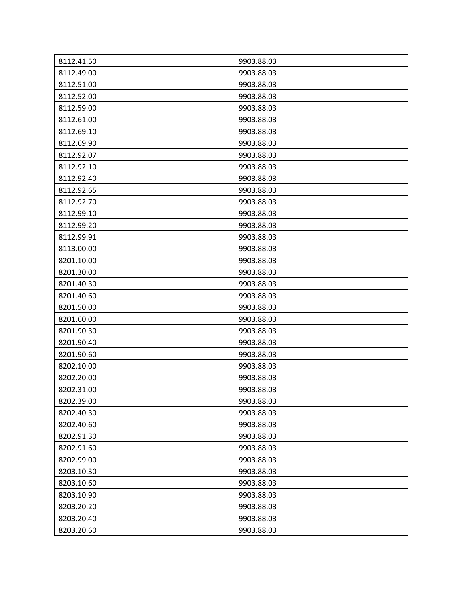| 8112.41.50 | 9903.88.03 |
|------------|------------|
| 8112.49.00 | 9903.88.03 |
| 8112.51.00 | 9903.88.03 |
| 8112.52.00 | 9903.88.03 |
| 8112.59.00 | 9903.88.03 |
| 8112.61.00 | 9903.88.03 |
| 8112.69.10 | 9903.88.03 |
| 8112.69.90 | 9903.88.03 |
| 8112.92.07 | 9903.88.03 |
| 8112.92.10 | 9903.88.03 |
| 8112.92.40 | 9903.88.03 |
| 8112.92.65 | 9903.88.03 |
| 8112.92.70 | 9903.88.03 |
| 8112.99.10 | 9903.88.03 |
| 8112.99.20 | 9903.88.03 |
| 8112.99.91 | 9903.88.03 |
| 8113.00.00 | 9903.88.03 |
| 8201.10.00 | 9903.88.03 |
| 8201.30.00 | 9903.88.03 |
| 8201.40.30 | 9903.88.03 |
| 8201.40.60 | 9903.88.03 |
| 8201.50.00 | 9903.88.03 |
| 8201.60.00 | 9903.88.03 |
| 8201.90.30 | 9903.88.03 |
| 8201.90.40 | 9903.88.03 |
| 8201.90.60 | 9903.88.03 |
| 8202.10.00 | 9903.88.03 |
| 8202.20.00 | 9903.88.03 |
| 8202.31.00 | 9903.88.03 |
| 8202.39.00 | 9903.88.03 |
| 8202.40.30 | 9903.88.03 |
| 8202.40.60 | 9903.88.03 |
| 8202.91.30 | 9903.88.03 |
| 8202.91.60 | 9903.88.03 |
| 8202.99.00 | 9903.88.03 |
| 8203.10.30 | 9903.88.03 |
| 8203.10.60 | 9903.88.03 |
| 8203.10.90 | 9903.88.03 |
| 8203.20.20 | 9903.88.03 |
| 8203.20.40 | 9903.88.03 |
| 8203.20.60 | 9903.88.03 |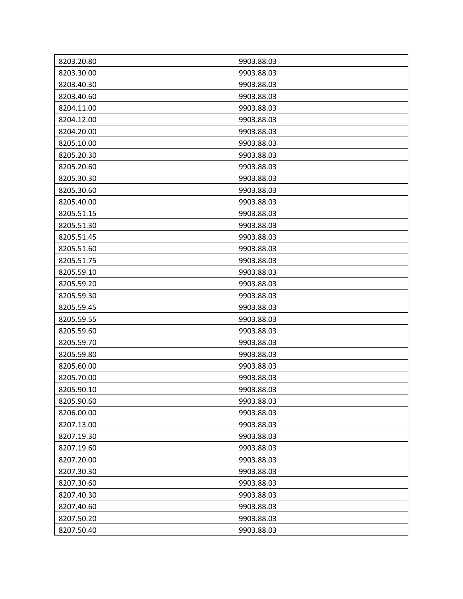| 8203.20.80 | 9903.88.03 |
|------------|------------|
| 8203.30.00 | 9903.88.03 |
| 8203.40.30 | 9903.88.03 |
| 8203.40.60 | 9903.88.03 |
| 8204.11.00 | 9903.88.03 |
| 8204.12.00 | 9903.88.03 |
| 8204.20.00 | 9903.88.03 |
| 8205.10.00 | 9903.88.03 |
| 8205.20.30 | 9903.88.03 |
| 8205.20.60 | 9903.88.03 |
| 8205.30.30 | 9903.88.03 |
| 8205.30.60 | 9903.88.03 |
| 8205.40.00 | 9903.88.03 |
| 8205.51.15 | 9903.88.03 |
| 8205.51.30 | 9903.88.03 |
| 8205.51.45 | 9903.88.03 |
| 8205.51.60 | 9903.88.03 |
| 8205.51.75 | 9903.88.03 |
| 8205.59.10 | 9903.88.03 |
| 8205.59.20 | 9903.88.03 |
| 8205.59.30 | 9903.88.03 |
| 8205.59.45 | 9903.88.03 |
| 8205.59.55 | 9903.88.03 |
| 8205.59.60 | 9903.88.03 |
| 8205.59.70 | 9903.88.03 |
| 8205.59.80 | 9903.88.03 |
| 8205.60.00 | 9903.88.03 |
| 8205.70.00 | 9903.88.03 |
| 8205.90.10 | 9903.88.03 |
| 8205.90.60 | 9903.88.03 |
| 8206.00.00 | 9903.88.03 |
| 8207.13.00 | 9903.88.03 |
| 8207.19.30 | 9903.88.03 |
| 8207.19.60 | 9903.88.03 |
| 8207.20.00 | 9903.88.03 |
| 8207.30.30 | 9903.88.03 |
| 8207.30.60 | 9903.88.03 |
| 8207.40.30 | 9903.88.03 |
| 8207.40.60 | 9903.88.03 |
| 8207.50.20 | 9903.88.03 |
| 8207.50.40 | 9903.88.03 |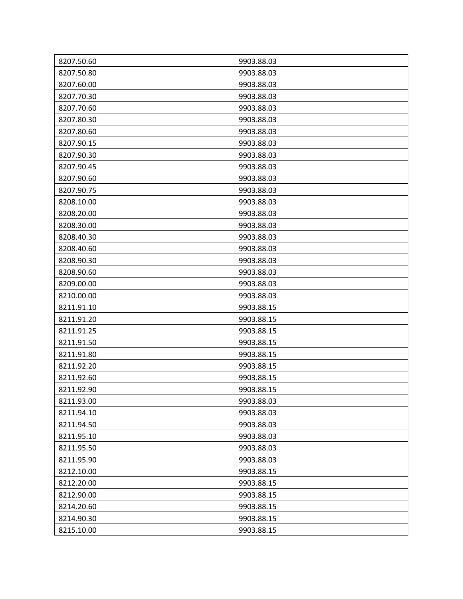| 8207.50.60<br>8207.50.80 | 9903.88.03<br>9903.88.03 |
|--------------------------|--------------------------|
| 8207.60.00               | 9903.88.03               |
|                          |                          |
| 8207.70.30               | 9903.88.03               |
| 8207.70.60               | 9903.88.03               |
| 8207.80.30               | 9903.88.03               |
| 8207.80.60               | 9903.88.03               |
| 8207.90.15               | 9903.88.03               |
| 8207.90.30               | 9903.88.03               |
| 8207.90.45               | 9903.88.03               |
| 8207.90.60               | 9903.88.03               |
| 8207.90.75               | 9903.88.03               |
| 8208.10.00               | 9903.88.03               |
| 8208.20.00               | 9903.88.03               |
| 8208.30.00               | 9903.88.03               |
| 8208.40.30               | 9903.88.03               |
| 8208.40.60               | 9903.88.03               |
| 8208.90.30               | 9903.88.03               |
| 8208.90.60               | 9903.88.03               |
| 8209.00.00               | 9903.88.03               |
| 8210.00.00               | 9903.88.03               |
| 8211.91.10               | 9903.88.15               |
| 8211.91.20               | 9903.88.15               |
| 8211.91.25               | 9903.88.15               |
| 8211.91.50               | 9903.88.15               |
| 8211.91.80               | 9903.88.15               |
| 8211.92.20               | 9903.88.15               |
| 8211.92.60               | 9903.88.15               |
| 8211.92.90               | 9903.88.15               |
| 8211.93.00               | 9903.88.03               |
| 8211.94.10               | 9903.88.03               |
| 8211.94.50               | 9903.88.03               |
| 8211.95.10               | 9903.88.03               |
| 8211.95.50               | 9903.88.03               |
| 8211.95.90               | 9903.88.03               |
| 8212.10.00               | 9903.88.15               |
| 8212.20.00               | 9903.88.15               |
| 8212.90.00               | 9903.88.15               |
| 8214.20.60               | 9903.88.15               |
| 8214.90.30               | 9903.88.15               |
| 8215.10.00               | 9903.88.15               |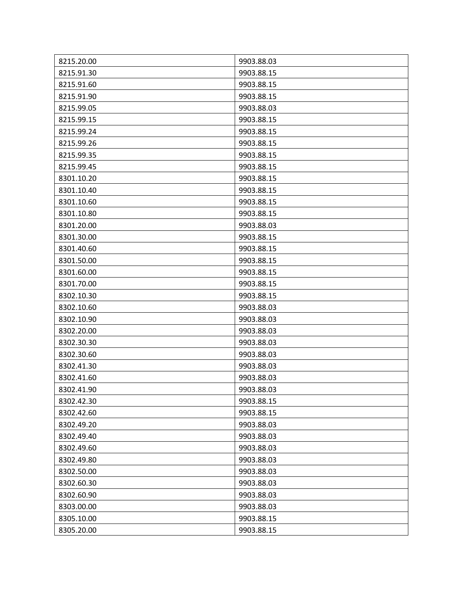| 8215.20.00 | 9903.88.03 |
|------------|------------|
| 8215.91.30 | 9903.88.15 |
| 8215.91.60 | 9903.88.15 |
| 8215.91.90 | 9903.88.15 |
| 8215.99.05 | 9903.88.03 |
| 8215.99.15 | 9903.88.15 |
| 8215.99.24 | 9903.88.15 |
| 8215.99.26 | 9903.88.15 |
| 8215.99.35 | 9903.88.15 |
| 8215.99.45 | 9903.88.15 |
| 8301.10.20 | 9903.88.15 |
| 8301.10.40 | 9903.88.15 |
| 8301.10.60 | 9903.88.15 |
| 8301.10.80 | 9903.88.15 |
| 8301.20.00 | 9903.88.03 |
| 8301.30.00 | 9903.88.15 |
| 8301.40.60 | 9903.88.15 |
| 8301.50.00 | 9903.88.15 |
| 8301.60.00 | 9903.88.15 |
| 8301.70.00 | 9903.88.15 |
| 8302.10.30 | 9903.88.15 |
| 8302.10.60 | 9903.88.03 |
| 8302.10.90 | 9903.88.03 |
| 8302.20.00 | 9903.88.03 |
| 8302.30.30 | 9903.88.03 |
| 8302.30.60 | 9903.88.03 |
| 8302.41.30 | 9903.88.03 |
| 8302.41.60 | 9903.88.03 |
| 8302.41.90 | 9903.88.03 |
| 8302.42.30 | 9903.88.15 |
| 8302.42.60 | 9903.88.15 |
| 8302.49.20 | 9903.88.03 |
| 8302.49.40 | 9903.88.03 |
| 8302.49.60 | 9903.88.03 |
| 8302.49.80 | 9903.88.03 |
| 8302.50.00 | 9903.88.03 |
| 8302.60.30 | 9903.88.03 |
| 8302.60.90 | 9903.88.03 |
| 8303.00.00 | 9903.88.03 |
| 8305.10.00 | 9903.88.15 |
| 8305.20.00 | 9903.88.15 |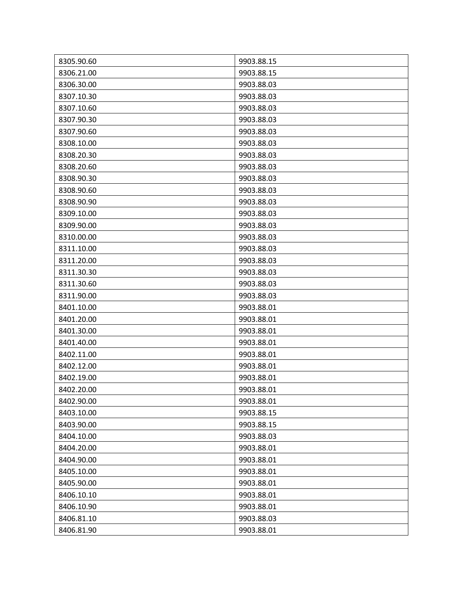| 8305.90.60 | 9903.88.15 |
|------------|------------|
| 8306.21.00 | 9903.88.15 |
| 8306.30.00 | 9903.88.03 |
| 8307.10.30 | 9903.88.03 |
| 8307.10.60 | 9903.88.03 |
| 8307.90.30 | 9903.88.03 |
| 8307.90.60 | 9903.88.03 |
| 8308.10.00 | 9903.88.03 |
| 8308.20.30 | 9903.88.03 |
| 8308.20.60 | 9903.88.03 |
| 8308.90.30 | 9903.88.03 |
| 8308.90.60 | 9903.88.03 |
| 8308.90.90 | 9903.88.03 |
| 8309.10.00 | 9903.88.03 |
| 8309.90.00 | 9903.88.03 |
| 8310.00.00 | 9903.88.03 |
| 8311.10.00 | 9903.88.03 |
| 8311.20.00 | 9903.88.03 |
| 8311.30.30 | 9903.88.03 |
| 8311.30.60 | 9903.88.03 |
| 8311.90.00 | 9903.88.03 |
| 8401.10.00 | 9903.88.01 |
| 8401.20.00 | 9903.88.01 |
| 8401.30.00 | 9903.88.01 |
| 8401.40.00 | 9903.88.01 |
| 8402.11.00 | 9903.88.01 |
| 8402.12.00 | 9903.88.01 |
| 8402.19.00 | 9903.88.01 |
| 8402.20.00 | 9903.88.01 |
| 8402.90.00 | 9903.88.01 |
| 8403.10.00 | 9903.88.15 |
| 8403.90.00 | 9903.88.15 |
| 8404.10.00 | 9903.88.03 |
| 8404.20.00 | 9903.88.01 |
| 8404.90.00 | 9903.88.01 |
| 8405.10.00 | 9903.88.01 |
| 8405.90.00 | 9903.88.01 |
| 8406.10.10 | 9903.88.01 |
| 8406.10.90 | 9903.88.01 |
| 8406.81.10 | 9903.88.03 |
| 8406.81.90 | 9903.88.01 |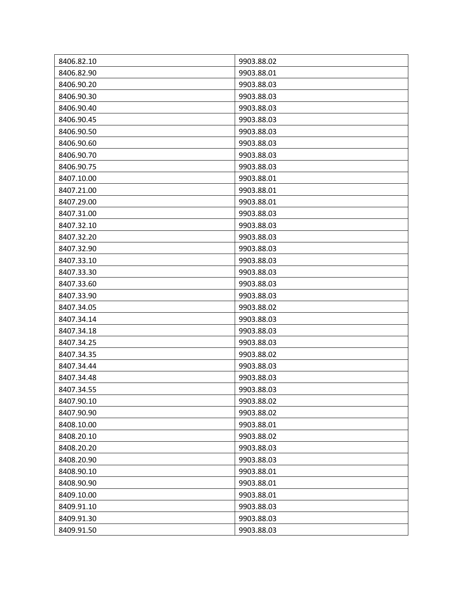| 8406.82.10 | 9903.88.02 |
|------------|------------|
| 8406.82.90 | 9903.88.01 |
| 8406.90.20 | 9903.88.03 |
| 8406.90.30 | 9903.88.03 |
| 8406.90.40 | 9903.88.03 |
| 8406.90.45 | 9903.88.03 |
| 8406.90.50 | 9903.88.03 |
| 8406.90.60 | 9903.88.03 |
| 8406.90.70 | 9903.88.03 |
| 8406.90.75 | 9903.88.03 |
| 8407.10.00 | 9903.88.01 |
| 8407.21.00 | 9903.88.01 |
| 8407.29.00 | 9903.88.01 |
| 8407.31.00 | 9903.88.03 |
| 8407.32.10 | 9903.88.03 |
| 8407.32.20 | 9903.88.03 |
| 8407.32.90 | 9903.88.03 |
| 8407.33.10 | 9903.88.03 |
| 8407.33.30 | 9903.88.03 |
| 8407.33.60 | 9903.88.03 |
| 8407.33.90 | 9903.88.03 |
| 8407.34.05 | 9903.88.02 |
| 8407.34.14 | 9903.88.03 |
| 8407.34.18 | 9903.88.03 |
| 8407.34.25 | 9903.88.03 |
| 8407.34.35 | 9903.88.02 |
| 8407.34.44 | 9903.88.03 |
| 8407.34.48 | 9903.88.03 |
| 8407.34.55 | 9903.88.03 |
| 8407.90.10 | 9903.88.02 |
| 8407.90.90 | 9903.88.02 |
| 8408.10.00 | 9903.88.01 |
| 8408.20.10 | 9903.88.02 |
| 8408.20.20 | 9903.88.03 |
| 8408.20.90 | 9903.88.03 |
| 8408.90.10 | 9903.88.01 |
| 8408.90.90 | 9903.88.01 |
| 8409.10.00 | 9903.88.01 |
| 8409.91.10 | 9903.88.03 |
| 8409.91.30 | 9903.88.03 |
| 8409.91.50 | 9903.88.03 |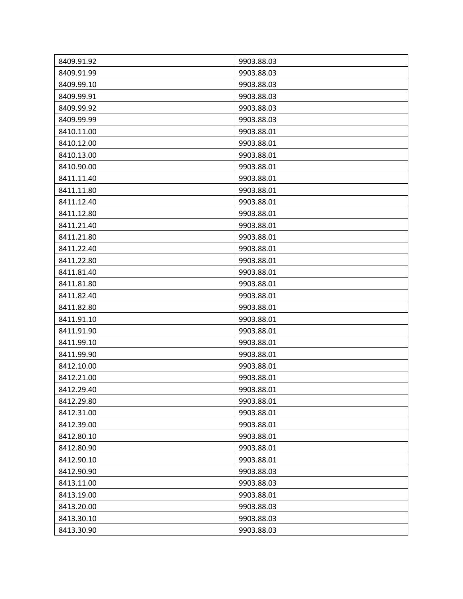| 8409.91.92 | 9903.88.03 |
|------------|------------|
| 8409.91.99 | 9903.88.03 |
| 8409.99.10 | 9903.88.03 |
| 8409.99.91 | 9903.88.03 |
| 8409.99.92 | 9903.88.03 |
| 8409.99.99 | 9903.88.03 |
| 8410.11.00 | 9903.88.01 |
| 8410.12.00 | 9903.88.01 |
| 8410.13.00 | 9903.88.01 |
| 8410.90.00 | 9903.88.01 |
| 8411.11.40 | 9903.88.01 |
| 8411.11.80 | 9903.88.01 |
| 8411.12.40 | 9903.88.01 |
| 8411.12.80 | 9903.88.01 |
| 8411.21.40 | 9903.88.01 |
| 8411.21.80 | 9903.88.01 |
| 8411.22.40 | 9903.88.01 |
| 8411.22.80 | 9903.88.01 |
| 8411.81.40 | 9903.88.01 |
| 8411.81.80 | 9903.88.01 |
| 8411.82.40 | 9903.88.01 |
| 8411.82.80 | 9903.88.01 |
| 8411.91.10 | 9903.88.01 |
| 8411.91.90 | 9903.88.01 |
| 8411.99.10 | 9903.88.01 |
| 8411.99.90 | 9903.88.01 |
| 8412.10.00 | 9903.88.01 |
| 8412.21.00 | 9903.88.01 |
| 8412.29.40 | 9903.88.01 |
| 8412.29.80 | 9903.88.01 |
| 8412.31.00 | 9903.88.01 |
| 8412.39.00 | 9903.88.01 |
| 8412.80.10 | 9903.88.01 |
| 8412.80.90 | 9903.88.01 |
| 8412.90.10 | 9903.88.01 |
| 8412.90.90 | 9903.88.03 |
| 8413.11.00 | 9903.88.03 |
| 8413.19.00 | 9903.88.01 |
| 8413.20.00 | 9903.88.03 |
| 8413.30.10 | 9903.88.03 |
| 8413.30.90 | 9903.88.03 |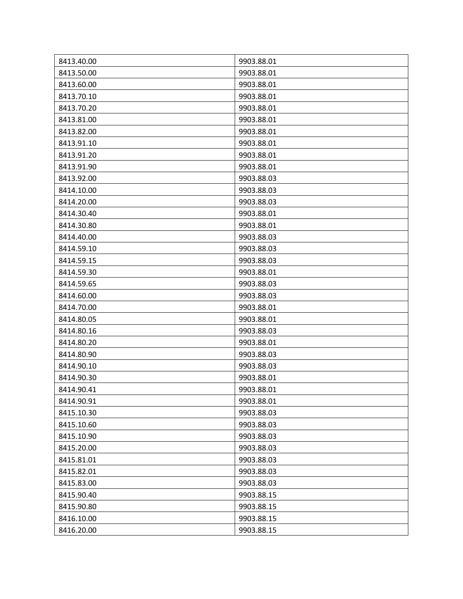| 8413.40.00 | 9903.88.01 |
|------------|------------|
| 8413.50.00 | 9903.88.01 |
| 8413.60.00 | 9903.88.01 |
| 8413.70.10 | 9903.88.01 |
| 8413.70.20 | 9903.88.01 |
| 8413.81.00 | 9903.88.01 |
| 8413.82.00 | 9903.88.01 |
| 8413.91.10 | 9903.88.01 |
| 8413.91.20 | 9903.88.01 |
| 8413.91.90 | 9903.88.01 |
| 8413.92.00 | 9903.88.03 |
| 8414.10.00 | 9903.88.03 |
| 8414.20.00 | 9903.88.03 |
| 8414.30.40 | 9903.88.01 |
| 8414.30.80 | 9903.88.01 |
| 8414.40.00 | 9903.88.03 |
| 8414.59.10 | 9903.88.03 |
| 8414.59.15 | 9903.88.03 |
| 8414.59.30 | 9903.88.01 |
| 8414.59.65 | 9903.88.03 |
| 8414.60.00 | 9903.88.03 |
| 8414.70.00 | 9903.88.01 |
| 8414.80.05 | 9903.88.01 |
| 8414.80.16 | 9903.88.03 |
| 8414.80.20 | 9903.88.01 |
| 8414.80.90 | 9903.88.03 |
| 8414.90.10 | 9903.88.03 |
| 8414.90.30 | 9903.88.01 |
| 8414.90.41 | 9903.88.01 |
| 8414.90.91 | 9903.88.01 |
| 8415.10.30 | 9903.88.03 |
| 8415.10.60 | 9903.88.03 |
| 8415.10.90 | 9903.88.03 |
| 8415.20.00 | 9903.88.03 |
| 8415.81.01 | 9903.88.03 |
| 8415.82.01 | 9903.88.03 |
| 8415.83.00 | 9903.88.03 |
| 8415.90.40 | 9903.88.15 |
| 8415.90.80 | 9903.88.15 |
| 8416.10.00 | 9903.88.15 |
| 8416.20.00 | 9903.88.15 |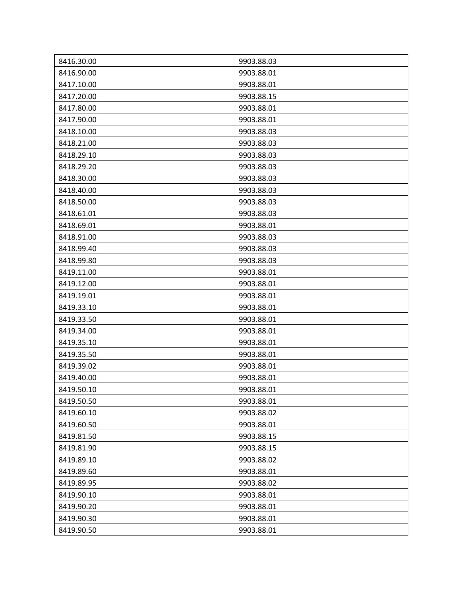| 8416.30.00 | 9903.88.03 |
|------------|------------|
| 8416.90.00 | 9903.88.01 |
| 8417.10.00 | 9903.88.01 |
| 8417.20.00 | 9903.88.15 |
| 8417.80.00 | 9903.88.01 |
| 8417.90.00 | 9903.88.01 |
| 8418.10.00 | 9903.88.03 |
| 8418.21.00 | 9903.88.03 |
| 8418.29.10 | 9903.88.03 |
| 8418.29.20 | 9903.88.03 |
| 8418.30.00 | 9903.88.03 |
| 8418.40.00 | 9903.88.03 |
| 8418.50.00 | 9903.88.03 |
| 8418.61.01 | 9903.88.03 |
| 8418.69.01 | 9903.88.01 |
| 8418.91.00 | 9903.88.03 |
| 8418.99.40 | 9903.88.03 |
| 8418.99.80 | 9903.88.03 |
| 8419.11.00 | 9903.88.01 |
| 8419.12.00 | 9903.88.01 |
| 8419.19.01 | 9903.88.01 |
| 8419.33.10 | 9903.88.01 |
| 8419.33.50 | 9903.88.01 |
| 8419.34.00 | 9903.88.01 |
| 8419.35.10 | 9903.88.01 |
| 8419.35.50 | 9903.88.01 |
| 8419.39.02 | 9903.88.01 |
| 8419.40.00 | 9903.88.01 |
| 8419.50.10 | 9903.88.01 |
| 8419.50.50 | 9903.88.01 |
| 8419.60.10 | 9903.88.02 |
| 8419.60.50 | 9903.88.01 |
| 8419.81.50 | 9903.88.15 |
| 8419.81.90 | 9903.88.15 |
| 8419.89.10 | 9903.88.02 |
| 8419.89.60 | 9903.88.01 |
| 8419.89.95 | 9903.88.02 |
| 8419.90.10 | 9903.88.01 |
| 8419.90.20 | 9903.88.01 |
| 8419.90.30 | 9903.88.01 |
| 8419.90.50 | 9903.88.01 |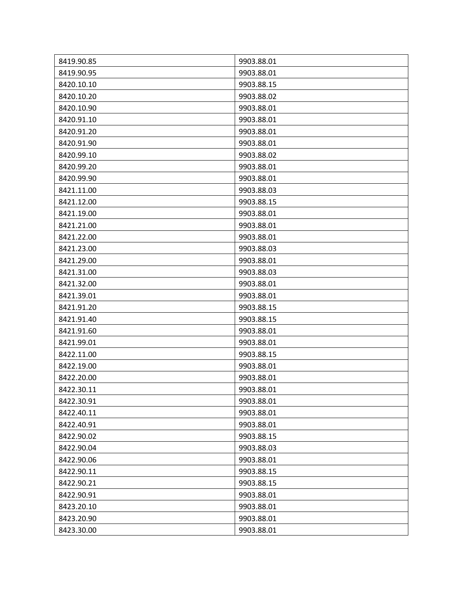| 8419.90.85               | 9903.88.01               |
|--------------------------|--------------------------|
| 8419.90.95<br>8420.10.10 | 9903.88.01<br>9903.88.15 |
|                          |                          |
| 8420.10.20               | 9903.88.02               |
| 8420.10.90               | 9903.88.01               |
| 8420.91.10               | 9903.88.01               |
| 8420.91.20               | 9903.88.01               |
| 8420.91.90               | 9903.88.01               |
| 8420.99.10               | 9903.88.02               |
| 8420.99.20               | 9903.88.01               |
| 8420.99.90               | 9903.88.01               |
| 8421.11.00               | 9903.88.03               |
| 8421.12.00               | 9903.88.15               |
| 8421.19.00               | 9903.88.01               |
| 8421.21.00               | 9903.88.01               |
| 8421.22.00               | 9903.88.01               |
| 8421.23.00               | 9903.88.03               |
| 8421.29.00               | 9903.88.01               |
| 8421.31.00               | 9903.88.03               |
| 8421.32.00               | 9903.88.01               |
| 8421.39.01               | 9903.88.01               |
| 8421.91.20               | 9903.88.15               |
| 8421.91.40               | 9903.88.15               |
| 8421.91.60               | 9903.88.01               |
| 8421.99.01               | 9903.88.01               |
| 8422.11.00               | 9903.88.15               |
| 8422.19.00               | 9903.88.01               |
| 8422.20.00               | 9903.88.01               |
| 8422.30.11               | 9903.88.01               |
| 8422.30.91               | 9903.88.01               |
| 8422.40.11               | 9903.88.01               |
| 8422.40.91               | 9903.88.01               |
| 8422.90.02               | 9903.88.15               |
| 8422.90.04               | 9903.88.03               |
| 8422.90.06               | 9903.88.01               |
| 8422.90.11               | 9903.88.15               |
| 8422.90.21               | 9903.88.15               |
| 8422.90.91               | 9903.88.01               |
| 8423.20.10               | 9903.88.01               |
| 8423.20.90               | 9903.88.01               |
| 8423.30.00               | 9903.88.01               |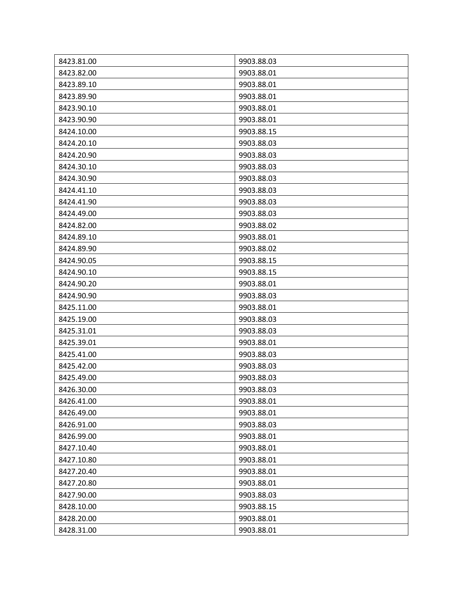| 8423.81.00 | 9903.88.03 |
|------------|------------|
| 8423.82.00 | 9903.88.01 |
| 8423.89.10 | 9903.88.01 |
| 8423.89.90 | 9903.88.01 |
| 8423.90.10 | 9903.88.01 |
| 8423.90.90 | 9903.88.01 |
| 8424.10.00 | 9903.88.15 |
| 8424.20.10 | 9903.88.03 |
| 8424.20.90 | 9903.88.03 |
| 8424.30.10 | 9903.88.03 |
| 8424.30.90 | 9903.88.03 |
| 8424.41.10 | 9903.88.03 |
| 8424.41.90 | 9903.88.03 |
| 8424.49.00 | 9903.88.03 |
| 8424.82.00 | 9903.88.02 |
| 8424.89.10 | 9903.88.01 |
| 8424.89.90 | 9903.88.02 |
| 8424.90.05 | 9903.88.15 |
| 8424.90.10 | 9903.88.15 |
| 8424.90.20 | 9903.88.01 |
| 8424.90.90 | 9903.88.03 |
| 8425.11.00 | 9903.88.01 |
| 8425.19.00 | 9903.88.03 |
| 8425.31.01 | 9903.88.03 |
| 8425.39.01 | 9903.88.01 |
| 8425.41.00 | 9903.88.03 |
| 8425.42.00 | 9903.88.03 |
| 8425.49.00 | 9903.88.03 |
| 8426.30.00 | 9903.88.03 |
| 8426.41.00 | 9903.88.01 |
| 8426.49.00 | 9903.88.01 |
| 8426.91.00 | 9903.88.03 |
| 8426.99.00 | 9903.88.01 |
| 8427.10.40 | 9903.88.01 |
| 8427.10.80 | 9903.88.01 |
| 8427.20.40 | 9903.88.01 |
| 8427.20.80 | 9903.88.01 |
| 8427.90.00 | 9903.88.03 |
| 8428.10.00 | 9903.88.15 |
| 8428.20.00 | 9903.88.01 |
| 8428.31.00 | 9903.88.01 |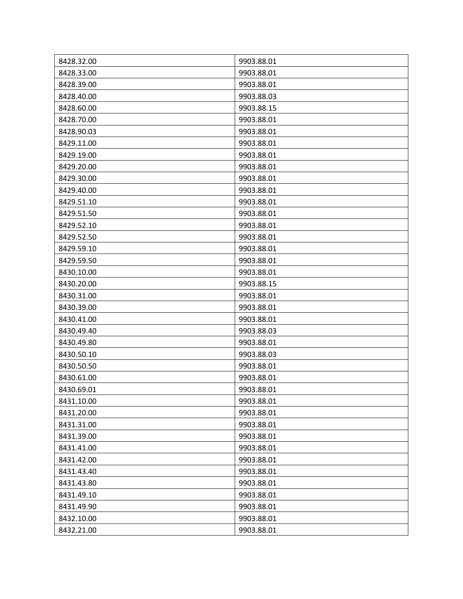| 8428.32.00<br>9903.88.01 |  |
|--------------------------|--|
| 8428.33.00<br>9903.88.01 |  |
| 8428.39.00<br>9903.88.01 |  |
| 8428.40.00<br>9903.88.03 |  |
| 8428.60.00<br>9903.88.15 |  |
| 8428.70.00<br>9903.88.01 |  |
| 8428.90.03<br>9903.88.01 |  |
| 8429.11.00<br>9903.88.01 |  |
| 8429.19.00<br>9903.88.01 |  |
| 8429.20.00<br>9903.88.01 |  |
| 8429.30.00<br>9903.88.01 |  |
| 8429.40.00<br>9903.88.01 |  |
| 8429.51.10<br>9903.88.01 |  |
| 8429.51.50<br>9903.88.01 |  |
| 8429.52.10<br>9903.88.01 |  |
| 9903.88.01<br>8429.52.50 |  |
| 8429.59.10<br>9903.88.01 |  |
| 9903.88.01<br>8429.59.50 |  |
| 8430.10.00<br>9903.88.01 |  |
| 8430.20.00<br>9903.88.15 |  |
| 8430.31.00<br>9903.88.01 |  |
| 8430.39.00<br>9903.88.01 |  |
| 8430.41.00<br>9903.88.01 |  |
| 8430.49.40<br>9903.88.03 |  |
| 8430.49.80<br>9903.88.01 |  |
| 8430.50.10<br>9903.88.03 |  |
| 8430.50.50<br>9903.88.01 |  |
| 8430.61.00<br>9903.88.01 |  |
| 8430.69.01<br>9903.88.01 |  |
| 8431.10.00<br>9903.88.01 |  |
| 8431.20.00<br>9903.88.01 |  |
| 8431.31.00<br>9903.88.01 |  |
| 8431.39.00<br>9903.88.01 |  |
| 8431.41.00<br>9903.88.01 |  |
| 8431.42.00<br>9903.88.01 |  |
| 9903.88.01<br>8431.43.40 |  |
| 8431.43.80<br>9903.88.01 |  |
| 8431.49.10<br>9903.88.01 |  |
| 8431.49.90<br>9903.88.01 |  |
| 8432.10.00<br>9903.88.01 |  |
| 8432.21.00<br>9903.88.01 |  |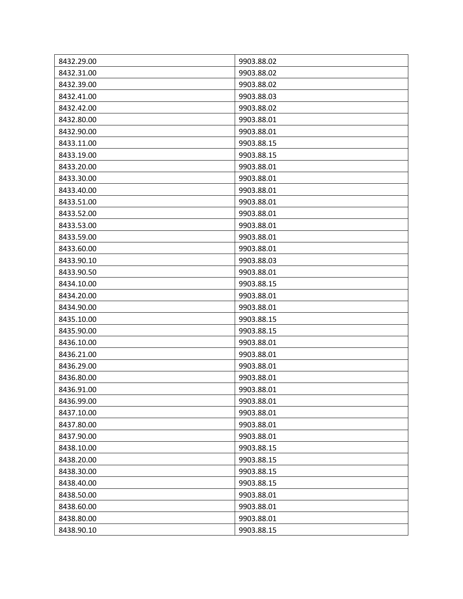| 8432.29.00 | 9903.88.02 |
|------------|------------|
| 8432.31.00 | 9903.88.02 |
| 8432.39.00 | 9903.88.02 |
| 8432.41.00 | 9903.88.03 |
| 8432.42.00 | 9903.88.02 |
| 8432.80.00 | 9903.88.01 |
| 8432.90.00 | 9903.88.01 |
| 8433.11.00 | 9903.88.15 |
| 8433.19.00 | 9903.88.15 |
| 8433.20.00 | 9903.88.01 |
| 8433.30.00 | 9903.88.01 |
| 8433.40.00 | 9903.88.01 |
| 8433.51.00 | 9903.88.01 |
| 8433.52.00 | 9903.88.01 |
| 8433.53.00 | 9903.88.01 |
| 8433.59.00 | 9903.88.01 |
| 8433.60.00 | 9903.88.01 |
| 8433.90.10 | 9903.88.03 |
| 8433.90.50 | 9903.88.01 |
| 8434.10.00 | 9903.88.15 |
| 8434.20.00 | 9903.88.01 |
| 8434.90.00 | 9903.88.01 |
| 8435.10.00 | 9903.88.15 |
| 8435.90.00 | 9903.88.15 |
| 8436.10.00 | 9903.88.01 |
| 8436.21.00 | 9903.88.01 |
| 8436.29.00 | 9903.88.01 |
| 8436.80.00 | 9903.88.01 |
| 8436.91.00 | 9903.88.01 |
| 8436.99.00 | 9903.88.01 |
| 8437.10.00 | 9903.88.01 |
| 8437.80.00 | 9903.88.01 |
| 8437.90.00 | 9903.88.01 |
| 8438.10.00 | 9903.88.15 |
| 8438.20.00 | 9903.88.15 |
| 8438.30.00 | 9903.88.15 |
| 8438.40.00 | 9903.88.15 |
| 8438.50.00 | 9903.88.01 |
| 8438.60.00 | 9903.88.01 |
| 8438.80.00 | 9903.88.01 |
| 8438.90.10 | 9903.88.15 |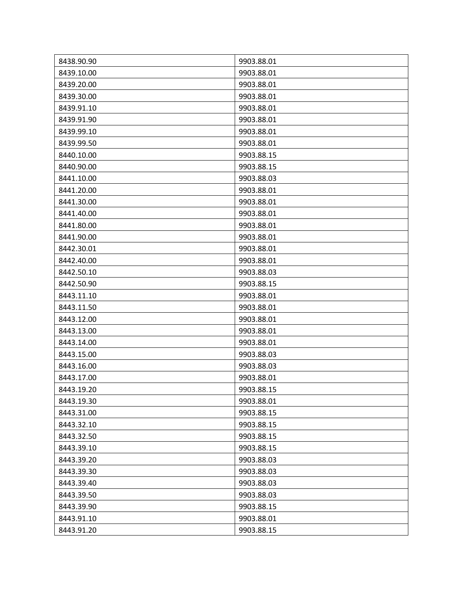| 8438.90.90 | 9903.88.01 |
|------------|------------|
| 8439.10.00 | 9903.88.01 |
| 8439.20.00 | 9903.88.01 |
| 8439.30.00 | 9903.88.01 |
| 8439.91.10 | 9903.88.01 |
| 8439.91.90 | 9903.88.01 |
| 8439.99.10 | 9903.88.01 |
| 8439.99.50 | 9903.88.01 |
| 8440.10.00 | 9903.88.15 |
| 8440.90.00 | 9903.88.15 |
| 8441.10.00 | 9903.88.03 |
| 8441.20.00 | 9903.88.01 |
| 8441.30.00 | 9903.88.01 |
| 8441.40.00 | 9903.88.01 |
| 8441.80.00 | 9903.88.01 |
| 8441.90.00 | 9903.88.01 |
| 8442.30.01 | 9903.88.01 |
| 8442.40.00 | 9903.88.01 |
| 8442.50.10 | 9903.88.03 |
| 8442.50.90 | 9903.88.15 |
| 8443.11.10 | 9903.88.01 |
| 8443.11.50 | 9903.88.01 |
| 8443.12.00 | 9903.88.01 |
| 8443.13.00 | 9903.88.01 |
| 8443.14.00 | 9903.88.01 |
| 8443.15.00 | 9903.88.03 |
| 8443.16.00 | 9903.88.03 |
| 8443.17.00 | 9903.88.01 |
| 8443.19.20 | 9903.88.15 |
| 8443.19.30 | 9903.88.01 |
| 8443.31.00 | 9903.88.15 |
| 8443.32.10 | 9903.88.15 |
| 8443.32.50 | 9903.88.15 |
| 8443.39.10 | 9903.88.15 |
| 8443.39.20 | 9903.88.03 |
| 8443.39.30 | 9903.88.03 |
| 8443.39.40 | 9903.88.03 |
| 8443.39.50 | 9903.88.03 |
| 8443.39.90 | 9903.88.15 |
| 8443.91.10 | 9903.88.01 |
| 8443.91.20 | 9903.88.15 |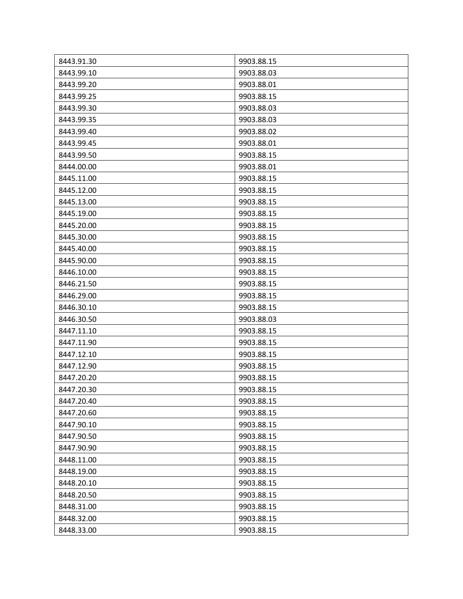| 8443.91.30 | 9903.88.15 |
|------------|------------|
| 8443.99.10 | 9903.88.03 |
| 8443.99.20 | 9903.88.01 |
| 8443.99.25 | 9903.88.15 |
| 8443.99.30 | 9903.88.03 |
| 8443.99.35 | 9903.88.03 |
| 8443.99.40 | 9903.88.02 |
| 8443.99.45 | 9903.88.01 |
| 8443.99.50 | 9903.88.15 |
| 8444.00.00 | 9903.88.01 |
| 8445.11.00 | 9903.88.15 |
| 8445.12.00 | 9903.88.15 |
| 8445.13.00 | 9903.88.15 |
| 8445.19.00 | 9903.88.15 |
| 8445.20.00 | 9903.88.15 |
| 8445.30.00 | 9903.88.15 |
| 8445.40.00 | 9903.88.15 |
| 8445.90.00 | 9903.88.15 |
| 8446.10.00 | 9903.88.15 |
| 8446.21.50 | 9903.88.15 |
| 8446.29.00 | 9903.88.15 |
| 8446.30.10 | 9903.88.15 |
| 8446.30.50 | 9903.88.03 |
| 8447.11.10 | 9903.88.15 |
| 8447.11.90 | 9903.88.15 |
| 8447.12.10 | 9903.88.15 |
| 8447.12.90 | 9903.88.15 |
| 8447.20.20 | 9903.88.15 |
| 8447.20.30 | 9903.88.15 |
| 8447.20.40 | 9903.88.15 |
| 8447.20.60 | 9903.88.15 |
| 8447.90.10 | 9903.88.15 |
| 8447.90.50 | 9903.88.15 |
| 8447.90.90 | 9903.88.15 |
| 8448.11.00 | 9903.88.15 |
| 8448.19.00 | 9903.88.15 |
| 8448.20.10 | 9903.88.15 |
| 8448.20.50 | 9903.88.15 |
| 8448.31.00 | 9903.88.15 |
| 8448.32.00 | 9903.88.15 |
| 8448.33.00 | 9903.88.15 |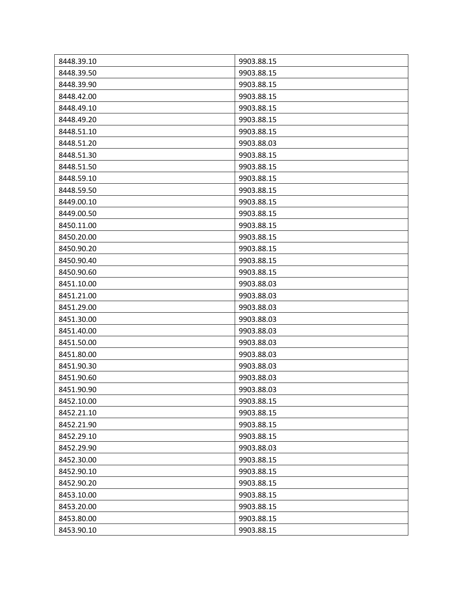| 8448.39.10 | 9903.88.15 |
|------------|------------|
| 8448.39.50 | 9903.88.15 |
| 8448.39.90 | 9903.88.15 |
| 8448.42.00 | 9903.88.15 |
| 8448.49.10 | 9903.88.15 |
| 8448.49.20 | 9903.88.15 |
| 8448.51.10 | 9903.88.15 |
| 8448.51.20 | 9903.88.03 |
| 8448.51.30 | 9903.88.15 |
| 8448.51.50 | 9903.88.15 |
| 8448.59.10 | 9903.88.15 |
| 8448.59.50 | 9903.88.15 |
| 8449.00.10 | 9903.88.15 |
| 8449.00.50 | 9903.88.15 |
| 8450.11.00 | 9903.88.15 |
| 8450.20.00 | 9903.88.15 |
| 8450.90.20 | 9903.88.15 |
| 8450.90.40 | 9903.88.15 |
| 8450.90.60 | 9903.88.15 |
| 8451.10.00 | 9903.88.03 |
| 8451.21.00 | 9903.88.03 |
| 8451.29.00 | 9903.88.03 |
| 8451.30.00 | 9903.88.03 |
| 8451.40.00 | 9903.88.03 |
| 8451.50.00 | 9903.88.03 |
| 8451.80.00 | 9903.88.03 |
| 8451.90.30 | 9903.88.03 |
| 8451.90.60 | 9903.88.03 |
| 8451.90.90 | 9903.88.03 |
| 8452.10.00 | 9903.88.15 |
| 8452.21.10 | 9903.88.15 |
| 8452.21.90 | 9903.88.15 |
| 8452.29.10 | 9903.88.15 |
| 8452.29.90 | 9903.88.03 |
| 8452.30.00 | 9903.88.15 |
| 8452.90.10 | 9903.88.15 |
| 8452.90.20 | 9903.88.15 |
| 8453.10.00 | 9903.88.15 |
| 8453.20.00 | 9903.88.15 |
| 8453.80.00 | 9903.88.15 |
| 8453.90.10 | 9903.88.15 |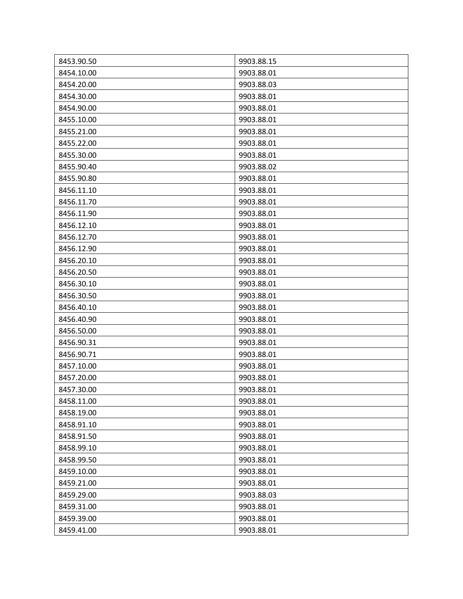| 8453.90.50 | 9903.88.15 |
|------------|------------|
| 8454.10.00 | 9903.88.01 |
| 8454.20.00 | 9903.88.03 |
| 8454.30.00 | 9903.88.01 |
| 8454.90.00 | 9903.88.01 |
| 8455.10.00 | 9903.88.01 |
| 8455.21.00 | 9903.88.01 |
| 8455.22.00 | 9903.88.01 |
| 8455.30.00 | 9903.88.01 |
| 8455.90.40 | 9903.88.02 |
| 8455.90.80 | 9903.88.01 |
| 8456.11.10 | 9903.88.01 |
| 8456.11.70 | 9903.88.01 |
| 8456.11.90 | 9903.88.01 |
| 8456.12.10 | 9903.88.01 |
| 8456.12.70 | 9903.88.01 |
| 8456.12.90 | 9903.88.01 |
| 8456.20.10 | 9903.88.01 |
| 8456.20.50 | 9903.88.01 |
| 8456.30.10 | 9903.88.01 |
| 8456.30.50 | 9903.88.01 |
| 8456.40.10 | 9903.88.01 |
| 8456.40.90 | 9903.88.01 |
| 8456.50.00 | 9903.88.01 |
| 8456.90.31 | 9903.88.01 |
| 8456.90.71 | 9903.88.01 |
| 8457.10.00 | 9903.88.01 |
| 8457.20.00 | 9903.88.01 |
| 8457.30.00 | 9903.88.01 |
| 8458.11.00 | 9903.88.01 |
| 8458.19.00 | 9903.88.01 |
| 8458.91.10 | 9903.88.01 |
| 8458.91.50 | 9903.88.01 |
| 8458.99.10 | 9903.88.01 |
| 8458.99.50 | 9903.88.01 |
| 8459.10.00 | 9903.88.01 |
| 8459.21.00 | 9903.88.01 |
| 8459.29.00 | 9903.88.03 |
| 8459.31.00 | 9903.88.01 |
| 8459.39.00 | 9903.88.01 |
| 8459.41.00 | 9903.88.01 |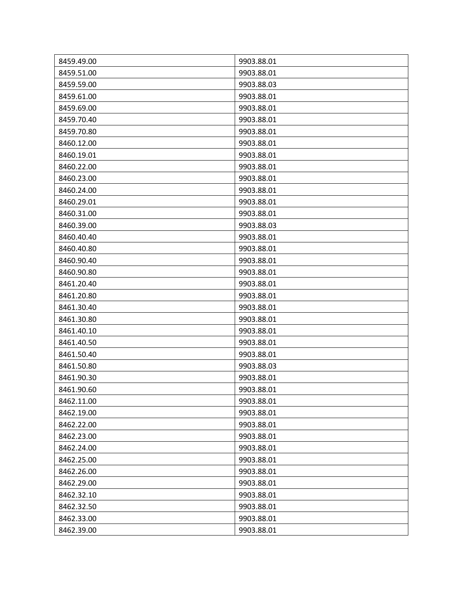| 8459.49.00 | 9903.88.01 |
|------------|------------|
| 8459.51.00 | 9903.88.01 |
| 8459.59.00 | 9903.88.03 |
| 8459.61.00 | 9903.88.01 |
| 8459.69.00 | 9903.88.01 |
| 8459.70.40 | 9903.88.01 |
| 8459.70.80 | 9903.88.01 |
| 8460.12.00 | 9903.88.01 |
| 8460.19.01 | 9903.88.01 |
| 8460.22.00 | 9903.88.01 |
| 8460.23.00 | 9903.88.01 |
| 8460.24.00 | 9903.88.01 |
| 8460.29.01 | 9903.88.01 |
| 8460.31.00 | 9903.88.01 |
| 8460.39.00 | 9903.88.03 |
| 8460.40.40 | 9903.88.01 |
| 8460.40.80 | 9903.88.01 |
| 8460.90.40 | 9903.88.01 |
| 8460.90.80 | 9903.88.01 |
| 8461.20.40 | 9903.88.01 |
| 8461.20.80 | 9903.88.01 |
| 8461.30.40 | 9903.88.01 |
| 8461.30.80 | 9903.88.01 |
| 8461.40.10 | 9903.88.01 |
| 8461.40.50 | 9903.88.01 |
| 8461.50.40 | 9903.88.01 |
| 8461.50.80 | 9903.88.03 |
| 8461.90.30 | 9903.88.01 |
| 8461.90.60 | 9903.88.01 |
| 8462.11.00 | 9903.88.01 |
| 8462.19.00 | 9903.88.01 |
| 8462.22.00 | 9903.88.01 |
| 8462.23.00 | 9903.88.01 |
| 8462.24.00 | 9903.88.01 |
| 8462.25.00 | 9903.88.01 |
| 8462.26.00 | 9903.88.01 |
| 8462.29.00 | 9903.88.01 |
| 8462.32.10 | 9903.88.01 |
| 8462.32.50 | 9903.88.01 |
| 8462.33.00 | 9903.88.01 |
| 8462.39.00 | 9903.88.01 |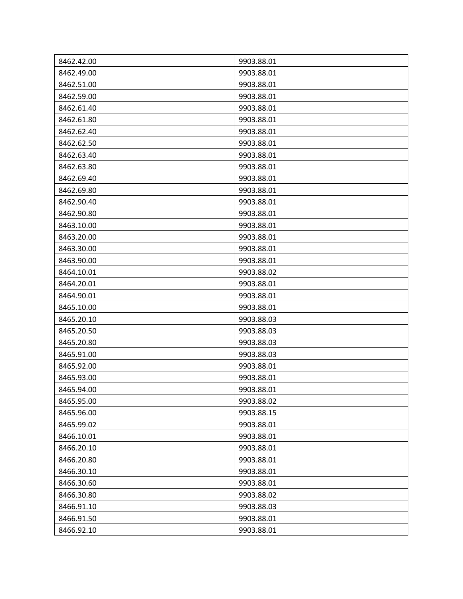| 8462.42.00 | 9903.88.01 |
|------------|------------|
| 8462.49.00 | 9903.88.01 |
| 8462.51.00 | 9903.88.01 |
| 8462.59.00 | 9903.88.01 |
| 8462.61.40 | 9903.88.01 |
| 8462.61.80 | 9903.88.01 |
| 8462.62.40 | 9903.88.01 |
| 8462.62.50 | 9903.88.01 |
| 8462.63.40 | 9903.88.01 |
| 8462.63.80 | 9903.88.01 |
| 8462.69.40 | 9903.88.01 |
| 8462.69.80 | 9903.88.01 |
| 8462.90.40 | 9903.88.01 |
| 8462.90.80 | 9903.88.01 |
| 8463.10.00 | 9903.88.01 |
| 8463.20.00 | 9903.88.01 |
| 8463.30.00 | 9903.88.01 |
| 8463.90.00 | 9903.88.01 |
| 8464.10.01 | 9903.88.02 |
| 8464.20.01 | 9903.88.01 |
| 8464.90.01 | 9903.88.01 |
| 8465.10.00 | 9903.88.01 |
| 8465.20.10 | 9903.88.03 |
| 8465.20.50 | 9903.88.03 |
| 8465.20.80 | 9903.88.03 |
| 8465.91.00 | 9903.88.03 |
| 8465.92.00 | 9903.88.01 |
| 8465.93.00 | 9903.88.01 |
| 8465.94.00 | 9903.88.01 |
| 8465.95.00 | 9903.88.02 |
| 8465.96.00 | 9903.88.15 |
| 8465.99.02 | 9903.88.01 |
| 8466.10.01 | 9903.88.01 |
| 8466.20.10 | 9903.88.01 |
| 8466.20.80 | 9903.88.01 |
| 8466.30.10 | 9903.88.01 |
| 8466.30.60 | 9903.88.01 |
| 8466.30.80 | 9903.88.02 |
| 8466.91.10 | 9903.88.03 |
| 8466.91.50 | 9903.88.01 |
| 8466.92.10 | 9903.88.01 |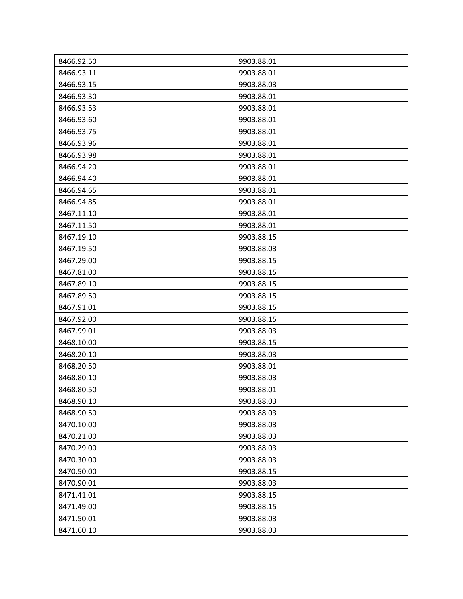| 8466.92.50 | 9903.88.01 |
|------------|------------|
| 8466.93.11 | 9903.88.01 |
| 8466.93.15 | 9903.88.03 |
| 8466.93.30 | 9903.88.01 |
| 8466.93.53 | 9903.88.01 |
| 8466.93.60 | 9903.88.01 |
| 8466.93.75 | 9903.88.01 |
| 8466.93.96 | 9903.88.01 |
| 8466.93.98 | 9903.88.01 |
| 8466.94.20 | 9903.88.01 |
| 8466.94.40 | 9903.88.01 |
| 8466.94.65 | 9903.88.01 |
| 8466.94.85 | 9903.88.01 |
| 8467.11.10 | 9903.88.01 |
| 8467.11.50 | 9903.88.01 |
| 8467.19.10 | 9903.88.15 |
| 8467.19.50 | 9903.88.03 |
| 8467.29.00 | 9903.88.15 |
| 8467.81.00 | 9903.88.15 |
| 8467.89.10 | 9903.88.15 |
| 8467.89.50 | 9903.88.15 |
| 8467.91.01 | 9903.88.15 |
| 8467.92.00 | 9903.88.15 |
| 8467.99.01 | 9903.88.03 |
| 8468.10.00 | 9903.88.15 |
| 8468.20.10 | 9903.88.03 |
| 8468.20.50 | 9903.88.01 |
| 8468.80.10 | 9903.88.03 |
| 8468.80.50 | 9903.88.01 |
| 8468.90.10 | 9903.88.03 |
| 8468.90.50 | 9903.88.03 |
| 8470.10.00 | 9903.88.03 |
| 8470.21.00 | 9903.88.03 |
| 8470.29.00 | 9903.88.03 |
| 8470.30.00 | 9903.88.03 |
| 8470.50.00 | 9903.88.15 |
| 8470.90.01 | 9903.88.03 |
| 8471.41.01 | 9903.88.15 |
| 8471.49.00 | 9903.88.15 |
| 8471.50.01 | 9903.88.03 |
| 8471.60.10 | 9903.88.03 |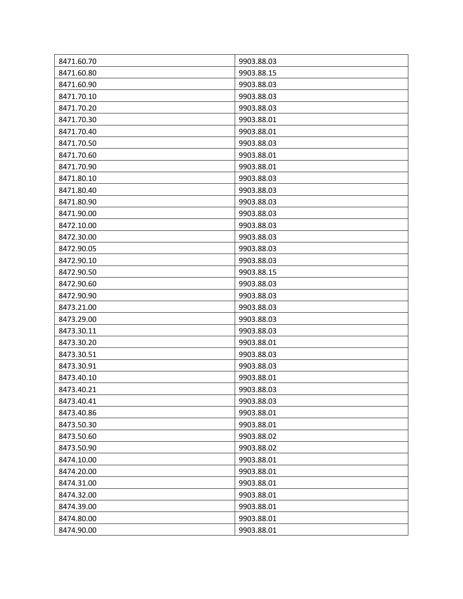| 8471.60.70 | 9903.88.03 |
|------------|------------|
| 8471.60.80 | 9903.88.15 |
| 8471.60.90 | 9903.88.03 |
| 8471.70.10 | 9903.88.03 |
| 8471.70.20 | 9903.88.03 |
| 8471.70.30 | 9903.88.01 |
| 8471.70.40 | 9903.88.01 |
| 8471.70.50 | 9903.88.03 |
| 8471.70.60 | 9903.88.01 |
| 8471.70.90 | 9903.88.01 |
| 8471.80.10 | 9903.88.03 |
| 8471.80.40 | 9903.88.03 |
| 8471.80.90 | 9903.88.03 |
| 8471.90.00 | 9903.88.03 |
| 8472.10.00 | 9903.88.03 |
| 8472.30.00 | 9903.88.03 |
| 8472.90.05 | 9903.88.03 |
| 8472.90.10 | 9903.88.03 |
| 8472.90.50 | 9903.88.15 |
| 8472.90.60 | 9903.88.03 |
| 8472.90.90 | 9903.88.03 |
| 8473.21.00 | 9903.88.03 |
| 8473.29.00 | 9903.88.03 |
| 8473.30.11 | 9903.88.03 |
| 8473.30.20 | 9903.88.01 |
| 8473.30.51 | 9903.88.03 |
| 8473.30.91 | 9903.88.03 |
| 8473.40.10 | 9903.88.01 |
| 8473.40.21 | 9903.88.03 |
| 8473.40.41 | 9903.88.03 |
| 8473.40.86 | 9903.88.01 |
| 8473.50.30 | 9903.88.01 |
| 8473.50.60 | 9903.88.02 |
| 8473.50.90 | 9903.88.02 |
| 8474.10.00 | 9903.88.01 |
| 8474.20.00 | 9903.88.01 |
| 8474.31.00 | 9903.88.01 |
| 8474.32.00 | 9903.88.01 |
| 8474.39.00 | 9903.88.01 |
| 8474.80.00 | 9903.88.01 |
| 8474.90.00 | 9903.88.01 |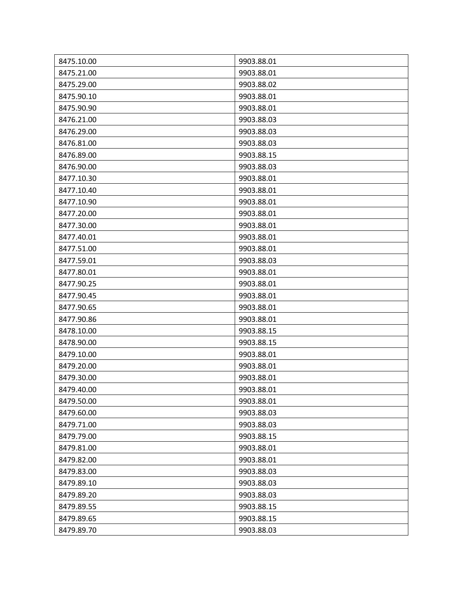| 8475.10.00 | 9903.88.01 |
|------------|------------|
| 8475.21.00 | 9903.88.01 |
| 8475.29.00 | 9903.88.02 |
| 8475.90.10 | 9903.88.01 |
| 8475.90.90 | 9903.88.01 |
| 8476.21.00 | 9903.88.03 |
| 8476.29.00 | 9903.88.03 |
| 8476.81.00 | 9903.88.03 |
| 8476.89.00 | 9903.88.15 |
| 8476.90.00 | 9903.88.03 |
| 8477.10.30 | 9903.88.01 |
| 8477.10.40 | 9903.88.01 |
| 8477.10.90 | 9903.88.01 |
| 8477.20.00 | 9903.88.01 |
| 8477.30.00 | 9903.88.01 |
| 8477.40.01 | 9903.88.01 |
| 8477.51.00 | 9903.88.01 |
| 8477.59.01 | 9903.88.03 |
| 8477.80.01 | 9903.88.01 |
| 8477.90.25 | 9903.88.01 |
| 8477.90.45 | 9903.88.01 |
| 8477.90.65 | 9903.88.01 |
| 8477.90.86 | 9903.88.01 |
| 8478.10.00 | 9903.88.15 |
| 8478.90.00 | 9903.88.15 |
| 8479.10.00 | 9903.88.01 |
| 8479.20.00 | 9903.88.01 |
| 8479.30.00 | 9903.88.01 |
| 8479.40.00 | 9903.88.01 |
| 8479.50.00 | 9903.88.01 |
| 8479.60.00 | 9903.88.03 |
| 8479.71.00 | 9903.88.03 |
| 8479.79.00 | 9903.88.15 |
| 8479.81.00 | 9903.88.01 |
| 8479.82.00 | 9903.88.01 |
| 8479.83.00 | 9903.88.03 |
| 8479.89.10 | 9903.88.03 |
| 8479.89.20 | 9903.88.03 |
| 8479.89.55 | 9903.88.15 |
| 8479.89.65 | 9903.88.15 |
| 8479.89.70 | 9903.88.03 |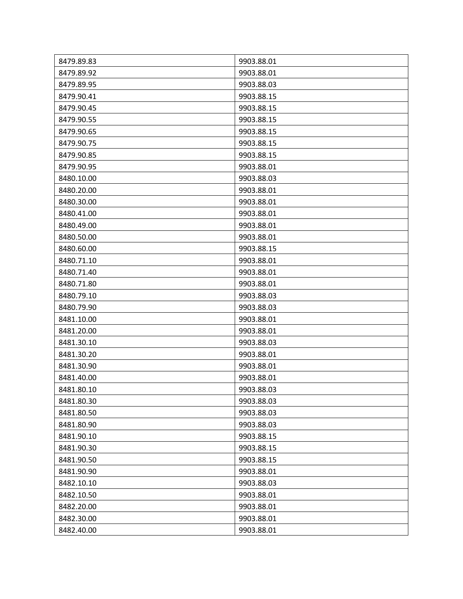| 8479.89.83 | 9903.88.01 |
|------------|------------|
| 8479.89.92 | 9903.88.01 |
| 8479.89.95 | 9903.88.03 |
| 8479.90.41 | 9903.88.15 |
| 8479.90.45 | 9903.88.15 |
| 8479.90.55 | 9903.88.15 |
| 8479.90.65 | 9903.88.15 |
| 8479.90.75 | 9903.88.15 |
| 8479.90.85 | 9903.88.15 |
| 8479.90.95 | 9903.88.01 |
| 8480.10.00 | 9903.88.03 |
| 8480.20.00 | 9903.88.01 |
| 8480.30.00 | 9903.88.01 |
| 8480.41.00 | 9903.88.01 |
| 8480.49.00 | 9903.88.01 |
| 8480.50.00 | 9903.88.01 |
| 8480.60.00 | 9903.88.15 |
| 8480.71.10 | 9903.88.01 |
| 8480.71.40 | 9903.88.01 |
| 8480.71.80 | 9903.88.01 |
| 8480.79.10 | 9903.88.03 |
| 8480.79.90 | 9903.88.03 |
| 8481.10.00 | 9903.88.01 |
| 8481.20.00 | 9903.88.01 |
| 8481.30.10 | 9903.88.03 |
| 8481.30.20 | 9903.88.01 |
| 8481.30.90 | 9903.88.01 |
| 8481.40.00 | 9903.88.01 |
| 8481.80.10 | 9903.88.03 |
| 8481.80.30 | 9903.88.03 |
| 8481.80.50 | 9903.88.03 |
| 8481.80.90 | 9903.88.03 |
| 8481.90.10 | 9903.88.15 |
| 8481.90.30 | 9903.88.15 |
| 8481.90.50 | 9903.88.15 |
| 8481.90.90 | 9903.88.01 |
| 8482.10.10 | 9903.88.03 |
| 8482.10.50 | 9903.88.01 |
| 8482.20.00 | 9903.88.01 |
| 8482.30.00 | 9903.88.01 |
| 8482.40.00 | 9903.88.01 |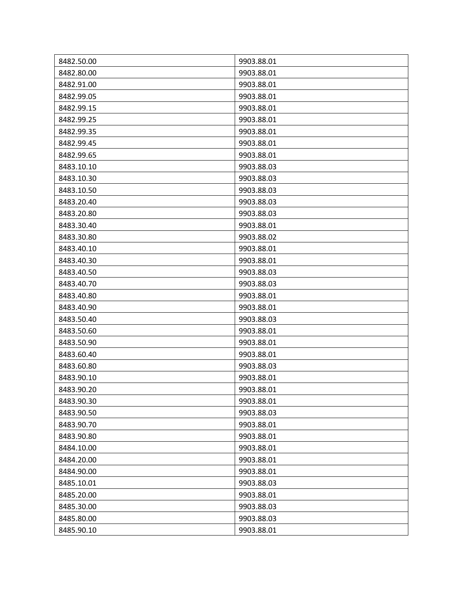| 8482.50.00 | 9903.88.01 |
|------------|------------|
| 8482.80.00 | 9903.88.01 |
| 8482.91.00 | 9903.88.01 |
| 8482.99.05 | 9903.88.01 |
| 8482.99.15 | 9903.88.01 |
| 8482.99.25 | 9903.88.01 |
| 8482.99.35 | 9903.88.01 |
| 8482.99.45 | 9903.88.01 |
| 8482.99.65 | 9903.88.01 |
| 8483.10.10 | 9903.88.03 |
| 8483.10.30 | 9903.88.03 |
| 8483.10.50 | 9903.88.03 |
| 8483.20.40 | 9903.88.03 |
| 8483.20.80 | 9903.88.03 |
| 8483.30.40 | 9903.88.01 |
| 8483.30.80 | 9903.88.02 |
| 8483.40.10 | 9903.88.01 |
| 8483.40.30 | 9903.88.01 |
| 8483.40.50 | 9903.88.03 |
| 8483.40.70 | 9903.88.03 |
| 8483.40.80 | 9903.88.01 |
| 8483.40.90 | 9903.88.01 |
| 8483.50.40 | 9903.88.03 |
| 8483.50.60 | 9903.88.01 |
| 8483.50.90 | 9903.88.01 |
| 8483.60.40 | 9903.88.01 |
| 8483.60.80 | 9903.88.03 |
| 8483.90.10 | 9903.88.01 |
| 8483.90.20 | 9903.88.01 |
| 8483.90.30 | 9903.88.01 |
| 8483.90.50 | 9903.88.03 |
| 8483.90.70 | 9903.88.01 |
| 8483.90.80 | 9903.88.01 |
| 8484.10.00 | 9903.88.01 |
| 8484.20.00 | 9903.88.01 |
| 8484.90.00 | 9903.88.01 |
| 8485.10.01 | 9903.88.03 |
| 8485.20.00 | 9903.88.01 |
| 8485.30.00 | 9903.88.03 |
| 8485.80.00 | 9903.88.03 |
| 8485.90.10 | 9903.88.01 |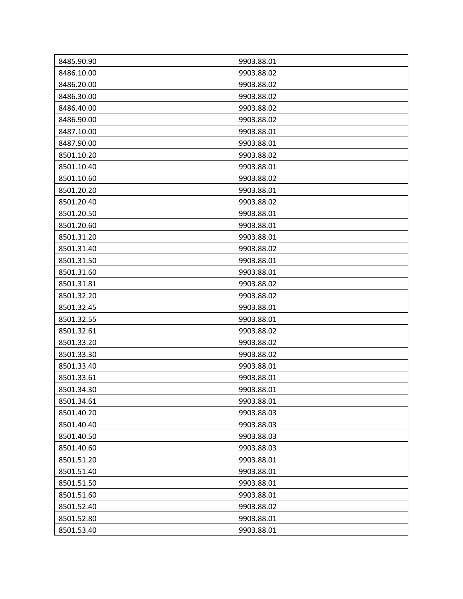| 8485.90.90 | 9903.88.01 |
|------------|------------|
| 8486.10.00 | 9903.88.02 |
| 8486.20.00 | 9903.88.02 |
| 8486.30.00 | 9903.88.02 |
| 8486.40.00 | 9903.88.02 |
| 8486.90.00 | 9903.88.02 |
| 8487.10.00 | 9903.88.01 |
| 8487.90.00 | 9903.88.01 |
| 8501.10.20 | 9903.88.02 |
| 8501.10.40 | 9903.88.01 |
| 8501.10.60 | 9903.88.02 |
| 8501.20.20 | 9903.88.01 |
| 8501.20.40 | 9903.88.02 |
| 8501.20.50 | 9903.88.01 |
| 8501.20.60 | 9903.88.01 |
| 8501.31.20 | 9903.88.01 |
| 8501.31.40 | 9903.88.02 |
| 8501.31.50 | 9903.88.01 |
| 8501.31.60 | 9903.88.01 |
| 8501.31.81 | 9903.88.02 |
| 8501.32.20 | 9903.88.02 |
| 8501.32.45 | 9903.88.01 |
| 8501.32.55 | 9903.88.01 |
| 8501.32.61 | 9903.88.02 |
| 8501.33.20 | 9903.88.02 |
| 8501.33.30 | 9903.88.02 |
| 8501.33.40 | 9903.88.01 |
| 8501.33.61 | 9903.88.01 |
| 8501.34.30 | 9903.88.01 |
| 8501.34.61 | 9903.88.01 |
| 8501.40.20 | 9903.88.03 |
| 8501.40.40 | 9903.88.03 |
| 8501.40.50 | 9903.88.03 |
| 8501.40.60 | 9903.88.03 |
| 8501.51.20 | 9903.88.01 |
| 8501.51.40 | 9903.88.01 |
| 8501.51.50 | 9903.88.01 |
| 8501.51.60 | 9903.88.01 |
| 8501.52.40 | 9903.88.02 |
| 8501.52.80 | 9903.88.01 |
| 8501.53.40 | 9903.88.01 |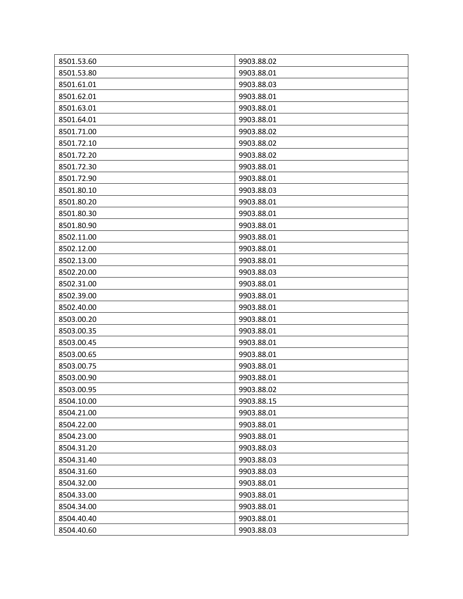| 8501.53.60 | 9903.88.02 |
|------------|------------|
| 8501.53.80 | 9903.88.01 |
| 8501.61.01 | 9903.88.03 |
| 8501.62.01 | 9903.88.01 |
| 8501.63.01 | 9903.88.01 |
| 8501.64.01 | 9903.88.01 |
| 8501.71.00 | 9903.88.02 |
| 8501.72.10 | 9903.88.02 |
| 8501.72.20 | 9903.88.02 |
| 8501.72.30 | 9903.88.01 |
| 8501.72.90 | 9903.88.01 |
| 8501.80.10 | 9903.88.03 |
| 8501.80.20 | 9903.88.01 |
| 8501.80.30 | 9903.88.01 |
| 8501.80.90 | 9903.88.01 |
| 8502.11.00 | 9903.88.01 |
| 8502.12.00 | 9903.88.01 |
| 8502.13.00 | 9903.88.01 |
| 8502.20.00 | 9903.88.03 |
| 8502.31.00 | 9903.88.01 |
| 8502.39.00 | 9903.88.01 |
| 8502.40.00 | 9903.88.01 |
| 8503.00.20 | 9903.88.01 |
| 8503.00.35 | 9903.88.01 |
| 8503.00.45 | 9903.88.01 |
| 8503.00.65 | 9903.88.01 |
| 8503.00.75 | 9903.88.01 |
| 8503.00.90 | 9903.88.01 |
| 8503.00.95 | 9903.88.02 |
| 8504.10.00 | 9903.88.15 |
| 8504.21.00 | 9903.88.01 |
| 8504.22.00 | 9903.88.01 |
| 8504.23.00 | 9903.88.01 |
| 8504.31.20 | 9903.88.03 |
| 8504.31.40 | 9903.88.03 |
| 8504.31.60 | 9903.88.03 |
| 8504.32.00 | 9903.88.01 |
| 8504.33.00 | 9903.88.01 |
| 8504.34.00 | 9903.88.01 |
| 8504.40.40 | 9903.88.01 |
| 8504.40.60 | 9903.88.03 |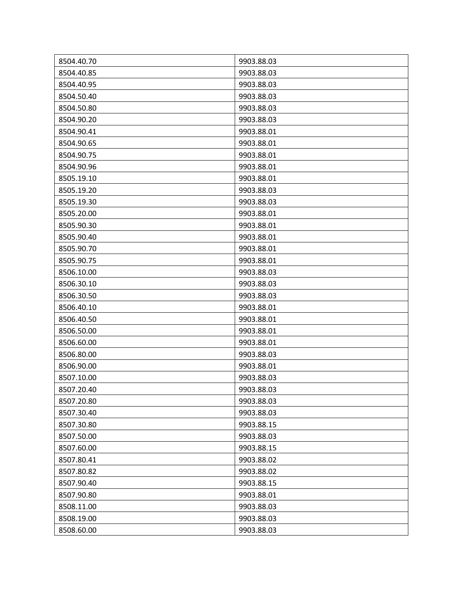| 8504.40.70 | 9903.88.03 |
|------------|------------|
| 8504.40.85 | 9903.88.03 |
| 8504.40.95 | 9903.88.03 |
| 8504.50.40 | 9903.88.03 |
| 8504.50.80 | 9903.88.03 |
| 8504.90.20 | 9903.88.03 |
| 8504.90.41 | 9903.88.01 |
| 8504.90.65 | 9903.88.01 |
| 8504.90.75 | 9903.88.01 |
| 8504.90.96 | 9903.88.01 |
| 8505.19.10 | 9903.88.01 |
| 8505.19.20 | 9903.88.03 |
| 8505.19.30 | 9903.88.03 |
| 8505.20.00 | 9903.88.01 |
| 8505.90.30 | 9903.88.01 |
| 8505.90.40 | 9903.88.01 |
| 8505.90.70 | 9903.88.01 |
| 8505.90.75 | 9903.88.01 |
| 8506.10.00 | 9903.88.03 |
| 8506.30.10 | 9903.88.03 |
| 8506.30.50 | 9903.88.03 |
| 8506.40.10 | 9903.88.01 |
| 8506.40.50 | 9903.88.01 |
| 8506.50.00 | 9903.88.01 |
| 8506.60.00 | 9903.88.01 |
| 8506.80.00 | 9903.88.03 |
| 8506.90.00 | 9903.88.01 |
| 8507.10.00 | 9903.88.03 |
| 8507.20.40 | 9903.88.03 |
| 8507.20.80 | 9903.88.03 |
| 8507.30.40 | 9903.88.03 |
| 8507.30.80 | 9903.88.15 |
| 8507.50.00 | 9903.88.03 |
| 8507.60.00 | 9903.88.15 |
| 8507.80.41 | 9903.88.02 |
| 8507.80.82 | 9903.88.02 |
| 8507.90.40 | 9903.88.15 |
| 8507.90.80 | 9903.88.01 |
| 8508.11.00 | 9903.88.03 |
| 8508.19.00 | 9903.88.03 |
| 8508.60.00 | 9903.88.03 |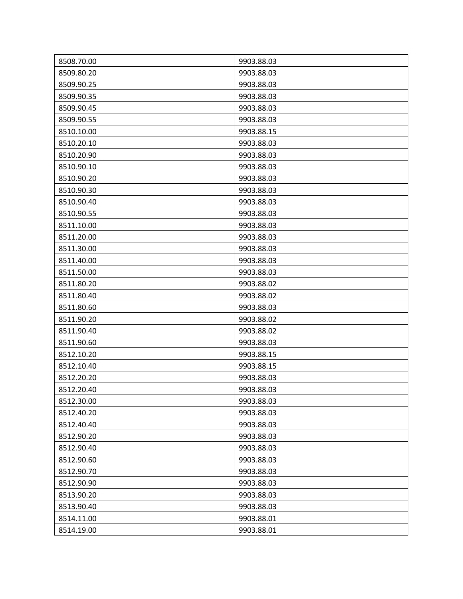| 8508.70.00 | 9903.88.03 |
|------------|------------|
| 8509.80.20 | 9903.88.03 |
| 8509.90.25 | 9903.88.03 |
| 8509.90.35 | 9903.88.03 |
| 8509.90.45 | 9903.88.03 |
| 8509.90.55 | 9903.88.03 |
| 8510.10.00 | 9903.88.15 |
| 8510.20.10 | 9903.88.03 |
| 8510.20.90 | 9903.88.03 |
| 8510.90.10 | 9903.88.03 |
| 8510.90.20 | 9903.88.03 |
| 8510.90.30 | 9903.88.03 |
| 8510.90.40 | 9903.88.03 |
| 8510.90.55 | 9903.88.03 |
| 8511.10.00 | 9903.88.03 |
| 8511.20.00 | 9903.88.03 |
| 8511.30.00 | 9903.88.03 |
| 8511.40.00 | 9903.88.03 |
| 8511.50.00 | 9903.88.03 |
| 8511.80.20 | 9903.88.02 |
| 8511.80.40 | 9903.88.02 |
| 8511.80.60 | 9903.88.03 |
| 8511.90.20 | 9903.88.02 |
| 8511.90.40 | 9903.88.02 |
| 8511.90.60 | 9903.88.03 |
| 8512.10.20 | 9903.88.15 |
| 8512.10.40 | 9903.88.15 |
| 8512.20.20 | 9903.88.03 |
| 8512.20.40 | 9903.88.03 |
| 8512.30.00 | 9903.88.03 |
| 8512.40.20 | 9903.88.03 |
| 8512.40.40 | 9903.88.03 |
| 8512.90.20 | 9903.88.03 |
| 8512.90.40 | 9903.88.03 |
| 8512.90.60 | 9903.88.03 |
| 8512.90.70 | 9903.88.03 |
| 8512.90.90 | 9903.88.03 |
| 8513.90.20 | 9903.88.03 |
| 8513.90.40 | 9903.88.03 |
| 8514.11.00 | 9903.88.01 |
| 8514.19.00 | 9903.88.01 |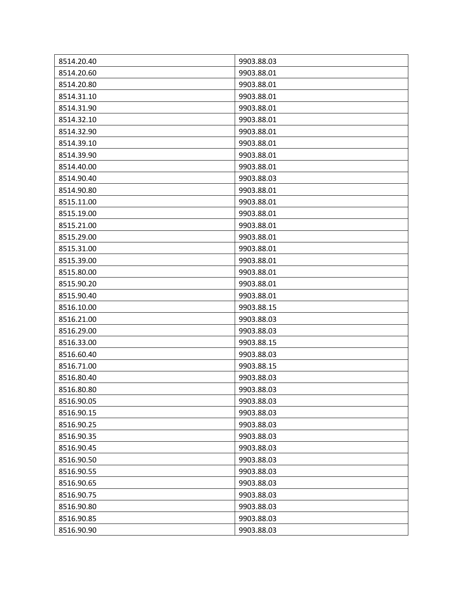| 8514.20.40 | 9903.88.03 |
|------------|------------|
| 8514.20.60 | 9903.88.01 |
| 8514.20.80 | 9903.88.01 |
| 8514.31.10 | 9903.88.01 |
| 8514.31.90 | 9903.88.01 |
| 8514.32.10 | 9903.88.01 |
| 8514.32.90 | 9903.88.01 |
| 8514.39.10 | 9903.88.01 |
| 8514.39.90 | 9903.88.01 |
| 8514.40.00 | 9903.88.01 |
| 8514.90.40 | 9903.88.03 |
| 8514.90.80 | 9903.88.01 |
| 8515.11.00 | 9903.88.01 |
| 8515.19.00 | 9903.88.01 |
| 8515.21.00 | 9903.88.01 |
| 8515.29.00 | 9903.88.01 |
| 8515.31.00 | 9903.88.01 |
| 8515.39.00 | 9903.88.01 |
| 8515.80.00 | 9903.88.01 |
| 8515.90.20 | 9903.88.01 |
| 8515.90.40 | 9903.88.01 |
| 8516.10.00 | 9903.88.15 |
| 8516.21.00 | 9903.88.03 |
| 8516.29.00 | 9903.88.03 |
| 8516.33.00 | 9903.88.15 |
| 8516.60.40 | 9903.88.03 |
| 8516.71.00 | 9903.88.15 |
| 8516.80.40 | 9903.88.03 |
| 8516.80.80 | 9903.88.03 |
| 8516.90.05 | 9903.88.03 |
| 8516.90.15 | 9903.88.03 |
| 8516.90.25 | 9903.88.03 |
| 8516.90.35 | 9903.88.03 |
| 8516.90.45 | 9903.88.03 |
| 8516.90.50 | 9903.88.03 |
| 8516.90.55 | 9903.88.03 |
| 8516.90.65 | 9903.88.03 |
| 8516.90.75 | 9903.88.03 |
| 8516.90.80 | 9903.88.03 |
| 8516.90.85 | 9903.88.03 |
| 8516.90.90 | 9903.88.03 |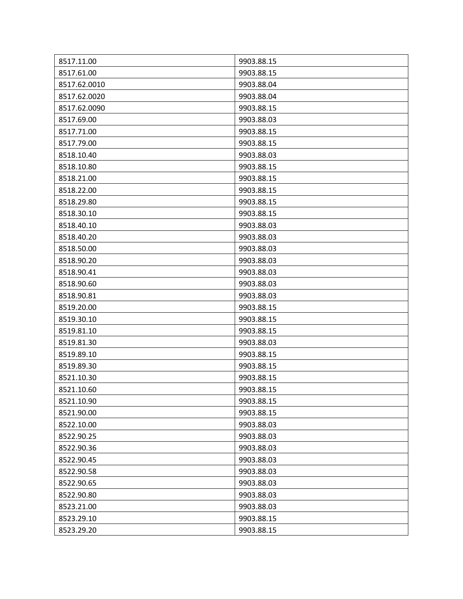| 8517.11.00   | 9903.88.15 |
|--------------|------------|
| 8517.61.00   | 9903.88.15 |
| 8517.62.0010 | 9903.88.04 |
| 8517.62.0020 | 9903.88.04 |
| 8517.62.0090 | 9903.88.15 |
| 8517.69.00   | 9903.88.03 |
| 8517.71.00   | 9903.88.15 |
| 8517.79.00   | 9903.88.15 |
| 8518.10.40   | 9903.88.03 |
| 8518.10.80   | 9903.88.15 |
| 8518.21.00   | 9903.88.15 |
| 8518.22.00   | 9903.88.15 |
| 8518.29.80   | 9903.88.15 |
| 8518.30.10   | 9903.88.15 |
| 8518.40.10   | 9903.88.03 |
| 8518.40.20   | 9903.88.03 |
| 8518.50.00   | 9903.88.03 |
| 8518.90.20   | 9903.88.03 |
| 8518.90.41   | 9903.88.03 |
| 8518.90.60   | 9903.88.03 |
| 8518.90.81   | 9903.88.03 |
| 8519.20.00   | 9903.88.15 |
| 8519.30.10   | 9903.88.15 |
| 8519.81.10   | 9903.88.15 |
| 8519.81.30   | 9903.88.03 |
| 8519.89.10   | 9903.88.15 |
| 8519.89.30   | 9903.88.15 |
| 8521.10.30   | 9903.88.15 |
| 8521.10.60   | 9903.88.15 |
| 8521.10.90   | 9903.88.15 |
| 8521.90.00   | 9903.88.15 |
| 8522.10.00   | 9903.88.03 |
| 8522.90.25   | 9903.88.03 |
| 8522.90.36   | 9903.88.03 |
| 8522.90.45   | 9903.88.03 |
| 8522.90.58   | 9903.88.03 |
| 8522.90.65   | 9903.88.03 |
| 8522.90.80   | 9903.88.03 |
| 8523.21.00   | 9903.88.03 |
| 8523.29.10   | 9903.88.15 |
| 8523.29.20   | 9903.88.15 |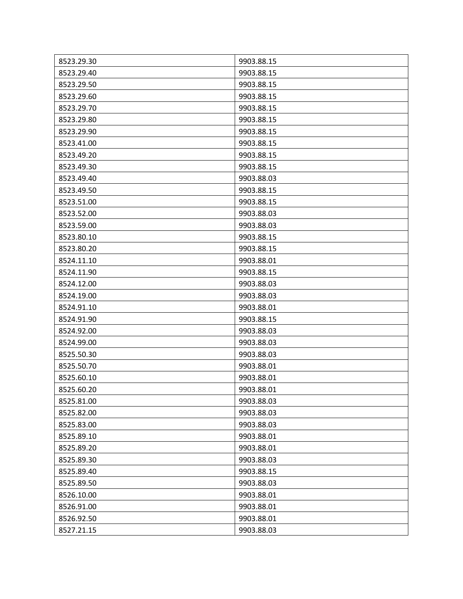| 8523.29.30 | 9903.88.15 |
|------------|------------|
| 8523.29.40 | 9903.88.15 |
| 8523.29.50 | 9903.88.15 |
| 8523.29.60 | 9903.88.15 |
| 8523.29.70 | 9903.88.15 |
| 8523.29.80 | 9903.88.15 |
| 8523.29.90 | 9903.88.15 |
| 8523.41.00 | 9903.88.15 |
| 8523.49.20 | 9903.88.15 |
| 8523.49.30 | 9903.88.15 |
| 8523.49.40 | 9903.88.03 |
| 8523.49.50 | 9903.88.15 |
| 8523.51.00 | 9903.88.15 |
| 8523.52.00 | 9903.88.03 |
| 8523.59.00 | 9903.88.03 |
| 8523.80.10 | 9903.88.15 |
| 8523.80.20 | 9903.88.15 |
| 8524.11.10 | 9903.88.01 |
| 8524.11.90 | 9903.88.15 |
| 8524.12.00 | 9903.88.03 |
| 8524.19.00 | 9903.88.03 |
| 8524.91.10 | 9903.88.01 |
| 8524.91.90 | 9903.88.15 |
| 8524.92.00 | 9903.88.03 |
| 8524.99.00 | 9903.88.03 |
| 8525.50.30 | 9903.88.03 |
| 8525.50.70 | 9903.88.01 |
| 8525.60.10 | 9903.88.01 |
| 8525.60.20 | 9903.88.01 |
| 8525.81.00 | 9903.88.03 |
| 8525.82.00 | 9903.88.03 |
| 8525.83.00 | 9903.88.03 |
| 8525.89.10 | 9903.88.01 |
| 8525.89.20 | 9903.88.01 |
| 8525.89.30 | 9903.88.03 |
| 8525.89.40 | 9903.88.15 |
| 8525.89.50 | 9903.88.03 |
| 8526.10.00 | 9903.88.01 |
| 8526.91.00 | 9903.88.01 |
| 8526.92.50 | 9903.88.01 |
| 8527.21.15 | 9903.88.03 |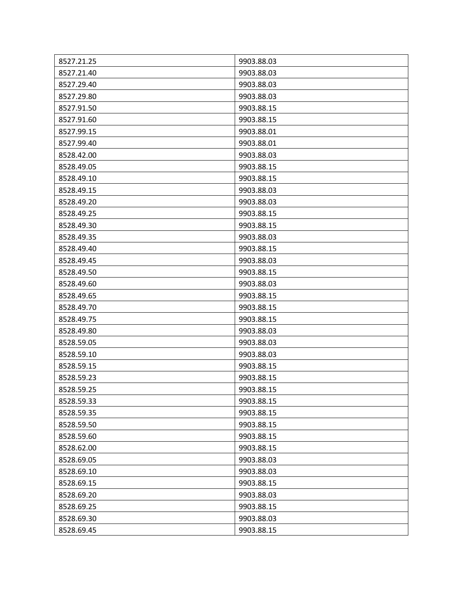| 8527.21.25 | 9903.88.03 |
|------------|------------|
| 8527.21.40 | 9903.88.03 |
| 8527.29.40 | 9903.88.03 |
| 8527.29.80 | 9903.88.03 |
| 8527.91.50 | 9903.88.15 |
| 8527.91.60 | 9903.88.15 |
| 8527.99.15 | 9903.88.01 |
| 8527.99.40 | 9903.88.01 |
| 8528.42.00 | 9903.88.03 |
| 8528.49.05 | 9903.88.15 |
| 8528.49.10 | 9903.88.15 |
| 8528.49.15 | 9903.88.03 |
| 8528.49.20 | 9903.88.03 |
| 8528.49.25 | 9903.88.15 |
| 8528.49.30 | 9903.88.15 |
| 8528.49.35 | 9903.88.03 |
| 8528.49.40 | 9903.88.15 |
| 8528.49.45 | 9903.88.03 |
| 8528.49.50 | 9903.88.15 |
| 8528.49.60 | 9903.88.03 |
| 8528.49.65 | 9903.88.15 |
| 8528.49.70 | 9903.88.15 |
| 8528.49.75 | 9903.88.15 |
| 8528.49.80 | 9903.88.03 |
| 8528.59.05 | 9903.88.03 |
| 8528.59.10 | 9903.88.03 |
| 8528.59.15 | 9903.88.15 |
| 8528.59.23 | 9903.88.15 |
| 8528.59.25 | 9903.88.15 |
| 8528.59.33 | 9903.88.15 |
| 8528.59.35 | 9903.88.15 |
| 8528.59.50 | 9903.88.15 |
| 8528.59.60 | 9903.88.15 |
| 8528.62.00 | 9903.88.15 |
| 8528.69.05 | 9903.88.03 |
| 8528.69.10 | 9903.88.03 |
| 8528.69.15 | 9903.88.15 |
| 8528.69.20 | 9903.88.03 |
| 8528.69.25 | 9903.88.15 |
| 8528.69.30 | 9903.88.03 |
| 8528.69.45 | 9903.88.15 |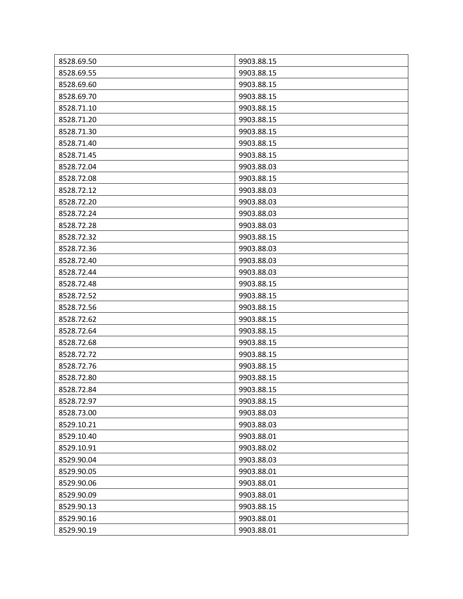| 8528.69.50 | 9903.88.15 |
|------------|------------|
| 8528.69.55 | 9903.88.15 |
| 8528.69.60 | 9903.88.15 |
| 8528.69.70 | 9903.88.15 |
| 8528.71.10 | 9903.88.15 |
| 8528.71.20 | 9903.88.15 |
| 8528.71.30 | 9903.88.15 |
| 8528.71.40 | 9903.88.15 |
| 8528.71.45 | 9903.88.15 |
| 8528.72.04 | 9903.88.03 |
| 8528.72.08 | 9903.88.15 |
| 8528.72.12 | 9903.88.03 |
| 8528.72.20 | 9903.88.03 |
| 8528.72.24 | 9903.88.03 |
| 8528.72.28 | 9903.88.03 |
| 8528.72.32 | 9903.88.15 |
| 8528.72.36 | 9903.88.03 |
| 8528.72.40 | 9903.88.03 |
| 8528.72.44 | 9903.88.03 |
| 8528.72.48 | 9903.88.15 |
| 8528.72.52 | 9903.88.15 |
| 8528.72.56 | 9903.88.15 |
| 8528.72.62 | 9903.88.15 |
| 8528.72.64 | 9903.88.15 |
| 8528.72.68 | 9903.88.15 |
| 8528.72.72 | 9903.88.15 |
| 8528.72.76 | 9903.88.15 |
| 8528.72.80 | 9903.88.15 |
| 8528.72.84 | 9903.88.15 |
| 8528.72.97 | 9903.88.15 |
| 8528.73.00 | 9903.88.03 |
| 8529.10.21 | 9903.88.03 |
| 8529.10.40 | 9903.88.01 |
| 8529.10.91 | 9903.88.02 |
| 8529.90.04 | 9903.88.03 |
| 8529.90.05 | 9903.88.01 |
| 8529.90.06 | 9903.88.01 |
| 8529.90.09 | 9903.88.01 |
| 8529.90.13 | 9903.88.15 |
| 8529.90.16 | 9903.88.01 |
| 8529.90.19 | 9903.88.01 |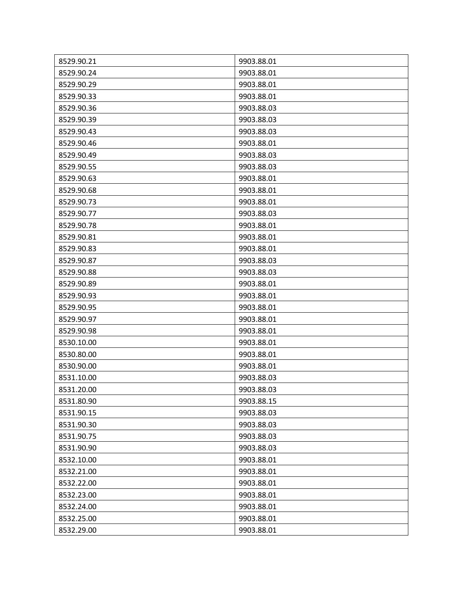| 8529.90.21 | 9903.88.01 |
|------------|------------|
| 8529.90.24 | 9903.88.01 |
| 8529.90.29 | 9903.88.01 |
| 8529.90.33 | 9903.88.01 |
| 8529.90.36 | 9903.88.03 |
| 8529.90.39 | 9903.88.03 |
| 8529.90.43 | 9903.88.03 |
| 8529.90.46 | 9903.88.01 |
| 8529.90.49 | 9903.88.03 |
| 8529.90.55 | 9903.88.03 |
| 8529.90.63 | 9903.88.01 |
| 8529.90.68 | 9903.88.01 |
| 8529.90.73 | 9903.88.01 |
| 8529.90.77 | 9903.88.03 |
| 8529.90.78 | 9903.88.01 |
| 8529.90.81 | 9903.88.01 |
| 8529.90.83 | 9903.88.01 |
| 8529.90.87 | 9903.88.03 |
| 8529.90.88 | 9903.88.03 |
| 8529.90.89 | 9903.88.01 |
| 8529.90.93 | 9903.88.01 |
| 8529.90.95 | 9903.88.01 |
| 8529.90.97 | 9903.88.01 |
| 8529.90.98 | 9903.88.01 |
| 8530.10.00 | 9903.88.01 |
| 8530.80.00 | 9903.88.01 |
| 8530.90.00 | 9903.88.01 |
| 8531.10.00 | 9903.88.03 |
| 8531.20.00 | 9903.88.03 |
| 8531.80.90 | 9903.88.15 |
| 8531.90.15 | 9903.88.03 |
| 8531.90.30 | 9903.88.03 |
| 8531.90.75 | 9903.88.03 |
| 8531.90.90 | 9903.88.03 |
| 8532.10.00 | 9903.88.01 |
| 8532.21.00 | 9903.88.01 |
| 8532.22.00 | 9903.88.01 |
| 8532.23.00 | 9903.88.01 |
| 8532.24.00 | 9903.88.01 |
| 8532.25.00 | 9903.88.01 |
| 8532.29.00 | 9903.88.01 |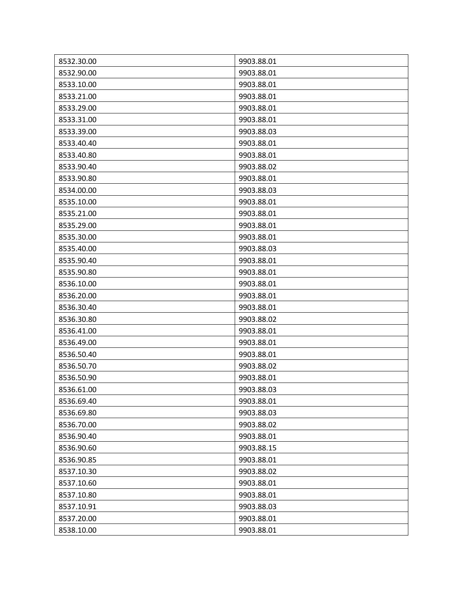| 8532.30.00 | 9903.88.01 |
|------------|------------|
| 8532.90.00 | 9903.88.01 |
| 8533.10.00 | 9903.88.01 |
| 8533.21.00 | 9903.88.01 |
| 8533.29.00 | 9903.88.01 |
| 8533.31.00 | 9903.88.01 |
| 8533.39.00 | 9903.88.03 |
| 8533.40.40 | 9903.88.01 |
| 8533.40.80 | 9903.88.01 |
| 8533.90.40 | 9903.88.02 |
| 8533.90.80 | 9903.88.01 |
| 8534.00.00 | 9903.88.03 |
| 8535.10.00 | 9903.88.01 |
| 8535.21.00 | 9903.88.01 |
| 8535.29.00 | 9903.88.01 |
| 8535.30.00 | 9903.88.01 |
| 8535.40.00 | 9903.88.03 |
| 8535.90.40 | 9903.88.01 |
| 8535.90.80 | 9903.88.01 |
| 8536.10.00 | 9903.88.01 |
| 8536.20.00 | 9903.88.01 |
| 8536.30.40 | 9903.88.01 |
| 8536.30.80 | 9903.88.02 |
| 8536.41.00 | 9903.88.01 |
| 8536.49.00 | 9903.88.01 |
| 8536.50.40 | 9903.88.01 |
| 8536.50.70 | 9903.88.02 |
| 8536.50.90 | 9903.88.01 |
| 8536.61.00 | 9903.88.03 |
| 8536.69.40 | 9903.88.01 |
| 8536.69.80 | 9903.88.03 |
| 8536.70.00 | 9903.88.02 |
| 8536.90.40 | 9903.88.01 |
| 8536.90.60 | 9903.88.15 |
| 8536.90.85 | 9903.88.01 |
| 8537.10.30 | 9903.88.02 |
| 8537.10.60 | 9903.88.01 |
| 8537.10.80 | 9903.88.01 |
| 8537.10.91 | 9903.88.03 |
| 8537.20.00 | 9903.88.01 |
| 8538.10.00 | 9903.88.01 |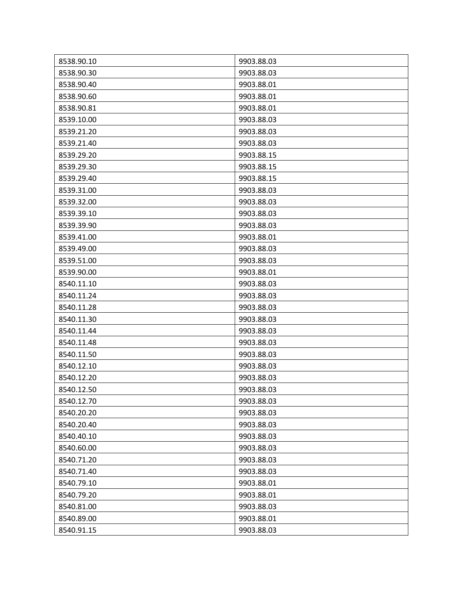| 8538.90.10 | 9903.88.03 |
|------------|------------|
| 8538.90.30 | 9903.88.03 |
| 8538.90.40 | 9903.88.01 |
| 8538.90.60 | 9903.88.01 |
| 8538.90.81 | 9903.88.01 |
| 8539.10.00 | 9903.88.03 |
| 8539.21.20 | 9903.88.03 |
| 8539.21.40 | 9903.88.03 |
| 8539.29.20 | 9903.88.15 |
| 8539.29.30 | 9903.88.15 |
| 8539.29.40 | 9903.88.15 |
| 8539.31.00 | 9903.88.03 |
| 8539.32.00 | 9903.88.03 |
| 8539.39.10 | 9903.88.03 |
| 8539.39.90 | 9903.88.03 |
| 8539.41.00 | 9903.88.01 |
| 8539.49.00 | 9903.88.03 |
| 8539.51.00 | 9903.88.03 |
| 8539.90.00 | 9903.88.01 |
| 8540.11.10 | 9903.88.03 |
| 8540.11.24 | 9903.88.03 |
| 8540.11.28 | 9903.88.03 |
| 8540.11.30 | 9903.88.03 |
| 8540.11.44 | 9903.88.03 |
| 8540.11.48 | 9903.88.03 |
| 8540.11.50 | 9903.88.03 |
| 8540.12.10 | 9903.88.03 |
| 8540.12.20 | 9903.88.03 |
| 8540.12.50 | 9903.88.03 |
| 8540.12.70 | 9903.88.03 |
| 8540.20.20 | 9903.88.03 |
| 8540.20.40 | 9903.88.03 |
| 8540.40.10 | 9903.88.03 |
| 8540.60.00 | 9903.88.03 |
| 8540.71.20 | 9903.88.03 |
| 8540.71.40 | 9903.88.03 |
| 8540.79.10 | 9903.88.01 |
| 8540.79.20 | 9903.88.01 |
| 8540.81.00 | 9903.88.03 |
| 8540.89.00 | 9903.88.01 |
| 8540.91.15 | 9903.88.03 |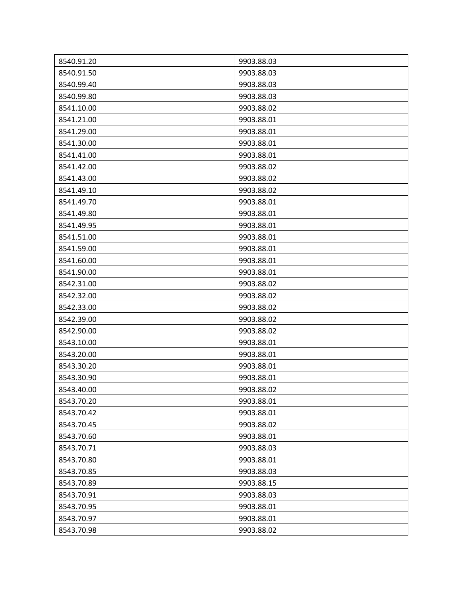| 8540.91.20 | 9903.88.03 |
|------------|------------|
| 8540.91.50 | 9903.88.03 |
| 8540.99.40 | 9903.88.03 |
| 8540.99.80 | 9903.88.03 |
| 8541.10.00 | 9903.88.02 |
| 8541.21.00 | 9903.88.01 |
| 8541.29.00 | 9903.88.01 |
| 8541.30.00 | 9903.88.01 |
| 8541.41.00 | 9903.88.01 |
| 8541.42.00 | 9903.88.02 |
| 8541.43.00 | 9903.88.02 |
| 8541.49.10 | 9903.88.02 |
| 8541.49.70 | 9903.88.01 |
| 8541.49.80 | 9903.88.01 |
| 8541.49.95 | 9903.88.01 |
| 8541.51.00 | 9903.88.01 |
| 8541.59.00 | 9903.88.01 |
| 8541.60.00 | 9903.88.01 |
| 8541.90.00 | 9903.88.01 |
| 8542.31.00 | 9903.88.02 |
| 8542.32.00 | 9903.88.02 |
| 8542.33.00 | 9903.88.02 |
| 8542.39.00 | 9903.88.02 |
| 8542.90.00 | 9903.88.02 |
| 8543.10.00 | 9903.88.01 |
| 8543.20.00 | 9903.88.01 |
| 8543.30.20 | 9903.88.01 |
| 8543.30.90 | 9903.88.01 |
| 8543.40.00 | 9903.88.02 |
| 8543.70.20 | 9903.88.01 |
| 8543.70.42 | 9903.88.01 |
| 8543.70.45 | 9903.88.02 |
| 8543.70.60 | 9903.88.01 |
| 8543.70.71 | 9903.88.03 |
| 8543.70.80 | 9903.88.01 |
| 8543.70.85 | 9903.88.03 |
| 8543.70.89 | 9903.88.15 |
| 8543.70.91 | 9903.88.03 |
| 8543.70.95 | 9903.88.01 |
| 8543.70.97 | 9903.88.01 |
| 8543.70.98 | 9903.88.02 |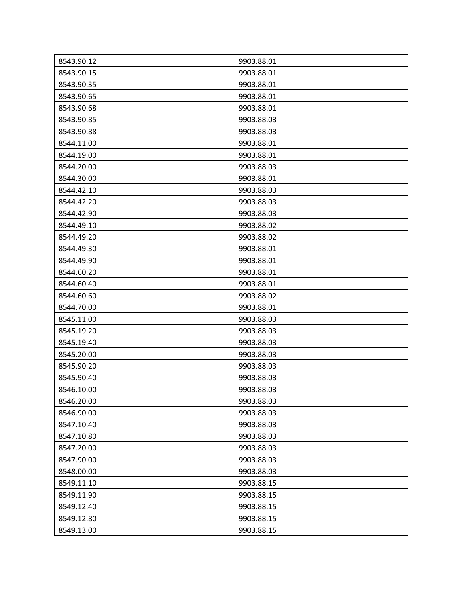| 8543.90.12 | 9903.88.01 |
|------------|------------|
| 8543.90.15 | 9903.88.01 |
| 8543.90.35 | 9903.88.01 |
| 8543.90.65 | 9903.88.01 |
| 8543.90.68 | 9903.88.01 |
| 8543.90.85 | 9903.88.03 |
| 8543.90.88 | 9903.88.03 |
| 8544.11.00 | 9903.88.01 |
| 8544.19.00 | 9903.88.01 |
| 8544.20.00 | 9903.88.03 |
| 8544.30.00 | 9903.88.01 |
| 8544.42.10 | 9903.88.03 |
| 8544.42.20 | 9903.88.03 |
| 8544.42.90 | 9903.88.03 |
| 8544.49.10 | 9903.88.02 |
| 8544.49.20 | 9903.88.02 |
| 8544.49.30 | 9903.88.01 |
| 8544.49.90 | 9903.88.01 |
| 8544.60.20 | 9903.88.01 |
| 8544.60.40 | 9903.88.01 |
| 8544.60.60 | 9903.88.02 |
| 8544.70.00 | 9903.88.01 |
| 8545.11.00 | 9903.88.03 |
| 8545.19.20 | 9903.88.03 |
| 8545.19.40 | 9903.88.03 |
| 8545.20.00 | 9903.88.03 |
| 8545.90.20 | 9903.88.03 |
| 8545.90.40 | 9903.88.03 |
| 8546.10.00 | 9903.88.03 |
| 8546.20.00 | 9903.88.03 |
| 8546.90.00 | 9903.88.03 |
| 8547.10.40 | 9903.88.03 |
| 8547.10.80 | 9903.88.03 |
| 8547.20.00 | 9903.88.03 |
| 8547.90.00 | 9903.88.03 |
| 8548.00.00 | 9903.88.03 |
| 8549.11.10 | 9903.88.15 |
| 8549.11.90 | 9903.88.15 |
| 8549.12.40 | 9903.88.15 |
| 8549.12.80 | 9903.88.15 |
| 8549.13.00 | 9903.88.15 |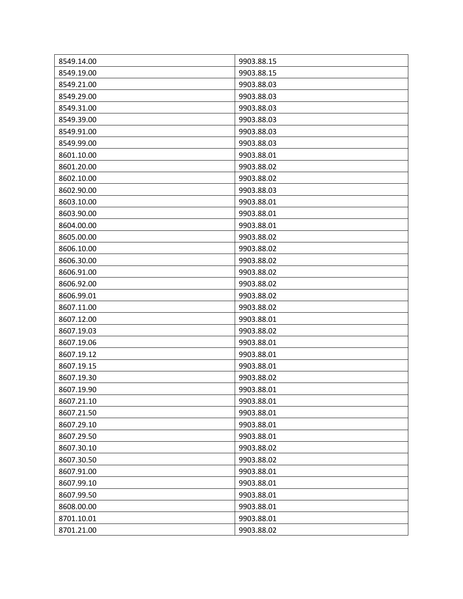| 8549.14.00 | 9903.88.15 |
|------------|------------|
| 8549.19.00 | 9903.88.15 |
| 8549.21.00 | 9903.88.03 |
| 8549.29.00 | 9903.88.03 |
| 8549.31.00 | 9903.88.03 |
| 8549.39.00 | 9903.88.03 |
| 8549.91.00 | 9903.88.03 |
| 8549.99.00 | 9903.88.03 |
| 8601.10.00 | 9903.88.01 |
| 8601.20.00 | 9903.88.02 |
| 8602.10.00 | 9903.88.02 |
| 8602.90.00 | 9903.88.03 |
| 8603.10.00 | 9903.88.01 |
| 8603.90.00 | 9903.88.01 |
| 8604.00.00 | 9903.88.01 |
| 8605.00.00 | 9903.88.02 |
| 8606.10.00 | 9903.88.02 |
| 8606.30.00 | 9903.88.02 |
| 8606.91.00 | 9903.88.02 |
| 8606.92.00 | 9903.88.02 |
| 8606.99.01 | 9903.88.02 |
| 8607.11.00 | 9903.88.02 |
| 8607.12.00 | 9903.88.01 |
| 8607.19.03 | 9903.88.02 |
| 8607.19.06 | 9903.88.01 |
| 8607.19.12 | 9903.88.01 |
| 8607.19.15 | 9903.88.01 |
| 8607.19.30 | 9903.88.02 |
| 8607.19.90 | 9903.88.01 |
| 8607.21.10 | 9903.88.01 |
| 8607.21.50 | 9903.88.01 |
| 8607.29.10 | 9903.88.01 |
| 8607.29.50 | 9903.88.01 |
| 8607.30.10 | 9903.88.02 |
| 8607.30.50 | 9903.88.02 |
| 8607.91.00 | 9903.88.01 |
| 8607.99.10 | 9903.88.01 |
| 8607.99.50 | 9903.88.01 |
| 8608.00.00 | 9903.88.01 |
| 8701.10.01 | 9903.88.01 |
| 8701.21.00 | 9903.88.02 |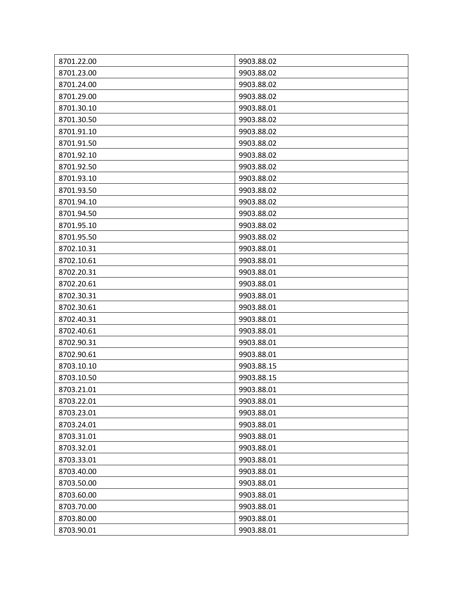| 8701.22.00 | 9903.88.02 |
|------------|------------|
| 8701.23.00 | 9903.88.02 |
| 8701.24.00 | 9903.88.02 |
| 8701.29.00 | 9903.88.02 |
| 8701.30.10 | 9903.88.01 |
| 8701.30.50 | 9903.88.02 |
| 8701.91.10 | 9903.88.02 |
| 8701.91.50 | 9903.88.02 |
| 8701.92.10 | 9903.88.02 |
| 8701.92.50 | 9903.88.02 |
| 8701.93.10 | 9903.88.02 |
| 8701.93.50 | 9903.88.02 |
| 8701.94.10 | 9903.88.02 |
| 8701.94.50 | 9903.88.02 |
| 8701.95.10 | 9903.88.02 |
| 8701.95.50 | 9903.88.02 |
| 8702.10.31 | 9903.88.01 |
| 8702.10.61 | 9903.88.01 |
| 8702.20.31 | 9903.88.01 |
| 8702.20.61 | 9903.88.01 |
| 8702.30.31 | 9903.88.01 |
| 8702.30.61 | 9903.88.01 |
| 8702.40.31 | 9903.88.01 |
| 8702.40.61 | 9903.88.01 |
| 8702.90.31 | 9903.88.01 |
| 8702.90.61 | 9903.88.01 |
| 8703.10.10 | 9903.88.15 |
| 8703.10.50 | 9903.88.15 |
| 8703.21.01 | 9903.88.01 |
| 8703.22.01 | 9903.88.01 |
| 8703.23.01 | 9903.88.01 |
| 8703.24.01 | 9903.88.01 |
| 8703.31.01 | 9903.88.01 |
| 8703.32.01 | 9903.88.01 |
| 8703.33.01 | 9903.88.01 |
| 8703.40.00 | 9903.88.01 |
| 8703.50.00 | 9903.88.01 |
| 8703.60.00 | 9903.88.01 |
| 8703.70.00 | 9903.88.01 |
| 8703.80.00 | 9903.88.01 |
| 8703.90.01 | 9903.88.01 |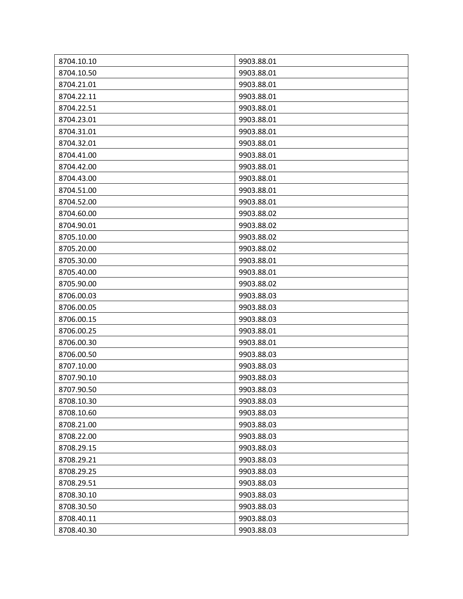| 8704.10.10 | 9903.88.01 |
|------------|------------|
| 8704.10.50 | 9903.88.01 |
| 8704.21.01 | 9903.88.01 |
| 8704.22.11 | 9903.88.01 |
| 8704.22.51 | 9903.88.01 |
| 8704.23.01 | 9903.88.01 |
| 8704.31.01 | 9903.88.01 |
| 8704.32.01 | 9903.88.01 |
| 8704.41.00 | 9903.88.01 |
| 8704.42.00 | 9903.88.01 |
| 8704.43.00 | 9903.88.01 |
| 8704.51.00 | 9903.88.01 |
| 8704.52.00 | 9903.88.01 |
| 8704.60.00 | 9903.88.02 |
| 8704.90.01 | 9903.88.02 |
| 8705.10.00 | 9903.88.02 |
| 8705.20.00 | 9903.88.02 |
| 8705.30.00 | 9903.88.01 |
| 8705.40.00 | 9903.88.01 |
| 8705.90.00 | 9903.88.02 |
| 8706.00.03 | 9903.88.03 |
| 8706.00.05 | 9903.88.03 |
| 8706.00.15 | 9903.88.03 |
| 8706.00.25 | 9903.88.01 |
| 8706.00.30 | 9903.88.01 |
| 8706.00.50 | 9903.88.03 |
| 8707.10.00 | 9903.88.03 |
| 8707.90.10 | 9903.88.03 |
| 8707.90.50 | 9903.88.03 |
| 8708.10.30 | 9903.88.03 |
| 8708.10.60 | 9903.88.03 |
| 8708.21.00 | 9903.88.03 |
| 8708.22.00 | 9903.88.03 |
| 8708.29.15 | 9903.88.03 |
| 8708.29.21 | 9903.88.03 |
| 8708.29.25 | 9903.88.03 |
| 8708.29.51 | 9903.88.03 |
| 8708.30.10 | 9903.88.03 |
| 8708.30.50 | 9903.88.03 |
| 8708.40.11 | 9903.88.03 |
| 8708.40.30 | 9903.88.03 |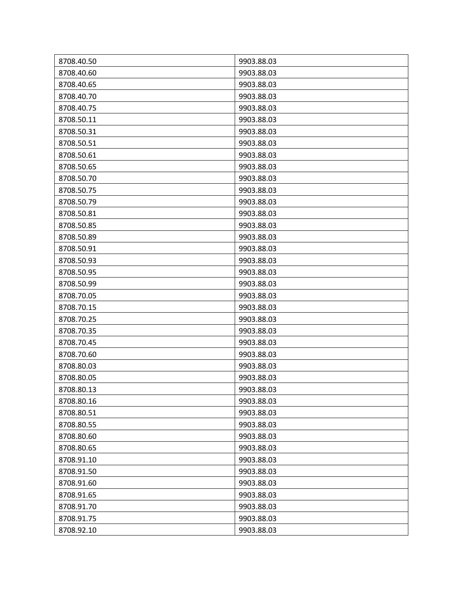| 8708.40.50<br>8708.40.60 | 9903.88.03<br>9903.88.03 |
|--------------------------|--------------------------|
| 8708.40.65               | 9903.88.03               |
|                          |                          |
| 8708.40.70               | 9903.88.03               |
| 8708.40.75               | 9903.88.03               |
| 8708.50.11               | 9903.88.03               |
| 8708.50.31               | 9903.88.03               |
| 8708.50.51               | 9903.88.03               |
| 8708.50.61               | 9903.88.03               |
| 8708.50.65               | 9903.88.03               |
| 8708.50.70               | 9903.88.03               |
| 8708.50.75               | 9903.88.03               |
| 8708.50.79               | 9903.88.03               |
| 8708.50.81               | 9903.88.03               |
| 8708.50.85               | 9903.88.03               |
| 8708.50.89               | 9903.88.03               |
| 8708.50.91               | 9903.88.03               |
| 8708.50.93               | 9903.88.03               |
| 8708.50.95               | 9903.88.03               |
| 8708.50.99               | 9903.88.03               |
| 8708.70.05               | 9903.88.03               |
| 8708.70.15               | 9903.88.03               |
| 8708.70.25               | 9903.88.03               |
| 8708.70.35               | 9903.88.03               |
| 8708.70.45               | 9903.88.03               |
| 8708.70.60               | 9903.88.03               |
| 8708.80.03               | 9903.88.03               |
| 8708.80.05               | 9903.88.03               |
| 8708.80.13               | 9903.88.03               |
| 8708.80.16               | 9903.88.03               |
| 8708.80.51               | 9903.88.03               |
| 8708.80.55               | 9903.88.03               |
| 8708.80.60               | 9903.88.03               |
| 8708.80.65               | 9903.88.03               |
| 8708.91.10               | 9903.88.03               |
| 8708.91.50               | 9903.88.03               |
| 8708.91.60               | 9903.88.03               |
| 8708.91.65               | 9903.88.03               |
| 8708.91.70               | 9903.88.03               |
| 8708.91.75               | 9903.88.03               |
| 8708.92.10               | 9903.88.03               |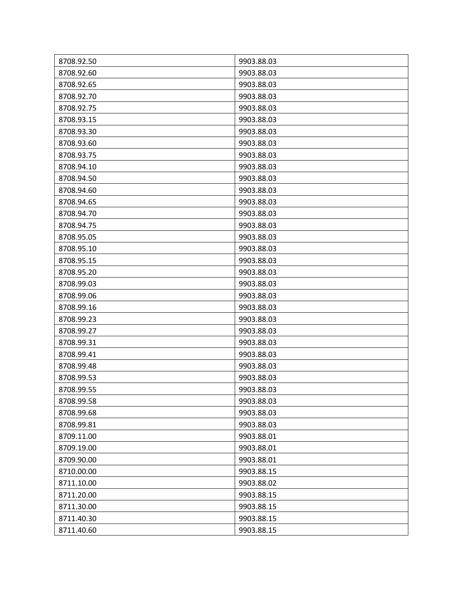| 8708.92.50 | 9903.88.03 |
|------------|------------|
| 8708.92.60 | 9903.88.03 |
| 8708.92.65 | 9903.88.03 |
| 8708.92.70 | 9903.88.03 |
| 8708.92.75 | 9903.88.03 |
| 8708.93.15 | 9903.88.03 |
| 8708.93.30 | 9903.88.03 |
| 8708.93.60 | 9903.88.03 |
| 8708.93.75 | 9903.88.03 |
| 8708.94.10 | 9903.88.03 |
| 8708.94.50 | 9903.88.03 |
| 8708.94.60 | 9903.88.03 |
| 8708.94.65 | 9903.88.03 |
| 8708.94.70 | 9903.88.03 |
| 8708.94.75 | 9903.88.03 |
| 8708.95.05 | 9903.88.03 |
| 8708.95.10 | 9903.88.03 |
| 8708.95.15 | 9903.88.03 |
| 8708.95.20 | 9903.88.03 |
| 8708.99.03 | 9903.88.03 |
| 8708.99.06 | 9903.88.03 |
| 8708.99.16 | 9903.88.03 |
| 8708.99.23 | 9903.88.03 |
| 8708.99.27 | 9903.88.03 |
| 8708.99.31 | 9903.88.03 |
| 8708.99.41 | 9903.88.03 |
| 8708.99.48 | 9903.88.03 |
| 8708.99.53 | 9903.88.03 |
| 8708.99.55 | 9903.88.03 |
| 8708.99.58 | 9903.88.03 |
| 8708.99.68 | 9903.88.03 |
| 8708.99.81 | 9903.88.03 |
| 8709.11.00 | 9903.88.01 |
| 8709.19.00 | 9903.88.01 |
| 8709.90.00 | 9903.88.01 |
| 8710.00.00 | 9903.88.15 |
| 8711.10.00 | 9903.88.02 |
| 8711.20.00 | 9903.88.15 |
| 8711.30.00 | 9903.88.15 |
| 8711.40.30 | 9903.88.15 |
| 8711.40.60 | 9903.88.15 |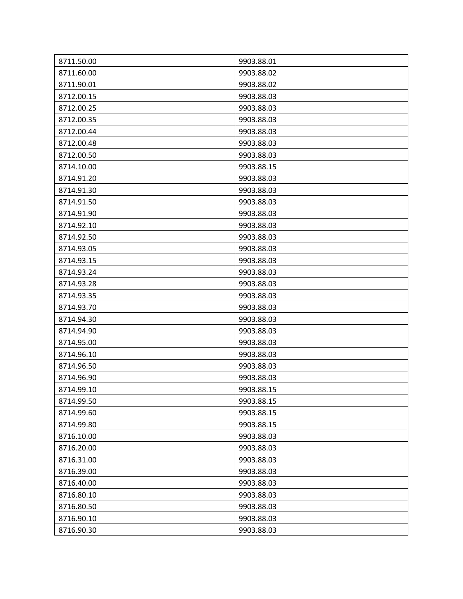| 8711.50.00               | 9903.88.01 |
|--------------------------|------------|
| 8711.60.00<br>8711.90.01 | 9903.88.02 |
|                          | 9903.88.02 |
| 8712.00.15               | 9903.88.03 |
| 8712.00.25               | 9903.88.03 |
| 8712.00.35               | 9903.88.03 |
| 8712.00.44               | 9903.88.03 |
| 8712.00.48               | 9903.88.03 |
| 8712.00.50               | 9903.88.03 |
| 8714.10.00               | 9903.88.15 |
| 8714.91.20               | 9903.88.03 |
| 8714.91.30               | 9903.88.03 |
| 8714.91.50               | 9903.88.03 |
| 8714.91.90               | 9903.88.03 |
| 8714.92.10               | 9903.88.03 |
| 8714.92.50               | 9903.88.03 |
| 8714.93.05               | 9903.88.03 |
| 8714.93.15               | 9903.88.03 |
| 8714.93.24               | 9903.88.03 |
| 8714.93.28               | 9903.88.03 |
| 8714.93.35               | 9903.88.03 |
| 8714.93.70               | 9903.88.03 |
| 8714.94.30               | 9903.88.03 |
| 8714.94.90               | 9903.88.03 |
| 8714.95.00               | 9903.88.03 |
| 8714.96.10               | 9903.88.03 |
| 8714.96.50               | 9903.88.03 |
| 8714.96.90               | 9903.88.03 |
| 8714.99.10               | 9903.88.15 |
| 8714.99.50               | 9903.88.15 |
| 8714.99.60               | 9903.88.15 |
| 8714.99.80               | 9903.88.15 |
| 8716.10.00               | 9903.88.03 |
| 8716.20.00               | 9903.88.03 |
| 8716.31.00               | 9903.88.03 |
| 8716.39.00               | 9903.88.03 |
| 8716.40.00               | 9903.88.03 |
| 8716.80.10               | 9903.88.03 |
|                          |            |
| 8716.80.50               | 9903.88.03 |
| 8716.90.10               | 9903.88.03 |
| 8716.90.30               | 9903.88.03 |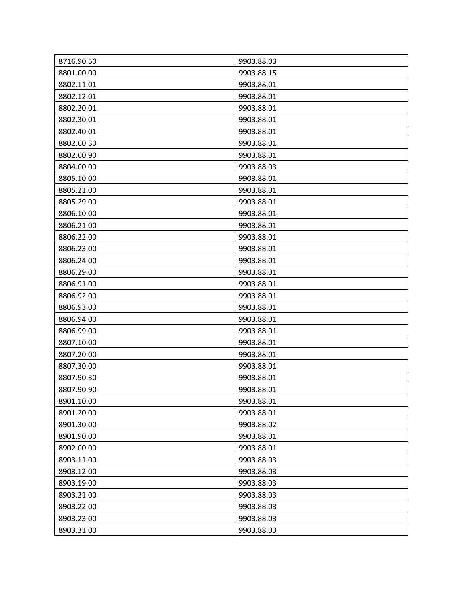| 8716.90.50 | 9903.88.03 |
|------------|------------|
| 8801.00.00 | 9903.88.15 |
| 8802.11.01 | 9903.88.01 |
| 8802.12.01 | 9903.88.01 |
| 8802.20.01 | 9903.88.01 |
| 8802.30.01 | 9903.88.01 |
| 8802.40.01 | 9903.88.01 |
| 8802.60.30 | 9903.88.01 |
| 8802.60.90 | 9903.88.01 |
| 8804.00.00 | 9903.88.03 |
| 8805.10.00 | 9903.88.01 |
| 8805.21.00 | 9903.88.01 |
| 8805.29.00 | 9903.88.01 |
| 8806.10.00 | 9903.88.01 |
| 8806.21.00 | 9903.88.01 |
| 8806.22.00 | 9903.88.01 |
| 8806.23.00 | 9903.88.01 |
| 8806.24.00 | 9903.88.01 |
| 8806.29.00 | 9903.88.01 |
| 8806.91.00 | 9903.88.01 |
| 8806.92.00 | 9903.88.01 |
| 8806.93.00 | 9903.88.01 |
| 8806.94.00 | 9903.88.01 |
| 8806.99.00 | 9903.88.01 |
| 8807.10.00 | 9903.88.01 |
| 8807.20.00 | 9903.88.01 |
| 8807.30.00 | 9903.88.01 |
| 8807.90.30 | 9903.88.01 |
| 8807.90.90 | 9903.88.01 |
| 8901.10.00 | 9903.88.01 |
| 8901.20.00 | 9903.88.01 |
| 8901.30.00 | 9903.88.02 |
| 8901.90.00 | 9903.88.01 |
| 8902.00.00 | 9903.88.01 |
| 8903.11.00 | 9903.88.03 |
| 8903.12.00 | 9903.88.03 |
| 8903.19.00 | 9903.88.03 |
| 8903.21.00 | 9903.88.03 |
| 8903.22.00 | 9903.88.03 |
| 8903.23.00 | 9903.88.03 |
| 8903.31.00 | 9903.88.03 |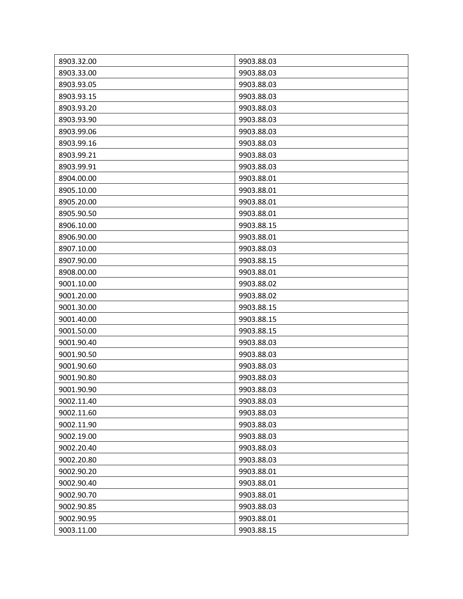| 8903.32.00 | 9903.88.03 |
|------------|------------|
| 8903.33.00 | 9903.88.03 |
| 8903.93.05 | 9903.88.03 |
| 8903.93.15 | 9903.88.03 |
| 8903.93.20 | 9903.88.03 |
| 8903.93.90 | 9903.88.03 |
| 8903.99.06 | 9903.88.03 |
| 8903.99.16 | 9903.88.03 |
| 8903.99.21 | 9903.88.03 |
| 8903.99.91 | 9903.88.03 |
| 8904.00.00 | 9903.88.01 |
| 8905.10.00 | 9903.88.01 |
| 8905.20.00 | 9903.88.01 |
| 8905.90.50 | 9903.88.01 |
| 8906.10.00 | 9903.88.15 |
| 8906.90.00 | 9903.88.01 |
| 8907.10.00 | 9903.88.03 |
| 8907.90.00 | 9903.88.15 |
| 8908.00.00 | 9903.88.01 |
| 9001.10.00 | 9903.88.02 |
| 9001.20.00 | 9903.88.02 |
| 9001.30.00 | 9903.88.15 |
| 9001.40.00 | 9903.88.15 |
| 9001.50.00 | 9903.88.15 |
| 9001.90.40 | 9903.88.03 |
| 9001.90.50 | 9903.88.03 |
| 9001.90.60 | 9903.88.03 |
| 9001.90.80 | 9903.88.03 |
| 9001.90.90 | 9903.88.03 |
| 9002.11.40 | 9903.88.03 |
| 9002.11.60 | 9903.88.03 |
| 9002.11.90 | 9903.88.03 |
| 9002.19.00 | 9903.88.03 |
| 9002.20.40 | 9903.88.03 |
| 9002.20.80 | 9903.88.03 |
| 9002.90.20 | 9903.88.01 |
| 9002.90.40 | 9903.88.01 |
| 9002.90.70 | 9903.88.01 |
| 9002.90.85 | 9903.88.03 |
| 9002.90.95 | 9903.88.01 |
| 9003.11.00 | 9903.88.15 |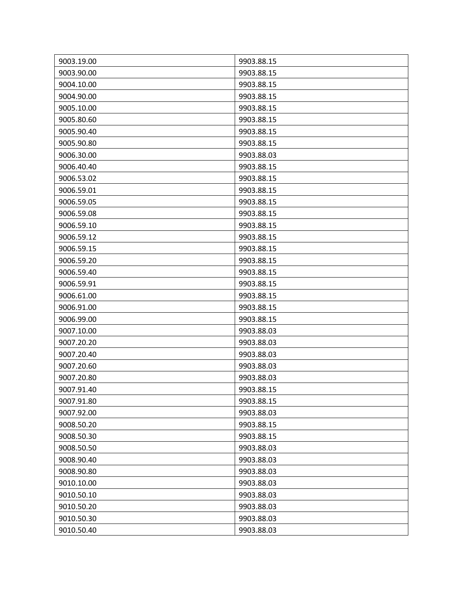| 9003.19.00 | 9903.88.15 |
|------------|------------|
| 9003.90.00 | 9903.88.15 |
| 9004.10.00 | 9903.88.15 |
| 9004.90.00 | 9903.88.15 |
| 9005.10.00 | 9903.88.15 |
| 9005.80.60 | 9903.88.15 |
| 9005.90.40 | 9903.88.15 |
| 9005.90.80 | 9903.88.15 |
| 9006.30.00 | 9903.88.03 |
| 9006.40.40 | 9903.88.15 |
| 9006.53.02 | 9903.88.15 |
| 9006.59.01 | 9903.88.15 |
| 9006.59.05 | 9903.88.15 |
| 9006.59.08 | 9903.88.15 |
| 9006.59.10 | 9903.88.15 |
| 9006.59.12 | 9903.88.15 |
| 9006.59.15 | 9903.88.15 |
| 9006.59.20 | 9903.88.15 |
| 9006.59.40 | 9903.88.15 |
| 9006.59.91 | 9903.88.15 |
| 9006.61.00 | 9903.88.15 |
| 9006.91.00 | 9903.88.15 |
| 9006.99.00 | 9903.88.15 |
| 9007.10.00 | 9903.88.03 |
| 9007.20.20 | 9903.88.03 |
| 9007.20.40 | 9903.88.03 |
| 9007.20.60 | 9903.88.03 |
| 9007.20.80 | 9903.88.03 |
| 9007.91.40 | 9903.88.15 |
| 9007.91.80 | 9903.88.15 |
| 9007.92.00 | 9903.88.03 |
| 9008.50.20 | 9903.88.15 |
| 9008.50.30 | 9903.88.15 |
| 9008.50.50 | 9903.88.03 |
| 9008.90.40 | 9903.88.03 |
| 9008.90.80 | 9903.88.03 |
| 9010.10.00 | 9903.88.03 |
| 9010.50.10 | 9903.88.03 |
| 9010.50.20 | 9903.88.03 |
| 9010.50.30 | 9903.88.03 |
| 9010.50.40 | 9903.88.03 |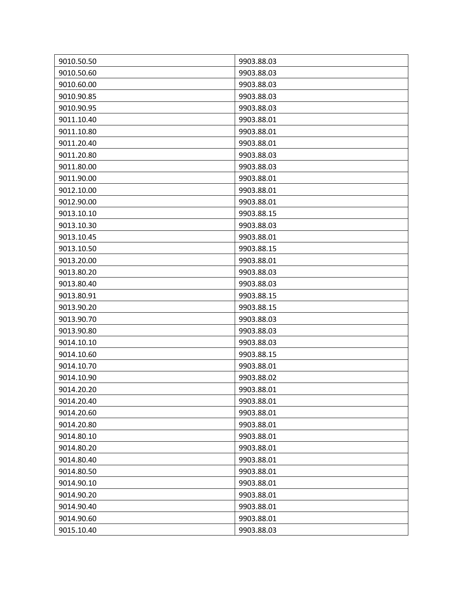| 9010.50.50 | 9903.88.03 |
|------------|------------|
| 9010.50.60 | 9903.88.03 |
| 9010.60.00 | 9903.88.03 |
| 9010.90.85 | 9903.88.03 |
| 9010.90.95 | 9903.88.03 |
| 9011.10.40 | 9903.88.01 |
| 9011.10.80 | 9903.88.01 |
| 9011.20.40 | 9903.88.01 |
| 9011.20.80 | 9903.88.03 |
| 9011.80.00 | 9903.88.03 |
| 9011.90.00 | 9903.88.01 |
| 9012.10.00 | 9903.88.01 |
| 9012.90.00 | 9903.88.01 |
| 9013.10.10 | 9903.88.15 |
| 9013.10.30 | 9903.88.03 |
| 9013.10.45 | 9903.88.01 |
| 9013.10.50 | 9903.88.15 |
| 9013.20.00 | 9903.88.01 |
| 9013.80.20 | 9903.88.03 |
| 9013.80.40 | 9903.88.03 |
| 9013.80.91 | 9903.88.15 |
| 9013.90.20 | 9903.88.15 |
| 9013.90.70 | 9903.88.03 |
| 9013.90.80 | 9903.88.03 |
| 9014.10.10 | 9903.88.03 |
| 9014.10.60 | 9903.88.15 |
| 9014.10.70 | 9903.88.01 |
| 9014.10.90 | 9903.88.02 |
| 9014.20.20 | 9903.88.01 |
| 9014.20.40 | 9903.88.01 |
| 9014.20.60 | 9903.88.01 |
| 9014.20.80 | 9903.88.01 |
| 9014.80.10 | 9903.88.01 |
| 9014.80.20 | 9903.88.01 |
| 9014.80.40 | 9903.88.01 |
| 9014.80.50 | 9903.88.01 |
| 9014.90.10 | 9903.88.01 |
| 9014.90.20 | 9903.88.01 |
| 9014.90.40 | 9903.88.01 |
| 9014.90.60 | 9903.88.01 |
| 9015.10.40 | 9903.88.03 |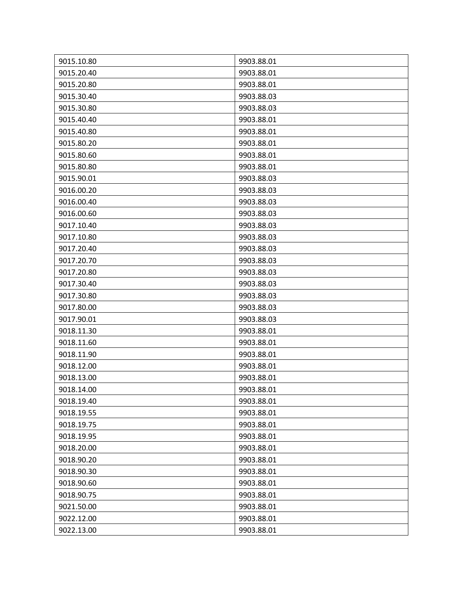| 9015.10.80 | 9903.88.01 |
|------------|------------|
| 9015.20.40 | 9903.88.01 |
| 9015.20.80 | 9903.88.01 |
| 9015.30.40 | 9903.88.03 |
| 9015.30.80 | 9903.88.03 |
| 9015.40.40 | 9903.88.01 |
| 9015.40.80 | 9903.88.01 |
| 9015.80.20 | 9903.88.01 |
| 9015.80.60 | 9903.88.01 |
| 9015.80.80 | 9903.88.01 |
| 9015.90.01 | 9903.88.03 |
| 9016.00.20 | 9903.88.03 |
| 9016.00.40 | 9903.88.03 |
| 9016.00.60 | 9903.88.03 |
| 9017.10.40 | 9903.88.03 |
| 9017.10.80 | 9903.88.03 |
| 9017.20.40 | 9903.88.03 |
| 9017.20.70 | 9903.88.03 |
| 9017.20.80 | 9903.88.03 |
| 9017.30.40 | 9903.88.03 |
| 9017.30.80 | 9903.88.03 |
| 9017.80.00 | 9903.88.03 |
| 9017.90.01 | 9903.88.03 |
| 9018.11.30 | 9903.88.01 |
| 9018.11.60 | 9903.88.01 |
| 9018.11.90 | 9903.88.01 |
| 9018.12.00 | 9903.88.01 |
| 9018.13.00 | 9903.88.01 |
| 9018.14.00 | 9903.88.01 |
| 9018.19.40 | 9903.88.01 |
| 9018.19.55 | 9903.88.01 |
| 9018.19.75 | 9903.88.01 |
| 9018.19.95 | 9903.88.01 |
| 9018.20.00 | 9903.88.01 |
| 9018.90.20 | 9903.88.01 |
| 9018.90.30 | 9903.88.01 |
| 9018.90.60 | 9903.88.01 |
| 9018.90.75 | 9903.88.01 |
| 9021.50.00 | 9903.88.01 |
| 9022.12.00 | 9903.88.01 |
| 9022.13.00 | 9903.88.01 |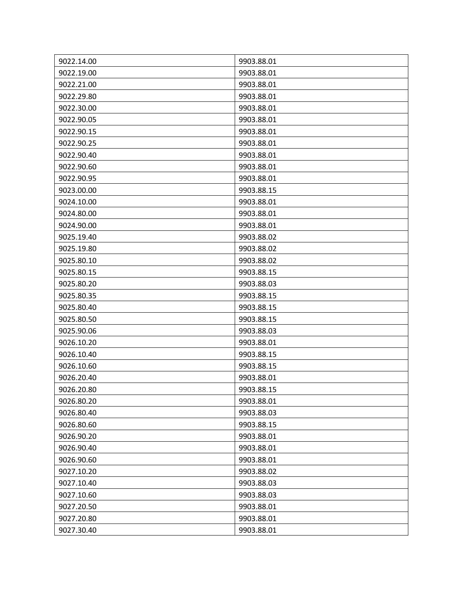| 9022.14.00 | 9903.88.01 |
|------------|------------|
| 9022.19.00 | 9903.88.01 |
| 9022.21.00 | 9903.88.01 |
| 9022.29.80 | 9903.88.01 |
| 9022.30.00 | 9903.88.01 |
| 9022.90.05 | 9903.88.01 |
| 9022.90.15 | 9903.88.01 |
| 9022.90.25 | 9903.88.01 |
| 9022.90.40 | 9903.88.01 |
| 9022.90.60 | 9903.88.01 |
| 9022.90.95 | 9903.88.01 |
| 9023.00.00 | 9903.88.15 |
| 9024.10.00 | 9903.88.01 |
| 9024.80.00 | 9903.88.01 |
| 9024.90.00 | 9903.88.01 |
| 9025.19.40 | 9903.88.02 |
| 9025.19.80 | 9903.88.02 |
| 9025.80.10 | 9903.88.02 |
| 9025.80.15 | 9903.88.15 |
| 9025.80.20 | 9903.88.03 |
| 9025.80.35 | 9903.88.15 |
| 9025.80.40 | 9903.88.15 |
| 9025.80.50 | 9903.88.15 |
| 9025.90.06 | 9903.88.03 |
| 9026.10.20 | 9903.88.01 |
| 9026.10.40 | 9903.88.15 |
| 9026.10.60 | 9903.88.15 |
| 9026.20.40 | 9903.88.01 |
| 9026.20.80 | 9903.88.15 |
| 9026.80.20 | 9903.88.01 |
| 9026.80.40 | 9903.88.03 |
| 9026.80.60 | 9903.88.15 |
| 9026.90.20 | 9903.88.01 |
| 9026.90.40 | 9903.88.01 |
| 9026.90.60 | 9903.88.01 |
| 9027.10.20 | 9903.88.02 |
| 9027.10.40 | 9903.88.03 |
| 9027.10.60 | 9903.88.03 |
| 9027.20.50 | 9903.88.01 |
| 9027.20.80 | 9903.88.01 |
| 9027.30.40 | 9903.88.01 |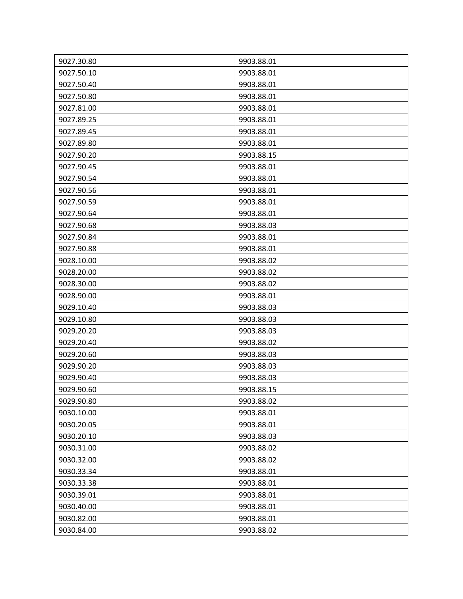| 9027.30.80 | 9903.88.01 |
|------------|------------|
| 9027.50.10 | 9903.88.01 |
| 9027.50.40 | 9903.88.01 |
| 9027.50.80 | 9903.88.01 |
| 9027.81.00 | 9903.88.01 |
| 9027.89.25 | 9903.88.01 |
| 9027.89.45 | 9903.88.01 |
| 9027.89.80 | 9903.88.01 |
| 9027.90.20 | 9903.88.15 |
| 9027.90.45 | 9903.88.01 |
| 9027.90.54 | 9903.88.01 |
| 9027.90.56 | 9903.88.01 |
| 9027.90.59 | 9903.88.01 |
| 9027.90.64 | 9903.88.01 |
| 9027.90.68 | 9903.88.03 |
| 9027.90.84 | 9903.88.01 |
| 9027.90.88 | 9903.88.01 |
| 9028.10.00 | 9903.88.02 |
| 9028.20.00 | 9903.88.02 |
| 9028.30.00 | 9903.88.02 |
| 9028.90.00 | 9903.88.01 |
| 9029.10.40 | 9903.88.03 |
| 9029.10.80 | 9903.88.03 |
| 9029.20.20 | 9903.88.03 |
| 9029.20.40 | 9903.88.02 |
| 9029.20.60 | 9903.88.03 |
| 9029.90.20 | 9903.88.03 |
| 9029.90.40 | 9903.88.03 |
| 9029.90.60 | 9903.88.15 |
| 9029.90.80 | 9903.88.02 |
| 9030.10.00 | 9903.88.01 |
| 9030.20.05 | 9903.88.01 |
| 9030.20.10 | 9903.88.03 |
| 9030.31.00 | 9903.88.02 |
| 9030.32.00 | 9903.88.02 |
| 9030.33.34 | 9903.88.01 |
| 9030.33.38 | 9903.88.01 |
| 9030.39.01 | 9903.88.01 |
| 9030.40.00 | 9903.88.01 |
| 9030.82.00 | 9903.88.01 |
| 9030.84.00 | 9903.88.02 |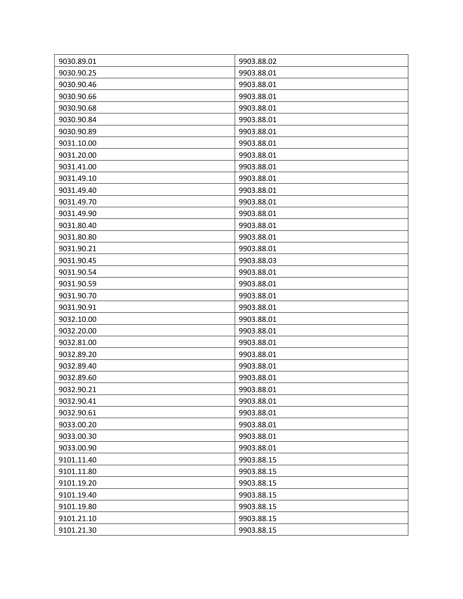| 9030.89.01 | 9903.88.02 |
|------------|------------|
| 9030.90.25 | 9903.88.01 |
| 9030.90.46 | 9903.88.01 |
| 9030.90.66 | 9903.88.01 |
| 9030.90.68 | 9903.88.01 |
| 9030.90.84 | 9903.88.01 |
| 9030.90.89 | 9903.88.01 |
| 9031.10.00 | 9903.88.01 |
| 9031.20.00 | 9903.88.01 |
| 9031.41.00 | 9903.88.01 |
| 9031.49.10 | 9903.88.01 |
| 9031.49.40 | 9903.88.01 |
| 9031.49.70 | 9903.88.01 |
| 9031.49.90 | 9903.88.01 |
| 9031.80.40 | 9903.88.01 |
| 9031.80.80 | 9903.88.01 |
| 9031.90.21 | 9903.88.01 |
| 9031.90.45 | 9903.88.03 |
| 9031.90.54 | 9903.88.01 |
| 9031.90.59 | 9903.88.01 |
| 9031.90.70 | 9903.88.01 |
| 9031.90.91 | 9903.88.01 |
| 9032.10.00 | 9903.88.01 |
| 9032.20.00 | 9903.88.01 |
| 9032.81.00 | 9903.88.01 |
| 9032.89.20 | 9903.88.01 |
| 9032.89.40 | 9903.88.01 |
| 9032.89.60 | 9903.88.01 |
| 9032.90.21 | 9903.88.01 |
| 9032.90.41 | 9903.88.01 |
| 9032.90.61 | 9903.88.01 |
| 9033.00.20 | 9903.88.01 |
| 9033.00.30 | 9903.88.01 |
| 9033.00.90 | 9903.88.01 |
| 9101.11.40 | 9903.88.15 |
| 9101.11.80 | 9903.88.15 |
| 9101.19.20 | 9903.88.15 |
| 9101.19.40 | 9903.88.15 |
| 9101.19.80 | 9903.88.15 |
| 9101.21.10 | 9903.88.15 |
| 9101.21.30 | 9903.88.15 |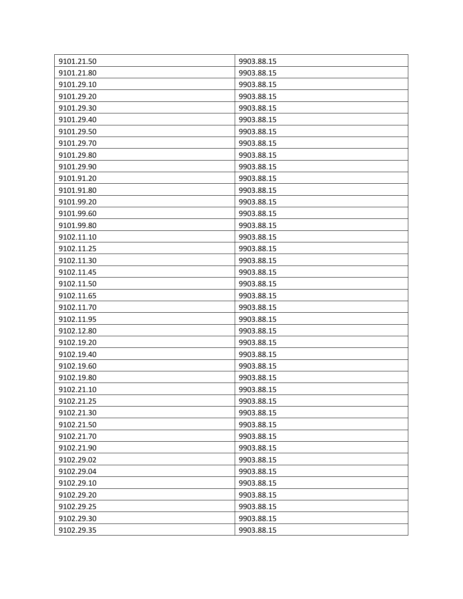| 9101.21.50 | 9903.88.15 |
|------------|------------|
| 9101.21.80 | 9903.88.15 |
| 9101.29.10 | 9903.88.15 |
| 9101.29.20 | 9903.88.15 |
| 9101.29.30 | 9903.88.15 |
| 9101.29.40 | 9903.88.15 |
| 9101.29.50 | 9903.88.15 |
| 9101.29.70 | 9903.88.15 |
| 9101.29.80 | 9903.88.15 |
| 9101.29.90 | 9903.88.15 |
| 9101.91.20 | 9903.88.15 |
| 9101.91.80 | 9903.88.15 |
| 9101.99.20 | 9903.88.15 |
| 9101.99.60 | 9903.88.15 |
| 9101.99.80 | 9903.88.15 |
| 9102.11.10 | 9903.88.15 |
| 9102.11.25 | 9903.88.15 |
| 9102.11.30 | 9903.88.15 |
| 9102.11.45 | 9903.88.15 |
| 9102.11.50 | 9903.88.15 |
| 9102.11.65 | 9903.88.15 |
| 9102.11.70 | 9903.88.15 |
| 9102.11.95 | 9903.88.15 |
| 9102.12.80 | 9903.88.15 |
| 9102.19.20 | 9903.88.15 |
| 9102.19.40 | 9903.88.15 |
| 9102.19.60 | 9903.88.15 |
| 9102.19.80 | 9903.88.15 |
| 9102.21.10 | 9903.88.15 |
| 9102.21.25 | 9903.88.15 |
| 9102.21.30 | 9903.88.15 |
| 9102.21.50 | 9903.88.15 |
| 9102.21.70 | 9903.88.15 |
| 9102.21.90 | 9903.88.15 |
| 9102.29.02 | 9903.88.15 |
| 9102.29.04 | 9903.88.15 |
| 9102.29.10 | 9903.88.15 |
| 9102.29.20 | 9903.88.15 |
| 9102.29.25 | 9903.88.15 |
| 9102.29.30 | 9903.88.15 |
| 9102.29.35 | 9903.88.15 |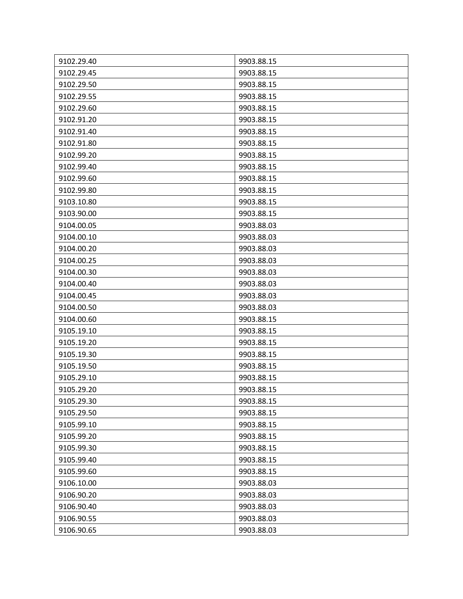| 9102.29.40 | 9903.88.15 |
|------------|------------|
| 9102.29.45 | 9903.88.15 |
| 9102.29.50 | 9903.88.15 |
| 9102.29.55 | 9903.88.15 |
| 9102.29.60 | 9903.88.15 |
| 9102.91.20 | 9903.88.15 |
| 9102.91.40 | 9903.88.15 |
| 9102.91.80 | 9903.88.15 |
| 9102.99.20 | 9903.88.15 |
| 9102.99.40 | 9903.88.15 |
| 9102.99.60 | 9903.88.15 |
| 9102.99.80 | 9903.88.15 |
| 9103.10.80 | 9903.88.15 |
| 9103.90.00 | 9903.88.15 |
| 9104.00.05 | 9903.88.03 |
| 9104.00.10 | 9903.88.03 |
| 9104.00.20 | 9903.88.03 |
| 9104.00.25 | 9903.88.03 |
| 9104.00.30 | 9903.88.03 |
| 9104.00.40 | 9903.88.03 |
| 9104.00.45 | 9903.88.03 |
| 9104.00.50 | 9903.88.03 |
| 9104.00.60 | 9903.88.15 |
| 9105.19.10 | 9903.88.15 |
| 9105.19.20 | 9903.88.15 |
| 9105.19.30 | 9903.88.15 |
| 9105.19.50 | 9903.88.15 |
| 9105.29.10 | 9903.88.15 |
| 9105.29.20 | 9903.88.15 |
| 9105.29.30 | 9903.88.15 |
| 9105.29.50 | 9903.88.15 |
| 9105.99.10 | 9903.88.15 |
| 9105.99.20 | 9903.88.15 |
| 9105.99.30 | 9903.88.15 |
| 9105.99.40 | 9903.88.15 |
| 9105.99.60 | 9903.88.15 |
| 9106.10.00 | 9903.88.03 |
| 9106.90.20 | 9903.88.03 |
| 9106.90.40 | 9903.88.03 |
| 9106.90.55 | 9903.88.03 |
| 9106.90.65 | 9903.88.03 |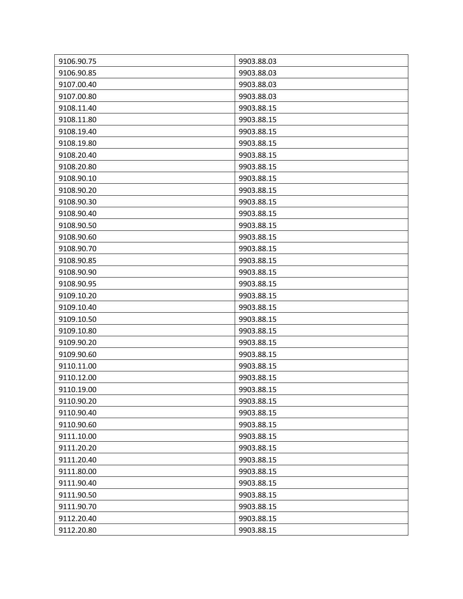| 9106.90.75 | 9903.88.03 |
|------------|------------|
| 9106.90.85 | 9903.88.03 |
| 9107.00.40 | 9903.88.03 |
| 9107.00.80 | 9903.88.03 |
| 9108.11.40 | 9903.88.15 |
| 9108.11.80 | 9903.88.15 |
| 9108.19.40 | 9903.88.15 |
| 9108.19.80 | 9903.88.15 |
| 9108.20.40 | 9903.88.15 |
| 9108.20.80 | 9903.88.15 |
| 9108.90.10 | 9903.88.15 |
| 9108.90.20 | 9903.88.15 |
| 9108.90.30 | 9903.88.15 |
| 9108.90.40 | 9903.88.15 |
| 9108.90.50 | 9903.88.15 |
| 9108.90.60 | 9903.88.15 |
| 9108.90.70 | 9903.88.15 |
| 9108.90.85 | 9903.88.15 |
| 9108.90.90 | 9903.88.15 |
| 9108.90.95 | 9903.88.15 |
| 9109.10.20 | 9903.88.15 |
| 9109.10.40 | 9903.88.15 |
| 9109.10.50 | 9903.88.15 |
| 9109.10.80 | 9903.88.15 |
| 9109.90.20 | 9903.88.15 |
| 9109.90.60 | 9903.88.15 |
| 9110.11.00 | 9903.88.15 |
| 9110.12.00 | 9903.88.15 |
| 9110.19.00 | 9903.88.15 |
| 9110.90.20 | 9903.88.15 |
| 9110.90.40 | 9903.88.15 |
| 9110.90.60 | 9903.88.15 |
| 9111.10.00 | 9903.88.15 |
| 9111.20.20 | 9903.88.15 |
| 9111.20.40 | 9903.88.15 |
| 9111.80.00 | 9903.88.15 |
| 9111.90.40 | 9903.88.15 |
| 9111.90.50 | 9903.88.15 |
| 9111.90.70 | 9903.88.15 |
| 9112.20.40 | 9903.88.15 |
| 9112.20.80 | 9903.88.15 |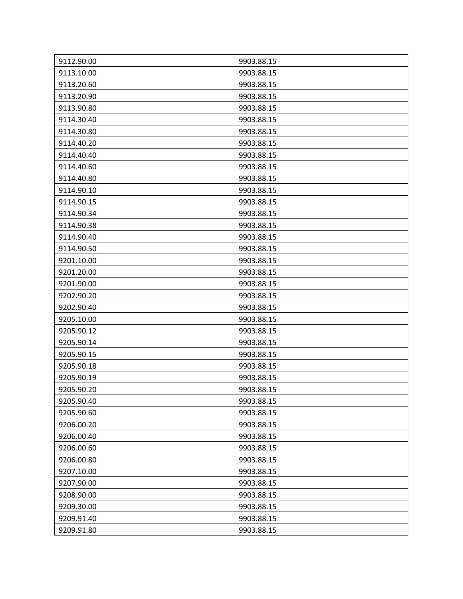| 9112.90.00 | 9903.88.15 |
|------------|------------|
| 9113.10.00 | 9903.88.15 |
| 9113.20.60 | 9903.88.15 |
| 9113.20.90 | 9903.88.15 |
| 9113.90.80 | 9903.88.15 |
| 9114.30.40 | 9903.88.15 |
| 9114.30.80 | 9903.88.15 |
| 9114.40.20 | 9903.88.15 |
| 9114.40.40 | 9903.88.15 |
| 9114.40.60 | 9903.88.15 |
| 9114.40.80 | 9903.88.15 |
| 9114.90.10 | 9903.88.15 |
| 9114.90.15 | 9903.88.15 |
| 9114.90.34 | 9903.88.15 |
| 9114.90.38 | 9903.88.15 |
| 9114.90.40 | 9903.88.15 |
| 9114.90.50 | 9903.88.15 |
| 9201.10.00 | 9903.88.15 |
| 9201.20.00 | 9903.88.15 |
| 9201.90.00 | 9903.88.15 |
| 9202.90.20 | 9903.88.15 |
| 9202.90.40 | 9903.88.15 |
| 9205.10.00 | 9903.88.15 |
| 9205.90.12 | 9903.88.15 |
| 9205.90.14 | 9903.88.15 |
| 9205.90.15 | 9903.88.15 |
| 9205.90.18 | 9903.88.15 |
| 9205.90.19 | 9903.88.15 |
| 9205.90.20 | 9903.88.15 |
| 9205.90.40 | 9903.88.15 |
| 9205.90.60 | 9903.88.15 |
| 9206.00.20 | 9903.88.15 |
| 9206.00.40 | 9903.88.15 |
| 9206.00.60 | 9903.88.15 |
| 9206.00.80 | 9903.88.15 |
| 9207.10.00 | 9903.88.15 |
| 9207.90.00 | 9903.88.15 |
| 9208.90.00 | 9903.88.15 |
| 9209.30.00 | 9903.88.15 |
| 9209.91.40 | 9903.88.15 |
| 9209.91.80 | 9903.88.15 |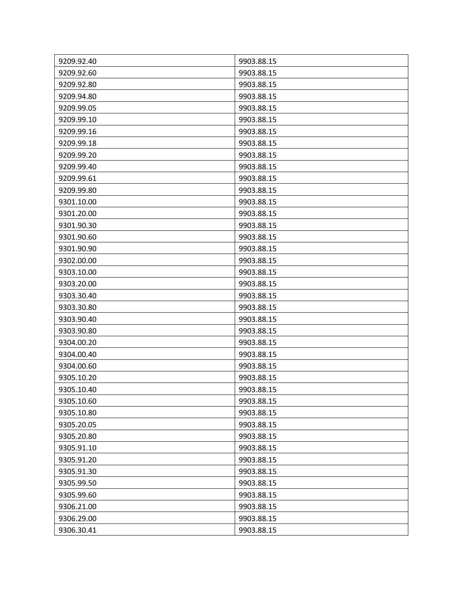| 9209.92.40 | 9903.88.15 |
|------------|------------|
| 9209.92.60 | 9903.88.15 |
| 9209.92.80 | 9903.88.15 |
| 9209.94.80 | 9903.88.15 |
| 9209.99.05 | 9903.88.15 |
| 9209.99.10 | 9903.88.15 |
| 9209.99.16 | 9903.88.15 |
| 9209.99.18 | 9903.88.15 |
| 9209.99.20 | 9903.88.15 |
| 9209.99.40 | 9903.88.15 |
| 9209.99.61 | 9903.88.15 |
| 9209.99.80 | 9903.88.15 |
| 9301.10.00 | 9903.88.15 |
| 9301.20.00 | 9903.88.15 |
| 9301.90.30 | 9903.88.15 |
| 9301.90.60 | 9903.88.15 |
| 9301.90.90 | 9903.88.15 |
| 9302.00.00 | 9903.88.15 |
| 9303.10.00 | 9903.88.15 |
| 9303.20.00 | 9903.88.15 |
| 9303.30.40 | 9903.88.15 |
| 9303.30.80 | 9903.88.15 |
| 9303.90.40 | 9903.88.15 |
| 9303.90.80 | 9903.88.15 |
| 9304.00.20 | 9903.88.15 |
| 9304.00.40 | 9903.88.15 |
| 9304.00.60 | 9903.88.15 |
| 9305.10.20 | 9903.88.15 |
| 9305.10.40 | 9903.88.15 |
| 9305.10.60 | 9903.88.15 |
| 9305.10.80 | 9903.88.15 |
| 9305.20.05 | 9903.88.15 |
| 9305.20.80 | 9903.88.15 |
| 9305.91.10 | 9903.88.15 |
| 9305.91.20 | 9903.88.15 |
| 9305.91.30 | 9903.88.15 |
| 9305.99.50 | 9903.88.15 |
| 9305.99.60 | 9903.88.15 |
| 9306.21.00 | 9903.88.15 |
| 9306.29.00 | 9903.88.15 |
| 9306.30.41 | 9903.88.15 |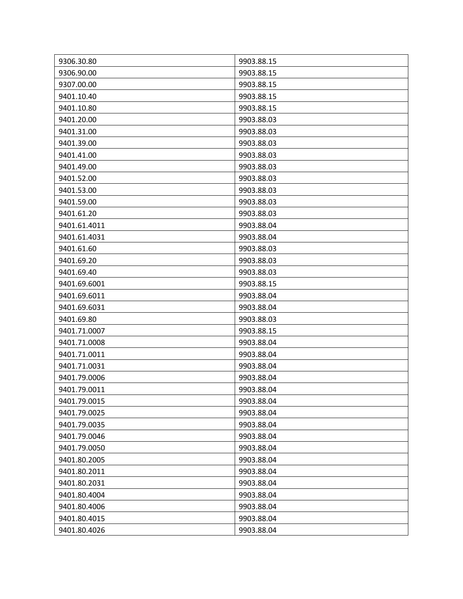| 9306.30.80   | 9903.88.15 |
|--------------|------------|
| 9306.90.00   | 9903.88.15 |
| 9307.00.00   | 9903.88.15 |
| 9401.10.40   | 9903.88.15 |
| 9401.10.80   | 9903.88.15 |
| 9401.20.00   | 9903.88.03 |
| 9401.31.00   | 9903.88.03 |
| 9401.39.00   | 9903.88.03 |
| 9401.41.00   | 9903.88.03 |
| 9401.49.00   | 9903.88.03 |
| 9401.52.00   | 9903.88.03 |
| 9401.53.00   | 9903.88.03 |
| 9401.59.00   | 9903.88.03 |
| 9401.61.20   | 9903.88.03 |
| 9401.61.4011 | 9903.88.04 |
| 9401.61.4031 | 9903.88.04 |
| 9401.61.60   | 9903.88.03 |
| 9401.69.20   | 9903.88.03 |
| 9401.69.40   | 9903.88.03 |
| 9401.69.6001 | 9903.88.15 |
| 9401.69.6011 | 9903.88.04 |
| 9401.69.6031 | 9903.88.04 |
| 9401.69.80   | 9903.88.03 |
| 9401.71.0007 | 9903.88.15 |
| 9401.71.0008 | 9903.88.04 |
| 9401.71.0011 | 9903.88.04 |
| 9401.71.0031 | 9903.88.04 |
| 9401.79.0006 | 9903.88.04 |
| 9401.79.0011 | 9903.88.04 |
| 9401.79.0015 | 9903.88.04 |
| 9401.79.0025 | 9903.88.04 |
| 9401.79.0035 | 9903.88.04 |
| 9401.79.0046 | 9903.88.04 |
| 9401.79.0050 | 9903.88.04 |
| 9401.80.2005 | 9903.88.04 |
| 9401.80.2011 | 9903.88.04 |
| 9401.80.2031 | 9903.88.04 |
| 9401.80.4004 | 9903.88.04 |
| 9401.80.4006 | 9903.88.04 |
| 9401.80.4015 | 9903.88.04 |
| 9401.80.4026 | 9903.88.04 |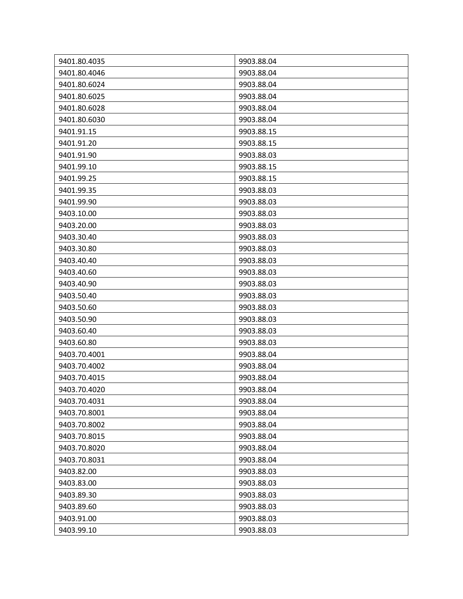| 9401.80.4035 | 9903.88.04 |
|--------------|------------|
| 9401.80.4046 | 9903.88.04 |
| 9401.80.6024 | 9903.88.04 |
| 9401.80.6025 | 9903.88.04 |
| 9401.80.6028 | 9903.88.04 |
| 9401.80.6030 | 9903.88.04 |
| 9401.91.15   | 9903.88.15 |
| 9401.91.20   | 9903.88.15 |
| 9401.91.90   | 9903.88.03 |
| 9401.99.10   | 9903.88.15 |
| 9401.99.25   | 9903.88.15 |
| 9401.99.35   | 9903.88.03 |
| 9401.99.90   | 9903.88.03 |
| 9403.10.00   | 9903.88.03 |
| 9403.20.00   | 9903.88.03 |
| 9403.30.40   | 9903.88.03 |
| 9403.30.80   | 9903.88.03 |
| 9403.40.40   | 9903.88.03 |
| 9403.40.60   | 9903.88.03 |
| 9403.40.90   | 9903.88.03 |
| 9403.50.40   | 9903.88.03 |
| 9403.50.60   | 9903.88.03 |
| 9403.50.90   | 9903.88.03 |
| 9403.60.40   | 9903.88.03 |
| 9403.60.80   | 9903.88.03 |
| 9403.70.4001 | 9903.88.04 |
| 9403.70.4002 | 9903.88.04 |
| 9403.70.4015 | 9903.88.04 |
| 9403.70.4020 | 9903.88.04 |
| 9403.70.4031 | 9903.88.04 |
| 9403.70.8001 | 9903.88.04 |
| 9403.70.8002 | 9903.88.04 |
| 9403.70.8015 | 9903.88.04 |
| 9403.70.8020 | 9903.88.04 |
| 9403.70.8031 | 9903.88.04 |
| 9403.82.00   | 9903.88.03 |
| 9403.83.00   | 9903.88.03 |
| 9403.89.30   | 9903.88.03 |
| 9403.89.60   | 9903.88.03 |
| 9403.91.00   | 9903.88.03 |
| 9403.99.10   | 9903.88.03 |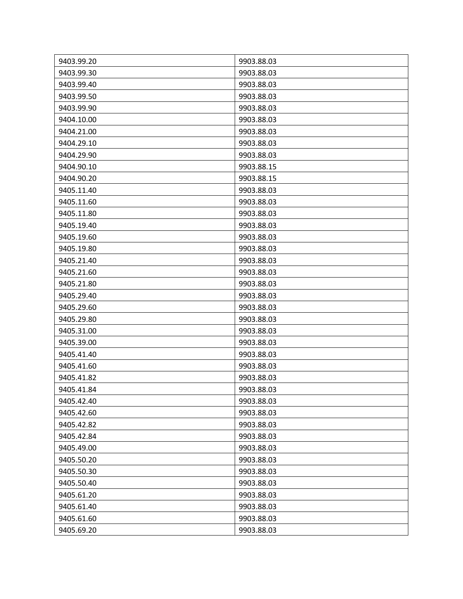| 9403.99.20 | 9903.88.03 |
|------------|------------|
| 9403.99.30 | 9903.88.03 |
| 9403.99.40 | 9903.88.03 |
| 9403.99.50 | 9903.88.03 |
| 9403.99.90 | 9903.88.03 |
| 9404.10.00 | 9903.88.03 |
| 9404.21.00 | 9903.88.03 |
| 9404.29.10 | 9903.88.03 |
| 9404.29.90 | 9903.88.03 |
| 9404.90.10 | 9903.88.15 |
| 9404.90.20 | 9903.88.15 |
| 9405.11.40 | 9903.88.03 |
| 9405.11.60 | 9903.88.03 |
| 9405.11.80 | 9903.88.03 |
| 9405.19.40 | 9903.88.03 |
| 9405.19.60 | 9903.88.03 |
| 9405.19.80 | 9903.88.03 |
| 9405.21.40 | 9903.88.03 |
| 9405.21.60 | 9903.88.03 |
| 9405.21.80 | 9903.88.03 |
| 9405.29.40 | 9903.88.03 |
| 9405.29.60 | 9903.88.03 |
| 9405.29.80 | 9903.88.03 |
| 9405.31.00 | 9903.88.03 |
| 9405.39.00 | 9903.88.03 |
| 9405.41.40 | 9903.88.03 |
| 9405.41.60 | 9903.88.03 |
| 9405.41.82 | 9903.88.03 |
| 9405.41.84 | 9903.88.03 |
| 9405.42.40 | 9903.88.03 |
| 9405.42.60 | 9903.88.03 |
| 9405.42.82 | 9903.88.03 |
| 9405.42.84 | 9903.88.03 |
| 9405.49.00 | 9903.88.03 |
| 9405.50.20 | 9903.88.03 |
| 9405.50.30 | 9903.88.03 |
| 9405.50.40 | 9903.88.03 |
| 9405.61.20 | 9903.88.03 |
| 9405.61.40 | 9903.88.03 |
| 9405.61.60 | 9903.88.03 |
| 9405.69.20 | 9903.88.03 |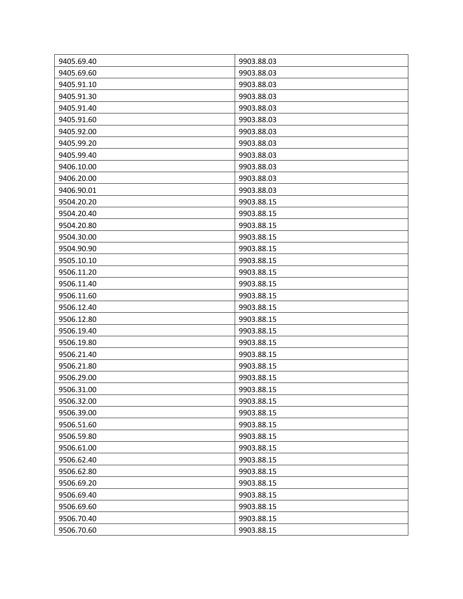| 9405.69.40 | 9903.88.03 |
|------------|------------|
| 9405.69.60 | 9903.88.03 |
| 9405.91.10 | 9903.88.03 |
| 9405.91.30 | 9903.88.03 |
| 9405.91.40 | 9903.88.03 |
| 9405.91.60 | 9903.88.03 |
| 9405.92.00 | 9903.88.03 |
| 9405.99.20 | 9903.88.03 |
| 9405.99.40 | 9903.88.03 |
| 9406.10.00 | 9903.88.03 |
| 9406.20.00 | 9903.88.03 |
| 9406.90.01 | 9903.88.03 |
| 9504.20.20 | 9903.88.15 |
| 9504.20.40 | 9903.88.15 |
| 9504.20.80 | 9903.88.15 |
| 9504.30.00 | 9903.88.15 |
| 9504.90.90 | 9903.88.15 |
| 9505.10.10 | 9903.88.15 |
| 9506.11.20 | 9903.88.15 |
| 9506.11.40 | 9903.88.15 |
| 9506.11.60 | 9903.88.15 |
| 9506.12.40 | 9903.88.15 |
| 9506.12.80 | 9903.88.15 |
| 9506.19.40 | 9903.88.15 |
| 9506.19.80 | 9903.88.15 |
| 9506.21.40 | 9903.88.15 |
| 9506.21.80 | 9903.88.15 |
| 9506.29.00 | 9903.88.15 |
| 9506.31.00 | 9903.88.15 |
| 9506.32.00 | 9903.88.15 |
| 9506.39.00 | 9903.88.15 |
| 9506.51.60 | 9903.88.15 |
| 9506.59.80 | 9903.88.15 |
| 9506.61.00 | 9903.88.15 |
| 9506.62.40 | 9903.88.15 |
| 9506.62.80 | 9903.88.15 |
| 9506.69.20 | 9903.88.15 |
| 9506.69.40 | 9903.88.15 |
| 9506.69.60 | 9903.88.15 |
| 9506.70.40 | 9903.88.15 |
| 9506.70.60 | 9903.88.15 |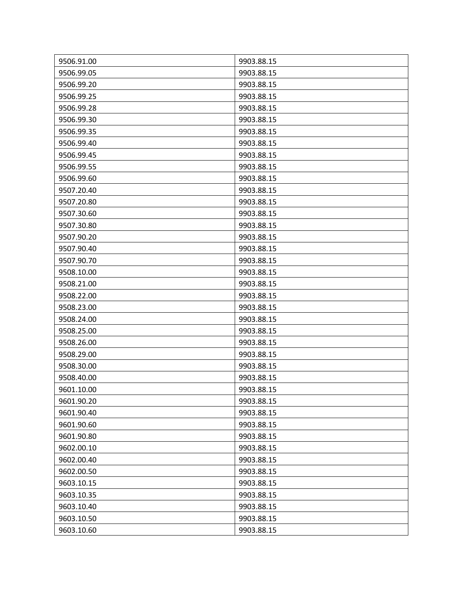| 9506.91.00 | 9903.88.15 |
|------------|------------|
| 9506.99.05 | 9903.88.15 |
| 9506.99.20 | 9903.88.15 |
| 9506.99.25 | 9903.88.15 |
| 9506.99.28 | 9903.88.15 |
| 9506.99.30 | 9903.88.15 |
| 9506.99.35 | 9903.88.15 |
| 9506.99.40 | 9903.88.15 |
| 9506.99.45 | 9903.88.15 |
| 9506.99.55 | 9903.88.15 |
| 9506.99.60 | 9903.88.15 |
| 9507.20.40 | 9903.88.15 |
| 9507.20.80 | 9903.88.15 |
| 9507.30.60 | 9903.88.15 |
| 9507.30.80 | 9903.88.15 |
| 9507.90.20 | 9903.88.15 |
| 9507.90.40 | 9903.88.15 |
| 9507.90.70 | 9903.88.15 |
| 9508.10.00 | 9903.88.15 |
| 9508.21.00 | 9903.88.15 |
| 9508.22.00 | 9903.88.15 |
| 9508.23.00 | 9903.88.15 |
| 9508.24.00 | 9903.88.15 |
| 9508.25.00 | 9903.88.15 |
| 9508.26.00 | 9903.88.15 |
| 9508.29.00 | 9903.88.15 |
| 9508.30.00 | 9903.88.15 |
| 9508.40.00 | 9903.88.15 |
| 9601.10.00 | 9903.88.15 |
| 9601.90.20 | 9903.88.15 |
| 9601.90.40 | 9903.88.15 |
| 9601.90.60 | 9903.88.15 |
| 9601.90.80 | 9903.88.15 |
| 9602.00.10 | 9903.88.15 |
| 9602.00.40 | 9903.88.15 |
| 9602.00.50 | 9903.88.15 |
| 9603.10.15 | 9903.88.15 |
| 9603.10.35 | 9903.88.15 |
| 9603.10.40 | 9903.88.15 |
| 9603.10.50 | 9903.88.15 |
| 9603.10.60 | 9903.88.15 |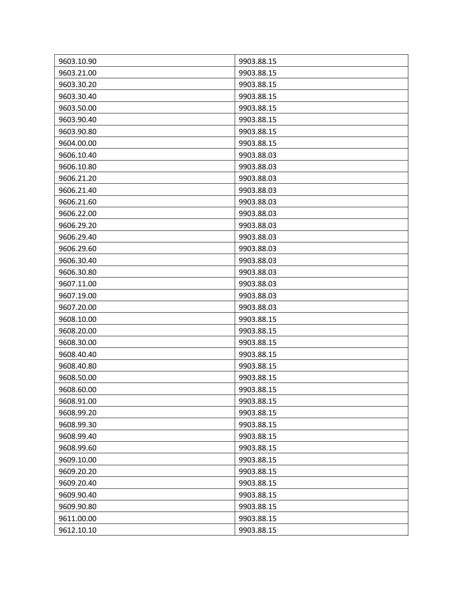| 9603.10.90 | 9903.88.15 |
|------------|------------|
| 9603.21.00 | 9903.88.15 |
| 9603.30.20 | 9903.88.15 |
| 9603.30.40 | 9903.88.15 |
| 9603.50.00 | 9903.88.15 |
| 9603.90.40 | 9903.88.15 |
| 9603.90.80 | 9903.88.15 |
| 9604.00.00 | 9903.88.15 |
| 9606.10.40 | 9903.88.03 |
| 9606.10.80 | 9903.88.03 |
| 9606.21.20 | 9903.88.03 |
| 9606.21.40 | 9903.88.03 |
| 9606.21.60 | 9903.88.03 |
| 9606.22.00 | 9903.88.03 |
| 9606.29.20 | 9903.88.03 |
| 9606.29.40 | 9903.88.03 |
| 9606.29.60 | 9903.88.03 |
| 9606.30.40 | 9903.88.03 |
| 9606.30.80 | 9903.88.03 |
| 9607.11.00 | 9903.88.03 |
| 9607.19.00 | 9903.88.03 |
| 9607.20.00 | 9903.88.03 |
| 9608.10.00 | 9903.88.15 |
| 9608.20.00 | 9903.88.15 |
| 9608.30.00 | 9903.88.15 |
| 9608.40.40 | 9903.88.15 |
| 9608.40.80 | 9903.88.15 |
| 9608.50.00 | 9903.88.15 |
| 9608.60.00 | 9903.88.15 |
| 9608.91.00 | 9903.88.15 |
| 9608.99.20 | 9903.88.15 |
| 9608.99.30 | 9903.88.15 |
| 9608.99.40 | 9903.88.15 |
| 9608.99.60 | 9903.88.15 |
| 9609.10.00 | 9903.88.15 |
| 9609.20.20 | 9903.88.15 |
| 9609.20.40 | 9903.88.15 |
| 9609.90.40 | 9903.88.15 |
| 9609.90.80 | 9903.88.15 |
| 9611.00.00 | 9903.88.15 |
| 9612.10.10 | 9903.88.15 |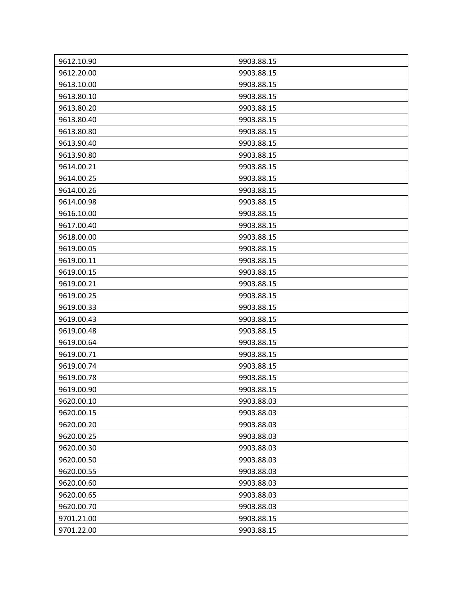| 9612.10.90 | 9903.88.15 |
|------------|------------|
| 9612.20.00 | 9903.88.15 |
| 9613.10.00 | 9903.88.15 |
| 9613.80.10 | 9903.88.15 |
| 9613.80.20 | 9903.88.15 |
| 9613.80.40 | 9903.88.15 |
| 9613.80.80 | 9903.88.15 |
| 9613.90.40 | 9903.88.15 |
| 9613.90.80 | 9903.88.15 |
| 9614.00.21 | 9903.88.15 |
| 9614.00.25 | 9903.88.15 |
| 9614.00.26 | 9903.88.15 |
| 9614.00.98 | 9903.88.15 |
| 9616.10.00 | 9903.88.15 |
| 9617.00.40 | 9903.88.15 |
| 9618.00.00 | 9903.88.15 |
| 9619.00.05 | 9903.88.15 |
| 9619.00.11 | 9903.88.15 |
| 9619.00.15 | 9903.88.15 |
| 9619.00.21 | 9903.88.15 |
| 9619.00.25 | 9903.88.15 |
| 9619.00.33 | 9903.88.15 |
| 9619.00.43 | 9903.88.15 |
| 9619.00.48 | 9903.88.15 |
| 9619.00.64 | 9903.88.15 |
| 9619.00.71 | 9903.88.15 |
| 9619.00.74 | 9903.88.15 |
| 9619.00.78 | 9903.88.15 |
| 9619.00.90 | 9903.88.15 |
| 9620.00.10 | 9903.88.03 |
| 9620.00.15 | 9903.88.03 |
| 9620.00.20 | 9903.88.03 |
| 9620.00.25 | 9903.88.03 |
| 9620.00.30 | 9903.88.03 |
| 9620.00.50 | 9903.88.03 |
| 9620.00.55 | 9903.88.03 |
| 9620.00.60 | 9903.88.03 |
| 9620.00.65 | 9903.88.03 |
| 9620.00.70 | 9903.88.03 |
| 9701.21.00 | 9903.88.15 |
| 9701.22.00 | 9903.88.15 |